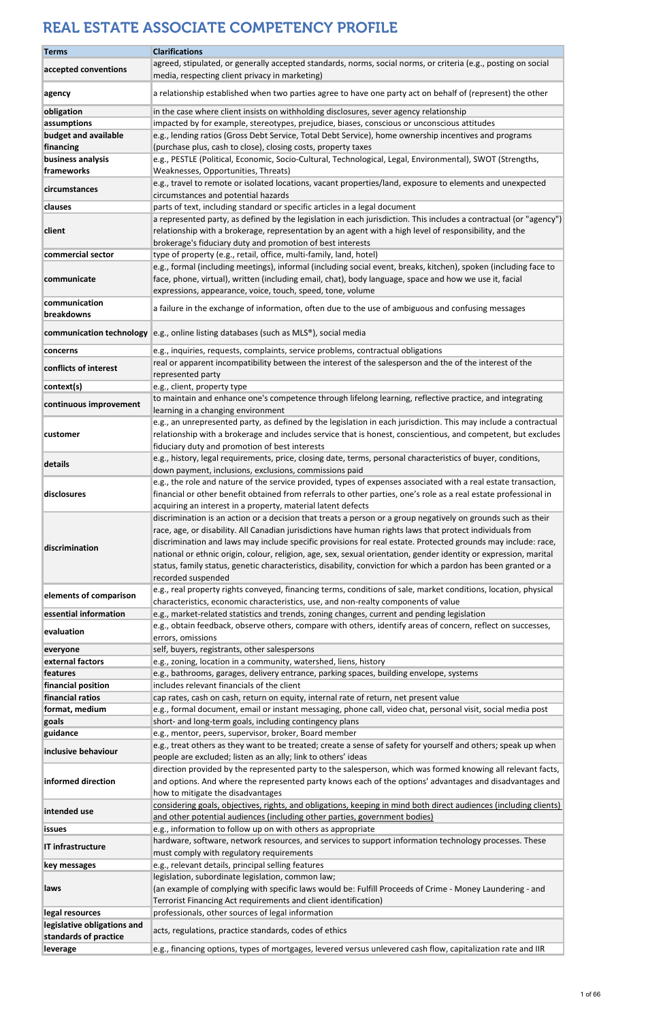| <b>Terms</b>                      | <b>Clarifications</b>                                                                                                                                                                                                                                                                                                                                                                                                                                                                                                                                                                                     |
|-----------------------------------|-----------------------------------------------------------------------------------------------------------------------------------------------------------------------------------------------------------------------------------------------------------------------------------------------------------------------------------------------------------------------------------------------------------------------------------------------------------------------------------------------------------------------------------------------------------------------------------------------------------|
| accepted conventions              | agreed, stipulated, or generally accepted standards, norms, social norms, or criteria (e.g., posting on social                                                                                                                                                                                                                                                                                                                                                                                                                                                                                            |
|                                   | media, respecting client privacy in marketing)                                                                                                                                                                                                                                                                                                                                                                                                                                                                                                                                                            |
| agency                            | a relationship established when two parties agree to have one party act on behalf of (represent) the other                                                                                                                                                                                                                                                                                                                                                                                                                                                                                                |
| obligation                        | in the case where client insists on withholding disclosures, sever agency relationship                                                                                                                                                                                                                                                                                                                                                                                                                                                                                                                    |
| assumptions                       | impacted by for example, stereotypes, prejudice, biases, conscious or unconscious attitudes                                                                                                                                                                                                                                                                                                                                                                                                                                                                                                               |
| budget and available              | e.g., lending ratios (Gross Debt Service, Total Debt Service), home ownership incentives and programs                                                                                                                                                                                                                                                                                                                                                                                                                                                                                                     |
| financing                         | (purchase plus, cash to close), closing costs, property taxes                                                                                                                                                                                                                                                                                                                                                                                                                                                                                                                                             |
| business analysis<br>frameworks   | e.g., PESTLE (Political, Economic, Socio-Cultural, Technological, Legal, Environmental), SWOT (Strengths,<br>Weaknesses, Opportunities, Threats)                                                                                                                                                                                                                                                                                                                                                                                                                                                          |
|                                   | e.g., travel to remote or isolated locations, vacant properties/land, exposure to elements and unexpected                                                                                                                                                                                                                                                                                                                                                                                                                                                                                                 |
| circumstances                     | circumstances and potential hazards                                                                                                                                                                                                                                                                                                                                                                                                                                                                                                                                                                       |
| <b>clauses</b>                    | parts of text, including standard or specific articles in a legal document                                                                                                                                                                                                                                                                                                                                                                                                                                                                                                                                |
| client                            | a represented party, as defined by the legislation in each jurisdiction. This includes a contractual (or "agency")<br>relationship with a brokerage, representation by an agent with a high level of responsibility, and the                                                                                                                                                                                                                                                                                                                                                                              |
| commercial sector                 | brokerage's fiduciary duty and promotion of best interests<br>type of property (e.g., retail, office, multi-family, land, hotel)                                                                                                                                                                                                                                                                                                                                                                                                                                                                          |
|                                   | e.g., formal (including meetings), informal (including social event, breaks, kitchen), spoken (including face to                                                                                                                                                                                                                                                                                                                                                                                                                                                                                          |
| communicate                       | face, phone, virtual), written (including email, chat), body language, space and how we use it, facial<br>expressions, appearance, voice, touch, speed, tone, volume                                                                                                                                                                                                                                                                                                                                                                                                                                      |
| communication                     | a failure in the exchange of information, often due to the use of ambiguous and confusing messages                                                                                                                                                                                                                                                                                                                                                                                                                                                                                                        |
| breakdowns                        |                                                                                                                                                                                                                                                                                                                                                                                                                                                                                                                                                                                                           |
|                                   | communication technology e.g., online listing databases (such as MLS®), social media                                                                                                                                                                                                                                                                                                                                                                                                                                                                                                                      |
| concerns                          | e.g., inquiries, requests, complaints, service problems, contractual obligations                                                                                                                                                                                                                                                                                                                                                                                                                                                                                                                          |
|                                   | real or apparent incompatibility between the interest of the salesperson and the of the interest of the                                                                                                                                                                                                                                                                                                                                                                                                                                                                                                   |
| conflicts of interest             | represented party                                                                                                                                                                                                                                                                                                                                                                                                                                                                                                                                                                                         |
| context(s)                        | e.g., client, property type                                                                                                                                                                                                                                                                                                                                                                                                                                                                                                                                                                               |
| continuous improvement            | to maintain and enhance one's competence through lifelong learning, reflective practice, and integrating<br>learning in a changing environment                                                                                                                                                                                                                                                                                                                                                                                                                                                            |
|                                   | e.g., an unrepresented party, as defined by the legislation in each jurisdiction. This may include a contractual                                                                                                                                                                                                                                                                                                                                                                                                                                                                                          |
| customer                          | relationship with a brokerage and includes service that is honest, conscientious, and competent, but excludes                                                                                                                                                                                                                                                                                                                                                                                                                                                                                             |
|                                   | fiduciary duty and promotion of best interests                                                                                                                                                                                                                                                                                                                                                                                                                                                                                                                                                            |
| details                           | e.g., history, legal requirements, price, closing date, terms, personal characteristics of buyer, conditions,                                                                                                                                                                                                                                                                                                                                                                                                                                                                                             |
|                                   | down payment, inclusions, exclusions, commissions paid                                                                                                                                                                                                                                                                                                                                                                                                                                                                                                                                                    |
| disclosures                       | e.g., the role and nature of the service provided, types of expenses associated with a real estate transaction,<br>financial or other benefit obtained from referrals to other parties, one's role as a real estate professional in                                                                                                                                                                                                                                                                                                                                                                       |
|                                   | acquiring an interest in a property, material latent defects                                                                                                                                                                                                                                                                                                                                                                                                                                                                                                                                              |
| discrimination                    | discrimination is an action or a decision that treats a person or a group negatively on grounds such as their<br>race, age, or disability. All Canadian jurisdictions have human rights laws that protect individuals from<br>discrimination and laws may include specific provisions for real estate. Protected grounds may include: race,<br>national or ethnic origin, colour, religion, age, sex, sexual orientation, gender identity or expression, marital<br>status, family status, genetic characteristics, disability, conviction for which a pardon has been granted or a<br>recorded suspended |
| elements of comparison            | e.g., real property rights conveyed, financing terms, conditions of sale, market conditions, location, physical                                                                                                                                                                                                                                                                                                                                                                                                                                                                                           |
|                                   | characteristics, economic characteristics, use, and non-realty components of value                                                                                                                                                                                                                                                                                                                                                                                                                                                                                                                        |
| essential information             | e.g., market-related statistics and trends, zoning changes, current and pending legislation                                                                                                                                                                                                                                                                                                                                                                                                                                                                                                               |
| evaluation                        | e.g., obtain feedback, observe others, compare with others, identify areas of concern, reflect on successes,<br>errors, omissions                                                                                                                                                                                                                                                                                                                                                                                                                                                                         |
| everyone                          | self, buyers, registrants, other salespersons                                                                                                                                                                                                                                                                                                                                                                                                                                                                                                                                                             |
| external factors                  | e.g., zoning, location in a community, watershed, liens, history                                                                                                                                                                                                                                                                                                                                                                                                                                                                                                                                          |
| features                          | e.g., bathrooms, garages, delivery entrance, parking spaces, building envelope, systems                                                                                                                                                                                                                                                                                                                                                                                                                                                                                                                   |
| financial position                | includes relevant financials of the client                                                                                                                                                                                                                                                                                                                                                                                                                                                                                                                                                                |
| financial ratios                  | cap rates, cash on cash, return on equity, internal rate of return, net present value                                                                                                                                                                                                                                                                                                                                                                                                                                                                                                                     |
| format, medium<br>goals           | e.g., formal document, email or instant messaging, phone call, video chat, personal visit, social media post<br>short- and long-term goals, including contingency plans                                                                                                                                                                                                                                                                                                                                                                                                                                   |
| guidance                          | e.g., mentor, peers, supervisor, broker, Board member                                                                                                                                                                                                                                                                                                                                                                                                                                                                                                                                                     |
| inclusive behaviour               | e.g., treat others as they want to be treated; create a sense of safety for yourself and others; speak up when                                                                                                                                                                                                                                                                                                                                                                                                                                                                                            |
|                                   | people are excluded; listen as an ally; link to others' ideas                                                                                                                                                                                                                                                                                                                                                                                                                                                                                                                                             |
| informed direction                | direction provided by the represented party to the salesperson, which was formed knowing all relevant facts,<br>and options. And where the represented party knows each of the options' advantages and disadvantages and<br>how to mitigate the disadvantages                                                                                                                                                                                                                                                                                                                                             |
| intended use                      | considering goals, objectives, rights, and obligations, keeping in mind both direct audiences (including clients)<br>and other potential audiences (including other parties, government bodies)                                                                                                                                                                                                                                                                                                                                                                                                           |
| <b>issues</b>                     | e.g., information to follow up on with others as appropriate                                                                                                                                                                                                                                                                                                                                                                                                                                                                                                                                              |
| IT infrastructure                 | hardware, software, network resources, and services to support information technology processes. These                                                                                                                                                                                                                                                                                                                                                                                                                                                                                                    |
| key messages                      | must comply with regulatory requirements<br>e.g., relevant details, principal selling features                                                                                                                                                                                                                                                                                                                                                                                                                                                                                                            |
|                                   | legislation, subordinate legislation, common law;                                                                                                                                                                                                                                                                                                                                                                                                                                                                                                                                                         |
| laws                              | (an example of complying with specific laws would be: Fulfill Proceeds of Crime - Money Laundering - and                                                                                                                                                                                                                                                                                                                                                                                                                                                                                                  |
|                                   | Terrorist Financing Act requirements and client identification)                                                                                                                                                                                                                                                                                                                                                                                                                                                                                                                                           |
| legal resources                   | professionals, other sources of legal information                                                                                                                                                                                                                                                                                                                                                                                                                                                                                                                                                         |
| legislative obligations and       | acts, regulations, practice standards, codes of ethics                                                                                                                                                                                                                                                                                                                                                                                                                                                                                                                                                    |
| standards of practice<br>leverage | e.g., financing options, types of mortgages, levered versus unlevered cash flow, capitalization rate and IIR                                                                                                                                                                                                                                                                                                                                                                                                                                                                                              |
|                                   |                                                                                                                                                                                                                                                                                                                                                                                                                                                                                                                                                                                                           |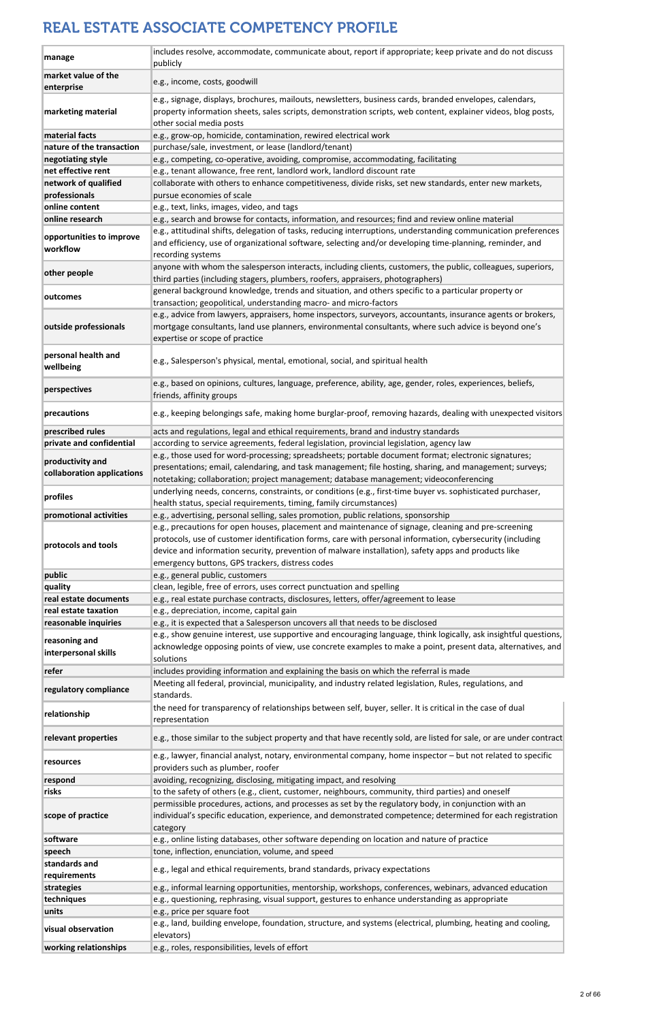| manage                                         | includes resolve, accommodate, communicate about, report if appropriate; keep private and do not discuss<br>publicly                                                                                                                                                                                                                                                       |
|------------------------------------------------|----------------------------------------------------------------------------------------------------------------------------------------------------------------------------------------------------------------------------------------------------------------------------------------------------------------------------------------------------------------------------|
| market value of the                            |                                                                                                                                                                                                                                                                                                                                                                            |
| enterprise                                     | e.g., income, costs, goodwill                                                                                                                                                                                                                                                                                                                                              |
| marketing material                             | e.g., signage, displays, brochures, mailouts, newsletters, business cards, branded envelopes, calendars,<br>property information sheets, sales scripts, demonstration scripts, web content, explainer videos, blog posts,<br>other social media posts                                                                                                                      |
| material facts                                 | e.g., grow-op, homicide, contamination, rewired electrical work                                                                                                                                                                                                                                                                                                            |
| nature of the transaction                      | purchase/sale, investment, or lease (landlord/tenant)                                                                                                                                                                                                                                                                                                                      |
| negotiating style                              | e.g., competing, co-operative, avoiding, compromise, accommodating, facilitating                                                                                                                                                                                                                                                                                           |
| net effective rent<br>network of qualified     | e.g., tenant allowance, free rent, landlord work, landlord discount rate<br>collaborate with others to enhance competitiveness, divide risks, set new standards, enter new markets,                                                                                                                                                                                        |
| professionals                                  | pursue economies of scale                                                                                                                                                                                                                                                                                                                                                  |
| online content                                 | e.g., text, links, images, video, and tags                                                                                                                                                                                                                                                                                                                                 |
| online research                                | e.g., search and browse for contacts, information, and resources; find and review online material                                                                                                                                                                                                                                                                          |
| opportunities to improve<br>workflow           | e.g., attitudinal shifts, delegation of tasks, reducing interruptions, understanding communication preferences<br>and efficiency, use of organizational software, selecting and/or developing time-planning, reminder, and<br>recording systems                                                                                                                            |
| other people                                   | anyone with whom the salesperson interacts, including clients, customers, the public, colleagues, superiors,<br>third parties (including stagers, plumbers, roofers, appraisers, photographers)                                                                                                                                                                            |
| outcomes                                       | general background knowledge, trends and situation, and others specific to a particular property or<br>transaction; geopolitical, understanding macro- and micro-factors                                                                                                                                                                                                   |
| outside professionals                          | e.g., advice from lawyers, appraisers, home inspectors, surveyors, accountants, insurance agents or brokers,<br>mortgage consultants, land use planners, environmental consultants, where such advice is beyond one's<br>expertise or scope of practice                                                                                                                    |
| personal health and<br>wellbeing               | e.g., Salesperson's physical, mental, emotional, social, and spiritual health                                                                                                                                                                                                                                                                                              |
| perspectives                                   | e.g., based on opinions, cultures, language, preference, ability, age, gender, roles, experiences, beliefs,<br>friends, affinity groups                                                                                                                                                                                                                                    |
| precautions                                    | e.g., keeping belongings safe, making home burglar-proof, removing hazards, dealing with unexpected visitors                                                                                                                                                                                                                                                               |
| prescribed rules                               | acts and regulations, legal and ethical requirements, brand and industry standards                                                                                                                                                                                                                                                                                         |
| private and confidential                       | according to service agreements, federal legislation, provincial legislation, agency law<br>e.g., those used for word-processing; spreadsheets; portable document format; electronic signatures;                                                                                                                                                                           |
| productivity and<br>collaboration applications | presentations; email, calendaring, and task management; file hosting, sharing, and management; surveys;<br>notetaking; collaboration; project management; database management; videoconferencing                                                                                                                                                                           |
| profiles                                       | underlying needs, concerns, constraints, or conditions (e.g., first-time buyer vs. sophisticated purchaser,<br>health status, special requirements, timing, family circumstances)                                                                                                                                                                                          |
| promotional activities                         | e.g., advertising, personal selling, sales promotion, public relations, sponsorship                                                                                                                                                                                                                                                                                        |
| protocols and tools                            | e.g., precautions for open houses, placement and maintenance of signage, cleaning and pre-screening<br>protocols, use of customer identification forms, care with personal information, cybersecurity (including<br>device and information security, prevention of malware installation), safety apps and products like<br>emergency buttons, GPS trackers, distress codes |
| public                                         | e.g., general public, customers                                                                                                                                                                                                                                                                                                                                            |
| quality                                        | clean, legible, free of errors, uses correct punctuation and spelling                                                                                                                                                                                                                                                                                                      |
| real estate documents                          | e.g., real estate purchase contracts, disclosures, letters, offer/agreement to lease                                                                                                                                                                                                                                                                                       |
| real estate taxation                           | e.g., depreciation, income, capital gain                                                                                                                                                                                                                                                                                                                                   |
| reasonable inquiries                           | e.g., it is expected that a Salesperson uncovers all that needs to be disclosed<br>e.g., show genuine interest, use supportive and encouraging language, think logically, ask insightful questions,                                                                                                                                                                        |
| reasoning and<br>interpersonal skills          | acknowledge opposing points of view, use concrete examples to make a point, present data, alternatives, and<br>solutions                                                                                                                                                                                                                                                   |
| refer                                          | includes providing information and explaining the basis on which the referral is made                                                                                                                                                                                                                                                                                      |
| regulatory compliance                          | Meeting all federal, provincial, municipality, and industry related legislation, Rules, regulations, and                                                                                                                                                                                                                                                                   |
|                                                | standards.<br>the need for transparency of relationships between self, buyer, seller. It is critical in the case of dual                                                                                                                                                                                                                                                   |
| relationship                                   | representation                                                                                                                                                                                                                                                                                                                                                             |
| relevant properties                            | e.g., those similar to the subject property and that have recently sold, are listed for sale, or are under contract                                                                                                                                                                                                                                                        |
| resources                                      | e.g., lawyer, financial analyst, notary, environmental company, home inspector - but not related to specific<br>providers such as plumber, roofer                                                                                                                                                                                                                          |
| respond                                        | avoiding, recognizing, disclosing, mitigating impact, and resolving                                                                                                                                                                                                                                                                                                        |
| risks                                          | to the safety of others (e.g., client, customer, neighbours, community, third parties) and oneself                                                                                                                                                                                                                                                                         |
| scope of practice                              | permissible procedures, actions, and processes as set by the regulatory body, in conjunction with an<br>individual's specific education, experience, and demonstrated competence; determined for each registration<br>category                                                                                                                                             |
| software                                       | e.g., online listing databases, other software depending on location and nature of practice                                                                                                                                                                                                                                                                                |
| speech                                         | tone, inflection, enunciation, volume, and speed                                                                                                                                                                                                                                                                                                                           |
| standards and                                  | e.g., legal and ethical requirements, brand standards, privacy expectations                                                                                                                                                                                                                                                                                                |
| requirements                                   |                                                                                                                                                                                                                                                                                                                                                                            |
| strategies<br>techniques                       | e.g., informal learning opportunities, mentorship, workshops, conferences, webinars, advanced education<br>e.g., questioning, rephrasing, visual support, gestures to enhance understanding as appropriate                                                                                                                                                                 |
| units                                          | e.g., price per square foot                                                                                                                                                                                                                                                                                                                                                |
|                                                | e.g., land, building envelope, foundation, structure, and systems (electrical, plumbing, heating and cooling,                                                                                                                                                                                                                                                              |
| visual observation                             | elevators)                                                                                                                                                                                                                                                                                                                                                                 |
| working relationships                          | e.g., roles, responsibilities, levels of effort                                                                                                                                                                                                                                                                                                                            |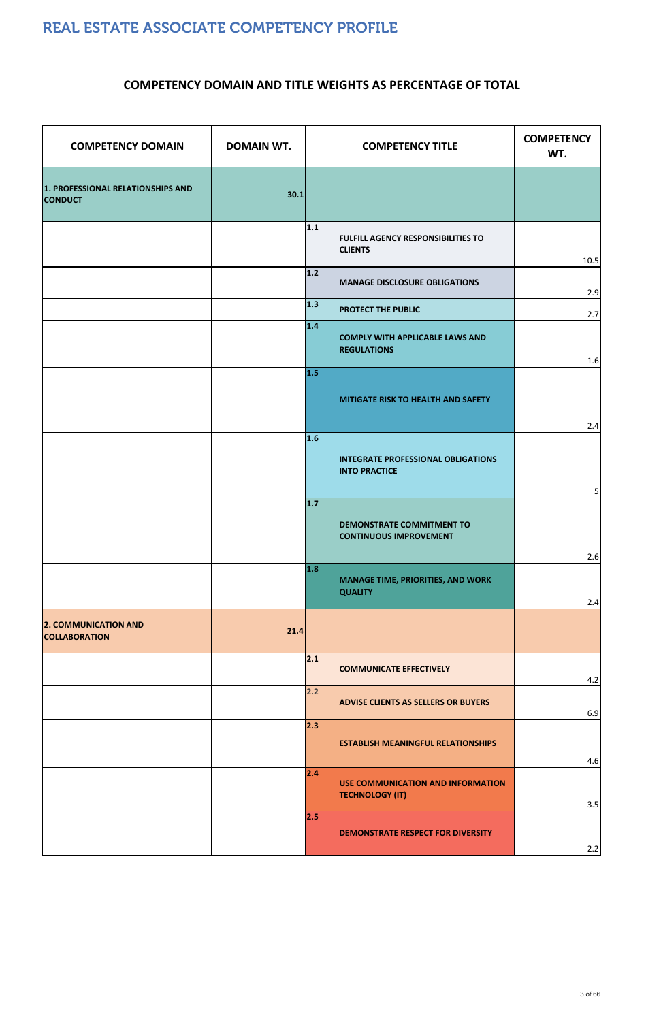| <b>COMPETENCY DOMAIN</b>                            | <b>DOMAIN WT.</b> |       | <b>COMPETENCY TITLE</b>                                           | <b>COMPETENCY</b><br>WT. |
|-----------------------------------------------------|-------------------|-------|-------------------------------------------------------------------|--------------------------|
| 1. PROFESSIONAL RELATIONSHIPS AND<br><b>CONDUCT</b> | 30.1              |       |                                                                   |                          |
|                                                     |                   | 1.1   | <b>FULFILL AGENCY RESPONSIBILITIES TO</b><br><b>CLIENTS</b>       | 10.5                     |
|                                                     |                   | $1.2$ | <b>MANAGE DISCLOSURE OBLIGATIONS</b>                              | 2.9                      |
|                                                     |                   | $1.3$ | <b>PROTECT THE PUBLIC</b>                                         | 2.7                      |
|                                                     |                   | 1.4   | <b>COMPLY WITH APPLICABLE LAWS AND</b><br><b>REGULATIONS</b>      | 1.6                      |
|                                                     |                   | 1.5   | <b>MITIGATE RISK TO HEALTH AND SAFETY</b>                         | 2.4                      |
|                                                     |                   | 1.6   | <b>INTEGRATE PROFESSIONAL OBLIGATIONS</b><br><b>INTO PRACTICE</b> | $5 \mid$                 |
|                                                     |                   | $1.7$ | <b>DEMONSTRATE COMMITMENT TO</b><br>CONTINUOUS IMPROVEMENT        | 2.6                      |
|                                                     |                   | 1.8   | MANAGE TIME, PRIORITIES, AND WORK<br><b>QUALITY</b>               | 2.4                      |
| <b>2. COMMUNICATION AND</b><br><b>COLLABORATION</b> | 21.4              |       |                                                                   |                          |
|                                                     |                   | 2.1   | <b>COMMUNICATE EFFECTIVELY</b>                                    | 4.2                      |
|                                                     |                   | 2.2   | <b>ADVISE CLIENTS AS SELLERS OR BUYERS</b>                        | 6.9                      |
|                                                     |                   | 2.3   | <b>ESTABLISH MEANINGFUL RELATIONSHIPS</b>                         | 4.6                      |
|                                                     |                   | 2.4   | USE COMMUNICATION AND INFORMATION<br><b>TECHNOLOGY (IT)</b>       | 3.5                      |
|                                                     |                   | 2.5   | <b>DEMONSTRATE RESPECT FOR DIVERSITY</b>                          | 2.2                      |

#### **COMPETENCY DOMAIN AND TITLE WEIGHTS AS PERCENTAGE OF TOTAL**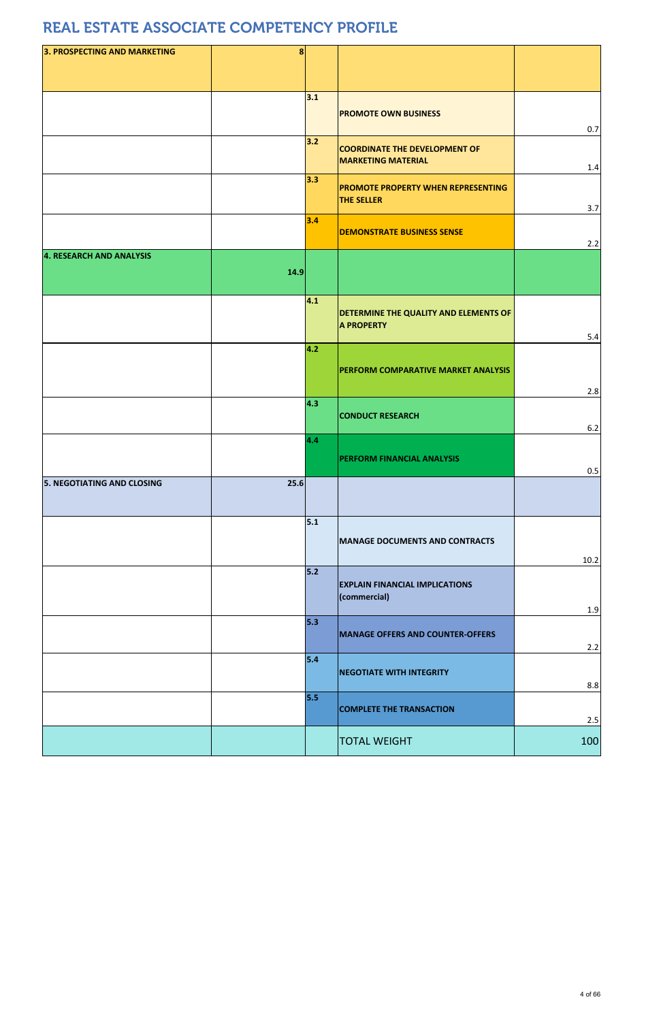| 3. PROSPECTING AND MARKETING      | 8    |     |                                                                   |          |
|-----------------------------------|------|-----|-------------------------------------------------------------------|----------|
|                                   |      |     |                                                                   |          |
|                                   |      |     |                                                                   |          |
|                                   |      | 3.1 |                                                                   |          |
|                                   |      |     | <b>PROMOTE OWN BUSINESS</b>                                       |          |
|                                   |      |     |                                                                   | 0.7      |
|                                   |      | 3.2 | <b>COORDINATE THE DEVELOPMENT OF</b>                              |          |
|                                   |      |     | <b>MARKETING MATERIAL</b>                                         | 1.4      |
|                                   |      | 3.3 |                                                                   |          |
|                                   |      |     | <b>PROMOTE PROPERTY WHEN REPRESENTING</b><br><b>THE SELLER</b>    |          |
|                                   |      |     |                                                                   | 3.7      |
|                                   |      | 3.4 | <b>DEMONSTRATE BUSINESS SENSE</b>                                 |          |
|                                   |      |     |                                                                   | 2.2      |
| 4. RESEARCH AND ANALYSIS          |      |     |                                                                   |          |
|                                   | 14.9 |     |                                                                   |          |
|                                   |      |     |                                                                   |          |
|                                   |      | 4.1 |                                                                   |          |
|                                   |      |     | <b>DETERMINE THE QUALITY AND ELEMENTS OF</b><br><b>A PROPERTY</b> |          |
|                                   |      |     |                                                                   | 5.4      |
|                                   |      | 4.2 |                                                                   |          |
|                                   |      |     | <b>PERFORM COMPARATIVE MARKET ANALYSIS</b>                        |          |
|                                   |      |     |                                                                   |          |
|                                   |      | 4.3 |                                                                   | 2.8      |
|                                   |      |     | <b>CONDUCT RESEARCH</b>                                           |          |
|                                   |      |     |                                                                   | 6.2      |
|                                   |      | 4.4 |                                                                   |          |
|                                   |      |     | <b>PERFORM FINANCIAL ANALYSIS</b>                                 |          |
|                                   | 25.6 |     |                                                                   | 0.5      |
| <b>5. NEGOTIATING AND CLOSING</b> |      |     |                                                                   |          |
|                                   |      |     |                                                                   |          |
|                                   |      | 5.1 |                                                                   |          |
|                                   |      |     | <b>MANAGE DOCUMENTS AND CONTRACTS</b>                             |          |
|                                   |      |     |                                                                   | $10.2\,$ |
|                                   |      | 5.2 |                                                                   |          |
|                                   |      |     | <b>EXPLAIN FINANCIAL IMPLICATIONS</b>                             |          |
|                                   |      |     | (commercial)                                                      |          |
|                                   |      | 5.3 |                                                                   | 1.9      |
|                                   |      |     | <b>MANAGE OFFERS AND COUNTER-OFFERS</b>                           |          |
|                                   |      |     |                                                                   | 2.2      |
|                                   |      | 5.4 |                                                                   |          |
|                                   |      |     | <b>NEGOTIATE WITH INTEGRITY</b>                                   | 8.8      |
|                                   |      | 5.5 |                                                                   |          |
|                                   |      |     | <b>COMPLETE THE TRANSACTION</b>                                   |          |
|                                   |      |     |                                                                   | 2.5      |
|                                   |      |     | <b>TOTAL WEIGHT</b>                                               | 100      |

|--|--|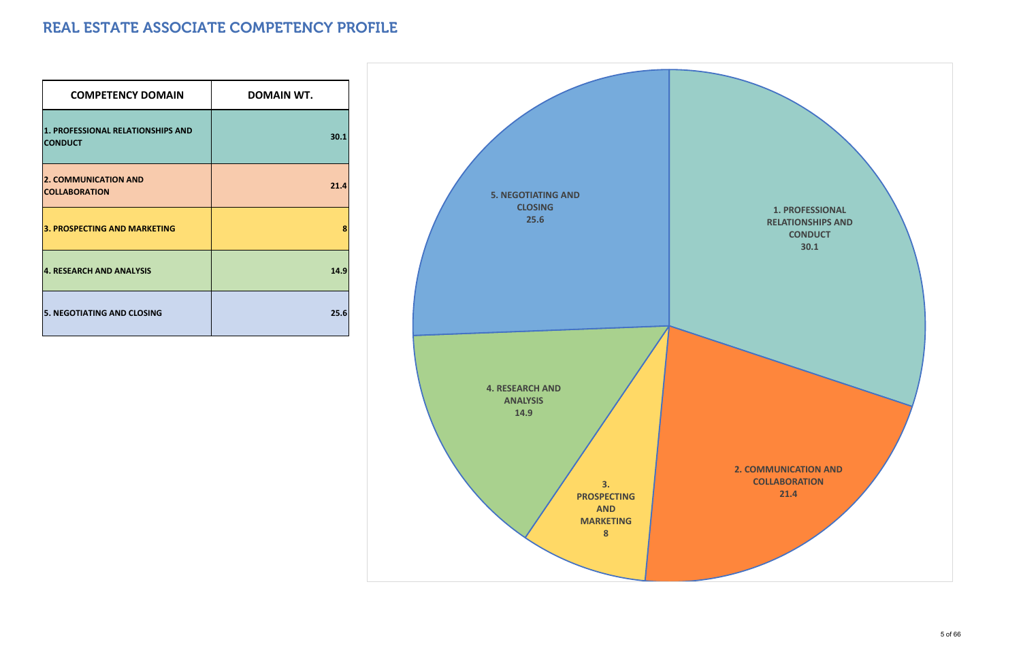| <b>COMPETENCY DOMAIN</b>                            | <b>DOMAIN WT.</b> |
|-----------------------------------------------------|-------------------|
| 1. PROFESSIONAL RELATIONSHIPS AND<br><b>CONDUCT</b> | 30.1              |
| <b>2. COMMUNICATION AND</b><br><b>COLLABORATION</b> | 21.4              |
| <b>3. PROSPECTING AND MARKETING</b>                 | 8                 |
| <b>4. RESEARCH AND ANALYSIS</b>                     | 14.9              |
| <b>5. NEGOTIATING AND CLOSING</b>                   | 25.6              |

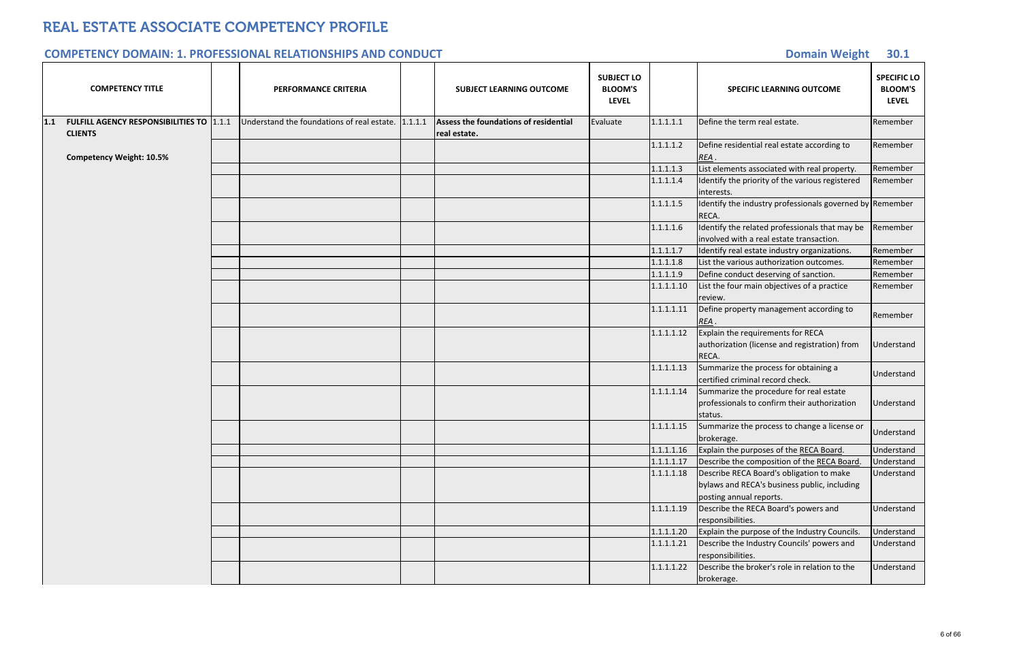#### **Domain Weight 30.1**

|     | <b>COMPETENCY TITLE</b>                                           | <b>PERFORMANCE CRITERIA</b>                |         | <b>SUBJECT LEARNING OUTCOME</b>                       | <b>SUBJECT LO</b><br><b>BLOOM'S</b><br><b>LEVEL</b> |            | <b>SPECIFIC LEARNING OUTCOME</b>                                                                                    | <b>SPECIFIC LO</b><br><b>BLOOM'S</b><br><b>LEVEL</b> |
|-----|-------------------------------------------------------------------|--------------------------------------------|---------|-------------------------------------------------------|-----------------------------------------------------|------------|---------------------------------------------------------------------------------------------------------------------|------------------------------------------------------|
| 1.1 | <b>FULFILL AGENCY RESPONSIBILITIES TO 1.1.1</b><br><b>CLIENTS</b> | Understand the foundations of real estate. | 1.1.1.1 | Assess the foundations of residential<br>real estate. | Evaluate                                            | 1.1.1.1.1  | Define the term real estate.                                                                                        | Remember                                             |
|     | <b>Competency Weight: 10.5%</b>                                   |                                            |         |                                                       |                                                     | 1.1.1.1.2  | Define residential real estate according to<br>REA.                                                                 | Remember                                             |
|     |                                                                   |                                            |         |                                                       |                                                     | 1.1.1.1.3  | List elements associated with real property.                                                                        | Remember                                             |
|     |                                                                   |                                            |         |                                                       |                                                     | 1.1.1.1.4  | Identify the priority of the various registered<br>interests.                                                       | Remember                                             |
|     |                                                                   |                                            |         |                                                       |                                                     | 1.1.1.1.5  | Identify the industry professionals governed by Remember<br><b>RECA</b>                                             |                                                      |
|     |                                                                   |                                            |         |                                                       |                                                     | 1.1.1.1.6  | Identify the related professionals that may be<br>involved with a real estate transaction.                          | Remember                                             |
|     |                                                                   |                                            |         |                                                       |                                                     | 1.1.1.1.7  | Identify real estate industry organizations.                                                                        | Remember                                             |
|     |                                                                   |                                            |         |                                                       |                                                     | 1.1.1.1.8  | List the various authorization outcomes.                                                                            | Remember                                             |
|     |                                                                   |                                            |         |                                                       |                                                     | 1.1.1.1.9  | Define conduct deserving of sanction.                                                                               | Remember                                             |
|     |                                                                   |                                            |         |                                                       |                                                     | 1.1.1.1.10 | List the four main objectives of a practice<br>review.                                                              | Remember                                             |
|     |                                                                   |                                            |         |                                                       |                                                     | 1.1.1.1.11 | Define property management according to<br>REA.                                                                     | Remember                                             |
|     |                                                                   |                                            |         |                                                       |                                                     | 1.1.1.1.12 | Explain the requirements for RECA<br>authorization (license and registration) from<br>RECA.                         | Understand                                           |
|     |                                                                   |                                            |         |                                                       |                                                     | 1.1.1.1.13 | Summarize the process for obtaining a<br>certified criminal record check.                                           | Understand                                           |
|     |                                                                   |                                            |         |                                                       |                                                     | 1.1.1.1.14 | Summarize the procedure for real estate<br>professionals to confirm their authorization<br>status.                  | Understand                                           |
|     |                                                                   |                                            |         |                                                       |                                                     | 1.1.1.1.15 | Summarize the process to change a license or<br>brokerage.                                                          | Understand                                           |
|     |                                                                   |                                            |         |                                                       |                                                     | 1.1.1.1.16 | Explain the purposes of the RECA Board.                                                                             | Understand                                           |
|     |                                                                   |                                            |         |                                                       |                                                     | 1.1.1.1.17 | Describe the composition of the RECA Board.                                                                         | Understand                                           |
|     |                                                                   |                                            |         |                                                       |                                                     | 1.1.1.1.18 | Describe RECA Board's obligation to make<br>bylaws and RECA's business public, including<br>posting annual reports. | Understand                                           |
|     |                                                                   |                                            |         |                                                       |                                                     | 1.1.1.1.19 | Describe the RECA Board's powers and<br>responsibilities.                                                           | Understand                                           |
|     |                                                                   |                                            |         |                                                       |                                                     | 1.1.1.1.20 | Explain the purpose of the Industry Councils.                                                                       | Understand                                           |
|     |                                                                   |                                            |         |                                                       |                                                     | 1.1.1.1.21 | Describe the Industry Councils' powers and<br>responsibilities.                                                     | Understand                                           |
|     |                                                                   |                                            |         |                                                       |                                                     | 1.1.1.1.22 | Describe the broker's role in relation to the<br>brokerage.                                                         | Understand                                           |

#### **COMPETENCY DOMAIN: 1. PROFESSIONAL RELATIONSHIPS AND CONDUCT**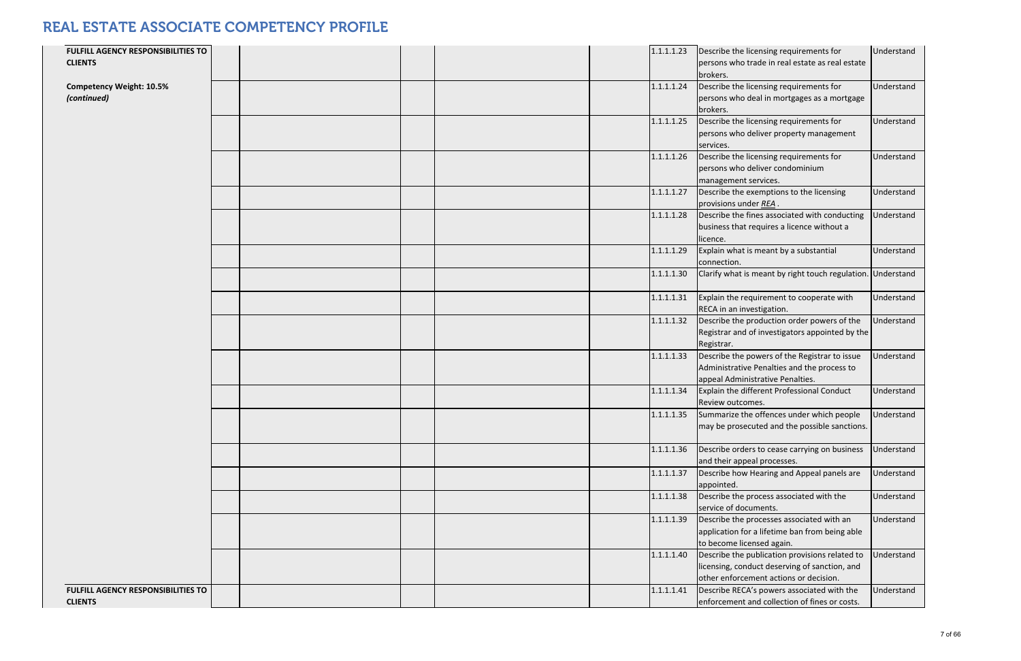| FULFILL AGENCY RESPONSIBILITIES TO<br><b>CLIENTS</b> |  |  | 1.1.1.1.23 | Describe the licensing requirements for<br>persons who trade in real estate as real estate<br>brokers.                                    | Understand |
|------------------------------------------------------|--|--|------------|-------------------------------------------------------------------------------------------------------------------------------------------|------------|
| <b>Competency Weight: 10.5%</b><br>(continued)       |  |  | 1.1.1.1.24 | Describe the licensing requirements for<br>persons who deal in mortgages as a mortgage<br>brokers.                                        | Understand |
|                                                      |  |  | 1.1.1.1.25 | Describe the licensing requirements for<br>persons who deliver property management<br>services.                                           | Understand |
|                                                      |  |  | 1.1.1.1.26 | Describe the licensing requirements for<br>persons who deliver condominium<br>management services.                                        | Understand |
|                                                      |  |  | 1.1.1.1.27 | Describe the exemptions to the licensing<br>provisions under REA                                                                          | Understand |
|                                                      |  |  | 1.1.1.1.28 | Describe the fines associated with conducting<br>business that requires a licence without a<br>licence.                                   | Understand |
|                                                      |  |  | 1.1.1.1.29 | Explain what is meant by a substantial<br>connection.                                                                                     | Understand |
|                                                      |  |  | 1.1.1.1.30 | Clarify what is meant by right touch regulation. Understand                                                                               |            |
|                                                      |  |  | 1.1.1.1.31 | Explain the requirement to cooperate with<br>RECA in an investigation.                                                                    | Understand |
|                                                      |  |  | 1.1.1.1.32 | Describe the production order powers of the<br>Registrar and of investigators appointed by the<br>Registrar.                              | Understand |
|                                                      |  |  | 1.1.1.1.33 | Describe the powers of the Registrar to issue<br>Administrative Penalties and the process to<br>appeal Administrative Penalties.          | Understand |
|                                                      |  |  | 1.1.1.1.34 | Explain the different Professional Conduct<br>Review outcomes.                                                                            | Understand |
|                                                      |  |  | 1.1.1.1.35 | Summarize the offences under which people<br>may be prosecuted and the possible sanctions.                                                | Understand |
|                                                      |  |  | 1.1.1.1.36 | Describe orders to cease carrying on business<br>and their appeal processes.                                                              | Understand |
|                                                      |  |  | 1.1.1.1.37 | Describe how Hearing and Appeal panels are<br>appointed.                                                                                  | Understand |
|                                                      |  |  | 1.1.1.1.38 | Describe the process associated with the<br>service of documents.                                                                         | Understand |
|                                                      |  |  | 1.1.1.1.39 | Describe the processes associated with an<br>application for a lifetime ban from being able<br>to become licensed again.                  | Understand |
|                                                      |  |  | 1.1.1.1.40 | Describe the publication provisions related to<br>licensing, conduct deserving of sanction, and<br>other enforcement actions or decision. | Understand |
| FULFILL AGENCY RESPONSIBILITIES TO<br><b>CLIENTS</b> |  |  | 1.1.1.1.41 | Describe RECA's powers associated with the<br>enforcement and collection of fines or costs.                                               | Understand |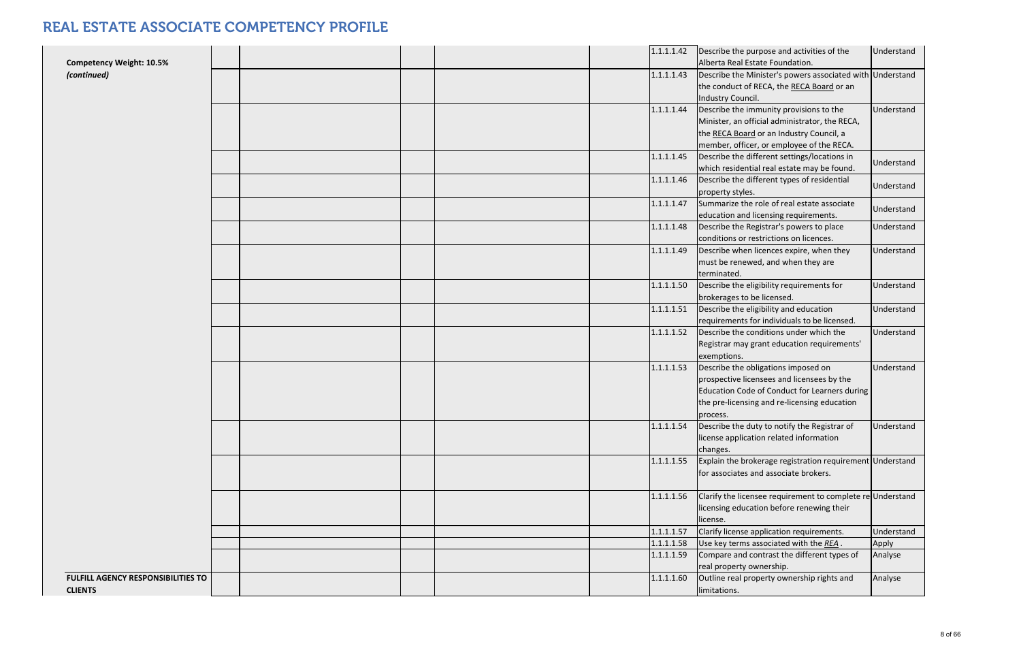| <b>Competency Weight: 10.5%</b>                      |  |  | 1.1.1.1.42 | Describe the purpose and activities of the<br>Alberta Real Estate Foundation.                                                                                                                  | Understand |
|------------------------------------------------------|--|--|------------|------------------------------------------------------------------------------------------------------------------------------------------------------------------------------------------------|------------|
| (continued)                                          |  |  | 1.1.1.1.43 | Describe the Minister's powers associated with Understand<br>the conduct of RECA, the RECA Board or an<br>Industry Council.                                                                    |            |
|                                                      |  |  | 1.1.1.1.44 | Describe the immunity provisions to the<br>Minister, an official administrator, the RECA,<br>the RECA Board or an Industry Council, a<br>member, officer, or employee of the RECA.             | Understand |
|                                                      |  |  | 1.1.1.1.45 | Describe the different settings/locations in<br>which residential real estate may be found.                                                                                                    | Understand |
|                                                      |  |  | 1.1.1.1.46 | Describe the different types of residential<br>property styles.                                                                                                                                | Understand |
|                                                      |  |  | 1.1.1.1.47 | Summarize the role of real estate associate<br>education and licensing requirements.                                                                                                           | Understand |
|                                                      |  |  | 1.1.1.1.48 | Describe the Registrar's powers to place<br>conditions or restrictions on licences.                                                                                                            | Understand |
|                                                      |  |  | 1.1.1.1.49 | Describe when licences expire, when they<br>must be renewed, and when they are<br>terminated.                                                                                                  | Understand |
|                                                      |  |  | 1.1.1.1.50 | Describe the eligibility requirements for<br>brokerages to be licensed.                                                                                                                        | Understand |
|                                                      |  |  | 1.1.1.1.51 | Describe the eligibility and education<br>requirements for individuals to be licensed.                                                                                                         | Understand |
|                                                      |  |  | 1.1.1.1.52 | Describe the conditions under which the<br>Registrar may grant education requirements'<br>exemptions.                                                                                          | Understand |
|                                                      |  |  | 1.1.1.1.53 | Describe the obligations imposed on<br>prospective licensees and licensees by the<br>Education Code of Conduct for Learners during<br>the pre-licensing and re-licensing education<br>process. | Understand |
|                                                      |  |  | 1.1.1.1.54 | Describe the duty to notify the Registrar of<br>license application related information<br>changes.                                                                                            | Understand |
|                                                      |  |  | 1.1.1.1.55 | Explain the brokerage registration requirement Understand<br>for associates and associate brokers.                                                                                             |            |
|                                                      |  |  | 1.1.1.1.56 | Clarify the licensee requirement to complete re-Understand<br>licensing education before renewing their<br>license.                                                                            |            |
|                                                      |  |  | 1.1.1.1.57 | Clarify license application requirements.                                                                                                                                                      | Understand |
|                                                      |  |  | 1.1.1.1.58 | Use key terms associated with the REA.                                                                                                                                                         | Apply      |
|                                                      |  |  | 1.1.1.1.59 | Compare and contrast the different types of<br>real property ownership.                                                                                                                        | Analyse    |
| FULFILL AGENCY RESPONSIBILITIES TO<br><b>CLIENTS</b> |  |  | 1.1.1.1.60 | Outline real property ownership rights and<br>limitations.                                                                                                                                     | Analyse    |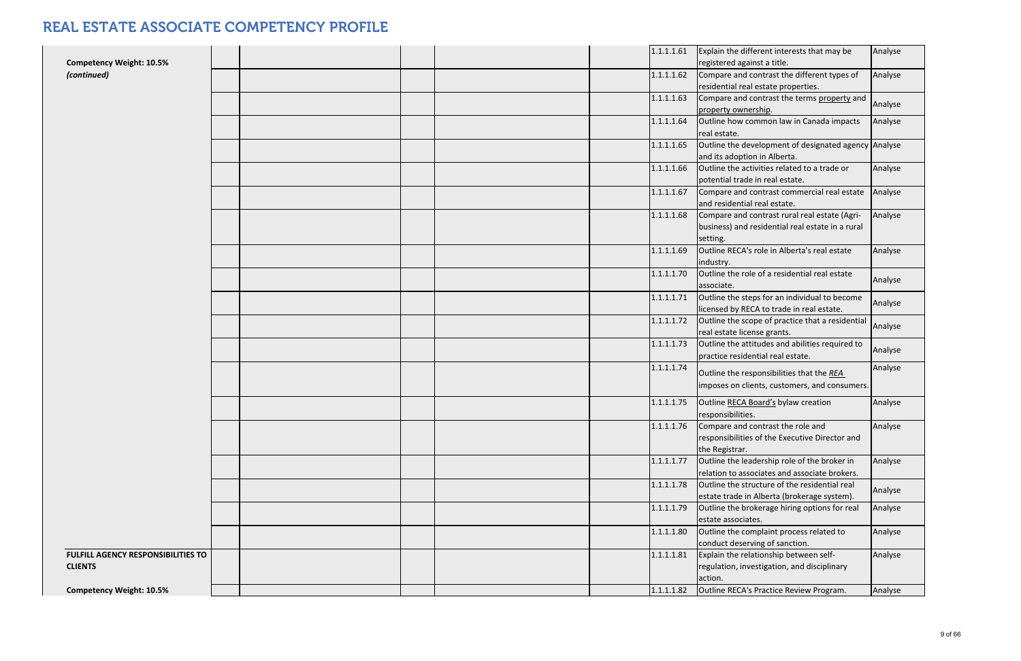| <b>Competency Weight: 10.5%</b>                             |  |  | 1.1.1.1.61 | Explain the different interests that may be<br>registered against a title.                                    | Analyse |
|-------------------------------------------------------------|--|--|------------|---------------------------------------------------------------------------------------------------------------|---------|
| (continued)                                                 |  |  | 1.1.1.1.62 | Compare and contrast the different types of<br>residential real estate properties.                            | Analyse |
|                                                             |  |  | 1.1.1.1.63 | Compare and contrast the terms property and<br>property ownership.                                            | Analyse |
|                                                             |  |  | 1.1.1.1.64 | Outline how common law in Canada impacts<br>real estate.                                                      | Analyse |
|                                                             |  |  | 1.1.1.1.65 | Outline the development of designated agency Analyse<br>and its adoption in Alberta.                          |         |
|                                                             |  |  | 1.1.1.1.66 | Outline the activities related to a trade or<br>potential trade in real estate.                               | Analyse |
|                                                             |  |  | 1.1.1.1.67 | Compare and contrast commercial real estate<br>and residential real estate.                                   | Analyse |
|                                                             |  |  | 1.1.1.1.68 | Compare and contrast rural real estate (Agri-<br>business) and residential real estate in a rural<br>setting. | Analyse |
|                                                             |  |  | 1.1.1.1.69 | Outline RECA's role in Alberta's real estate<br>industry.                                                     | Analyse |
|                                                             |  |  | 1.1.1.1.70 | Outline the role of a residential real estate<br>associate.                                                   | Analyse |
|                                                             |  |  | 1.1.1.1.71 | Outline the steps for an individual to become<br>licensed by RECA to trade in real estate.                    | Analyse |
|                                                             |  |  | 1.1.1.1.72 | Outline the scope of practice that a residential<br>real estate license grants.                               | Analyse |
|                                                             |  |  | 1.1.1.1.73 | Outline the attitudes and abilities required to<br>practice residential real estate.                          | Analyse |
|                                                             |  |  | 1.1.1.1.74 | Outline the responsibilities that the REA<br>imposes on clients, customers, and consumers.                    | Analyse |
|                                                             |  |  | 1.1.1.1.75 | Outline RECA Board's bylaw creation<br>responsibilities.                                                      | Analyse |
|                                                             |  |  | 1.1.1.1.76 | Compare and contrast the role and<br>responsibilities of the Executive Director and<br>the Registrar.         | Analyse |
|                                                             |  |  | 1.1.1.1.77 | Outline the leadership role of the broker in<br>relation to associates and associate brokers.                 | Analyse |
|                                                             |  |  | 1.1.1.1.78 | Outline the structure of the residential real<br>estate trade in Alberta (brokerage system).                  | Analyse |
|                                                             |  |  | 1.1.1.1.79 | Outline the brokerage hiring options for real<br>estate associates.                                           | Analyse |
|                                                             |  |  | 1.1.1.1.80 | Outline the complaint process related to<br>conduct deserving of sanction.                                    | Analyse |
| <b>FULFILL AGENCY RESPONSIBILITIES TO</b><br><b>CLIENTS</b> |  |  | 1.1.1.1.81 | Explain the relationship between self-<br>regulation, investigation, and disciplinary<br>action.              | Analyse |
| <b>Competency Weight: 10.5%</b>                             |  |  | 1.1.1.1.82 | Outline RECA's Practice Review Program.                                                                       | Analyse |
|                                                             |  |  |            |                                                                                                               |         |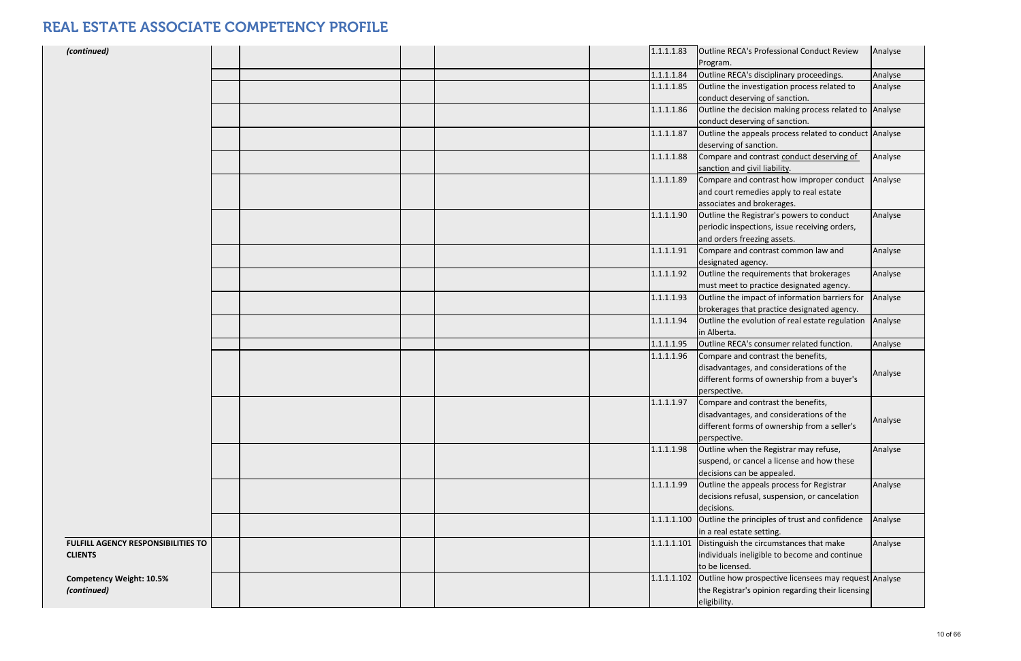| (continued)                               |  |  | 1.1.1.1.83  | Outline RECA's Professional Conduct Review<br>Program.            | Analyse |
|-------------------------------------------|--|--|-------------|-------------------------------------------------------------------|---------|
|                                           |  |  | 1.1.1.1.84  | Outline RECA's disciplinary proceedings.                          | Analyse |
|                                           |  |  | 1.1.1.1.85  | Outline the investigation process related to                      | Analyse |
|                                           |  |  |             | conduct deserving of sanction.                                    |         |
|                                           |  |  | 1.1.1.1.86  | Outline the decision making process related to Analyse            |         |
|                                           |  |  |             | conduct deserving of sanction.                                    |         |
|                                           |  |  | 1.1.1.1.87  | Outline the appeals process related to conduct Analyse            |         |
|                                           |  |  |             | deserving of sanction.                                            |         |
|                                           |  |  | 1.1.1.1.88  | Compare and contrast conduct deserving of                         | Analyse |
|                                           |  |  |             | sanction and civil liability.                                     |         |
|                                           |  |  | 1.1.1.1.89  | Compare and contrast how improper conduct                         | Analyse |
|                                           |  |  |             | and court remedies apply to real estate                           |         |
|                                           |  |  |             | associates and brokerages.                                        |         |
|                                           |  |  | 1.1.1.1.90  | Outline the Registrar's powers to conduct                         | Analyse |
|                                           |  |  |             | periodic inspections, issue receiving orders,                     |         |
|                                           |  |  |             | and orders freezing assets.                                       |         |
|                                           |  |  | 1.1.1.1.91  | Compare and contrast common law and                               | Analyse |
|                                           |  |  |             | designated agency.                                                |         |
|                                           |  |  | 1.1.1.1.92  | Outline the requirements that brokerages                          | Analyse |
|                                           |  |  |             | must meet to practice designated agency.                          |         |
|                                           |  |  | 1.1.1.1.93  | Outline the impact of information barriers for                    | Analyse |
|                                           |  |  |             | brokerages that practice designated agency.                       |         |
|                                           |  |  | 1.1.1.1.94  | Outline the evolution of real estate regulation                   | Analyse |
|                                           |  |  |             | in Alberta.                                                       |         |
|                                           |  |  | 1.1.1.1.95  | Outline RECA's consumer related function.                         | Analyse |
|                                           |  |  | 1.1.1.1.96  | Compare and contrast the benefits,                                |         |
|                                           |  |  |             | disadvantages, and considerations of the                          |         |
|                                           |  |  |             | different forms of ownership from a buyer's                       | Analyse |
|                                           |  |  |             | perspective.                                                      |         |
|                                           |  |  | 1.1.1.1.97  | Compare and contrast the benefits,                                |         |
|                                           |  |  |             | disadvantages, and considerations of the                          |         |
|                                           |  |  |             | different forms of ownership from a seller's                      | Analyse |
|                                           |  |  |             | perspective.                                                      |         |
|                                           |  |  | 1.1.1.1.98  | Outline when the Registrar may refuse,                            | Analyse |
|                                           |  |  |             | suspend, or cancel a license and how these                        |         |
|                                           |  |  |             | decisions can be appealed.                                        |         |
|                                           |  |  | 1.1.1.1.99  | Outline the appeals process for Registrar                         | Analyse |
|                                           |  |  |             | decisions refusal, suspension, or cancelation                     |         |
|                                           |  |  |             | decisions.                                                        |         |
|                                           |  |  | 1.1.1.1.100 | Outline the principles of trust and confidence                    | Analyse |
|                                           |  |  |             | in a real estate setting.                                         |         |
| <b>FULFILL AGENCY RESPONSIBILITIES TO</b> |  |  |             | 1.1.1.1.101 Distinguish the circumstances that make               | Analyse |
| <b>CLIENTS</b>                            |  |  |             | individuals ineligible to become and continue                     |         |
|                                           |  |  |             | to be licensed.                                                   |         |
| <b>Competency Weight: 10.5%</b>           |  |  |             | 1.1.1.1.102 Outline how prospective licensees may request Analyse |         |
| (continued)                               |  |  |             | the Registrar's opinion regarding their licensing                 |         |
|                                           |  |  |             | eligibility.                                                      |         |
|                                           |  |  |             |                                                                   |         |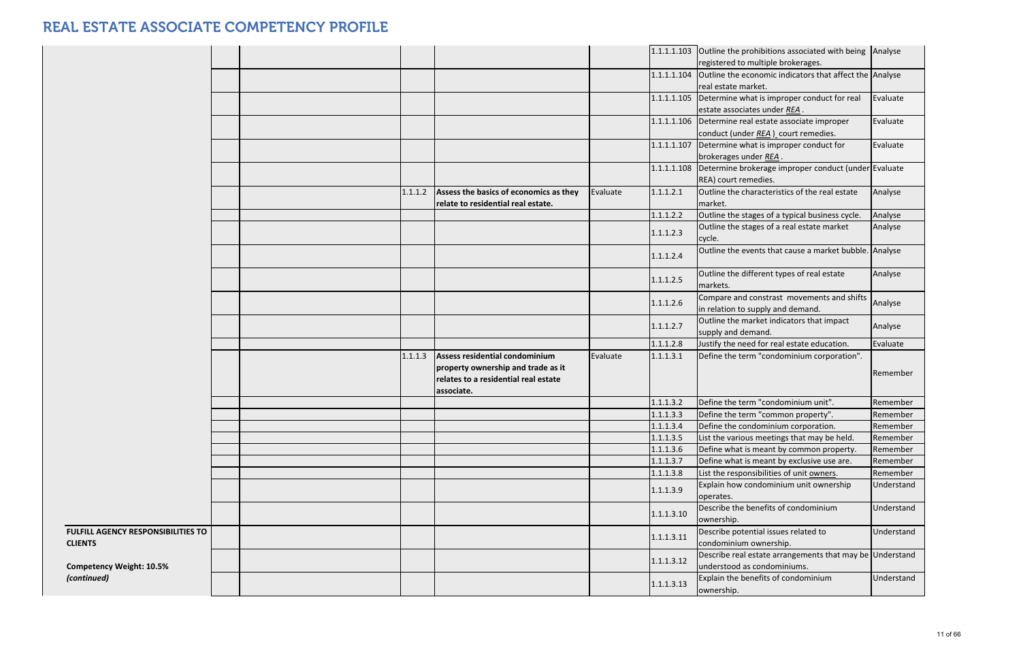|                                                             |  |         |                                                                                                                            |          |            | 1.1.1.1.103 Outline the prohibitions associated with being Analyse                         |            |
|-------------------------------------------------------------|--|---------|----------------------------------------------------------------------------------------------------------------------------|----------|------------|--------------------------------------------------------------------------------------------|------------|
|                                                             |  |         |                                                                                                                            |          |            | registered to multiple brokerages.                                                         |            |
|                                                             |  |         |                                                                                                                            |          |            | 1.1.1.1.104 Outline the economic indicators that affect the Analyse<br>real estate market. |            |
|                                                             |  |         |                                                                                                                            |          |            | 1.1.1.1.105   Determine what is improper conduct for real                                  | Evaluate   |
|                                                             |  |         |                                                                                                                            |          |            | estate associates under REA.                                                               |            |
|                                                             |  |         |                                                                                                                            |          |            | 1.1.1.1.106 Determine real estate associate improper                                       | Evaluate   |
|                                                             |  |         |                                                                                                                            |          |            | conduct (under REA) court remedies.                                                        |            |
|                                                             |  |         |                                                                                                                            |          |            | 1.1.1.1.107 Determine what is improper conduct for<br>brokerages under REA.                | Evaluate   |
|                                                             |  |         |                                                                                                                            |          |            | 1.1.1.1.108 Determine brokerage improper conduct (under Evaluate<br>REA) court remedies.   |            |
|                                                             |  | 1.1.1.2 | Assess the basics of economics as they                                                                                     | Evaluate | 1.1.1.2.1  | Outline the characteristics of the real estate                                             | Analyse    |
|                                                             |  |         | relate to residential real estate.                                                                                         |          |            | market.                                                                                    |            |
|                                                             |  |         |                                                                                                                            |          | 1.1.1.2.2  | Outline the stages of a typical business cycle.                                            | Analyse    |
|                                                             |  |         |                                                                                                                            |          | 1.1.1.2.3  | Outline the stages of a real estate market<br>cycle.                                       | Analyse    |
|                                                             |  |         |                                                                                                                            |          | 1.1.1.2.4  | Outline the events that cause a market bubble. Analyse                                     |            |
|                                                             |  |         |                                                                                                                            |          | 1.1.1.2.5  | Outline the different types of real estate<br>markets.                                     | Analyse    |
|                                                             |  |         |                                                                                                                            |          | 1.1.1.2.6  | Compare and constrast movements and shifts<br>in relation to supply and demand.            | Analyse    |
|                                                             |  |         |                                                                                                                            |          | 1.1.1.2.7  | Outline the market indicators that impact<br>supply and demand.                            | Analyse    |
|                                                             |  |         |                                                                                                                            |          | 1.1.1.2.8  | Justify the need for real estate education.                                                | Evaluate   |
|                                                             |  | 1.1.1.3 | Assess residential condominium<br>property ownership and trade as it<br>relates to a residential real estate<br>associate. | Evaluate | 1.1.1.3.1  | Define the term "condominium corporation".                                                 | Remember   |
|                                                             |  |         |                                                                                                                            |          | 1.1.1.3.2  | Define the term "condominium unit".                                                        | Remember   |
|                                                             |  |         |                                                                                                                            |          | 1.1.1.3.3  | Define the term "common property".                                                         | Remember   |
|                                                             |  |         |                                                                                                                            |          | 1.1.1.3.4  | Define the condominium corporation.                                                        | Remember   |
|                                                             |  |         |                                                                                                                            |          | 1.1.1.3.5  | List the various meetings that may be held.                                                | Remember   |
|                                                             |  |         |                                                                                                                            |          | 1.1.1.3.6  | Define what is meant by common property.                                                   | Remember   |
|                                                             |  |         |                                                                                                                            |          | 1.1.1.3.7  | Define what is meant by exclusive use are.                                                 | Remember   |
|                                                             |  |         |                                                                                                                            |          | 1.1.1.3.8  | List the responsibilities of unit owners.                                                  | Remember   |
|                                                             |  |         |                                                                                                                            |          | 1.1.1.3.9  | Explain how condominium unit ownership<br>operates.                                        | Understand |
|                                                             |  |         |                                                                                                                            |          | 1.1.1.3.10 | Describe the benefits of condominium<br>ownership.                                         | Understand |
| <b>FULFILL AGENCY RESPONSIBILITIES TO</b><br><b>CLIENTS</b> |  |         |                                                                                                                            |          | 1.1.1.3.11 | Describe potential issues related to<br>condominium ownership.                             | Understand |
| <b>Competency Weight: 10.5%</b>                             |  |         |                                                                                                                            |          | 1.1.1.3.12 | Describe real estate arrangements that may be Understand<br>understood as condominiums.    |            |
| (continued)                                                 |  |         |                                                                                                                            |          | 1.1.1.3.13 | Explain the benefits of condominium<br>ownership.                                          | Understand |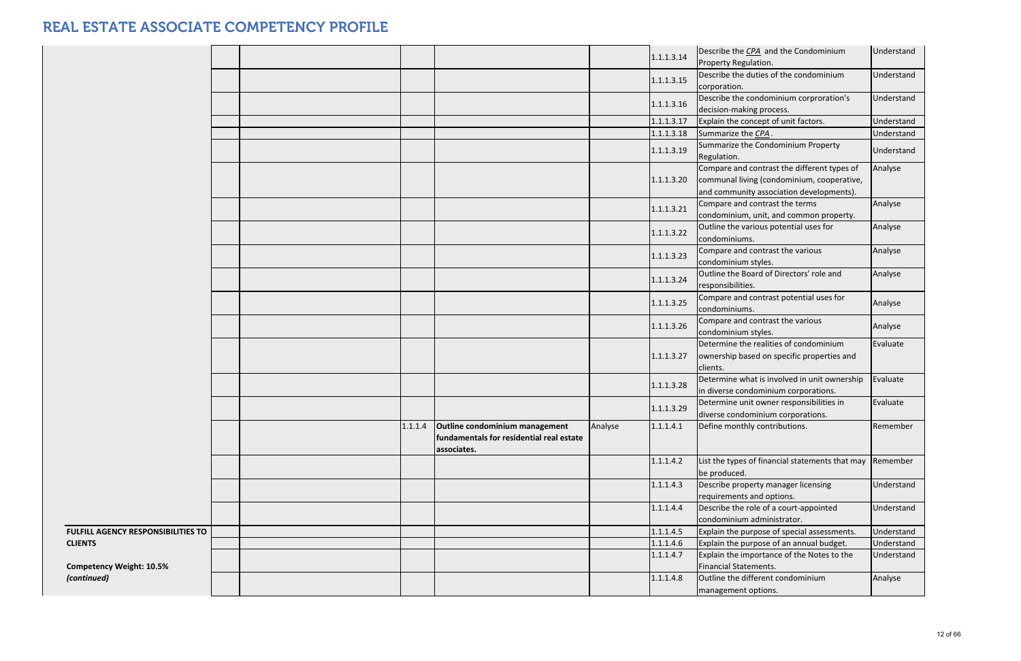|                                           |  |         |                                                                                           |         | 1.1.1.3.14 | Describe the CPA and the Condominium<br>Property Regulation.                                                                          | Understand |
|-------------------------------------------|--|---------|-------------------------------------------------------------------------------------------|---------|------------|---------------------------------------------------------------------------------------------------------------------------------------|------------|
|                                           |  |         |                                                                                           |         | 1.1.1.3.15 | Describe the duties of the condominium<br>corporation.                                                                                | Understand |
|                                           |  |         |                                                                                           |         | 1.1.1.3.16 | Describe the condominium corproration's<br>decision-making process.                                                                   | Understand |
|                                           |  |         |                                                                                           |         | 1.1.1.3.17 | Explain the concept of unit factors.                                                                                                  | Understand |
|                                           |  |         |                                                                                           |         | 1.1.1.3.18 | Summarize the CPA.                                                                                                                    | Understand |
|                                           |  |         |                                                                                           |         | 1.1.1.3.19 | Summarize the Condominium Property<br>Regulation.                                                                                     | Understand |
|                                           |  |         |                                                                                           |         | 1.1.1.3.20 | Compare and contrast the different types of<br>communal living (condominium, cooperative,<br>and community association developments). | Analyse    |
|                                           |  |         |                                                                                           |         | 1.1.1.3.21 | Compare and contrast the terms<br>condominium, unit, and common property.                                                             | Analyse    |
|                                           |  |         |                                                                                           |         | 1.1.1.3.22 | Outline the various potential uses for<br>condominiums.                                                                               | Analyse    |
|                                           |  |         |                                                                                           |         | 1.1.1.3.23 | Compare and contrast the various<br>condominium styles.                                                                               | Analyse    |
|                                           |  |         |                                                                                           |         | 1.1.1.3.24 | Outline the Board of Directors' role and<br>responsibilities.                                                                         | Analyse    |
|                                           |  |         |                                                                                           |         | 1.1.1.3.25 | Compare and contrast potential uses for<br>condominiums.                                                                              | Analyse    |
|                                           |  |         |                                                                                           |         | 1.1.1.3.26 | Compare and contrast the various<br>condominium styles.                                                                               | Analyse    |
|                                           |  |         |                                                                                           |         | 1.1.1.3.27 | Determine the realities of condominium<br>ownership based on specific properties and<br>clients.                                      | Evaluate   |
|                                           |  |         |                                                                                           |         | 1.1.1.3.28 | Determine what is involved in unit ownership<br>in diverse condominium corporations.                                                  | Evaluate   |
|                                           |  |         |                                                                                           |         | 1.1.1.3.29 | Determine unit owner responsibilities in<br>diverse condominium corporations.                                                         | Evaluate   |
|                                           |  | 1.1.1.4 | Outline condominium management<br>fundamentals for residential real estate<br>associates. | Analyse | 1.1.1.4.1  | Define monthly contributions.                                                                                                         | Remember   |
|                                           |  |         |                                                                                           |         | 1.1.1.4.2  | List the types of financial statements that may<br>be produced.                                                                       | Remember   |
|                                           |  |         |                                                                                           |         | 1.1.1.4.3  | Describe property manager licensing<br>requirements and options.                                                                      | Understand |
|                                           |  |         |                                                                                           |         | 1.1.1.4.4  | Describe the role of a court-appointed<br>condominium administrator.                                                                  | Understand |
| <b>FULFILL AGENCY RESPONSIBILITIES TO</b> |  |         |                                                                                           |         | 1.1.1.4.5  | Explain the purpose of special assessments.                                                                                           | Understand |
| <b>CLIENTS</b>                            |  |         |                                                                                           |         | 1.1.1.4.6  | Explain the purpose of an annual budget.                                                                                              | Understand |
| <b>Competency Weight: 10.5%</b>           |  |         |                                                                                           |         | 1.1.1.4.7  | Explain the importance of the Notes to the<br>Financial Statements.                                                                   | Understand |
| (continued)                               |  |         |                                                                                           |         | 1.1.1.4.8  | Outline the different condominium<br>management options.                                                                              | Analyse    |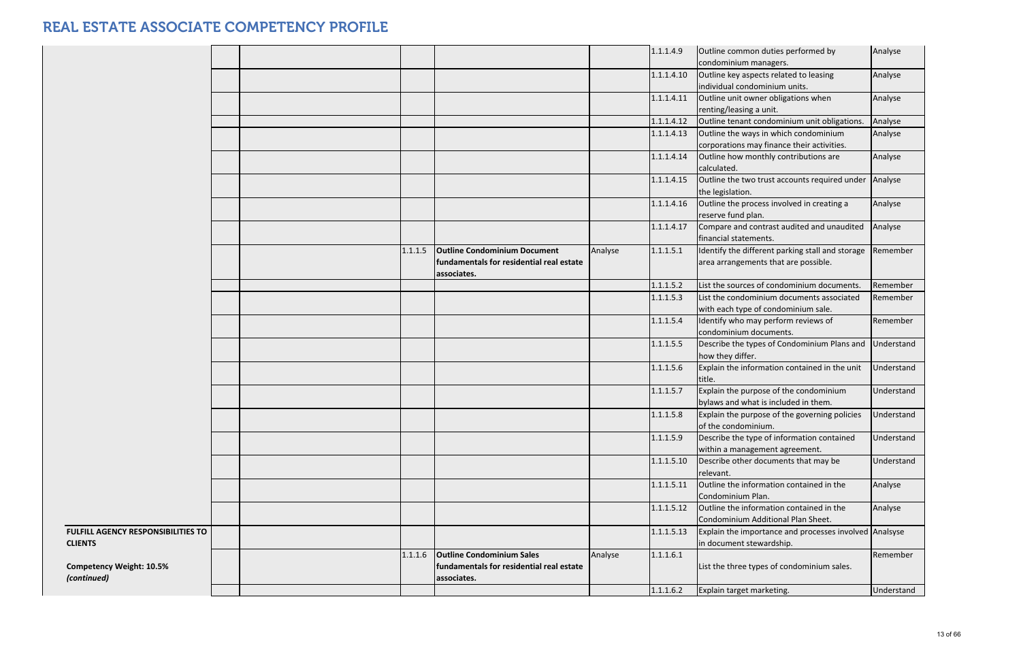|                                           |  |         |                                          |         | 1.1.1.4.9  | Outline common duties performed by                                  |
|-------------------------------------------|--|---------|------------------------------------------|---------|------------|---------------------------------------------------------------------|
|                                           |  |         |                                          |         |            | condominium managers.                                               |
|                                           |  |         |                                          |         | 1.1.1.4.10 | Outline key aspects related to leasing                              |
|                                           |  |         |                                          |         |            | individual condominium units.                                       |
|                                           |  |         |                                          |         | 1.1.1.4.11 | Outline unit owner obligations when                                 |
|                                           |  |         |                                          |         |            | renting/leasing a unit.                                             |
|                                           |  |         |                                          |         | 1.1.1.4.12 | Outline tenant condominium unit obligations.                        |
|                                           |  |         |                                          |         | 1.1.1.4.13 | Outline the ways in which condominium                               |
|                                           |  |         |                                          |         |            | corporations may finance their activities.                          |
|                                           |  |         |                                          |         | 1.1.1.4.14 | Outline how monthly contributions are                               |
|                                           |  |         |                                          |         |            | calculated.                                                         |
|                                           |  |         |                                          |         | 1.1.1.4.15 | Outline the two trust accounts required under                       |
|                                           |  |         |                                          |         |            | the legislation.                                                    |
|                                           |  |         |                                          |         | 1.1.1.4.16 | Outline the process involved in creating a                          |
|                                           |  |         |                                          |         |            | reserve fund plan.                                                  |
|                                           |  |         |                                          |         | 1.1.1.4.17 | Compare and contrast audited and unaudited<br>financial statements. |
|                                           |  | 1.1.1.5 | <b>Outline Condominium Document</b>      | Analyse | 1.1.1.5.1  | Identify the different parking stall and storage                    |
|                                           |  |         | fundamentals for residential real estate |         |            | area arrangements that are possible.                                |
|                                           |  |         | associates.                              |         |            |                                                                     |
|                                           |  |         |                                          |         | 1.1.1.5.2  | List the sources of condominium documents.                          |
|                                           |  |         |                                          |         | 1.1.1.5.3  | List the condominium documents associated                           |
|                                           |  |         |                                          |         |            | with each type of condominium sale.                                 |
|                                           |  |         |                                          |         | 1.1.1.5.4  | Identify who may perform reviews of                                 |
|                                           |  |         |                                          |         |            | condominium documents.                                              |
|                                           |  |         |                                          |         | 1.1.1.5.5  | Describe the types of Condominium Plans and                         |
|                                           |  |         |                                          |         |            | how they differ.                                                    |
|                                           |  |         |                                          |         | 1.1.1.5.6  | Explain the information contained in the unit                       |
|                                           |  |         |                                          |         |            | title.                                                              |
|                                           |  |         |                                          |         | 1.1.1.5.7  | Explain the purpose of the condominium                              |
|                                           |  |         |                                          |         |            | bylaws and what is included in them.                                |
|                                           |  |         |                                          |         | 1.1.1.5.8  | Explain the purpose of the governing policies                       |
|                                           |  |         |                                          |         |            | of the condominium.                                                 |
|                                           |  |         |                                          |         | 1.1.1.5.9  | Describe the type of information contained                          |
|                                           |  |         |                                          |         |            | within a management agreement.                                      |
|                                           |  |         |                                          |         | 1.1.1.5.10 | Describe other documents that may be                                |
|                                           |  |         |                                          |         |            | relevant.                                                           |
|                                           |  |         |                                          |         | 1.1.1.5.11 | Outline the information contained in the                            |
|                                           |  |         |                                          |         |            | Condominium Plan.                                                   |
|                                           |  |         |                                          |         | 1.1.1.5.12 | Outline the information contained in the                            |
|                                           |  |         |                                          |         |            | Condominium Additional Plan Sheet.                                  |
| <b>FULFILL AGENCY RESPONSIBILITIES TO</b> |  |         |                                          |         | 1.1.1.5.13 | Explain the importance and processes involve                        |
| <b>CLIENTS</b>                            |  |         |                                          |         |            | in document stewardship.                                            |
|                                           |  | 1.1.1.6 | <b>Outline Condominium Sales</b>         | Analyse | 1.1.1.6.1  |                                                                     |
| <b>Competency Weight: 10.5%</b>           |  |         | fundamentals for residential real estate |         |            | List the three types of condominium sales.                          |
| (continued)                               |  |         | associates.                              |         |            |                                                                     |
|                                           |  |         |                                          |         | 1.1.1.6.2  | Explain target marketing.                                           |

| 1.1.1.4.9  | Outline common duties performed by                                      | Analyse    |
|------------|-------------------------------------------------------------------------|------------|
|            | condominium managers.                                                   |            |
| 1.1.1.4.10 | Outline key aspects related to leasing<br>individual condominium units. | Analyse    |
| 1.1.1.4.11 |                                                                         |            |
|            | Outline unit owner obligations when<br>renting/leasing a unit.          | Analyse    |
| 1.1.1.4.12 | Outline tenant condominium unit obligations.                            | Analyse    |
| 1.1.1.4.13 | Outline the ways in which condominium                                   | Analyse    |
|            | corporations may finance their activities.                              |            |
| 1.1.1.4.14 | Outline how monthly contributions are                                   | Analyse    |
|            | calculated.                                                             |            |
| 1.1.1.4.15 | Outline the two trust accounts required under                           | Analyse    |
|            | the legislation.                                                        |            |
| 1.1.1.4.16 | Outline the process involved in creating a                              | Analyse    |
|            | reserve fund plan.                                                      |            |
| 1.1.1.4.17 | Compare and contrast audited and unaudited                              | Analyse    |
|            | financial statements.                                                   |            |
| 1.1.1.5.1  | Identify the different parking stall and storage                        | Remember   |
|            | area arrangements that are possible.                                    |            |
|            |                                                                         |            |
| 1.1.1.5.2  | List the sources of condominium documents.                              | Remember   |
| 1.1.1.5.3  | List the condominium documents associated                               | Remember   |
|            | with each type of condominium sale.                                     |            |
| 1.1.1.5.4  | Identify who may perform reviews of                                     | Remember   |
|            | condominium documents.                                                  |            |
| 1.1.1.5.5  | Describe the types of Condominium Plans and                             | Understand |
|            | how they differ.                                                        |            |
| 1.1.1.5.6  | Explain the information contained in the unit                           | Understand |
|            | title.                                                                  |            |
| 1.1.1.5.7  | Explain the purpose of the condominium                                  | Understand |
| 1.1.1.5.8  | bylaws and what is included in them.                                    | Understand |
|            | Explain the purpose of the governing policies<br>of the condominium.    |            |
| 1.1.1.5.9  | Describe the type of information contained                              | Understand |
|            | within a management agreement.                                          |            |
| 1.1.1.5.10 | Describe other documents that may be                                    | Understand |
|            | relevant.                                                               |            |
| 1.1.1.5.11 | Outline the information contained in the                                | Analyse    |
|            | Condominium Plan.                                                       |            |
| 1.1.1.5.12 | Outline the information contained in the                                | Analyse    |
|            | Condominium Additional Plan Sheet.                                      |            |
| 1.1.1.5.13 | Explain the importance and processes involved                           | Analsyse   |
|            | in document stewardship.                                                |            |
| 1.1.1.6.1  |                                                                         | Remember   |
|            | List the three types of condominium sales.                              |            |
|            |                                                                         |            |
| 1.1.1.6.2  | Explain target marketing.                                               | Understand |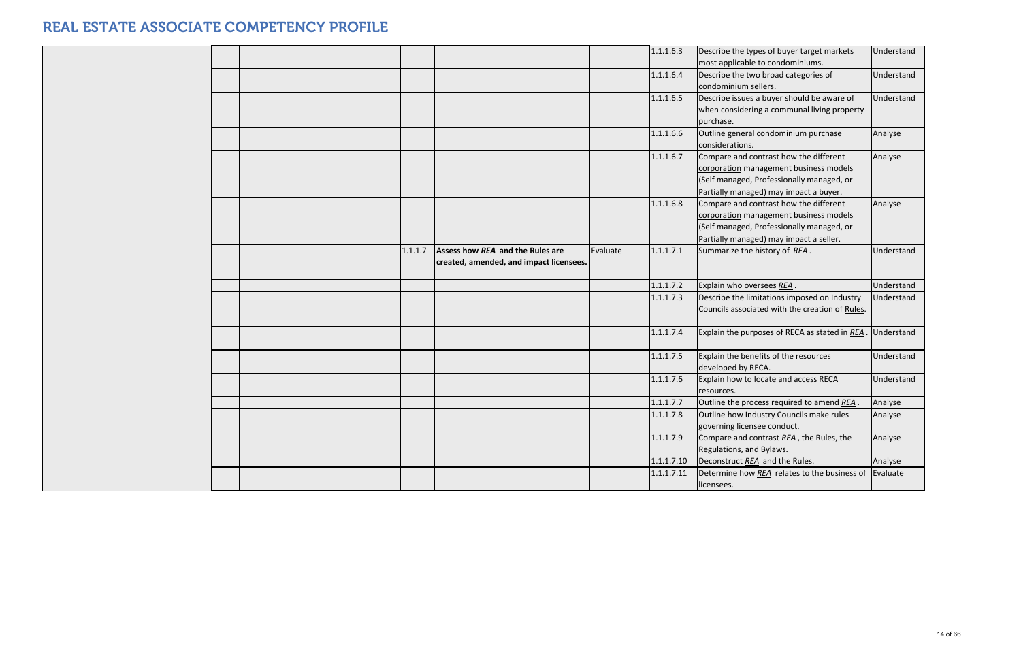|  |         |                                         |          | 1.1.1.6.3  | Describe the types of buyer target markets<br>most applicable to condominiums. | Understand |
|--|---------|-----------------------------------------|----------|------------|--------------------------------------------------------------------------------|------------|
|  |         |                                         |          | 1.1.1.6.4  | Describe the two broad categories of                                           | Understand |
|  |         |                                         |          |            | condominium sellers.                                                           |            |
|  |         |                                         |          | 1.1.1.6.5  | Describe issues a buyer should be aware of                                     | Understand |
|  |         |                                         |          |            | when considering a communal living property                                    |            |
|  |         |                                         |          |            | purchase.                                                                      |            |
|  |         |                                         |          | 1.1.1.6.6  | Outline general condominium purchase                                           | Analyse    |
|  |         |                                         |          |            | considerations.                                                                |            |
|  |         |                                         |          | 1.1.1.6.7  | Compare and contrast how the different                                         | Analyse    |
|  |         |                                         |          |            | corporation management business models                                         |            |
|  |         |                                         |          |            | (Self managed, Professionally managed, or                                      |            |
|  |         |                                         |          |            | Partially managed) may impact a buyer.                                         |            |
|  |         |                                         |          | 1.1.1.6.8  | Compare and contrast how the different                                         | Analyse    |
|  |         |                                         |          |            | corporation management business models                                         |            |
|  |         |                                         |          |            | (Self managed, Professionally managed, or                                      |            |
|  |         |                                         |          |            | Partially managed) may impact a seller.                                        |            |
|  | 1.1.1.7 | Assess how REA and the Rules are        | Evaluate | 1.1.1.7.1  | Summarize the history of REA.                                                  | Understand |
|  |         | created, amended, and impact licensees. |          |            |                                                                                |            |
|  |         |                                         |          | 1.1.1.7.2  | Explain who oversees REA.                                                      | Understand |
|  |         |                                         |          | 1.1.1.7.3  | Describe the limitations imposed on Industry                                   | Understand |
|  |         |                                         |          |            | Councils associated with the creation of Rules.                                |            |
|  |         |                                         |          | 1.1.1.7.4  | Explain the purposes of RECA as stated in REA                                  | Understand |
|  |         |                                         |          | 1.1.1.7.5  | Explain the benefits of the resources                                          | Understand |
|  |         |                                         |          |            | developed by RECA.                                                             |            |
|  |         |                                         |          | 1.1.1.7.6  | Explain how to locate and access RECA                                          | Understand |
|  |         |                                         |          |            | resources.                                                                     |            |
|  |         |                                         |          | 1.1.1.7.7  | Outline the process required to amend REA                                      | Analyse    |
|  |         |                                         |          | 1.1.1.7.8  | Outline how Industry Councils make rules                                       | Analyse    |
|  |         |                                         |          |            | governing licensee conduct.                                                    |            |
|  |         |                                         |          | 1.1.1.7.9  | Compare and contrast REA, the Rules, the                                       | Analyse    |
|  |         |                                         |          |            | Regulations, and Bylaws.                                                       |            |
|  |         |                                         |          | 1.1.1.7.10 | Deconstruct REA and the Rules.                                                 | Analyse    |
|  |         |                                         |          | 1.1.1.7.11 | Determine how REA relates to the business of                                   | Evaluate   |
|  |         |                                         |          |            | licensees.                                                                     |            |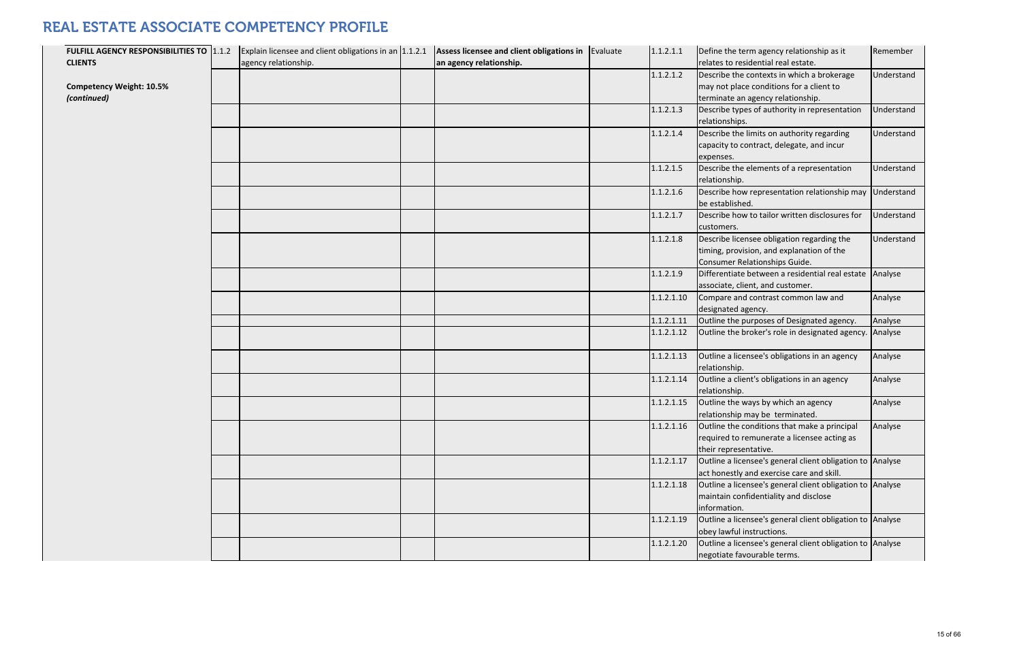| FULFILL AGENCY RESPONSIBILITIES TO 1.1.2 | Explain licensee and client obligations in an 1.1.2.1 | Assess licensee and client obligations in   Evaluate | 1.1.2.1.1  | Define the term agency relationship as i                     |
|------------------------------------------|-------------------------------------------------------|------------------------------------------------------|------------|--------------------------------------------------------------|
| <b>CLIENTS</b>                           | agency relationship.                                  | an agency relationship.                              |            | relates to residential real estate.                          |
|                                          |                                                       |                                                      | 1.1.2.1.2  | Describe the contexts in which a broker                      |
| <b>Competency Weight: 10.5%</b>          |                                                       |                                                      |            | may not place conditions for a client to                     |
| (continued)                              |                                                       |                                                      |            | terminate an agency relationship.                            |
|                                          |                                                       |                                                      | 1.1.2.1.3  | Describe types of authority in represent                     |
|                                          |                                                       |                                                      |            | relationships.                                               |
|                                          |                                                       |                                                      | 1.1.2.1.4  | Describe the limits on authority regardir                    |
|                                          |                                                       |                                                      |            | capacity to contract, delegate, and incul                    |
|                                          |                                                       |                                                      |            | expenses.                                                    |
|                                          |                                                       |                                                      | 1.1.2.1.5  | Describe the elements of a representati                      |
|                                          |                                                       |                                                      |            | relationship.                                                |
|                                          |                                                       |                                                      | 1.1.2.1.6  | Describe how representation relationsh                       |
|                                          |                                                       |                                                      |            | be established.                                              |
|                                          |                                                       |                                                      | 1.1.2.1.7  | Describe how to tailor written disclosure                    |
|                                          |                                                       |                                                      |            | customers.                                                   |
|                                          |                                                       |                                                      | 1.1.2.1.8  | Describe licensee obligation regarding t                     |
|                                          |                                                       |                                                      |            | timing, provision, and explanation of the                    |
|                                          |                                                       |                                                      |            | Consumer Relationships Guide.                                |
|                                          |                                                       |                                                      | 1.1.2.1.9  | Differentiate between a residential real                     |
|                                          |                                                       |                                                      |            | associate, client, and customer.                             |
|                                          |                                                       |                                                      | 1.1.2.1.10 | Compare and contrast common law and                          |
|                                          |                                                       |                                                      | 1.1.2.1.11 | designated agency.<br>Outline the purposes of Designated age |
|                                          |                                                       |                                                      | 1.1.2.1.12 | Outline the broker's role in designated a                    |
|                                          |                                                       |                                                      |            |                                                              |
|                                          |                                                       |                                                      | 1.1.2.1.13 | Outline a licensee's obligations in an age                   |
|                                          |                                                       |                                                      |            | relationship.                                                |
|                                          |                                                       |                                                      | 1.1.2.1.14 | Outline a client's obligations in an agend                   |
|                                          |                                                       |                                                      |            | relationship.                                                |
|                                          |                                                       |                                                      | 1.1.2.1.15 | Outline the ways by which an agency                          |
|                                          |                                                       |                                                      |            | relationship may be terminated.                              |
|                                          |                                                       |                                                      | 1.1.2.1.16 | Outline the conditions that make a prine                     |
|                                          |                                                       |                                                      |            | required to remunerate a licensee actin                      |
|                                          |                                                       |                                                      |            | their representative.                                        |
|                                          |                                                       |                                                      | 1.1.2.1.17 | Outline a licensee's general client obliga                   |
|                                          |                                                       |                                                      |            | act honestly and exercise care and skill.                    |
|                                          |                                                       |                                                      | 1.1.2.1.18 | Outline a licensee's general client obliga                   |
|                                          |                                                       |                                                      |            | maintain confidentiality and disclose                        |
|                                          |                                                       |                                                      |            | information.                                                 |
|                                          |                                                       |                                                      | 1.1.2.1.19 | Outline a licensee's general client obliga                   |
|                                          |                                                       |                                                      |            | obey lawful instructions.                                    |
|                                          |                                                       |                                                      | 1.1.2.1.20 | Outline a licensee's general client obliga                   |
|                                          |                                                       |                                                      |            | negotiate favourable terms.                                  |

| 1              | Define the term agency relationship as it         | Remember   |
|----------------|---------------------------------------------------|------------|
|                | relates to residential real estate.               |            |
| $\overline{2}$ | Describe the contexts in which a brokerage        | Understand |
|                | may not place conditions for a client to          |            |
|                | terminate an agency relationship.                 |            |
| 3              | Describe types of authority in representation     | Understand |
|                | relationships.                                    |            |
| 4              | Describe the limits on authority regarding        | Understand |
|                | capacity to contract, delegate, and incur         |            |
|                | expenses.                                         |            |
| 5              | Describe the elements of a representation         | Understand |
|                | relationship.                                     |            |
| 6              | Describe how representation relationship may      | Understand |
|                | be established.                                   |            |
| $\overline{7}$ | Describe how to tailor written disclosures for    | Understand |
|                | customers.                                        |            |
| 8              | Describe licensee obligation regarding the        | Understand |
|                | timing, provision, and explanation of the         |            |
|                | Consumer Relationships Guide.                     |            |
| 9              | Differentiate between a residential real estate   | Analyse    |
|                | associate, client, and customer.                  |            |
| 10             | Compare and contrast common law and               | Analyse    |
|                | designated agency.                                |            |
| 11             | Outline the purposes of Designated agency.        | Analyse    |
| 12             | Outline the broker's role in designated agency.   | Analyse    |
| 13             | Outline a licensee's obligations in an agency     | Analyse    |
|                | relationship.                                     |            |
| 14             | Outline a client's obligations in an agency       | Analyse    |
|                | relationship.                                     |            |
| 15             | Outline the ways by which an agency               | Analyse    |
|                | relationship may be terminated.                   |            |
| 16             | Outline the conditions that make a principal      | Analyse    |
|                | required to remunerate a licensee acting as       |            |
|                | their representative.                             |            |
| 17             | Outline a licensee's general client obligation to | Analyse    |
|                | act honestly and exercise care and skill.         |            |
| 18             | Outline a licensee's general client obligation to | Analyse    |
|                | maintain confidentiality and disclose             |            |
|                | information.                                      |            |
| 19             | Outline a licensee's general client obligation to | Analyse    |
|                | obey lawful instructions.                         |            |
| 20             | Outline a licensee's general client obligation to | Analyse    |
|                | negotiate favourable terms.                       |            |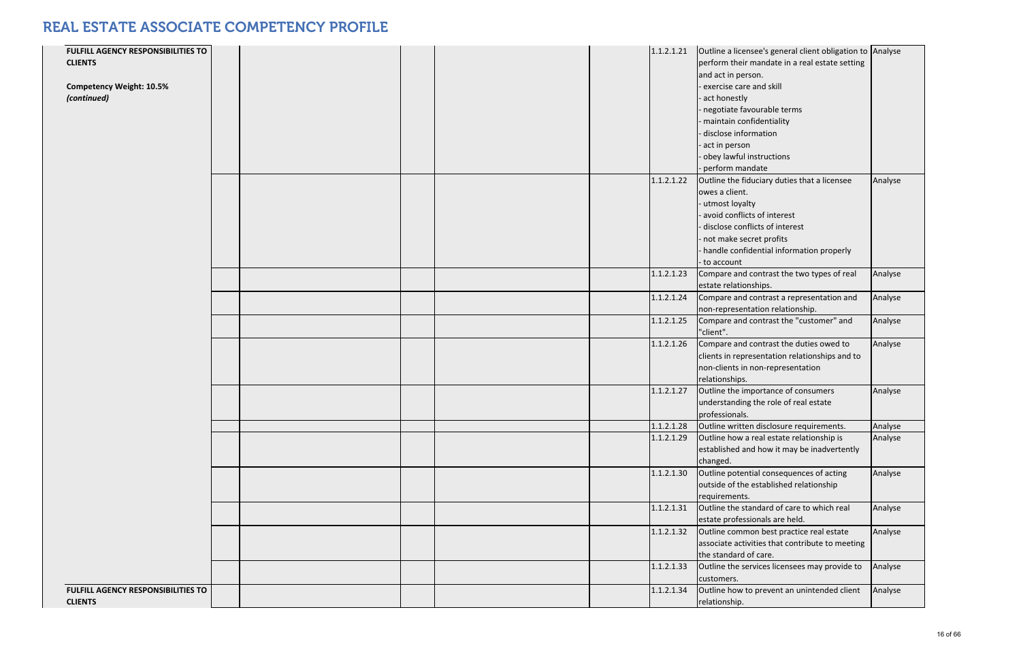| <b>FULFILL AGENCY RESPONSIBILITIES TO</b><br><b>CLIENTS</b><br><b>Competency Weight: 10.5%</b><br>(continued) |  |  |                          | $1.1.2.1.21$ Outline a licensee's general client obligation to $\vert$ Analyse<br>perform their mandate in a real estate setting<br>and act in person.<br>exercise care and skill<br>act honestly<br>negotiate favourable terms<br>maintain confidentiality<br>- disclose information<br>act in person<br>- obey lawful instructions<br>perform mandate |                    |
|---------------------------------------------------------------------------------------------------------------|--|--|--------------------------|---------------------------------------------------------------------------------------------------------------------------------------------------------------------------------------------------------------------------------------------------------------------------------------------------------------------------------------------------------|--------------------|
|                                                                                                               |  |  | 1.1.2.1.22               | Outline the fiduciary duties that a licensee<br>lowes a client.<br>- utmost loyalty<br>avoid conflicts of interest<br>- disclose conflicts of interest<br>- not make secret profits<br>handle confidential information properly<br>to account                                                                                                           | Analyse            |
|                                                                                                               |  |  | 1.1.2.1.23<br>1.1.2.1.24 | Compare and contrast the two types of real<br>estate relationships.<br>Compare and contrast a representation and                                                                                                                                                                                                                                        | Analyse<br>Analyse |
|                                                                                                               |  |  | 1.1.2.1.25               | non-representation relationship.<br>Compare and contrast the "customer" and<br>"client".                                                                                                                                                                                                                                                                | Analyse            |
|                                                                                                               |  |  | 1.1.2.1.26               | Compare and contrast the duties owed to<br>clients in representation relationships and to<br>non-clients in non-representation<br>relationships.                                                                                                                                                                                                        | Analyse            |
|                                                                                                               |  |  | 1.1.2.1.27               | Outline the importance of consumers<br>understanding the role of real estate<br>professionals.                                                                                                                                                                                                                                                          | Analyse            |
|                                                                                                               |  |  | 1.1.2.1.28<br>1.1.2.1.29 | Outline written disclosure requirements.<br>Outline how a real estate relationship is<br>established and how it may be inadvertently<br>changed.                                                                                                                                                                                                        | Analyse<br>Analyse |
|                                                                                                               |  |  | 1.1.2.1.30               | Outline potential consequences of acting<br>outside of the established relationship<br>requirements.                                                                                                                                                                                                                                                    | Analyse            |
|                                                                                                               |  |  | 1.1.2.1.31               | Outline the standard of care to which real<br>estate professionals are held.                                                                                                                                                                                                                                                                            | Analyse            |
|                                                                                                               |  |  | 1.1.2.1.32               | Outline common best practice real estate<br>associate activities that contribute to meeting<br>the standard of care.                                                                                                                                                                                                                                    | Analyse            |
|                                                                                                               |  |  | 1.1.2.1.33               | Outline the services licensees may provide to<br>customers.                                                                                                                                                                                                                                                                                             | Analyse            |
| <b>FULFILL AGENCY RESPONSIBILITIES TO</b><br><b>CLIENTS</b>                                                   |  |  | 1.1.2.1.34               | Outline how to prevent an unintended client<br>relationship.                                                                                                                                                                                                                                                                                            | Analyse            |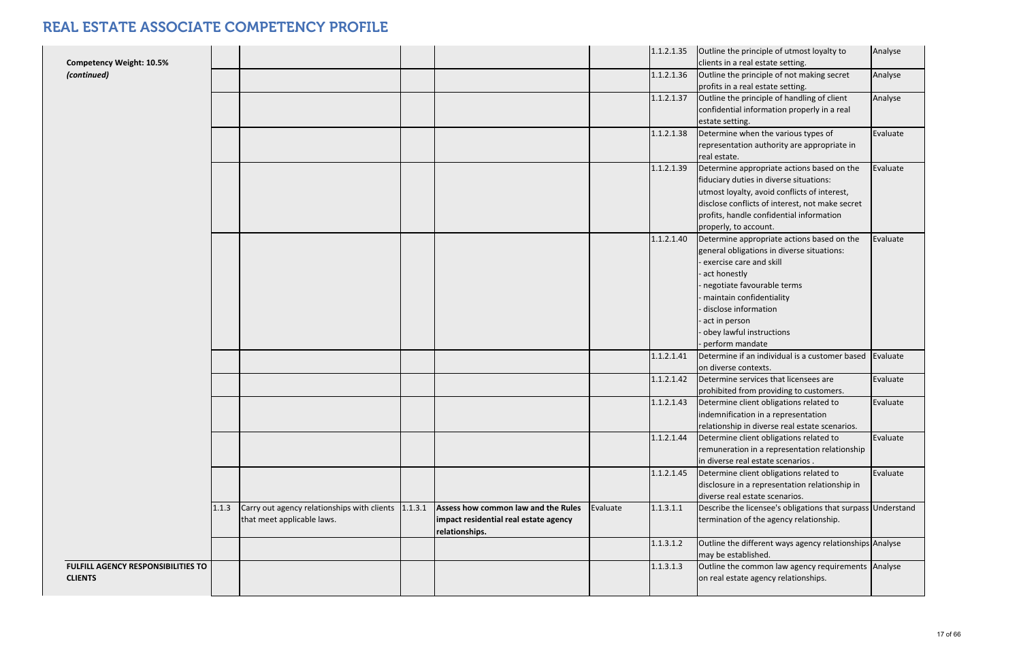| <b>Competency Weight: 10.5%</b>                      |       |                                                                                   |                                                                                                |          | 1.1.2.1.35 | Outline the principle of utmost loyalty to<br>clients in a real estate setting.                                                                                                                                                                                    | Analyse  |
|------------------------------------------------------|-------|-----------------------------------------------------------------------------------|------------------------------------------------------------------------------------------------|----------|------------|--------------------------------------------------------------------------------------------------------------------------------------------------------------------------------------------------------------------------------------------------------------------|----------|
| (continued)                                          |       |                                                                                   |                                                                                                |          | 1.1.2.1.36 | Outline the principle of not making secret<br>profits in a real estate setting.                                                                                                                                                                                    | Analyse  |
|                                                      |       |                                                                                   |                                                                                                |          | 1.1.2.1.37 | Outline the principle of handling of client<br>confidential information properly in a real<br>estate setting.                                                                                                                                                      | Analyse  |
|                                                      |       |                                                                                   |                                                                                                |          | 1.1.2.1.38 | Determine when the various types of<br>representation authority are appropriate in<br>real estate.                                                                                                                                                                 | Evaluate |
|                                                      |       |                                                                                   |                                                                                                |          | 1.1.2.1.39 | Determine appropriate actions based on the<br>fiduciary duties in diverse situations:<br>utmost loyalty, avoid conflicts of interest,<br>disclose conflicts of interest, not make secret<br>profits, handle confidential information<br>properly, to account.      | Evaluate |
|                                                      |       |                                                                                   |                                                                                                |          | 1.1.2.1.40 | Determine appropriate actions based on the<br>general obligations in diverse situations:<br>exercise care and skill<br>act honestly<br>negotiate favourable terms<br>maintain confidentiality<br>disclose information<br>act in person<br>obey lawful instructions | Evaluate |
|                                                      |       |                                                                                   |                                                                                                |          | 1.1.2.1.41 | perform mandate<br>Determine if an individual is a customer based<br>on diverse contexts.                                                                                                                                                                          | Evaluate |
|                                                      |       |                                                                                   |                                                                                                |          | 1.1.2.1.42 | Determine services that licensees are<br>prohibited from providing to customers.                                                                                                                                                                                   | Evaluate |
|                                                      |       |                                                                                   |                                                                                                |          | 1.1.2.1.43 | Determine client obligations related to<br>indemnification in a representation<br>relationship in diverse real estate scenarios.                                                                                                                                   | Evaluate |
|                                                      |       |                                                                                   |                                                                                                |          | 1.1.2.1.44 | Determine client obligations related to<br>remuneration in a representation relationship<br>in diverse real estate scenarios.                                                                                                                                      | Evaluate |
|                                                      |       |                                                                                   |                                                                                                |          | 1.1.2.1.45 | Determine client obligations related to<br>disclosure in a representation relationship in<br>diverse real estate scenarios.                                                                                                                                        | Evaluate |
|                                                      | 1.1.3 | Carry out agency relationships with clients 1.1.3.1<br>that meet applicable laws. | Assess how common law and the Rules<br>impact residential real estate agency<br>relationships. | Evaluate | 1.1.3.1.1  | Describe the licensee's obligations that surpass Understand<br>termination of the agency relationship.                                                                                                                                                             |          |
|                                                      |       |                                                                                   |                                                                                                |          | 1.1.3.1.2  | Outline the different ways agency relationships Analyse<br>may be established.                                                                                                                                                                                     |          |
| FULFILL AGENCY RESPONSIBILITIES TO<br><b>CLIENTS</b> |       |                                                                                   |                                                                                                |          | 1.1.3.1.3  | Outline the common law agency requirements Analyse<br>on real estate agency relationships.                                                                                                                                                                         |          |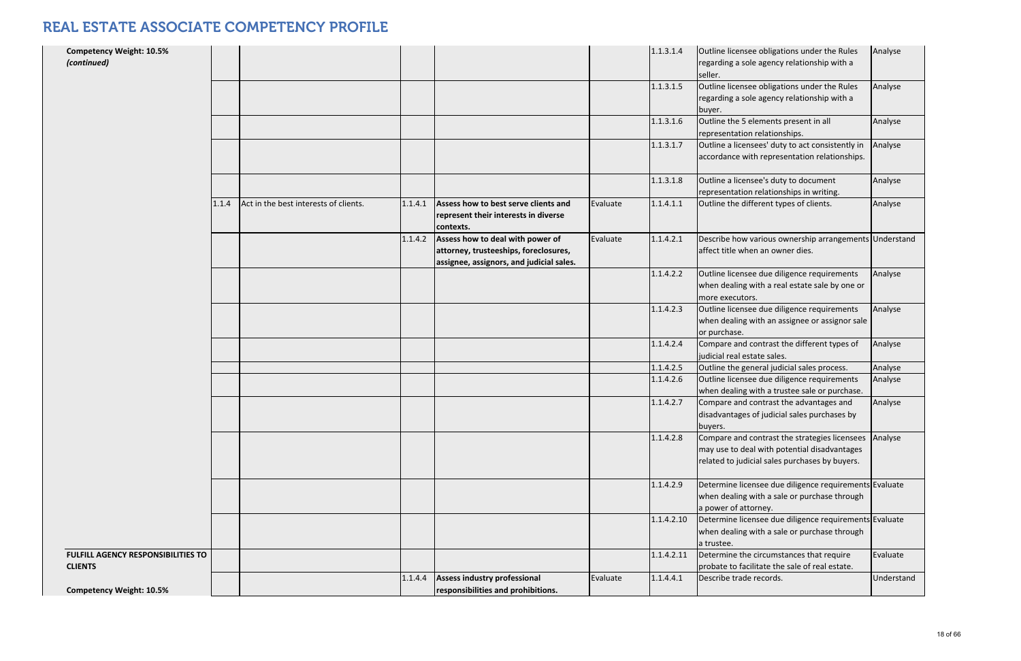| <b>Competency Weight: 10.5%</b><br>(continued)       |       |                                       |         |                                                                                                                       |          | 1.1.3.1.4  | Outline licensee obligations under the Rules<br>regarding a sole agency relationship with a<br>seller.                                          | Analyse    |
|------------------------------------------------------|-------|---------------------------------------|---------|-----------------------------------------------------------------------------------------------------------------------|----------|------------|-------------------------------------------------------------------------------------------------------------------------------------------------|------------|
|                                                      |       |                                       |         |                                                                                                                       |          | 1.1.3.1.5  | Outline licensee obligations under the Rules<br>regarding a sole agency relationship with a<br>buyer.                                           | Analyse    |
|                                                      |       |                                       |         |                                                                                                                       |          | 1.1.3.1.6  | Outline the 5 elements present in all<br>representation relationships.                                                                          | Analyse    |
|                                                      |       |                                       |         |                                                                                                                       |          | 1.1.3.1.7  | Outline a licensees' duty to act consistently in<br>accordance with representation relationships.                                               | Analyse    |
|                                                      |       |                                       |         |                                                                                                                       |          | 1.1.3.1.8  | Outline a licensee's duty to document<br>representation relationships in writing.                                                               | Analyse    |
|                                                      | 1.1.4 | Act in the best interests of clients. | 1.1.4.1 | Assess how to best serve clients and<br>represent their interests in diverse<br>contexts.                             | Evaluate | 1.1.4.1.1  | Outline the different types of clients.                                                                                                         | Analyse    |
|                                                      |       |                                       | 1.1.4.2 | Assess how to deal with power of<br>attorney, trusteeships, foreclosures,<br>assignee, assignors, and judicial sales. | Evaluate | 1.1.4.2.1  | Describe how various ownership arrangements Understand<br>affect title when an owner dies.                                                      |            |
|                                                      |       |                                       |         |                                                                                                                       |          | 1.1.4.2.2  | Outline licensee due diligence requirements<br>when dealing with a real estate sale by one or<br>more executors.                                | Analyse    |
|                                                      |       |                                       |         |                                                                                                                       |          | 1.1.4.2.3  | Outline licensee due diligence requirements<br>when dealing with an assignee or assignor sale<br>or purchase.                                   | Analyse    |
|                                                      |       |                                       |         |                                                                                                                       |          | 1.1.4.2.4  | Compare and contrast the different types of<br>judicial real estate sales.                                                                      | Analyse    |
|                                                      |       |                                       |         |                                                                                                                       |          | 1.1.4.2.5  | Outline the general judicial sales process.                                                                                                     | Analyse    |
|                                                      |       |                                       |         |                                                                                                                       |          | 1.1.4.2.6  | Outline licensee due diligence requirements<br>when dealing with a trustee sale or purchase.                                                    | Analyse    |
|                                                      |       |                                       |         |                                                                                                                       |          | 1.1.4.2.7  | Compare and contrast the advantages and<br>disadvantages of judicial sales purchases by<br>buyers.                                              | Analyse    |
|                                                      |       |                                       |         |                                                                                                                       |          | 1.1.4.2.8  | Compare and contrast the strategies licensees<br>may use to deal with potential disadvantages<br>related to judicial sales purchases by buyers. | Analyse    |
|                                                      |       |                                       |         |                                                                                                                       |          | 1.1.4.2.9  | Determine licensee due diligence requirements Evaluate<br>when dealing with a sale or purchase through<br>a power of attorney.                  |            |
|                                                      |       |                                       |         |                                                                                                                       |          | 1.1.4.2.10 | Determine licensee due diligence requirements Evaluate<br>when dealing with a sale or purchase through<br>a trustee.                            |            |
| FULFILL AGENCY RESPONSIBILITIES TO<br><b>CLIENTS</b> |       |                                       |         |                                                                                                                       |          | 1.1.4.2.11 | Determine the circumstances that require<br>probate to facilitate the sale of real estate.                                                      | Evaluate   |
| <b>Competency Weight: 10.5%</b>                      |       |                                       | 1.1.4.4 | Assess industry professional<br>responsibilities and prohibitions.                                                    | Evaluate | 1.1.4.4.1  | Describe trade records.                                                                                                                         | Understand |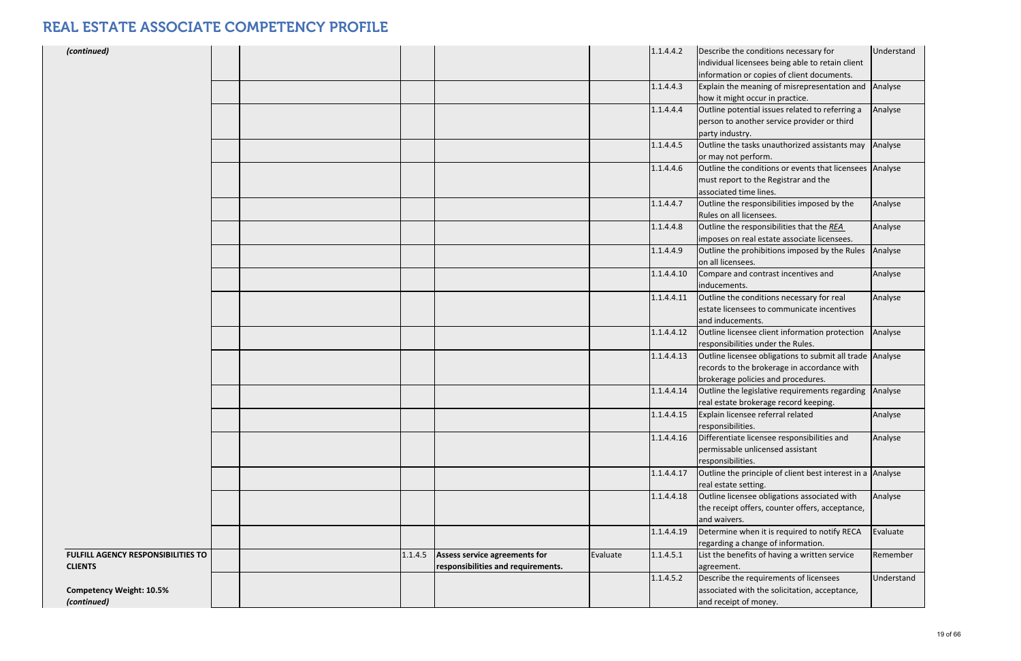| (continued)                                                 |  |         |                                                                            |          | 1.1.4.4.2  | Describe the conditions necessary for<br>individual licensees being able to retain client                                                     | Understand |
|-------------------------------------------------------------|--|---------|----------------------------------------------------------------------------|----------|------------|-----------------------------------------------------------------------------------------------------------------------------------------------|------------|
|                                                             |  |         |                                                                            |          |            | information or copies of client documents.                                                                                                    |            |
|                                                             |  |         |                                                                            |          | 1.1.4.4.3  | Explain the meaning of misrepresentation and<br>how it might occur in practice.                                                               | Analyse    |
|                                                             |  |         |                                                                            |          | 1.1.4.4.4  | Outline potential issues related to referring a<br>person to another service provider or third<br>party industry.                             | Analyse    |
|                                                             |  |         |                                                                            |          | 1.1.4.4.5  | Outline the tasks unauthorized assistants may<br>or may not perform.                                                                          | Analyse    |
|                                                             |  |         |                                                                            |          | 1.1.4.4.6  | Outline the conditions or events that licensees Analyse<br>must report to the Registrar and the<br>associated time lines.                     |            |
|                                                             |  |         |                                                                            |          | 1.1.4.4.7  | Outline the responsibilities imposed by the<br>Rules on all licensees.                                                                        | Analyse    |
|                                                             |  |         |                                                                            |          | 1.1.4.4.8  | Outline the responsibilities that the REA<br>imposes on real estate associate licensees.                                                      | Analyse    |
|                                                             |  |         |                                                                            |          | 1.1.4.4.9  | Outline the prohibitions imposed by the Rules<br>on all licensees.                                                                            | Analyse    |
|                                                             |  |         |                                                                            |          | 1.1.4.4.10 | Compare and contrast incentives and<br>inducements.                                                                                           | Analyse    |
|                                                             |  |         |                                                                            |          | 1.1.4.4.11 | Outline the conditions necessary for real<br>estate licensees to communicate incentives<br>and inducements.                                   | Analyse    |
|                                                             |  |         |                                                                            |          | 1.1.4.4.12 | Outline licensee client information protection<br>responsibilities under the Rules.                                                           | Analyse    |
|                                                             |  |         |                                                                            |          | 1.1.4.4.13 | Outline licensee obligations to submit all trade Analyse<br>records to the brokerage in accordance with<br>brokerage policies and procedures. |            |
|                                                             |  |         |                                                                            |          | 1.1.4.4.14 | Outline the legislative requirements regarding<br>real estate brokerage record keeping.                                                       | Analyse    |
|                                                             |  |         |                                                                            |          | 1.1.4.4.15 | Explain licensee referral related<br>responsibilities.                                                                                        | Analyse    |
|                                                             |  |         |                                                                            |          | 1.1.4.4.16 | Differentiate licensee responsibilities and<br>permissable unlicensed assistant<br>responsibilities.                                          | Analyse    |
|                                                             |  |         |                                                                            |          | 1.1.4.4.17 | Outline the principle of client best interest in a Analyse<br>real estate setting.                                                            |            |
|                                                             |  |         |                                                                            |          | 1.1.4.4.18 | Outline licensee obligations associated with<br>the receipt offers, counter offers, acceptance,<br>and waivers.                               | Analyse    |
|                                                             |  |         |                                                                            |          | 1.1.4.4.19 | Determine when it is required to notify RECA<br>regarding a change of information.                                                            | Evaluate   |
| <b>FULFILL AGENCY RESPONSIBILITIES TO</b><br><b>CLIENTS</b> |  | 1.1.4.5 | <b>Assess service agreements for</b><br>responsibilities and requirements. | Evaluate | 1.1.4.5.1  | List the benefits of having a written service<br>agreement.                                                                                   | Remember   |
| <b>Competency Weight: 10.5%</b><br>(continued)              |  |         |                                                                            |          | 1.1.4.5.2  | Describe the requirements of licensees<br>associated with the solicitation, acceptance,<br>and receipt of money.                              | Understand |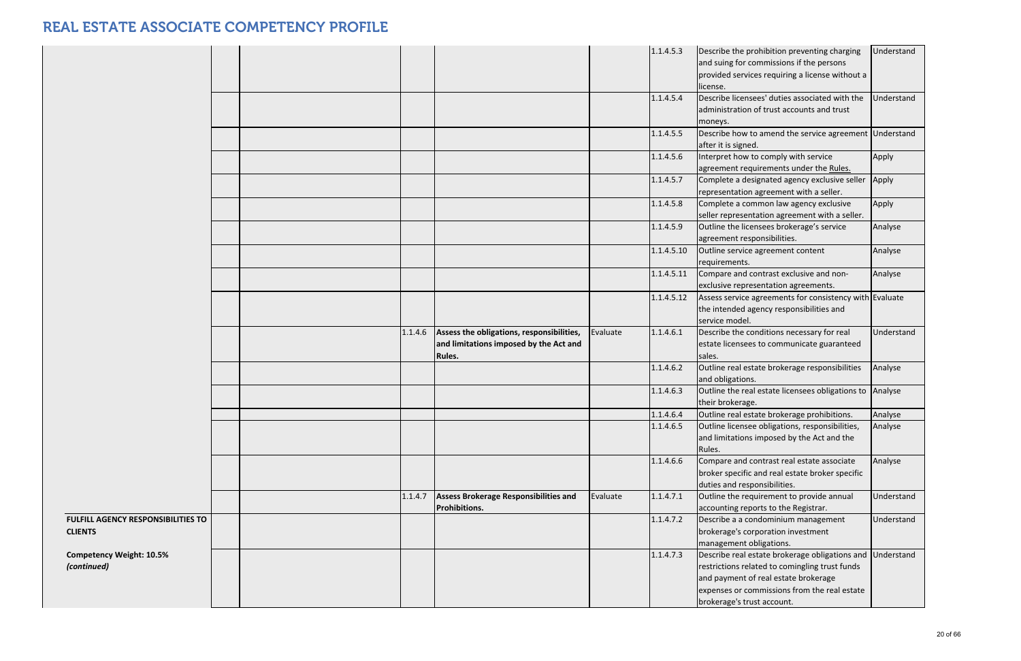|                                                             |  |         |                                                                                               |          | 1.1.4.5.3  | Describe the prohibition preventing charging<br>and suing for commissions if the persons<br>provided services requiring a license without a<br>license.                                                                           | Understand |
|-------------------------------------------------------------|--|---------|-----------------------------------------------------------------------------------------------|----------|------------|-----------------------------------------------------------------------------------------------------------------------------------------------------------------------------------------------------------------------------------|------------|
|                                                             |  |         |                                                                                               |          | 1.1.4.5.4  | Describe licensees' duties associated with the<br>administration of trust accounts and trust<br>moneys.                                                                                                                           | Understand |
|                                                             |  |         |                                                                                               |          | 1.1.4.5.5  | Describe how to amend the service agreement Understand<br>after it is signed.                                                                                                                                                     |            |
|                                                             |  |         |                                                                                               |          | 1.1.4.5.6  | Interpret how to comply with service<br>agreement requirements under the Rules.                                                                                                                                                   | Apply      |
|                                                             |  |         |                                                                                               |          | 1.1.4.5.7  | Complete a designated agency exclusive seller<br>representation agreement with a seller.                                                                                                                                          | Apply      |
|                                                             |  |         |                                                                                               |          | 1.1.4.5.8  | Complete a common law agency exclusive<br>seller representation agreement with a seller.                                                                                                                                          | Apply      |
|                                                             |  |         |                                                                                               |          | 1.1.4.5.9  | Outline the licensees brokerage's service<br>agreement responsibilities.                                                                                                                                                          | Analyse    |
|                                                             |  |         |                                                                                               |          | 1.1.4.5.10 | Outline service agreement content<br>requirements.                                                                                                                                                                                | Analyse    |
|                                                             |  |         |                                                                                               |          | 1.1.4.5.11 | Compare and contrast exclusive and non-<br>exclusive representation agreements.                                                                                                                                                   | Analyse    |
|                                                             |  |         |                                                                                               |          | 1.1.4.5.12 | Assess service agreements for consistency with Evaluate<br>the intended agency responsibilities and<br>service model.                                                                                                             |            |
|                                                             |  | 1.1.4.6 | Assess the obligations, responsibilities,<br>and limitations imposed by the Act and<br>Rules. | Evaluate | 1.1.4.6.1  | Describe the conditions necessary for real<br>estate licensees to communicate guaranteed<br>sales.                                                                                                                                | Understand |
|                                                             |  |         |                                                                                               |          | 1.1.4.6.2  | Outline real estate brokerage responsibilities<br>and obligations.                                                                                                                                                                | Analyse    |
|                                                             |  |         |                                                                                               |          | 1.1.4.6.3  | Outline the real estate licensees obligations to Analyse<br>their brokerage.                                                                                                                                                      |            |
|                                                             |  |         |                                                                                               |          | 1.1.4.6.4  | Outline real estate brokerage prohibitions.                                                                                                                                                                                       | Analyse    |
|                                                             |  |         |                                                                                               |          | 1.1.4.6.5  | Outline licensee obligations, responsibilities,<br>and limitations imposed by the Act and the<br>Rules.                                                                                                                           | Analyse    |
|                                                             |  |         |                                                                                               |          | 1.1.4.6.6  | Compare and contrast real estate associate<br>broker specific and real estate broker specific<br>duties and responsibilities.                                                                                                     | Analyse    |
|                                                             |  | 1.1.4.7 | <b>Assess Brokerage Responsibilities and</b><br>Prohibitions.                                 | Evaluate | 1.1.4.7.1  | Outline the requirement to provide annual<br>accounting reports to the Registrar.                                                                                                                                                 | Understand |
| <b>FULFILL AGENCY RESPONSIBILITIES TO</b><br><b>CLIENTS</b> |  |         |                                                                                               |          | 1.1.4.7.2  | Describe a a condominium management<br>brokerage's corporation investment<br>management obligations.                                                                                                                              | Understand |
| <b>Competency Weight: 10.5%</b><br>(continued)              |  |         |                                                                                               |          | 1.1.4.7.3  | Describe real estate brokerage obligations and Understand<br>restrictions related to comingling trust funds<br>and payment of real estate brokerage<br>expenses or commissions from the real estate<br>brokerage's trust account. |            |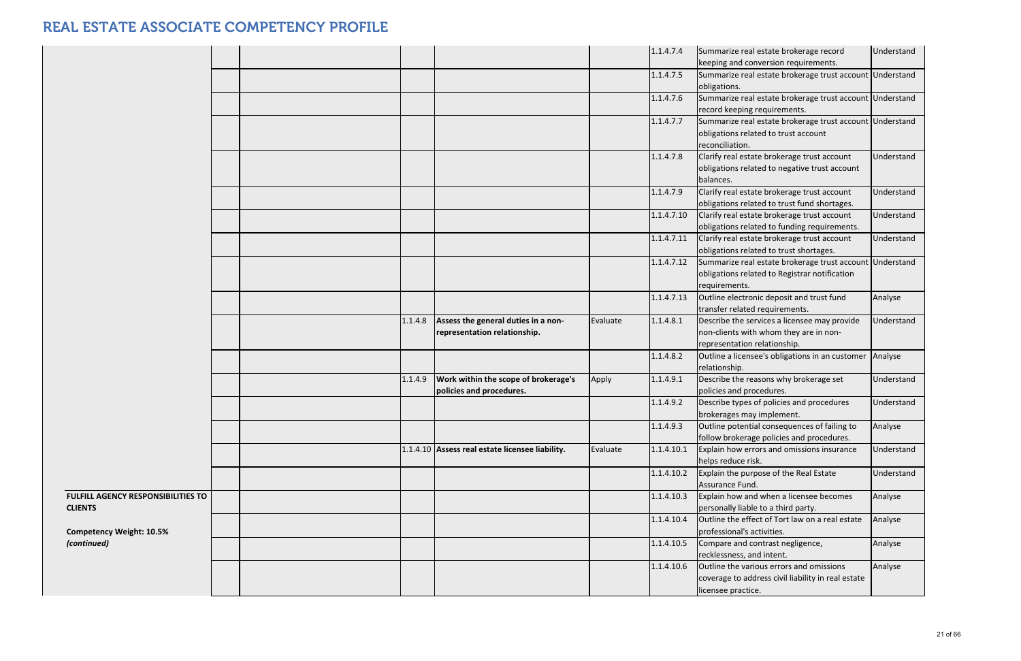|                                                      |  |         |                                                                     |          | 1.1.4.7.4  | Summarize real estate brokerage record<br>keeping and conversion requirements.                                             | Understand |
|------------------------------------------------------|--|---------|---------------------------------------------------------------------|----------|------------|----------------------------------------------------------------------------------------------------------------------------|------------|
|                                                      |  |         |                                                                     |          | 1.1.4.7.5  | Summarize real estate brokerage trust account Understand<br>obligations.                                                   |            |
|                                                      |  |         |                                                                     |          | 1.1.4.7.6  | Summarize real estate brokerage trust account Understand<br>record keeping requirements.                                   |            |
|                                                      |  |         |                                                                     |          | 1.1.4.7.7  | Summarize real estate brokerage trust account Understand<br>obligations related to trust account<br>reconciliation.        |            |
|                                                      |  |         |                                                                     |          | 1.1.4.7.8  | Clarify real estate brokerage trust account<br>obligations related to negative trust account<br>balances.                  | Understand |
|                                                      |  |         |                                                                     |          | 1.1.4.7.9  | Clarify real estate brokerage trust account<br>obligations related to trust fund shortages.                                | Understand |
|                                                      |  |         |                                                                     |          | 1.1.4.7.10 | Clarify real estate brokerage trust account<br>obligations related to funding requirements.                                | Understand |
|                                                      |  |         |                                                                     |          | 1.1.4.7.11 | Clarify real estate brokerage trust account<br>obligations related to trust shortages.                                     | Understand |
|                                                      |  |         |                                                                     |          | 1.1.4.7.12 | Summarize real estate brokerage trust account Understand<br>obligations related to Registrar notification<br>requirements. |            |
|                                                      |  |         |                                                                     |          | 1.1.4.7.13 | Outline electronic deposit and trust fund<br>transfer related requirements.                                                | Analyse    |
|                                                      |  | 1.1.4.8 | Assess the general duties in a non-<br>representation relationship. | Evaluate | 1.1.4.8.1  | Describe the services a licensee may provide<br>non-clients with whom they are in non-<br>representation relationship.     | Understand |
|                                                      |  |         |                                                                     |          | 1.1.4.8.2  | Outline a licensee's obligations in an customer<br>relationship.                                                           | Analyse    |
|                                                      |  | 1.1.4.9 | Work within the scope of brokerage's<br>policies and procedures.    | Apply    | 1.1.4.9.1  | Describe the reasons why brokerage set<br>policies and procedures.                                                         | Understand |
|                                                      |  |         |                                                                     |          | 1.1.4.9.2  | Describe types of policies and procedures<br>brokerages may implement.                                                     | Understand |
|                                                      |  |         |                                                                     |          | 1.1.4.9.3  | Outline potential consequences of failing to<br>follow brokerage policies and procedures.                                  | Analyse    |
|                                                      |  |         | 1.1.4.10 Assess real estate licensee liability.                     | Evaluate | 1.1.4.10.1 | Explain how errors and omissions insurance<br>helps reduce risk.                                                           | Understand |
|                                                      |  |         |                                                                     |          | 1.1.4.10.2 | Explain the purpose of the Real Estate<br>Assurance Fund.                                                                  | Understand |
| FULFILL AGENCY RESPONSIBILITIES TO<br><b>CLIENTS</b> |  |         |                                                                     |          | 1.1.4.10.3 | Explain how and when a licensee becomes<br>personally liable to a third party.                                             | Analyse    |
| <b>Competency Weight: 10.5%</b>                      |  |         |                                                                     |          | 1.1.4.10.4 | Outline the effect of Tort law on a real estate<br>professional's activities.                                              | Analyse    |
| (continued)                                          |  |         |                                                                     |          | 1.1.4.10.5 | Compare and contrast negligence,<br>recklessness, and intent.                                                              | Analyse    |
|                                                      |  |         |                                                                     |          | 1.1.4.10.6 | Outline the various errors and omissions<br>coverage to address civil liability in real estate<br>licensee practice.       | Analyse    |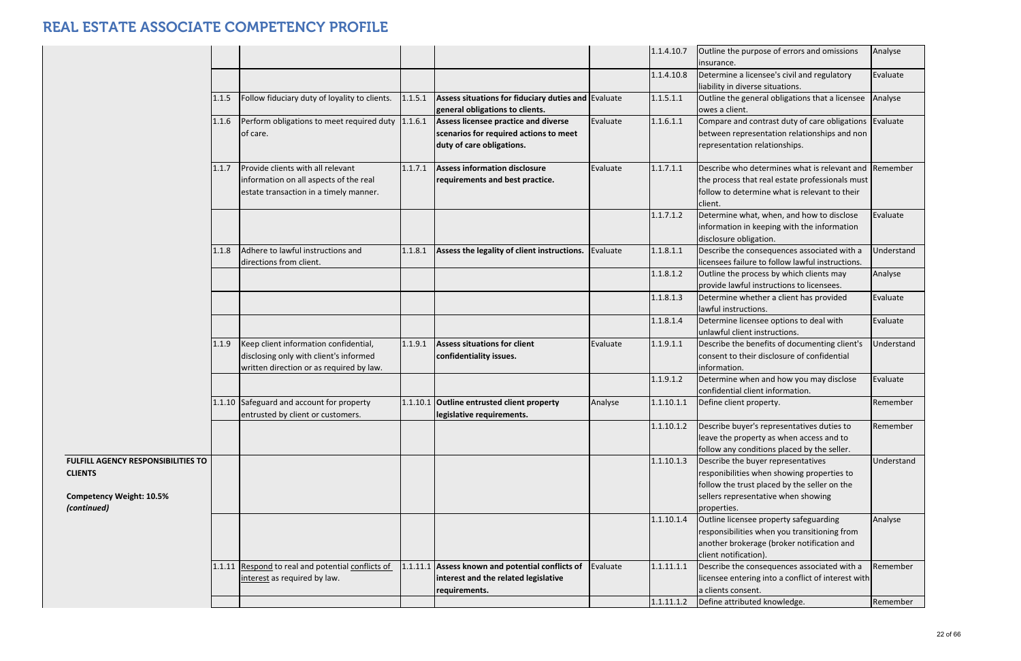|                                                                                                               |       |                                                                                                                             |          |                                                                                                             |          | 1.1.4.10.7 | Outline the purpose of errors and omissions<br>insurance.                                                                                                                              | Analyse           |
|---------------------------------------------------------------------------------------------------------------|-------|-----------------------------------------------------------------------------------------------------------------------------|----------|-------------------------------------------------------------------------------------------------------------|----------|------------|----------------------------------------------------------------------------------------------------------------------------------------------------------------------------------------|-------------------|
|                                                                                                               |       |                                                                                                                             |          |                                                                                                             |          | 1.1.4.10.8 | Determine a licensee's civil and regulatory<br>liability in diverse situations.                                                                                                        | Evaluate          |
|                                                                                                               | 1.1.5 | Follow fiduciary duty of loyality to clients.                                                                               | 1.1.5.1  | Assess situations for fiduciary duties and Evaluate<br>general obligations to clients.                      |          | 1.1.5.1.1  | Outline the general obligations that a licensee<br>owes a client.                                                                                                                      | Analyse           |
|                                                                                                               | 1.1.6 | Perform obligations to meet required duty 1.1.6.1<br>of care.                                                               |          | Assess licensee practice and diverse<br>scenarios for required actions to meet<br>duty of care obligations. | Evaluate | 1.1.6.1.1  | Compare and contrast duty of care obligations Evaluate<br>between representation relationships and non<br>representation relationships.                                                |                   |
|                                                                                                               | 1.1.7 | Provide clients with all relevant<br>information on all aspects of the real<br>estate transaction in a timely manner.       | 1.1.7.1  | <b>Assess information disclosure</b><br>requirements and best practice.                                     | Evaluate | 1.1.7.1.1  | Describe who determines what is relevant and Remember<br>the process that real estate professionals must<br>follow to determine what is relevant to their<br>client.                   |                   |
|                                                                                                               |       |                                                                                                                             |          |                                                                                                             |          | 1.1.7.1.2  | Determine what, when, and how to disclose<br>information in keeping with the information<br>disclosure obligation.                                                                     | Evaluate          |
|                                                                                                               | 1.1.8 | Adhere to lawful instructions and<br>directions from client.                                                                | 1.1.8.1  | Assess the legality of client instructions.                                                                 | Evaluate | 1.1.8.1.1  | Describe the consequences associated with a<br>licensees failure to follow lawful instructions.                                                                                        | <b>Jnderstand</b> |
|                                                                                                               |       |                                                                                                                             |          |                                                                                                             |          | 1.1.8.1.2  | Outline the process by which clients may<br>provide lawful instructions to licensees.                                                                                                  | Analyse           |
|                                                                                                               |       |                                                                                                                             |          |                                                                                                             |          | 1.1.8.1.3  | Determine whether a client has provided<br>lawful instructions.                                                                                                                        | Evaluate          |
|                                                                                                               |       |                                                                                                                             |          |                                                                                                             |          | 1.1.8.1.4  | Determine licensee options to deal with<br>unlawful client instructions.                                                                                                               | Evaluate          |
|                                                                                                               | 1.1.9 | Keep client information confidential,<br>disclosing only with client's informed<br>written direction or as required by law. | 1.1.9.1  | <b>Assess situations for client</b><br>confidentiality issues.                                              | Evaluate | 1.1.9.1.1  | Describe the benefits of documenting client's<br>consent to their disclosure of confidential<br>information.                                                                           | Understand        |
|                                                                                                               |       |                                                                                                                             |          |                                                                                                             |          | 1.1.9.1.2  | Determine when and how you may disclose<br>confidential client information.                                                                                                            | Evaluate          |
|                                                                                                               |       | 1.1.10 Safeguard and account for property<br>entrusted by client or customers.                                              | 1.1.10.1 | <b>Outline entrusted client property</b><br>legislative requirements.                                       | Analyse  | 1.1.10.1.1 | Define client property.                                                                                                                                                                | Remember          |
|                                                                                                               |       |                                                                                                                             |          |                                                                                                             |          | 1.1.10.1.2 | Describe buyer's representatives duties to<br>leave the property as when access and to<br>follow any conditions placed by the seller.                                                  | Remember          |
| <b>FULFILL AGENCY RESPONSIBILITIES TO</b><br><b>CLIENTS</b><br><b>Competency Weight: 10.5%</b><br>(continued) |       |                                                                                                                             |          |                                                                                                             |          | 1.1.10.1.3 | Describe the buyer representatives<br>responibilities when showing properties to<br>follow the trust placed by the seller on the<br>sellers representative when showing<br>properties. | Understand        |
|                                                                                                               |       |                                                                                                                             |          |                                                                                                             |          | 1.1.10.1.4 | Outline licensee property safeguarding<br>responsibilities when you transitioning from<br>another brokerage (broker notification and<br>client notification).                          | Analyse           |
|                                                                                                               |       | 1.1.11 Respond to real and potential conflicts of<br>interest as required by law.                                           | 1.1.11.1 | Assess known and potential conflicts of<br>interest and the related legislative<br>requirements.            | Evaluate | 1.1.11.1.1 | Describe the consequences associated with a<br>licensee entering into a conflict of interest with<br>a clients consent.                                                                | Remember          |
|                                                                                                               |       |                                                                                                                             |          |                                                                                                             |          | 1.1.11.1.2 | Define attributed knowledge.                                                                                                                                                           | Remember          |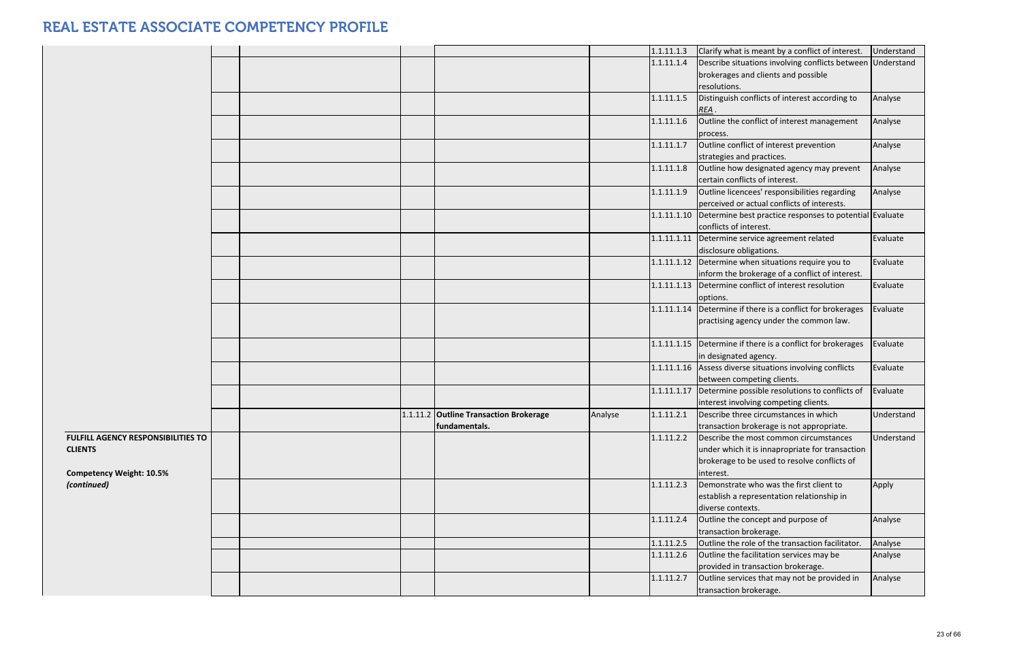|                                                                                         |  |                                                         |         | 1.1.11.1.3 | Clarify what is meant by a conflict of interest.                                                                                                       | Understand |
|-----------------------------------------------------------------------------------------|--|---------------------------------------------------------|---------|------------|--------------------------------------------------------------------------------------------------------------------------------------------------------|------------|
|                                                                                         |  |                                                         |         | 1.1.11.1.4 | Describe situations involving conflicts between Understand                                                                                             |            |
|                                                                                         |  |                                                         |         |            | brokerages and clients and possible                                                                                                                    |            |
|                                                                                         |  |                                                         |         |            | resolutions.                                                                                                                                           |            |
|                                                                                         |  |                                                         |         | 1.1.11.1.5 | Distinguish conflicts of interest according to<br>REA.                                                                                                 | Analyse    |
|                                                                                         |  |                                                         |         | 1.1.11.1.6 | Outline the conflict of interest management<br>process.                                                                                                | Analyse    |
|                                                                                         |  |                                                         |         | 1.1.11.1.7 | Outline conflict of interest prevention<br>strategies and practices.                                                                                   | Analyse    |
|                                                                                         |  |                                                         |         | 1.1.11.1.8 | Outline how designated agency may prevent<br>certain conflicts of interest.                                                                            | Analyse    |
|                                                                                         |  |                                                         |         | 1.1.11.1.9 | Outline licencees' responsibilities regarding<br>perceived or actual conflicts of interests.                                                           | Analyse    |
|                                                                                         |  |                                                         |         |            | 1.1.11.1.10 Determine best practice responses to potential Evaluate<br>conflicts of interest.                                                          |            |
|                                                                                         |  |                                                         |         |            | 1.1.11.1.11 Determine service agreement related<br>disclosure obligations.                                                                             | Evaluate   |
|                                                                                         |  |                                                         |         |            | $1.1.11.1.12$ Determine when situations require you to<br>inform the brokerage of a conflict of interest.                                              | Evaluate   |
|                                                                                         |  |                                                         |         |            | 1.1.11.1.13 Determine conflict of interest resolution<br>options.                                                                                      | Evaluate   |
|                                                                                         |  |                                                         |         |            | 1.1.11.1.14   Determine if there is a conflict for brokerages<br>practising agency under the common law.                                               | Evaluate   |
|                                                                                         |  |                                                         |         |            | 1.1.11.1.15 Determine if there is a conflict for brokerages<br>in designated agency.                                                                   | Evaluate   |
|                                                                                         |  |                                                         |         |            | 1.1.11.1.16 Assess diverse situations involving conflicts<br>between competing clients.                                                                | Evaluate   |
|                                                                                         |  |                                                         |         |            | 1.1.11.1.17 Determine possible resolutions to conflicts of<br>interest involving competing clients.                                                    | Evaluate   |
|                                                                                         |  | 1.1.11.2 Outline Transaction Brokerage<br>fundamentals. | Analyse |            | 1.1.11.2.1   Describe three circumstances in which<br>transaction brokerage is not appropriate.                                                        | Understand |
| FULFILL AGENCY RESPONSIBILITIES TO<br><b>CLIENTS</b><br><b>Competency Weight: 10.5%</b> |  |                                                         |         | 1.1.11.2.2 | Describe the most common circumstances<br>under which it is innapropriate for transaction<br>brokerage to be used to resolve conflicts of<br>interest. | Understand |
| (continued)                                                                             |  |                                                         |         | 1.1.11.2.3 | Demonstrate who was the first client to<br>establish a representation relationship in<br>diverse contexts.                                             | Apply      |
|                                                                                         |  |                                                         |         | 1.1.11.2.4 | Outline the concept and purpose of<br>transaction brokerage.                                                                                           | Analyse    |
|                                                                                         |  |                                                         |         | 1.1.11.2.5 | Outline the role of the transaction facilitator.                                                                                                       | Analyse    |
|                                                                                         |  |                                                         |         | 1.1.11.2.6 | Outline the facilitation services may be<br>provided in transaction brokerage.                                                                         | Analyse    |
|                                                                                         |  |                                                         |         | 1.1.11.2.7 | Outline services that may not be provided in<br>transaction brokerage.                                                                                 | Analyse    |
|                                                                                         |  |                                                         |         |            |                                                                                                                                                        |            |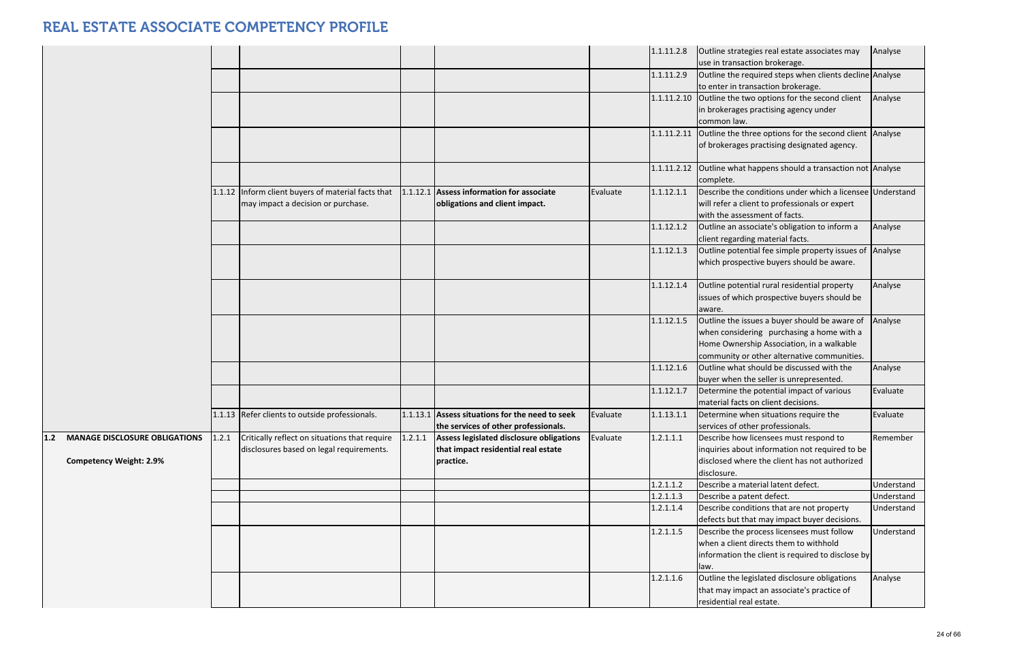|                                               |       |                                                    |          |                                                 |          | 1.1.11.2.8 | Outline strategies real estate associates may                                              | Analyse    |
|-----------------------------------------------|-------|----------------------------------------------------|----------|-------------------------------------------------|----------|------------|--------------------------------------------------------------------------------------------|------------|
|                                               |       |                                                    |          |                                                 |          |            | use in transaction brokerage.                                                              |            |
|                                               |       |                                                    |          |                                                 |          | 1.1.11.2.9 | Outline the required steps when clients decline Analyse                                    |            |
|                                               |       |                                                    |          |                                                 |          |            | to enter in transaction brokerage.                                                         |            |
|                                               |       |                                                    |          |                                                 |          |            | 1.1.11.2.10 Outline the two options for the second client                                  | Analyse    |
|                                               |       |                                                    |          |                                                 |          |            | in brokerages practising agency under                                                      |            |
|                                               |       |                                                    |          |                                                 |          |            | common law.                                                                                |            |
|                                               |       |                                                    |          |                                                 |          |            | 1.1.11.2.11 Outline the three options for the second client Analyse                        |            |
|                                               |       |                                                    |          |                                                 |          |            | of brokerages practising designated agency.                                                |            |
|                                               |       |                                                    |          |                                                 |          |            |                                                                                            |            |
|                                               |       |                                                    |          |                                                 |          |            | 1.1.11.2.12 Outline what happens should a transaction not Analyse                          |            |
|                                               |       |                                                    |          |                                                 |          |            | complete.                                                                                  |            |
|                                               |       | 1.1.12 Inform client buyers of material facts that | 1.1.12.1 | Assess information for associate                | Evaluate | 1.1.12.1.1 | Describe the conditions under which a licensee Understand                                  |            |
|                                               |       | may impact a decision or purchase.                 |          | obligations and client impact.                  |          |            | will refer a client to professionals or expert                                             |            |
|                                               |       |                                                    |          |                                                 |          |            | with the assessment of facts.                                                              |            |
|                                               |       |                                                    |          |                                                 |          | 1.1.12.1.2 | Outline an associate's obligation to inform a                                              | Analyse    |
|                                               |       |                                                    |          |                                                 |          |            | client regarding material facts.                                                           |            |
|                                               |       |                                                    |          |                                                 |          | 1.1.12.1.3 | Outline potential fee simple property issues of Analyse                                    |            |
|                                               |       |                                                    |          |                                                 |          |            | which prospective buyers should be aware.                                                  |            |
|                                               |       |                                                    |          |                                                 |          |            |                                                                                            |            |
|                                               |       |                                                    |          |                                                 |          | 1.1.12.1.4 | Outline potential rural residential property                                               | Analyse    |
|                                               |       |                                                    |          |                                                 |          |            | issues of which prospective buyers should be                                               |            |
|                                               |       |                                                    |          |                                                 |          |            | aware.                                                                                     |            |
|                                               |       |                                                    |          |                                                 |          | 1.1.12.1.5 | Outline the issues a buyer should be aware of                                              | Analyse    |
|                                               |       |                                                    |          |                                                 |          |            | when considering purchasing a home with a                                                  |            |
|                                               |       |                                                    |          |                                                 |          |            | Home Ownership Association, in a walkable                                                  |            |
|                                               |       |                                                    |          |                                                 |          |            | community or other alternative communities.                                                |            |
|                                               |       |                                                    |          |                                                 |          | 1.1.12.1.6 | Outline what should be discussed with the                                                  | Analyse    |
|                                               |       |                                                    |          |                                                 |          |            | buyer when the seller is unrepresented.                                                    |            |
|                                               |       |                                                    |          |                                                 |          | 1.1.12.1.7 | Determine the potential impact of various                                                  | Evaluate   |
|                                               |       |                                                    |          |                                                 |          |            | material facts on client decisions.                                                        |            |
|                                               |       | 1.1.13 Refer clients to outside professionals.     |          | 1.1.13.1 Assess situations for the need to seek | Evaluate | 1.1.13.1.1 | Determine when situations require the                                                      | Evaluate   |
|                                               |       |                                                    |          | the services of other professionals.            |          |            | services of other professionals.                                                           |            |
| $1.2$<br><b>MANAGE DISCLOSURE OBLIGATIONS</b> | 1.2.1 | Critically reflect on situations that require      | 1.2.1.1  | Assess legislated disclosure obligations        | Evaluate | 1.2.1.1.1  | Describe how licensees must respond to                                                     | Remember   |
|                                               |       | disclosures based on legal requirements.           |          | that impact residential real estate             |          |            | inquiries about information not required to be                                             |            |
| <b>Competency Weight: 2.9%</b>                |       |                                                    |          | practice.                                       |          |            | disclosed where the client has not authorized                                              |            |
|                                               |       |                                                    |          |                                                 |          |            | disclosure.                                                                                |            |
|                                               |       |                                                    |          |                                                 |          | 1.2.1.1.2  | Describe a material latent defect.                                                         | Understand |
|                                               |       |                                                    |          |                                                 |          | 1.2.1.1.3  | Describe a patent defect.                                                                  | Understand |
|                                               |       |                                                    |          |                                                 |          | 1.2.1.1.4  | Describe conditions that are not property                                                  | Understand |
|                                               |       |                                                    |          |                                                 |          |            |                                                                                            |            |
|                                               |       |                                                    |          |                                                 |          | 1.2.1.1.5  | defects but that may impact buyer decisions.<br>Describe the process licensees must follow | Understand |
|                                               |       |                                                    |          |                                                 |          |            | when a client directs them to withhold                                                     |            |
|                                               |       |                                                    |          |                                                 |          |            |                                                                                            |            |
|                                               |       |                                                    |          |                                                 |          |            | information the client is required to disclose by                                          |            |
|                                               |       |                                                    |          |                                                 |          |            | law.                                                                                       |            |
|                                               |       |                                                    |          |                                                 |          | 1.2.1.1.6  | Outline the legislated disclosure obligations                                              | Analyse    |
|                                               |       |                                                    |          |                                                 |          |            | that may impact an associate's practice of                                                 |            |
|                                               |       |                                                    |          |                                                 |          |            | residential real estate.                                                                   |            |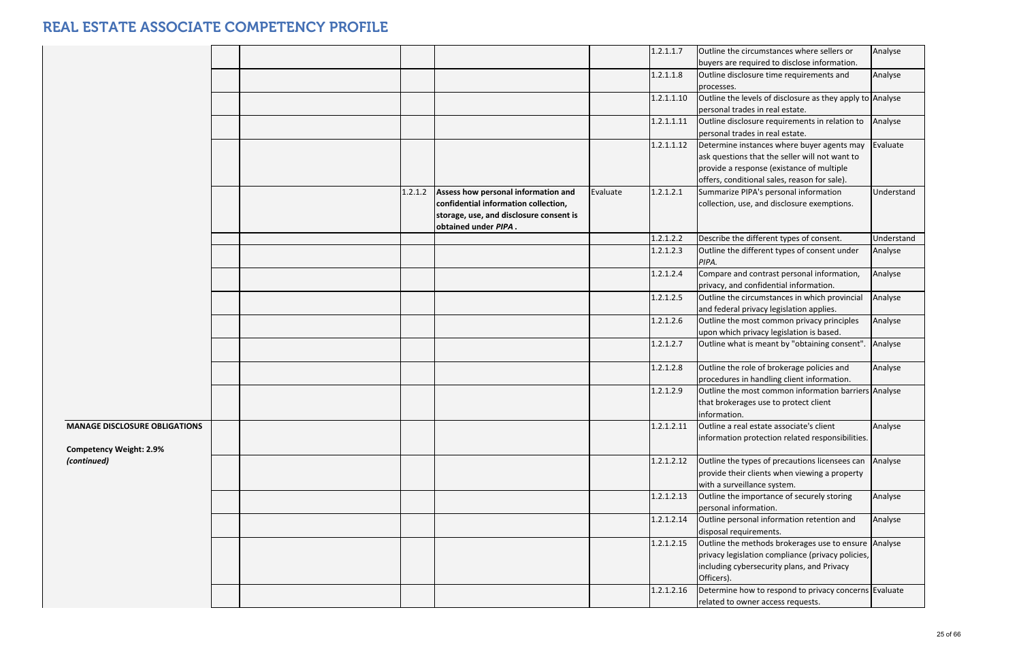|                                                                        |  |         |                                                                                                                                                |          | 1.2.1.1.7  | Outline the circumstances where sellers or                                                                                                                                                | Analyse    |
|------------------------------------------------------------------------|--|---------|------------------------------------------------------------------------------------------------------------------------------------------------|----------|------------|-------------------------------------------------------------------------------------------------------------------------------------------------------------------------------------------|------------|
|                                                                        |  |         |                                                                                                                                                |          |            | buyers are required to disclose information.                                                                                                                                              |            |
|                                                                        |  |         |                                                                                                                                                |          | 1.2.1.1.8  | Outline disclosure time requirements and<br>processes.                                                                                                                                    | Analyse    |
|                                                                        |  |         |                                                                                                                                                |          | 1.2.1.1.10 | Outline the levels of disclosure as they apply to Analyse<br>personal trades in real estate.                                                                                              |            |
|                                                                        |  |         |                                                                                                                                                |          | 1.2.1.1.11 | Outline disclosure requirements in relation to<br>personal trades in real estate.                                                                                                         | Analyse    |
|                                                                        |  |         |                                                                                                                                                |          | 1.2.1.1.12 | Determine instances where buyer agents may<br>ask questions that the seller will not want to<br>provide a response (existance of multiple<br>offers, conditional sales, reason for sale). | Evaluate   |
|                                                                        |  | 1.2.1.2 | Assess how personal information and<br>confidential information collection,<br>storage, use, and disclosure consent is<br>obtained under PIPA. | Evaluate | 1.2.1.2.1  | Summarize PIPA's personal information<br>collection, use, and disclosure exemptions.                                                                                                      | Understand |
|                                                                        |  |         |                                                                                                                                                |          | 1.2.1.2.2  | Describe the different types of consent.                                                                                                                                                  | Understand |
|                                                                        |  |         |                                                                                                                                                |          | 1.2.1.2.3  | Outline the different types of consent under<br>PIPA.                                                                                                                                     | Analyse    |
|                                                                        |  |         |                                                                                                                                                |          | 1.2.1.2.4  | Compare and contrast personal information,<br>privacy, and confidential information.                                                                                                      | Analyse    |
|                                                                        |  |         |                                                                                                                                                |          | 1.2.1.2.5  | Outline the circumstances in which provincial<br>and federal privacy legislation applies.                                                                                                 | Analyse    |
|                                                                        |  |         |                                                                                                                                                |          | 1.2.1.2.6  | Outline the most common privacy principles<br>upon which privacy legislation is based.                                                                                                    | Analyse    |
|                                                                        |  |         |                                                                                                                                                |          | 1.2.1.2.7  | Outline what is meant by "obtaining consent". Analyse                                                                                                                                     |            |
|                                                                        |  |         |                                                                                                                                                |          | 1.2.1.2.8  | Outline the role of brokerage policies and<br>procedures in handling client information.                                                                                                  | Analyse    |
|                                                                        |  |         |                                                                                                                                                |          | 1.2.1.2.9  | Outline the most common information barriers Analyse<br>that brokerages use to protect client<br>information.                                                                             |            |
| <b>MANAGE DISCLOSURE OBLIGATIONS</b><br><b>Competency Weight: 2.9%</b> |  |         |                                                                                                                                                |          | 1.2.1.2.11 | Outline a real estate associate's client<br>information protection related responsibilities.                                                                                              | Analyse    |
| (continued)                                                            |  |         |                                                                                                                                                |          | 1.2.1.2.12 | Outline the types of precautions licensees can Analyse<br>provide their clients when viewing a property<br>with a surveillance system.                                                    |            |
|                                                                        |  |         |                                                                                                                                                |          | 1.2.1.2.13 | Outline the importance of securely storing<br>personal information.                                                                                                                       | Analyse    |
|                                                                        |  |         |                                                                                                                                                |          | 1.2.1.2.14 | Outline personal information retention and<br>disposal requirements.                                                                                                                      | Analyse    |
|                                                                        |  |         |                                                                                                                                                |          | 1.2.1.2.15 | Outline the methods brokerages use to ensure Analyse<br>privacy legislation compliance (privacy policies,<br>including cybersecurity plans, and Privacy<br>Officers).                     |            |
|                                                                        |  |         |                                                                                                                                                |          | 1.2.1.2.16 | Determine how to respond to privacy concerns Evaluate<br>related to owner access requests.                                                                                                |            |
|                                                                        |  |         |                                                                                                                                                |          |            |                                                                                                                                                                                           |            |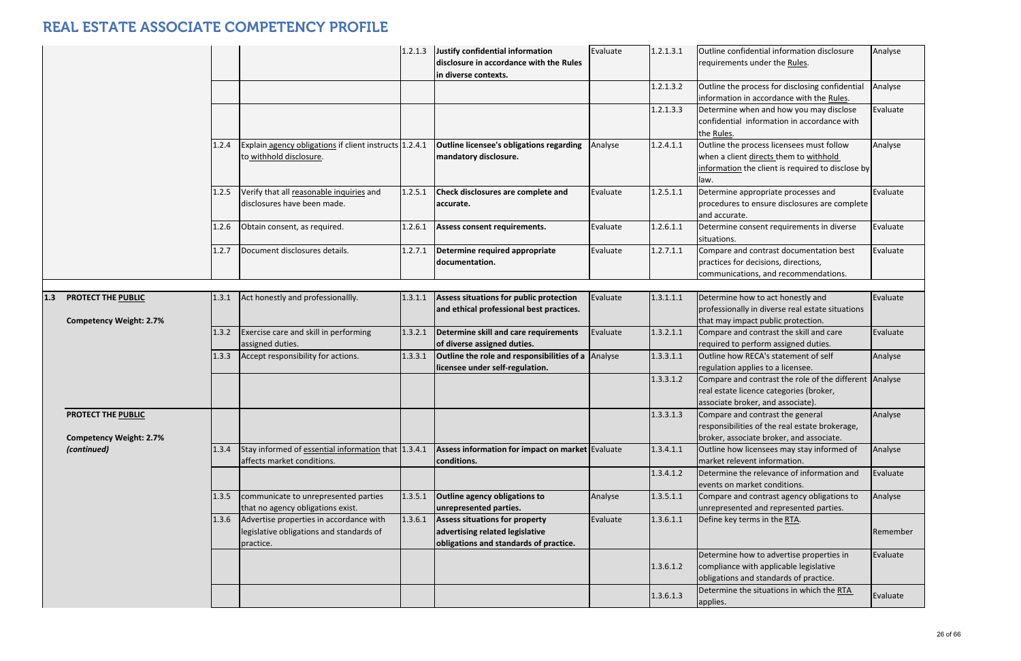|                                                      |       |                                                                                                  | 1.2.1.3 | Justify confidential information<br>disclosure in accordance with the Rules<br>in diverse contexts.         | Evaluate | 1.2.1.3.1 | Outline confidential information disclosure<br>requirements under the Rules.                                                                     | Analyse  |
|------------------------------------------------------|-------|--------------------------------------------------------------------------------------------------|---------|-------------------------------------------------------------------------------------------------------------|----------|-----------|--------------------------------------------------------------------------------------------------------------------------------------------------|----------|
|                                                      |       |                                                                                                  |         |                                                                                                             |          | 1.2.1.3.2 | Outline the process for disclosing confidential<br>information in accordance with the Rules.                                                     | Analyse  |
|                                                      |       |                                                                                                  |         |                                                                                                             |          | 1.2.1.3.3 | Determine when and how you may disclose<br>confidential information in accordance with<br>the Rules.                                             | Evaluate |
|                                                      | 1.2.4 | Explain agency obligations if client instructs 1.2.4.1<br>to withhold disclosure.                |         | Outline licensee's obligations regarding<br>mandatory disclosure.                                           | Analyse  | 1.2.4.1.1 | Outline the process licensees must follow<br>when a client directs them to withhold<br>information the client is required to disclose by<br>law. | Analyse  |
|                                                      | 1.2.5 | Verify that all reasonable inquiries and<br>disclosures have been made.                          | 1.2.5.1 | Check disclosures are complete and<br>accurate.                                                             | Evaluate | 1.2.5.1.1 | Determine appropriate processes and<br>procedures to ensure disclosures are complete<br>and accurate.                                            | Evaluate |
|                                                      | 1.2.6 | Obtain consent, as required.                                                                     | 1.2.6.1 | Assess consent requirements.                                                                                | Evaluate | 1.2.6.1.1 | Determine consent requirements in diverse<br>situations.                                                                                         | Evaluate |
|                                                      | 1.2.7 | Document disclosures details.                                                                    | 1.2.7.1 | Determine required appropriate<br>documentation.                                                            | Evaluate | 1.2.7.1.1 | Compare and contrast documentation best<br>practices for decisions, directions,<br>communications, and recommendations.                          | Evaluate |
| PROTECT THE PUBLIC                                   | 1.3.1 | Act honestly and professionallly.                                                                | 1.3.1.1 | Assess situations for public protection                                                                     | Evaluate | 1.3.1.1.1 | Determine how to act honestly and                                                                                                                | Evaluate |
| <b>Competency Weight: 2.7%</b>                       |       |                                                                                                  |         | and ethical professional best practices.                                                                    |          |           | professionally in diverse real estate situations<br>that may impact public protection.                                                           |          |
|                                                      | 1.3.2 | Exercise care and skill in performing<br>assigned duties.                                        | 1.3.2.1 | Determine skill and care requirements<br>of diverse assigned duties.                                        | Evaluate | 1.3.2.1.1 | Compare and contrast the skill and care<br>required to perform assigned duties.                                                                  | Evaluate |
|                                                      | 1.3.3 | Accept responsibility for actions.                                                               | 1.3.3.1 | Outline the role and responsibilities of a<br>licensee under self-regulation.                               | Analyse  | 1.3.3.1.1 | Outline how RECA's statement of self<br>regulation applies to a licensee.                                                                        | Analyse  |
|                                                      |       |                                                                                                  |         |                                                                                                             |          | 1.3.3.1.2 | Compare and contrast the role of the different Analyse<br>real estate licence categories (broker,<br>associate broker, and associate).           |          |
| PROTECT THE PUBLIC<br><b>Competency Weight: 2.7%</b> |       |                                                                                                  |         |                                                                                                             |          | 1.3.3.1.3 | Compare and contrast the general<br>responsibilities of the real estate brokerage,<br>broker, associate broker, and associate.                   | Analyse  |
| (continued)                                          | 1.3.4 | Stay informed of essential information that 1.3.4.1<br>affects market conditions.                |         | Assess information for impact on market Evaluate<br>conditions.                                             |          | 1.3.4.1.1 | Outline how licensees may stay informed of<br>market relevent information.                                                                       | Analyse  |
|                                                      |       |                                                                                                  |         |                                                                                                             |          | 1.3.4.1.2 | Determine the relevance of information and<br>events on market conditions.                                                                       | Evaluate |
|                                                      | 1.3.5 | communicate to unrepresented parties<br>that no agency obligations exist.                        | 1.3.5.1 | Outline agency obligations to<br>unrepresented parties.                                                     | Analyse  | 1.3.5.1.1 | Compare and contrast agency obligations to<br>unrepresented and represented parties.                                                             | Analyse  |
|                                                      | 1.3.6 | Advertise properties in accordance with<br>legislative obligations and standards of<br>practice. | 1.3.6.1 | Assess situations for property<br>advertising related legislative<br>obligations and standards of practice. | Evaluate | 1.3.6.1.1 | Define key terms in the RTA.                                                                                                                     | Remember |
|                                                      |       |                                                                                                  |         |                                                                                                             |          | 1.3.6.1.2 | Determine how to advertise properties in<br>compliance with applicable legislative<br>obligations and standards of practice.                     | Evaluate |
|                                                      |       |                                                                                                  |         |                                                                                                             |          | 1.3.6.1.3 | Determine the situations in which the RTA<br>applies.                                                                                            | Evaluate |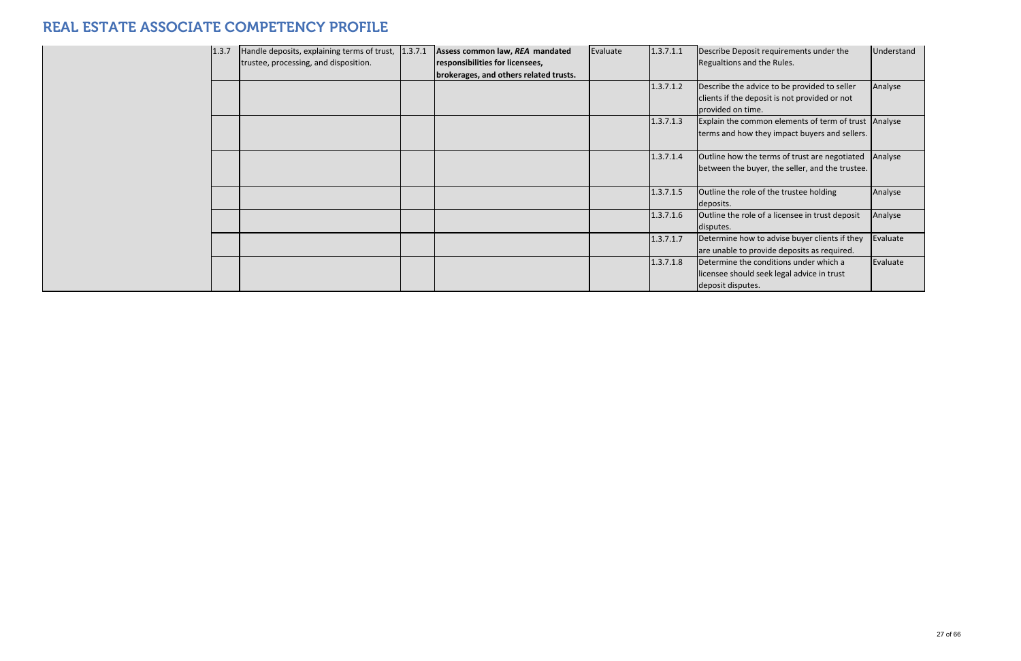| 1.3.7 | Handle deposits, explaining terms of trust, 1.3.7.1<br>trustee, processing, and disposition. | Assess common law, REA mandated<br>responsibilities for licensees,<br>brokerages, and others related trusts. | Evaluate | 1.3.7.1.1 | Describe Deposit requirements under the<br>Regualtions and the Rules.                                              | Understand |
|-------|----------------------------------------------------------------------------------------------|--------------------------------------------------------------------------------------------------------------|----------|-----------|--------------------------------------------------------------------------------------------------------------------|------------|
|       |                                                                                              |                                                                                                              |          | 1.3.7.1.2 | Describe the advice to be provided to seller<br>clients if the deposit is not provided or not<br>provided on time. | Analyse    |
|       |                                                                                              |                                                                                                              |          | 1.3.7.1.3 | Explain the common elements of term of trust Analyse<br>terms and how they impact buyers and sellers.              |            |
|       |                                                                                              |                                                                                                              |          | 1.3.7.1.4 | Outline how the terms of trust are negotiated<br>between the buyer, the seller, and the trustee.                   | Analyse    |
|       |                                                                                              |                                                                                                              |          | 1.3.7.1.5 | Outline the role of the trustee holding<br>deposits.                                                               | Analyse    |
|       |                                                                                              |                                                                                                              |          | 1.3.7.1.6 | Outline the role of a licensee in trust deposit<br>disputes.                                                       | Analyse    |
|       |                                                                                              |                                                                                                              |          | 1.3.7.1.7 | Determine how to advise buyer clients if they<br>are unable to provide deposits as required.                       | Evaluate   |
|       |                                                                                              |                                                                                                              |          | 1.3.7.1.8 | Determine the conditions under which a<br>licensee should seek legal advice in trust<br>deposit disputes.          | Evaluate   |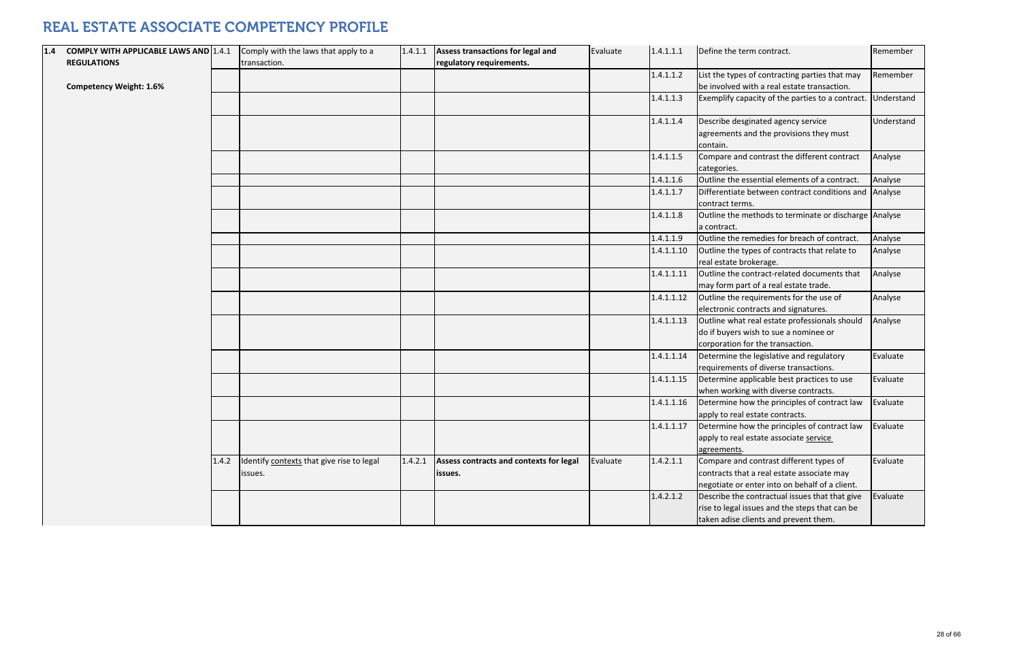| 1.4 | <b>COMPLY WITH APPLICABLE LAWS AND 1.4.1</b> |       | Comply with the laws that apply to a      | 1.4.1.1 | Assess transactions for legal and       | Evaluate | 1.4.1.1.1  | Define the term contract.                                                       |
|-----|----------------------------------------------|-------|-------------------------------------------|---------|-----------------------------------------|----------|------------|---------------------------------------------------------------------------------|
|     | <b>REGULATIONS</b>                           |       | transaction.                              |         | regulatory requirements.                |          |            |                                                                                 |
|     |                                              |       |                                           |         |                                         |          | 1.4.1.1.2  | List the types of contracting parties that                                      |
|     | <b>Competency Weight: 1.6%</b>               |       |                                           |         |                                         |          |            | be involved with a real estate transactio                                       |
|     |                                              |       |                                           |         |                                         |          | 1.4.1.1.3  | Exemplify capacity of the parties to a co                                       |
|     |                                              |       |                                           |         |                                         |          | 1.4.1.1.4  | Describe desginated agency service                                              |
|     |                                              |       |                                           |         |                                         |          |            | agreements and the provisions they must<br>contain.                             |
|     |                                              |       |                                           |         |                                         |          | 1.4.1.1.5  | Compare and contrast the different cont<br>categories.                          |
|     |                                              |       |                                           |         |                                         |          | 1.4.1.1.6  | Outline the essential elements of a cont                                        |
|     |                                              |       |                                           |         |                                         |          | 1.4.1.1.7  | Differentiate between contract conditio<br>contract terms.                      |
|     |                                              |       |                                           |         |                                         |          | 1.4.1.1.8  | Outline the methods to terminate or dis<br>a contract.                          |
|     |                                              |       |                                           |         |                                         |          | 1.4.1.1.9  | Outline the remedies for breach of conti                                        |
|     |                                              |       |                                           |         |                                         |          | 1.4.1.1.10 | Outline the types of contracts that relate                                      |
|     |                                              |       |                                           |         |                                         |          |            | real estate brokerage.                                                          |
|     |                                              |       |                                           |         |                                         |          | 1.4.1.1.11 | Outline the contract-related documents<br>may form part of a real estate trade. |
|     |                                              |       |                                           |         |                                         |          |            |                                                                                 |
|     |                                              |       |                                           |         |                                         |          | 1.4.1.1.12 | Outline the requirements for the use of<br>electronic contracts and signatures. |
|     |                                              |       |                                           |         |                                         |          | 1.4.1.1.13 | Outline what real estate professionals sh                                       |
|     |                                              |       |                                           |         |                                         |          |            | do if buyers wish to sue a nominee or                                           |
|     |                                              |       |                                           |         |                                         |          |            | corporation for the transaction.                                                |
|     |                                              |       |                                           |         |                                         |          | 1.4.1.1.14 | Determine the legislative and regulatory                                        |
|     |                                              |       |                                           |         |                                         |          |            | requirements of diverse transactions.                                           |
|     |                                              |       |                                           |         |                                         |          | 1.4.1.1.15 | Determine applicable best practices to u                                        |
|     |                                              |       |                                           |         |                                         |          |            | when working with diverse contracts.                                            |
|     |                                              |       |                                           |         |                                         |          | 1.4.1.1.16 | Determine how the principles of contrad                                         |
|     |                                              |       |                                           |         |                                         |          |            | apply to real estate contracts.                                                 |
|     |                                              |       |                                           |         |                                         |          | 1.4.1.1.17 | Determine how the principles of contract                                        |
|     |                                              |       |                                           |         |                                         |          |            | apply to real estate associate service                                          |
|     |                                              |       |                                           |         |                                         |          |            | agreements.                                                                     |
|     |                                              | 1.4.2 | Identify contexts that give rise to legal | 1.4.2.1 | Assess contracts and contexts for legal | Evaluate | 1.4.2.1.1  | Compare and contrast different types of                                         |
|     |                                              |       | issues.                                   |         | issues.                                 |          |            | contracts that a real estate associate ma                                       |
|     |                                              |       |                                           |         |                                         |          |            | negotiate or enter into on behalf of a cli                                      |
|     |                                              |       |                                           |         |                                         |          | 1.4.2.1.2  | Describe the contractual issues that that                                       |
|     |                                              |       |                                           |         |                                         |          |            | rise to legal issues and the steps that car                                     |
|     |                                              |       |                                           |         |                                         |          |            | taken adise clients and prevent them.                                           |

| 1.4.1.1.1  | Define the term contract.                                                                                                                 | Remember   |
|------------|-------------------------------------------------------------------------------------------------------------------------------------------|------------|
| 1.4.1.1.2  | List the types of contracting parties that may<br>be involved with a real estate transaction.                                             | Remember   |
| 1.4.1.1.3  | Exemplify capacity of the parties to a contract.                                                                                          | Understand |
| 1.4.1.1.4  | Describe desginated agency service<br>agreements and the provisions they must<br>contain.                                                 | Understand |
| 1.4.1.1.5  | Compare and contrast the different contract<br>categories.                                                                                | Analyse    |
| 1.4.1.1.6  | Outline the essential elements of a contract.                                                                                             | Analyse    |
| 1.4.1.1.7  | Differentiate between contract conditions and<br>contract terms.                                                                          | Analyse    |
| 1.4.1.1.8  | Outline the methods to terminate or discharge<br>a contract.                                                                              | Analyse    |
| 1.4.1.1.9  | Outline the remedies for breach of contract.                                                                                              | Analyse    |
| 1.4.1.1.10 | Outline the types of contracts that relate to<br>real estate brokerage.                                                                   | Analyse    |
| 1.4.1.1.11 | Outline the contract-related documents that<br>may form part of a real estate trade.                                                      | Analyse    |
| 1.4.1.1.12 | Outline the requirements for the use of<br>electronic contracts and signatures.                                                           | Analyse    |
| 1.4.1.1.13 | Outline what real estate professionals should<br>do if buyers wish to sue a nominee or<br>corporation for the transaction.                | Analyse    |
| 1.4.1.1.14 | Determine the legislative and regulatory<br>requirements of diverse transactions.                                                         | Evaluate   |
| 1.4.1.1.15 | Determine applicable best practices to use<br>when working with diverse contracts.                                                        | Evaluate   |
| 1.4.1.1.16 | Determine how the principles of contract law<br>apply to real estate contracts.                                                           | Evaluate   |
| 1.4.1.1.17 | Determine how the principles of contract law<br>apply to real estate associate service<br>agreements.                                     | Evaluate   |
| 1.4.2.1.1  | Compare and contrast different types of<br>contracts that a real estate associate may<br>negotiate or enter into on behalf of a client.   | Evaluate   |
| 1.4.2.1.2  | Describe the contractual issues that that give<br>rise to legal issues and the steps that can be<br>taken adise clients and prevent them. | Evaluate   |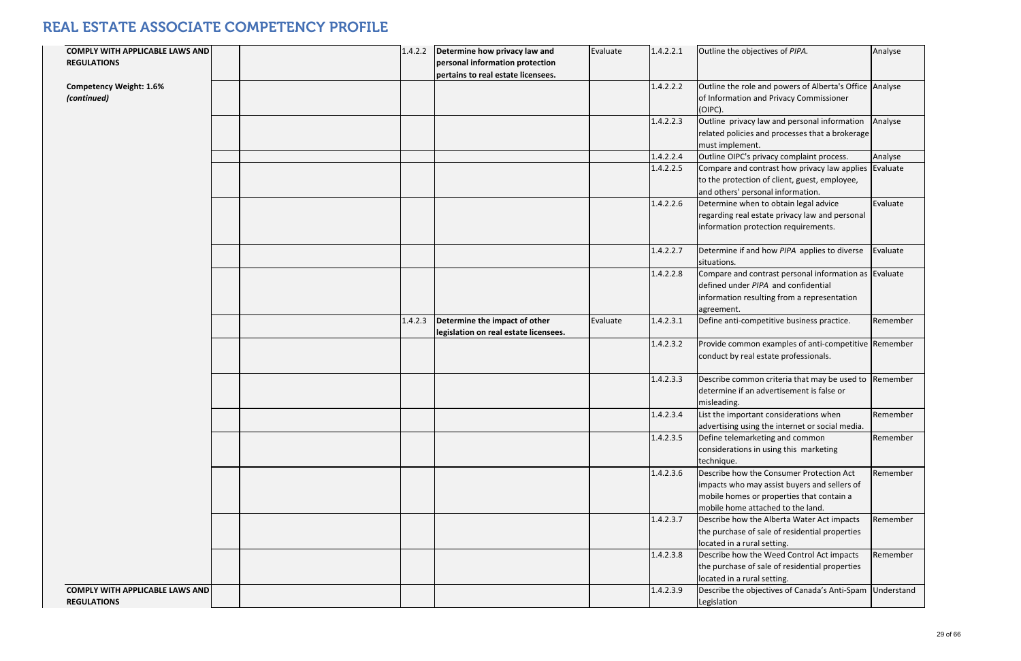| <b>COMPLY WITH APPLICABLE LAWS AND</b>                       |  | 1.4.2.2 | Determine how privacy law and                                          | Evaluate | 1.4.2.2.1 | Outline the objectives of PIPA.                                                                                                                                            | Analyse  |
|--------------------------------------------------------------|--|---------|------------------------------------------------------------------------|----------|-----------|----------------------------------------------------------------------------------------------------------------------------------------------------------------------------|----------|
| <b>REGULATIONS</b>                                           |  |         | personal information protection<br>pertains to real estate licensees.  |          |           |                                                                                                                                                                            |          |
| <b>Competency Weight: 1.6%</b><br>(continued)                |  |         |                                                                        |          | 1.4.2.2.2 | Outline the role and powers of Alberta's Office Analyse<br>of Information and Privacy Commissioner<br>(OIPC).                                                              |          |
|                                                              |  |         |                                                                        |          | 1.4.2.2.3 | Outline privacy law and personal information<br>related policies and processes that a brokerage<br>must implement.                                                         | Analyse  |
|                                                              |  |         |                                                                        |          | 1.4.2.2.4 | Outline OIPC's privacy complaint process.                                                                                                                                  | Analyse  |
|                                                              |  |         |                                                                        |          | 1.4.2.2.5 | Compare and contrast how privacy law applies Evaluate<br>to the protection of client, guest, employee,<br>and others' personal information.                                |          |
|                                                              |  |         |                                                                        |          | 1.4.2.2.6 | Determine when to obtain legal advice<br>regarding real estate privacy law and personal<br>information protection requirements.                                            | Evaluate |
|                                                              |  |         |                                                                        |          | 1.4.2.2.7 | Determine if and how PIPA applies to diverse<br>situations.                                                                                                                | Evaluate |
|                                                              |  |         |                                                                        |          | 1.4.2.2.8 | Compare and contrast personal information as Evaluate<br>defined under PIPA and confidential<br>information resulting from a representation<br>agreement.                  |          |
|                                                              |  | 1.4.2.3 | Determine the impact of other<br>legislation on real estate licensees. | Evaluate | 1.4.2.3.1 | Define anti-competitive business practice.                                                                                                                                 | Remember |
|                                                              |  |         |                                                                        |          | 1.4.2.3.2 | Provide common examples of anti-competitive Remember<br>conduct by real estate professionals.                                                                              |          |
|                                                              |  |         |                                                                        |          | 1.4.2.3.3 | Describe common criteria that may be used to Remember<br>Idetermine if an advertisement is false or<br>misleading.                                                         |          |
|                                                              |  |         |                                                                        |          | 1.4.2.3.4 | List the important considerations when<br>advertising using the internet or social media.                                                                                  | Remember |
|                                                              |  |         |                                                                        |          | 1.4.2.3.5 | Define telemarketing and common<br>considerations in using this marketing<br>technique.                                                                                    | Remember |
|                                                              |  |         |                                                                        |          | 1.4.2.3.6 | Describe how the Consumer Protection Act<br>impacts who may assist buyers and sellers of<br>mobile homes or properties that contain a<br>mobile home attached to the land. | Remember |
|                                                              |  |         |                                                                        |          | 1.4.2.3.7 | Describe how the Alberta Water Act impacts<br>the purchase of sale of residential properties<br>located in a rural setting.                                                | Remember |
|                                                              |  |         |                                                                        |          | 1.4.2.3.8 | Describe how the Weed Control Act impacts<br>the purchase of sale of residential properties<br>located in a rural setting.                                                 | Remember |
| <b>COMPLY WITH APPLICABLE LAWS AND</b><br><b>REGULATIONS</b> |  |         |                                                                        |          | 1.4.2.3.9 | Describe the objectives of Canada's Anti-Spam Understand<br>Legislation                                                                                                    |          |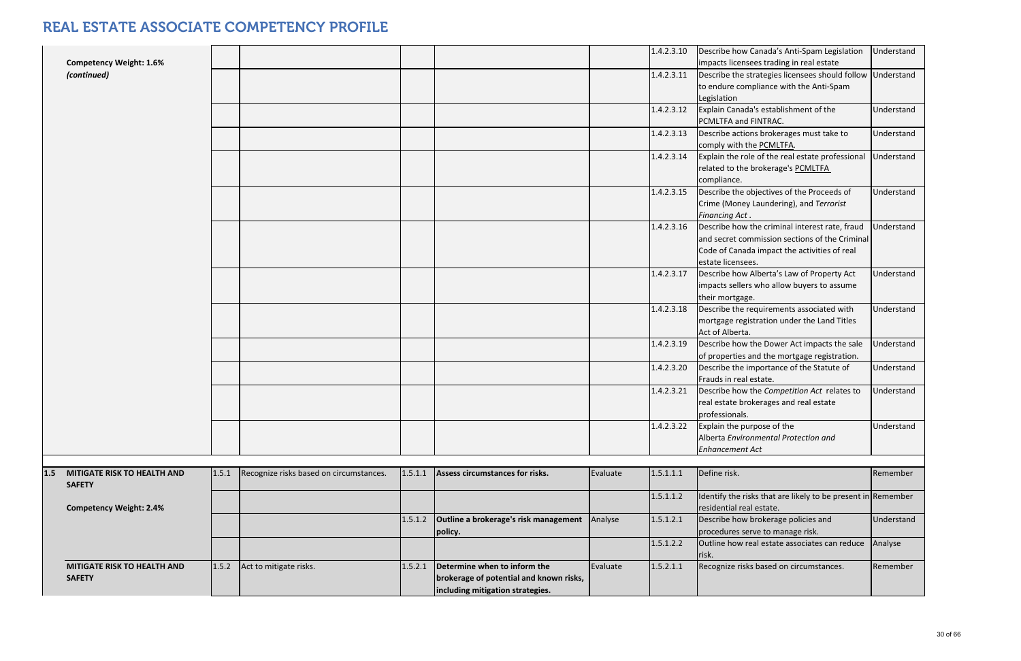|     | <b>Competency Weight: 1.6%</b>                      |       |                                         |         |                                                                                                             |          | 1.4.2.3.10 | Describe how Canada's Anti-Spam Legislation<br>impacts licensees trading in real estate                                                                               | Understand |
|-----|-----------------------------------------------------|-------|-----------------------------------------|---------|-------------------------------------------------------------------------------------------------------------|----------|------------|-----------------------------------------------------------------------------------------------------------------------------------------------------------------------|------------|
|     | (continued)                                         |       |                                         |         |                                                                                                             |          | 1.4.2.3.11 | Describe the strategies licensees should follow<br>to endure compliance with the Anti-Spam<br>Legislation                                                             | Understand |
|     |                                                     |       |                                         |         |                                                                                                             |          | 1.4.2.3.12 | Explain Canada's establishment of the<br>PCMLTFA and FINTRAC.                                                                                                         | Understand |
|     |                                                     |       |                                         |         |                                                                                                             |          | 1.4.2.3.13 | Describe actions brokerages must take to<br>comply with the PCMLTFA.                                                                                                  | Understand |
|     |                                                     |       |                                         |         |                                                                                                             |          | 1.4.2.3.14 | Explain the role of the real estate professional<br>related to the brokerage's PCMLTFA<br>compliance.                                                                 | Understand |
|     |                                                     |       |                                         |         |                                                                                                             |          | 1.4.2.3.15 | Describe the objectives of the Proceeds of<br>Crime (Money Laundering), and Terrorist<br><b>Financing Act.</b>                                                        | Understand |
|     |                                                     |       |                                         |         |                                                                                                             |          | 1.4.2.3.16 | Describe how the criminal interest rate, fraud<br>and secret commission sections of the Criminal<br>Code of Canada impact the activities of real<br>estate licensees. | Understand |
|     |                                                     |       |                                         |         |                                                                                                             |          | 1.4.2.3.17 | Describe how Alberta's Law of Property Act<br>impacts sellers who allow buyers to assume<br>their mortgage.                                                           | Understand |
|     |                                                     |       |                                         |         |                                                                                                             |          | 1.4.2.3.18 | Describe the requirements associated with<br>mortgage registration under the Land Titles<br>Act of Alberta.                                                           | Understand |
|     |                                                     |       |                                         |         |                                                                                                             |          | 1.4.2.3.19 | Describe how the Dower Act impacts the sale<br>of properties and the mortgage registration.                                                                           | Understand |
|     |                                                     |       |                                         |         |                                                                                                             |          | 1.4.2.3.20 | Describe the importance of the Statute of<br>Frauds in real estate.                                                                                                   | Understand |
|     |                                                     |       |                                         |         |                                                                                                             |          | 1.4.2.3.21 | Describe how the Competition Act relates to<br>real estate brokerages and real estate<br>professionals.                                                               | Understand |
|     |                                                     |       |                                         |         |                                                                                                             |          | 1.4.2.3.22 | Explain the purpose of the<br>Alberta Environmental Protection and<br><b>Enhancement Act</b>                                                                          | Understand |
|     |                                                     |       |                                         |         |                                                                                                             |          |            |                                                                                                                                                                       |            |
| 1.5 | <b>MITIGATE RISK TO HEALTH AND</b><br><b>SAFETY</b> | 1.5.1 | Recognize risks based on circumstances. | 1.5.1.1 | Assess circumstances for risks.                                                                             | Evaluate | 1.5.1.1.1  | Define risk.                                                                                                                                                          | Remember   |
|     | <b>Competency Weight: 2.4%</b>                      |       |                                         |         |                                                                                                             |          | 1.5.1.1.2  | Identify the risks that are likely to be present in Remember<br>residential real estate.                                                                              |            |
|     |                                                     |       |                                         | 1.5.1.2 | Outline a brokerage's risk management<br>policy.                                                            | Analyse  | 1.5.1.2.1  | Describe how brokerage policies and<br>procedures serve to manage risk.                                                                                               | Understand |
|     |                                                     |       |                                         |         |                                                                                                             |          | 1.5.1.2.2  | Outline how real estate associates can reduce<br>risk.                                                                                                                | Analyse    |
|     | <b>MITIGATE RISK TO HEALTH AND</b><br><b>SAFETY</b> | 1.5.2 | Act to mitigate risks.                  | 1.5.2.1 | Determine when to inform the<br>brokerage of potential and known risks,<br>including mitigation strategies. | Evaluate | 1.5.2.1.1  | Recognize risks based on circumstances.                                                                                                                               | Remember   |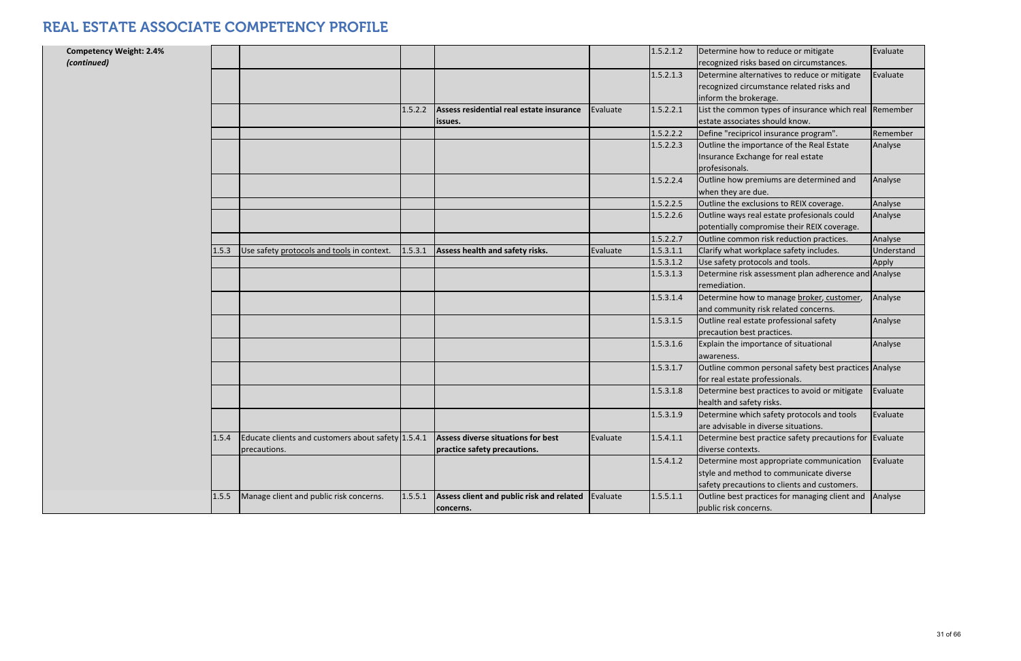| <b>Competency Weight: 2.4%</b><br>(continued) |       |                                                                    |         |                                                                           |          | 1.5.2.1.2 | Determine how to reduce or mitigate<br>recognized risks based on circumstances.                                                     | Evaluate   |
|-----------------------------------------------|-------|--------------------------------------------------------------------|---------|---------------------------------------------------------------------------|----------|-----------|-------------------------------------------------------------------------------------------------------------------------------------|------------|
|                                               |       |                                                                    |         |                                                                           |          | 1.5.2.1.3 | Determine alternatives to reduce or mitigate<br>recognized circumstance related risks and<br>inform the brokerage.                  | Evaluate   |
|                                               |       |                                                                    | 1.5.2.2 | Assess residential real estate insurance<br>issues.                       | Evaluate | 1.5.2.2.1 | List the common types of insurance which real Remember<br>estate associates should know.                                            |            |
|                                               |       |                                                                    |         |                                                                           |          | 1.5.2.2.2 | Define "recipricol insurance program".                                                                                              | Remember   |
|                                               |       |                                                                    |         |                                                                           |          | 1.5.2.2.3 | Outline the importance of the Real Estate<br>Insurance Exchange for real estate<br>profesisonals.                                   | Analyse    |
|                                               |       |                                                                    |         |                                                                           |          | 1.5.2.2.4 | Outline how premiums are determined and<br>when they are due.                                                                       | Analyse    |
|                                               |       |                                                                    |         |                                                                           |          | 1.5.2.2.5 | Outline the exclusions to REIX coverage.                                                                                            | Analyse    |
|                                               |       |                                                                    |         |                                                                           |          | 1.5.2.2.6 | Outline ways real estate profesionals could<br>potentially compromise their REIX coverage.                                          | Analyse    |
|                                               |       |                                                                    |         |                                                                           |          | 1.5.2.2.7 | Outline common risk reduction practices.                                                                                            | Analyse    |
|                                               | 1.5.3 | Use safety protocols and tools in context.                         | 1.5.3.1 | Assess health and safety risks.                                           | Evaluate | 1.5.3.1.1 | Clarify what workplace safety includes.                                                                                             | Understand |
|                                               |       |                                                                    |         |                                                                           |          | 1.5.3.1.2 | Use safety protocols and tools.                                                                                                     | Apply      |
|                                               |       |                                                                    |         |                                                                           |          | 1.5.3.1.3 | Determine risk assessment plan adherence and Analyse<br>remediation.                                                                |            |
|                                               |       |                                                                    |         |                                                                           |          | 1.5.3.1.4 | Determine how to manage broker, customer,<br>and community risk related concerns.                                                   | Analyse    |
|                                               |       |                                                                    |         |                                                                           |          | 1.5.3.1.5 | Outline real estate professional safety<br>precaution best practices.                                                               | Analyse    |
|                                               |       |                                                                    |         |                                                                           |          | 1.5.3.1.6 | Explain the importance of situational<br>awareness.                                                                                 | Analyse    |
|                                               |       |                                                                    |         |                                                                           |          | 1.5.3.1.7 | Outline common personal safety best practices Analyse<br>for real estate professionals.                                             |            |
|                                               |       |                                                                    |         |                                                                           |          | 1.5.3.1.8 | Determine best practices to avoid or mitigate<br>health and safety risks.                                                           | Evaluate   |
|                                               |       |                                                                    |         |                                                                           |          | 1.5.3.1.9 | Determine which safety protocols and tools<br>are advisable in diverse situations.                                                  | Evaluate   |
|                                               | 1.5.4 | Educate clients and customers about safety 1.5.4.1<br>precautions. |         | <b>Assess diverse situations for best</b><br>practice safety precautions. | Evaluate | 1.5.4.1.1 | Determine best practice safety precautions for Evaluate<br>diverse contexts.                                                        |            |
|                                               |       |                                                                    |         |                                                                           |          | 1.5.4.1.2 | Determine most appropriate communication<br>style and method to communicate diverse<br>safety precautions to clients and customers. | Evaluate   |
|                                               | 1.5.5 | Manage client and public risk concerns.                            | 1.5.5.1 | Assess client and public risk and related<br>concerns.                    | Evaluate | 1.5.5.1.1 | Outline best practices for managing client and<br>public risk concerns.                                                             | Analyse    |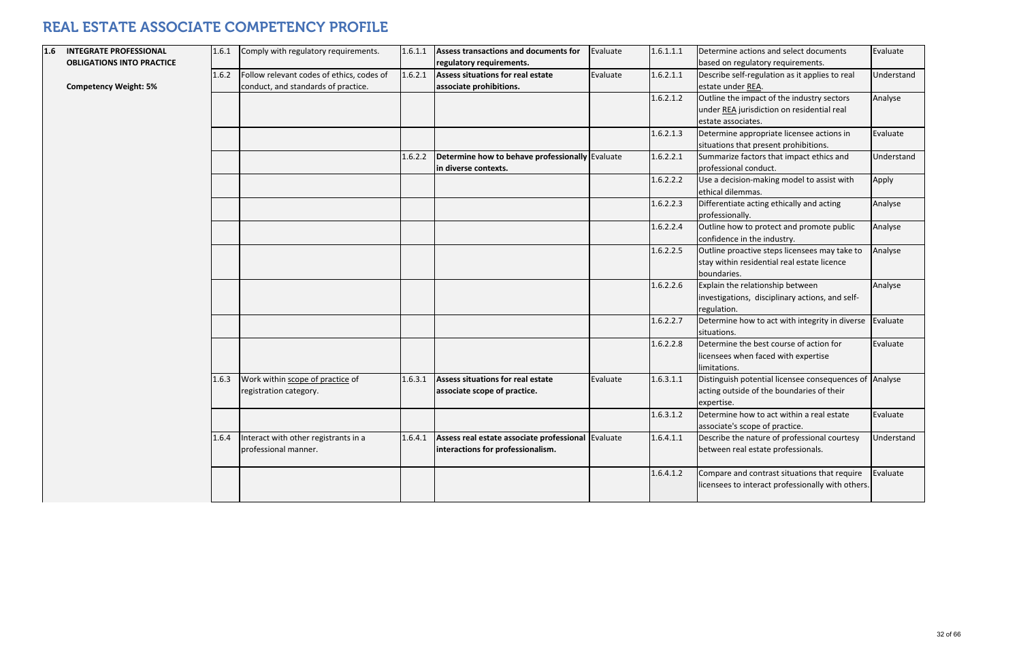| based on regulatory requirements.<br><b>OBLIGATIONS INTO PRACTICE</b><br>regulatory requirements.<br>1.6.2.1.1<br>Follow relevant codes of ethics, codes of<br>1.6.2.1<br>Assess situations for real estate<br>Evaluate<br>Describe self-regulation as it applies to real<br>1.6.2<br><b>Competency Weight: 5%</b><br>conduct, and standards of practice.<br>associate prohibitions.<br>estate under REA.<br>Outline the impact of the industry sectors<br>1.6.2.1.2<br>under REA jurisdiction on residential real<br>estate associates.<br>1.6.2.1.3<br>Determine appropriate licensee actions in<br>situations that present prohibitions.<br>Determine how to behave professionally Evaluate<br>1.6.2.2.1<br>Summarize factors that impact ethics and<br>1.6.2.2<br>professional conduct.<br>in diverse contexts.<br>1.6.2.2.2<br>Use a decision-making model to assist with<br>ethical dilemmas.<br>Differentiate acting ethically and acting<br>1.6.2.2.3<br>professionally.<br>1.6.2.2.4<br>Outline how to protect and promote public<br>confidence in the industry.<br>1.6.2.2.5<br>Outline proactive steps licensees may take to<br>stay within residential real estate licence<br>boundaries.<br>Explain the relationship between<br>1.6.2.2.6<br>investigations, disciplinary actions, and self-<br>regulation.<br>1.6.2.2.7<br>Determine how to act with integrity in diverse<br>situations.<br>1.6.2.2.8<br>Determine the best course of action for<br>licensees when faced with expertise<br>limitations.<br>Work within scope of practice of<br>Distinguish potential licensee consequences of<br>Assess situations for real estate<br>1.6.3.1.1<br>1.6.3.1<br>Evaluate<br>1.6.3<br>acting outside of the boundaries of their<br>associate scope of practice.<br>registration category.<br>expertise.<br>1.6.3.1.2<br>Determine how to act within a real estate<br>associate's scope of practice.<br>Assess real estate associate professional Evaluate<br>1.6.4.1.1<br>Describe the nature of professional courtesy<br>Interact with other registrants in a<br>1.6.4<br>1.6.4.1<br>interactions for professionalism.<br>professional manner.<br>between real estate professionals.<br>1.6.4.1.2<br>Compare and contrast situations that require<br>licensees to interact professionally with others | 1.6 | <b>INTEGRATE PROFESSIONAL</b> | 1.6.1 | Comply with regulatory requirements. | 1.6.1.1 | Assess transactions and documents for | Evaluate | 1.6.1.1.1 | Determine actions and select documents |
|-------------------------------------------------------------------------------------------------------------------------------------------------------------------------------------------------------------------------------------------------------------------------------------------------------------------------------------------------------------------------------------------------------------------------------------------------------------------------------------------------------------------------------------------------------------------------------------------------------------------------------------------------------------------------------------------------------------------------------------------------------------------------------------------------------------------------------------------------------------------------------------------------------------------------------------------------------------------------------------------------------------------------------------------------------------------------------------------------------------------------------------------------------------------------------------------------------------------------------------------------------------------------------------------------------------------------------------------------------------------------------------------------------------------------------------------------------------------------------------------------------------------------------------------------------------------------------------------------------------------------------------------------------------------------------------------------------------------------------------------------------------------------------------------------------------------------------------------------------------------------------------------------------------------------------------------------------------------------------------------------------------------------------------------------------------------------------------------------------------------------------------------------------------------------------------------------------------------------------------------------------------------------------------------------------------------|-----|-------------------------------|-------|--------------------------------------|---------|---------------------------------------|----------|-----------|----------------------------------------|
|                                                                                                                                                                                                                                                                                                                                                                                                                                                                                                                                                                                                                                                                                                                                                                                                                                                                                                                                                                                                                                                                                                                                                                                                                                                                                                                                                                                                                                                                                                                                                                                                                                                                                                                                                                                                                                                                                                                                                                                                                                                                                                                                                                                                                                                                                                                   |     |                               |       |                                      |         |                                       |          |           |                                        |
|                                                                                                                                                                                                                                                                                                                                                                                                                                                                                                                                                                                                                                                                                                                                                                                                                                                                                                                                                                                                                                                                                                                                                                                                                                                                                                                                                                                                                                                                                                                                                                                                                                                                                                                                                                                                                                                                                                                                                                                                                                                                                                                                                                                                                                                                                                                   |     |                               |       |                                      |         |                                       |          |           |                                        |
|                                                                                                                                                                                                                                                                                                                                                                                                                                                                                                                                                                                                                                                                                                                                                                                                                                                                                                                                                                                                                                                                                                                                                                                                                                                                                                                                                                                                                                                                                                                                                                                                                                                                                                                                                                                                                                                                                                                                                                                                                                                                                                                                                                                                                                                                                                                   |     |                               |       |                                      |         |                                       |          |           |                                        |
|                                                                                                                                                                                                                                                                                                                                                                                                                                                                                                                                                                                                                                                                                                                                                                                                                                                                                                                                                                                                                                                                                                                                                                                                                                                                                                                                                                                                                                                                                                                                                                                                                                                                                                                                                                                                                                                                                                                                                                                                                                                                                                                                                                                                                                                                                                                   |     |                               |       |                                      |         |                                       |          |           |                                        |
|                                                                                                                                                                                                                                                                                                                                                                                                                                                                                                                                                                                                                                                                                                                                                                                                                                                                                                                                                                                                                                                                                                                                                                                                                                                                                                                                                                                                                                                                                                                                                                                                                                                                                                                                                                                                                                                                                                                                                                                                                                                                                                                                                                                                                                                                                                                   |     |                               |       |                                      |         |                                       |          |           |                                        |
|                                                                                                                                                                                                                                                                                                                                                                                                                                                                                                                                                                                                                                                                                                                                                                                                                                                                                                                                                                                                                                                                                                                                                                                                                                                                                                                                                                                                                                                                                                                                                                                                                                                                                                                                                                                                                                                                                                                                                                                                                                                                                                                                                                                                                                                                                                                   |     |                               |       |                                      |         |                                       |          |           |                                        |
|                                                                                                                                                                                                                                                                                                                                                                                                                                                                                                                                                                                                                                                                                                                                                                                                                                                                                                                                                                                                                                                                                                                                                                                                                                                                                                                                                                                                                                                                                                                                                                                                                                                                                                                                                                                                                                                                                                                                                                                                                                                                                                                                                                                                                                                                                                                   |     |                               |       |                                      |         |                                       |          |           |                                        |
|                                                                                                                                                                                                                                                                                                                                                                                                                                                                                                                                                                                                                                                                                                                                                                                                                                                                                                                                                                                                                                                                                                                                                                                                                                                                                                                                                                                                                                                                                                                                                                                                                                                                                                                                                                                                                                                                                                                                                                                                                                                                                                                                                                                                                                                                                                                   |     |                               |       |                                      |         |                                       |          |           |                                        |
|                                                                                                                                                                                                                                                                                                                                                                                                                                                                                                                                                                                                                                                                                                                                                                                                                                                                                                                                                                                                                                                                                                                                                                                                                                                                                                                                                                                                                                                                                                                                                                                                                                                                                                                                                                                                                                                                                                                                                                                                                                                                                                                                                                                                                                                                                                                   |     |                               |       |                                      |         |                                       |          |           |                                        |
|                                                                                                                                                                                                                                                                                                                                                                                                                                                                                                                                                                                                                                                                                                                                                                                                                                                                                                                                                                                                                                                                                                                                                                                                                                                                                                                                                                                                                                                                                                                                                                                                                                                                                                                                                                                                                                                                                                                                                                                                                                                                                                                                                                                                                                                                                                                   |     |                               |       |                                      |         |                                       |          |           |                                        |
|                                                                                                                                                                                                                                                                                                                                                                                                                                                                                                                                                                                                                                                                                                                                                                                                                                                                                                                                                                                                                                                                                                                                                                                                                                                                                                                                                                                                                                                                                                                                                                                                                                                                                                                                                                                                                                                                                                                                                                                                                                                                                                                                                                                                                                                                                                                   |     |                               |       |                                      |         |                                       |          |           |                                        |
|                                                                                                                                                                                                                                                                                                                                                                                                                                                                                                                                                                                                                                                                                                                                                                                                                                                                                                                                                                                                                                                                                                                                                                                                                                                                                                                                                                                                                                                                                                                                                                                                                                                                                                                                                                                                                                                                                                                                                                                                                                                                                                                                                                                                                                                                                                                   |     |                               |       |                                      |         |                                       |          |           |                                        |
|                                                                                                                                                                                                                                                                                                                                                                                                                                                                                                                                                                                                                                                                                                                                                                                                                                                                                                                                                                                                                                                                                                                                                                                                                                                                                                                                                                                                                                                                                                                                                                                                                                                                                                                                                                                                                                                                                                                                                                                                                                                                                                                                                                                                                                                                                                                   |     |                               |       |                                      |         |                                       |          |           |                                        |
|                                                                                                                                                                                                                                                                                                                                                                                                                                                                                                                                                                                                                                                                                                                                                                                                                                                                                                                                                                                                                                                                                                                                                                                                                                                                                                                                                                                                                                                                                                                                                                                                                                                                                                                                                                                                                                                                                                                                                                                                                                                                                                                                                                                                                                                                                                                   |     |                               |       |                                      |         |                                       |          |           |                                        |
|                                                                                                                                                                                                                                                                                                                                                                                                                                                                                                                                                                                                                                                                                                                                                                                                                                                                                                                                                                                                                                                                                                                                                                                                                                                                                                                                                                                                                                                                                                                                                                                                                                                                                                                                                                                                                                                                                                                                                                                                                                                                                                                                                                                                                                                                                                                   |     |                               |       |                                      |         |                                       |          |           |                                        |
|                                                                                                                                                                                                                                                                                                                                                                                                                                                                                                                                                                                                                                                                                                                                                                                                                                                                                                                                                                                                                                                                                                                                                                                                                                                                                                                                                                                                                                                                                                                                                                                                                                                                                                                                                                                                                                                                                                                                                                                                                                                                                                                                                                                                                                                                                                                   |     |                               |       |                                      |         |                                       |          |           |                                        |
|                                                                                                                                                                                                                                                                                                                                                                                                                                                                                                                                                                                                                                                                                                                                                                                                                                                                                                                                                                                                                                                                                                                                                                                                                                                                                                                                                                                                                                                                                                                                                                                                                                                                                                                                                                                                                                                                                                                                                                                                                                                                                                                                                                                                                                                                                                                   |     |                               |       |                                      |         |                                       |          |           |                                        |
|                                                                                                                                                                                                                                                                                                                                                                                                                                                                                                                                                                                                                                                                                                                                                                                                                                                                                                                                                                                                                                                                                                                                                                                                                                                                                                                                                                                                                                                                                                                                                                                                                                                                                                                                                                                                                                                                                                                                                                                                                                                                                                                                                                                                                                                                                                                   |     |                               |       |                                      |         |                                       |          |           |                                        |
|                                                                                                                                                                                                                                                                                                                                                                                                                                                                                                                                                                                                                                                                                                                                                                                                                                                                                                                                                                                                                                                                                                                                                                                                                                                                                                                                                                                                                                                                                                                                                                                                                                                                                                                                                                                                                                                                                                                                                                                                                                                                                                                                                                                                                                                                                                                   |     |                               |       |                                      |         |                                       |          |           |                                        |
|                                                                                                                                                                                                                                                                                                                                                                                                                                                                                                                                                                                                                                                                                                                                                                                                                                                                                                                                                                                                                                                                                                                                                                                                                                                                                                                                                                                                                                                                                                                                                                                                                                                                                                                                                                                                                                                                                                                                                                                                                                                                                                                                                                                                                                                                                                                   |     |                               |       |                                      |         |                                       |          |           |                                        |
|                                                                                                                                                                                                                                                                                                                                                                                                                                                                                                                                                                                                                                                                                                                                                                                                                                                                                                                                                                                                                                                                                                                                                                                                                                                                                                                                                                                                                                                                                                                                                                                                                                                                                                                                                                                                                                                                                                                                                                                                                                                                                                                                                                                                                                                                                                                   |     |                               |       |                                      |         |                                       |          |           |                                        |
|                                                                                                                                                                                                                                                                                                                                                                                                                                                                                                                                                                                                                                                                                                                                                                                                                                                                                                                                                                                                                                                                                                                                                                                                                                                                                                                                                                                                                                                                                                                                                                                                                                                                                                                                                                                                                                                                                                                                                                                                                                                                                                                                                                                                                                                                                                                   |     |                               |       |                                      |         |                                       |          |           |                                        |
|                                                                                                                                                                                                                                                                                                                                                                                                                                                                                                                                                                                                                                                                                                                                                                                                                                                                                                                                                                                                                                                                                                                                                                                                                                                                                                                                                                                                                                                                                                                                                                                                                                                                                                                                                                                                                                                                                                                                                                                                                                                                                                                                                                                                                                                                                                                   |     |                               |       |                                      |         |                                       |          |           |                                        |
|                                                                                                                                                                                                                                                                                                                                                                                                                                                                                                                                                                                                                                                                                                                                                                                                                                                                                                                                                                                                                                                                                                                                                                                                                                                                                                                                                                                                                                                                                                                                                                                                                                                                                                                                                                                                                                                                                                                                                                                                                                                                                                                                                                                                                                                                                                                   |     |                               |       |                                      |         |                                       |          |           |                                        |
|                                                                                                                                                                                                                                                                                                                                                                                                                                                                                                                                                                                                                                                                                                                                                                                                                                                                                                                                                                                                                                                                                                                                                                                                                                                                                                                                                                                                                                                                                                                                                                                                                                                                                                                                                                                                                                                                                                                                                                                                                                                                                                                                                                                                                                                                                                                   |     |                               |       |                                      |         |                                       |          |           |                                        |
|                                                                                                                                                                                                                                                                                                                                                                                                                                                                                                                                                                                                                                                                                                                                                                                                                                                                                                                                                                                                                                                                                                                                                                                                                                                                                                                                                                                                                                                                                                                                                                                                                                                                                                                                                                                                                                                                                                                                                                                                                                                                                                                                                                                                                                                                                                                   |     |                               |       |                                      |         |                                       |          |           |                                        |
|                                                                                                                                                                                                                                                                                                                                                                                                                                                                                                                                                                                                                                                                                                                                                                                                                                                                                                                                                                                                                                                                                                                                                                                                                                                                                                                                                                                                                                                                                                                                                                                                                                                                                                                                                                                                                                                                                                                                                                                                                                                                                                                                                                                                                                                                                                                   |     |                               |       |                                      |         |                                       |          |           |                                        |
|                                                                                                                                                                                                                                                                                                                                                                                                                                                                                                                                                                                                                                                                                                                                                                                                                                                                                                                                                                                                                                                                                                                                                                                                                                                                                                                                                                                                                                                                                                                                                                                                                                                                                                                                                                                                                                                                                                                                                                                                                                                                                                                                                                                                                                                                                                                   |     |                               |       |                                      |         |                                       |          |           |                                        |
|                                                                                                                                                                                                                                                                                                                                                                                                                                                                                                                                                                                                                                                                                                                                                                                                                                                                                                                                                                                                                                                                                                                                                                                                                                                                                                                                                                                                                                                                                                                                                                                                                                                                                                                                                                                                                                                                                                                                                                                                                                                                                                                                                                                                                                                                                                                   |     |                               |       |                                      |         |                                       |          |           |                                        |
|                                                                                                                                                                                                                                                                                                                                                                                                                                                                                                                                                                                                                                                                                                                                                                                                                                                                                                                                                                                                                                                                                                                                                                                                                                                                                                                                                                                                                                                                                                                                                                                                                                                                                                                                                                                                                                                                                                                                                                                                                                                                                                                                                                                                                                                                                                                   |     |                               |       |                                      |         |                                       |          |           |                                        |
|                                                                                                                                                                                                                                                                                                                                                                                                                                                                                                                                                                                                                                                                                                                                                                                                                                                                                                                                                                                                                                                                                                                                                                                                                                                                                                                                                                                                                                                                                                                                                                                                                                                                                                                                                                                                                                                                                                                                                                                                                                                                                                                                                                                                                                                                                                                   |     |                               |       |                                      |         |                                       |          |           |                                        |
|                                                                                                                                                                                                                                                                                                                                                                                                                                                                                                                                                                                                                                                                                                                                                                                                                                                                                                                                                                                                                                                                                                                                                                                                                                                                                                                                                                                                                                                                                                                                                                                                                                                                                                                                                                                                                                                                                                                                                                                                                                                                                                                                                                                                                                                                                                                   |     |                               |       |                                      |         |                                       |          |           |                                        |
|                                                                                                                                                                                                                                                                                                                                                                                                                                                                                                                                                                                                                                                                                                                                                                                                                                                                                                                                                                                                                                                                                                                                                                                                                                                                                                                                                                                                                                                                                                                                                                                                                                                                                                                                                                                                                                                                                                                                                                                                                                                                                                                                                                                                                                                                                                                   |     |                               |       |                                      |         |                                       |          |           |                                        |
|                                                                                                                                                                                                                                                                                                                                                                                                                                                                                                                                                                                                                                                                                                                                                                                                                                                                                                                                                                                                                                                                                                                                                                                                                                                                                                                                                                                                                                                                                                                                                                                                                                                                                                                                                                                                                                                                                                                                                                                                                                                                                                                                                                                                                                                                                                                   |     |                               |       |                                      |         |                                       |          |           |                                        |
|                                                                                                                                                                                                                                                                                                                                                                                                                                                                                                                                                                                                                                                                                                                                                                                                                                                                                                                                                                                                                                                                                                                                                                                                                                                                                                                                                                                                                                                                                                                                                                                                                                                                                                                                                                                                                                                                                                                                                                                                                                                                                                                                                                                                                                                                                                                   |     |                               |       |                                      |         |                                       |          |           |                                        |
|                                                                                                                                                                                                                                                                                                                                                                                                                                                                                                                                                                                                                                                                                                                                                                                                                                                                                                                                                                                                                                                                                                                                                                                                                                                                                                                                                                                                                                                                                                                                                                                                                                                                                                                                                                                                                                                                                                                                                                                                                                                                                                                                                                                                                                                                                                                   |     |                               |       |                                      |         |                                       |          |           |                                        |
|                                                                                                                                                                                                                                                                                                                                                                                                                                                                                                                                                                                                                                                                                                                                                                                                                                                                                                                                                                                                                                                                                                                                                                                                                                                                                                                                                                                                                                                                                                                                                                                                                                                                                                                                                                                                                                                                                                                                                                                                                                                                                                                                                                                                                                                                                                                   |     |                               |       |                                      |         |                                       |          |           |                                        |
|                                                                                                                                                                                                                                                                                                                                                                                                                                                                                                                                                                                                                                                                                                                                                                                                                                                                                                                                                                                                                                                                                                                                                                                                                                                                                                                                                                                                                                                                                                                                                                                                                                                                                                                                                                                                                                                                                                                                                                                                                                                                                                                                                                                                                                                                                                                   |     |                               |       |                                      |         |                                       |          |           |                                        |
|                                                                                                                                                                                                                                                                                                                                                                                                                                                                                                                                                                                                                                                                                                                                                                                                                                                                                                                                                                                                                                                                                                                                                                                                                                                                                                                                                                                                                                                                                                                                                                                                                                                                                                                                                                                                                                                                                                                                                                                                                                                                                                                                                                                                                                                                                                                   |     |                               |       |                                      |         |                                       |          |           |                                        |
|                                                                                                                                                                                                                                                                                                                                                                                                                                                                                                                                                                                                                                                                                                                                                                                                                                                                                                                                                                                                                                                                                                                                                                                                                                                                                                                                                                                                                                                                                                                                                                                                                                                                                                                                                                                                                                                                                                                                                                                                                                                                                                                                                                                                                                                                                                                   |     |                               |       |                                      |         |                                       |          |           |                                        |

| 1.6.1.1.1 | Determine actions and select documents            | Evaluate   |
|-----------|---------------------------------------------------|------------|
|           | based on regulatory requirements.                 |            |
| 1.6.2.1.1 | Describe self-regulation as it applies to real    | Understand |
|           | estate under REA.                                 |            |
| 1.6.2.1.2 | Outline the impact of the industry sectors        | Analyse    |
|           | under REA jurisdiction on residential real        |            |
|           | estate associates.                                |            |
| 1.6.2.1.3 | Determine appropriate licensee actions in         | Evaluate   |
|           | situations that present prohibitions.             |            |
| 1.6.2.2.1 | Summarize factors that impact ethics and          | Understand |
|           | professional conduct.                             |            |
| 1.6.2.2.2 | Use a decision-making model to assist with        | Apply      |
|           | ethical dilemmas.                                 |            |
| 1.6.2.2.3 | Differentiate acting ethically and acting         | Analyse    |
|           | professionally.                                   |            |
| 1.6.2.2.4 | Outline how to protect and promote public         | Analyse    |
|           | confidence in the industry.                       |            |
| 1.6.2.2.5 | Outline proactive steps licensees may take to     | Analyse    |
|           | stay within residential real estate licence       |            |
|           | boundaries.                                       |            |
| 1.6.2.2.6 | Explain the relationship between                  | Analyse    |
|           | investigations, disciplinary actions, and self-   |            |
|           | regulation.                                       |            |
| 1.6.2.2.7 | Determine how to act with integrity in diverse    | Evaluate   |
|           | situations.                                       |            |
| 1.6.2.2.8 | Determine the best course of action for           | Evaluate   |
|           | licensees when faced with expertise               |            |
|           | limitations.                                      |            |
| 1.6.3.1.1 | Distinguish potential licensee consequences of    | Analyse    |
|           | acting outside of the boundaries of their         |            |
|           | expertise.                                        |            |
| 1.6.3.1.2 | Determine how to act within a real estate         | Evaluate   |
|           | associate's scope of practice.                    |            |
| 1.6.4.1.1 | Describe the nature of professional courtesy      | Understand |
|           | between real estate professionals.                |            |
|           |                                                   |            |
| 1.6.4.1.2 | Compare and contrast situations that require      | Evaluate   |
|           | licensees to interact professionally with others. |            |
|           |                                                   |            |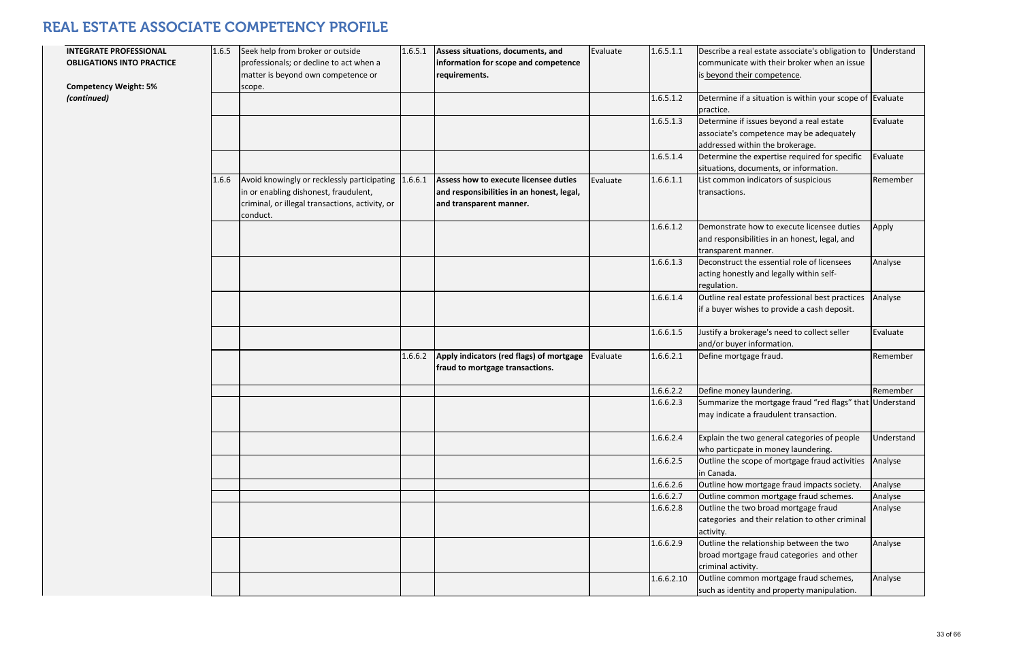| <b>INTEGRATE PROFESSIONAL</b><br><b>OBLIGATIONS INTO PRACTICE</b> | 1.6.5 | Seek help from broker or outside<br>professionals; or decline to act when a<br>matter is beyond own competence or                                   | 1.6.5.1 | Assess situations, documents, and<br>information for scope and competence<br>requirements.                    | Evaluate | 1.6.5.1.1  | Describe a real estate associate's obligation<br>communicate with their broker when an i<br>is beyond their competence. |
|-------------------------------------------------------------------|-------|-----------------------------------------------------------------------------------------------------------------------------------------------------|---------|---------------------------------------------------------------------------------------------------------------|----------|------------|-------------------------------------------------------------------------------------------------------------------------|
| <b>Competency Weight: 5%</b><br>(continued)                       |       | scope.                                                                                                                                              |         |                                                                                                               |          | 1.6.5.1.2  | Determine if a situation is within your sco<br>practice.                                                                |
|                                                                   |       |                                                                                                                                                     |         |                                                                                                               |          | 1.6.5.1.3  | Determine if issues beyond a real estate<br>associate's competence may be adequate<br>addressed within the brokerage.   |
|                                                                   |       |                                                                                                                                                     |         |                                                                                                               |          | 1.6.5.1.4  | Determine the expertise required for spee<br>situations, documents, or information.                                     |
|                                                                   | 1.6.6 | Avoid knowingly or recklessly participating<br>in or enabling dishonest, fraudulent,<br>criminal, or illegal transactions, activity, or<br>conduct. | 1.6.6.1 | Assess how to execute licensee duties<br>and responsibilities in an honest, legal,<br>and transparent manner. | Evaluate | 1.6.6.1.1  | List common indicators of suspicious<br>transactions.                                                                   |
|                                                                   |       |                                                                                                                                                     |         |                                                                                                               |          | 1.6.6.1.2  | Demonstrate how to execute licensee dut<br>and responsibilities in an honest, legal, an<br>transparent manner.          |
|                                                                   |       |                                                                                                                                                     |         |                                                                                                               |          | 1.6.6.1.3  | Deconstruct the essential role of licensee<br>acting honestly and legally within self-<br>regulation.                   |
|                                                                   |       |                                                                                                                                                     |         |                                                                                                               |          | 1.6.6.1.4  | Outline real estate professional best pract<br>if a buyer wishes to provide a cash deposi                               |
|                                                                   |       |                                                                                                                                                     |         |                                                                                                               |          | 1.6.6.1.5  | Justify a brokerage's need to collect seller<br>and/or buyer information.                                               |
|                                                                   |       |                                                                                                                                                     | 1.6.6.2 | Apply indicators (red flags) of mortgage<br>fraud to mortgage transactions.                                   | Evaluate | 1.6.6.2.1  | Define mortgage fraud.                                                                                                  |
|                                                                   |       |                                                                                                                                                     |         |                                                                                                               |          | 1.6.6.2.2  | Define money laundering.                                                                                                |
|                                                                   |       |                                                                                                                                                     |         |                                                                                                               |          | 1.6.6.2.3  | Summarize the mortgage fraud "red flags<br>may indicate a fraudulent transaction.                                       |
|                                                                   |       |                                                                                                                                                     |         |                                                                                                               |          | 1.6.6.2.4  | Explain the two general categories of peo<br>who particpate in money laundering.                                        |
|                                                                   |       |                                                                                                                                                     |         |                                                                                                               |          | 1.6.6.2.5  | Outline the scope of mortgage fraud actively<br>in Canada.                                                              |
|                                                                   |       |                                                                                                                                                     |         |                                                                                                               |          | 1.6.6.2.6  | Outline how mortgage fraud impacts soci                                                                                 |
|                                                                   |       |                                                                                                                                                     |         |                                                                                                               |          | 1.6.6.2.7  | Outline common mortgage fraud scheme                                                                                    |
|                                                                   |       |                                                                                                                                                     |         |                                                                                                               |          | 1.6.6.2.8  | Outline the two broad mortgage fraud<br>categories and their relation to other crir<br>activity.                        |
|                                                                   |       |                                                                                                                                                     |         |                                                                                                               |          | 1.6.6.2.9  | Outline the relationship between the two<br>broad mortgage fraud categories and oth<br>criminal activity.               |
|                                                                   |       |                                                                                                                                                     |         |                                                                                                               |          | 1.6.6.2.10 | Outline common mortgage fraud scheme<br>such as identity and property manipulatic                                       |

| $\overline{1}$          | Describe a real estate associate's obligation to                          | Understand |
|-------------------------|---------------------------------------------------------------------------|------------|
|                         | communicate with their broker when an issue                               |            |
|                         | is beyond their competence.                                               |            |
|                         |                                                                           |            |
| $\overline{2}$          | Determine if a situation is within your scope of                          | Evaluate   |
|                         | practice.                                                                 |            |
| 3                       | Determine if issues beyond a real estate                                  | Evaluate   |
|                         | associate's competence may be adequately                                  |            |
|                         | addressed within the brokerage.                                           |            |
| 4                       | Determine the expertise required for specific                             | Evaluate   |
|                         | situations, documents, or information.                                    |            |
| $\overline{1}$          | List common indicators of suspicious                                      | Remember   |
|                         | transactions.                                                             |            |
|                         |                                                                           |            |
|                         |                                                                           |            |
| $\overline{2}$          | Demonstrate how to execute licensee duties                                | Apply      |
|                         | and responsibilities in an honest, legal, and                             |            |
|                         | transparent manner.                                                       |            |
| 3                       | Deconstruct the essential role of licensees                               | Analyse    |
|                         | acting honestly and legally within self-                                  |            |
|                         | regulation.                                                               |            |
| 4                       | Outline real estate professional best practices                           | Analyse    |
|                         | if a buyer wishes to provide a cash deposit.                              |            |
| 5                       |                                                                           | Evaluate   |
|                         | Justify a brokerage's need to collect seller<br>and/or buyer information. |            |
| $\overline{1}$          | Define mortgage fraud.                                                    | Remember   |
|                         |                                                                           |            |
|                         |                                                                           |            |
| $\overline{\mathbf{c}}$ | Define money laundering.                                                  | Remember   |
| 3                       | Summarize the mortgage fraud "red flags" that                             | Understand |
|                         | may indicate a fraudulent transaction.                                    |            |
|                         |                                                                           |            |
| 4                       | Explain the two general categories of people                              | Understand |
|                         | who particpate in money laundering.                                       |            |
| 5                       | Outline the scope of mortgage fraud activities                            | Analyse    |
|                         | in Canada.                                                                |            |
| 6                       | Outline how mortgage fraud impacts society.                               | Analyse    |
| 7                       | Outline common mortgage fraud schemes.                                    | Analyse    |
| 8                       | Outline the two broad mortgage fraud                                      | Analyse    |
|                         | categories and their relation to other criminal                           |            |
|                         | activity.                                                                 |            |
| 9                       | Outline the relationship between the two                                  | Analyse    |
|                         | broad mortgage fraud categories and other                                 |            |
|                         | criminal activity.                                                        |            |
| 10                      | Outline common mortgage fraud schemes,                                    | Analyse    |
|                         | such as identity and property manipulation.                               |            |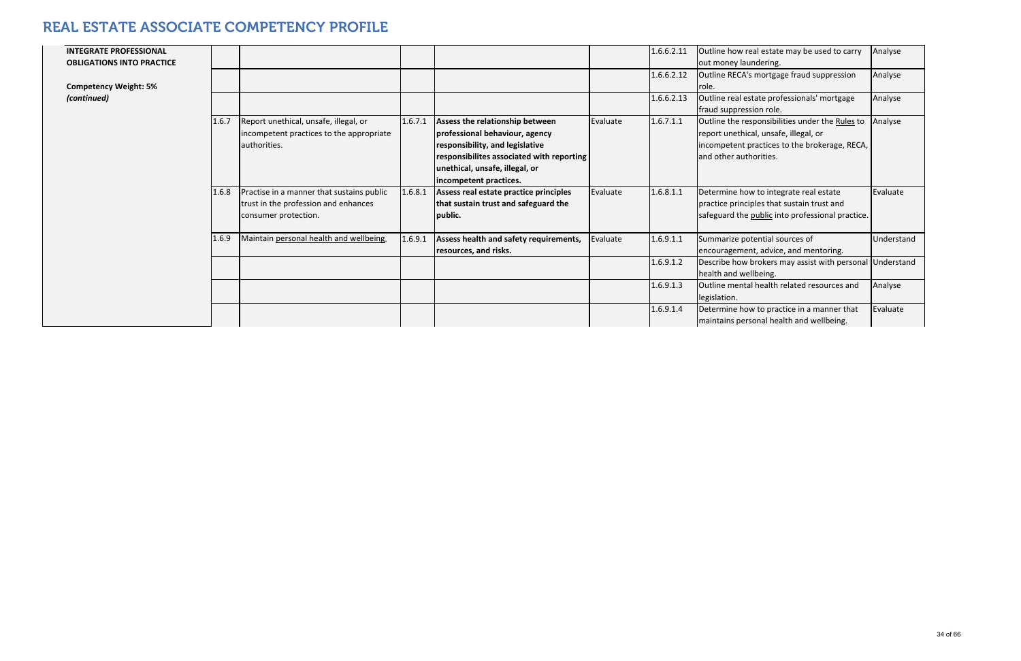| <b>INTEGRATE PROFESSIONAL</b><br><b>OBLIGATIONS INTO PRACTICE</b> |       |                                                                                                           |         |                                                                                                       |          | 1.6.6.2.11 | Outline how real estate may be used to carry<br>out money laundering.                                                                     | Analyse    |
|-------------------------------------------------------------------|-------|-----------------------------------------------------------------------------------------------------------|---------|-------------------------------------------------------------------------------------------------------|----------|------------|-------------------------------------------------------------------------------------------------------------------------------------------|------------|
| <b>Competency Weight: 5%</b>                                      |       |                                                                                                           |         |                                                                                                       |          | 1.6.6.2.12 | Outline RECA's mortgage fraud suppression<br>role.                                                                                        | Analyse    |
| (continued)                                                       |       |                                                                                                           |         |                                                                                                       |          | 1.6.6.2.13 | Outline real estate professionals' mortgage<br>fraud suppression role.                                                                    | Analyse    |
|                                                                   | 1.6.7 | Report unethical, unsafe, illegal, or<br>incompetent practices to the appropriate<br>authorities.         | 1.6.7.1 | Assess the relationship between<br>professional behaviour, agency<br>responsibility, and legislative  | Evaluate | 1.6.7.1.1  | Outline the responsibilities under the Rules to<br>report unethical, unsafe, illegal, or<br>incompetent practices to the brokerage, RECA, | Analyse    |
|                                                                   |       |                                                                                                           |         | responsibilites associated with reporting<br>unethical, unsafe, illegal, or<br>incompetent practices. |          |            | and other authorities.                                                                                                                    |            |
|                                                                   | 1.6.8 | Practise in a manner that sustains public<br>trust in the profession and enhances<br>consumer protection. | 1.6.8.1 | Assess real estate practice principles<br>that sustain trust and safeguard the<br>public.             | Evaluate | 1.6.8.1.1  | Determine how to integrate real estate<br>practice principles that sustain trust and<br>safeguard the public into professional practice.  | Evaluate   |
|                                                                   | 1.6.9 | Maintain personal health and wellbeing.                                                                   | 1.6.9.1 | Assess health and safety requirements,<br>resources, and risks.                                       | Evaluate | 1.6.9.1.1  | Summarize potential sources of<br>encouragement, advice, and mentoring.                                                                   | Understand |
|                                                                   |       |                                                                                                           |         |                                                                                                       |          | 1.6.9.1.2  | Describe how brokers may assist with personal Understand<br>health and wellbeing.                                                         |            |
|                                                                   |       |                                                                                                           |         |                                                                                                       |          | 1.6.9.1.3  | Outline mental health related resources and<br>legislation.                                                                               | Analyse    |
|                                                                   |       |                                                                                                           |         |                                                                                                       |          | 1.6.9.1.4  | Determine how to practice in a manner that<br>maintains personal health and wellbeing.                                                    | Evaluate   |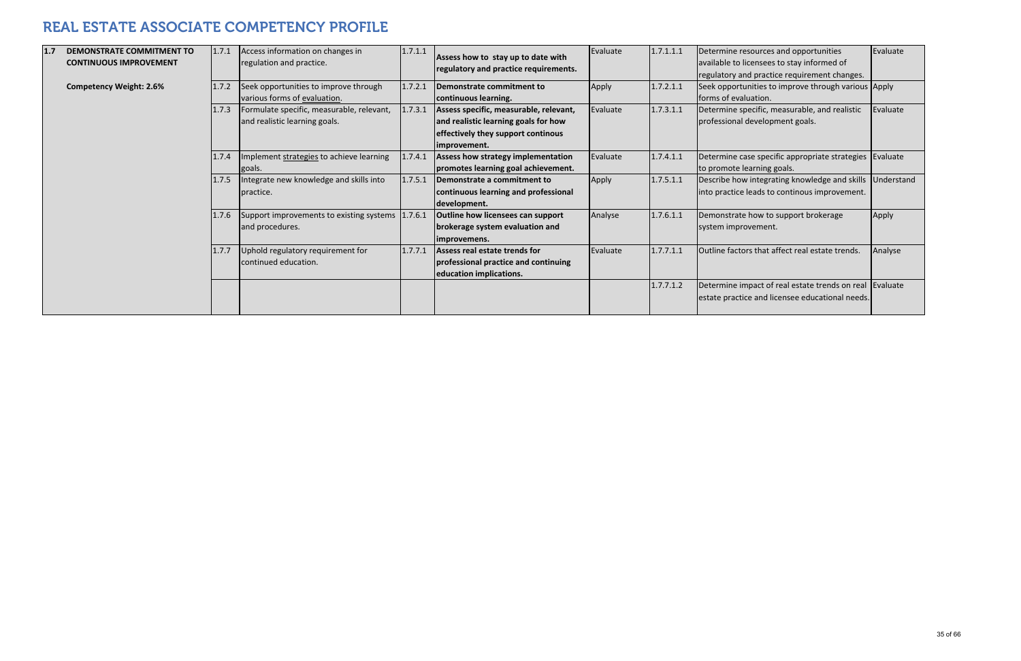| 1.7 | <b>DEMONSTRATE COMMITMENT TO</b><br><b>CONTINUOUS IMPROVEMENT</b> | 1.7.1 | Access information on changes in<br>regulation and practice.               | 1.7.1.1 | Assess how to stay up to date with<br>regulatory and practice requirements.                                                          | Evaluate | 1.7.1.1.1 | Determine resources and opportunities<br>available to licensees to stay informed of<br>regulatory and practice requirement changes. | Evaluate |
|-----|-------------------------------------------------------------------|-------|----------------------------------------------------------------------------|---------|--------------------------------------------------------------------------------------------------------------------------------------|----------|-----------|-------------------------------------------------------------------------------------------------------------------------------------|----------|
|     | <b>Competency Weight: 2.6%</b>                                    | 1.7.2 | Seek opportunities to improve through<br>various forms of evaluation.      | 1.7.2.1 | Demonstrate commitment to<br>continuous learning.                                                                                    | Apply    | 1.7.2.1.1 | Seek opportunities to improve through various Apply<br>forms of evaluation.                                                         |          |
|     |                                                                   | 1.7.3 | Formulate specific, measurable, relevant,<br>and realistic learning goals. | 1.7.3.1 | Assess specific, measurable, relevant,<br>and realistic learning goals for how<br>effectively they support continous<br>improvement. | Evaluate | 1.7.3.1.1 | Determine specific, measurable, and realistic<br>professional development goals.                                                    | Evaluate |
|     |                                                                   | 1.7.4 | Implement strategies to achieve learning<br>goals.                         | 1.7.4.1 | Assess how strategy implementation<br>promotes learning goal achievement.                                                            | Evaluate | 1.7.4.1.1 | Determine case specific appropriate strategies Evaluate<br>to promote learning goals.                                               |          |
|     |                                                                   | 1.7.5 | Integrate new knowledge and skills into<br>practice.                       | 1.7.5.1 | Demonstrate a commitment to<br>continuous learning and professional<br>development.                                                  | Apply    | 1.7.5.1.1 | Describe how integrating knowledge and skills Understand<br>into practice leads to continous improvement.                           |          |
|     |                                                                   | 1.7.6 | Support improvements to existing systems 1.7.6.1<br>and procedures.        |         | <b>Outline how licensees can support</b><br>brokerage system evaluation and<br>improvemens.                                          | Analyse  | 1.7.6.1.1 | Demonstrate how to support brokerage<br>system improvement.                                                                         | Apply    |
|     |                                                                   | 1.7.7 | Uphold regulatory requirement for<br>continued education.                  | 1.7.7.1 | Assess real estate trends for<br>professional practice and continuing<br>education implications.                                     | Evaluate | 1.7.7.1.1 | Outline factors that affect real estate trends.                                                                                     | Analyse  |
|     |                                                                   |       |                                                                            |         |                                                                                                                                      |          | 1.7.7.1.2 | Determine impact of real estate trends on real Evaluate<br>estate practice and licensee educational needs.                          |          |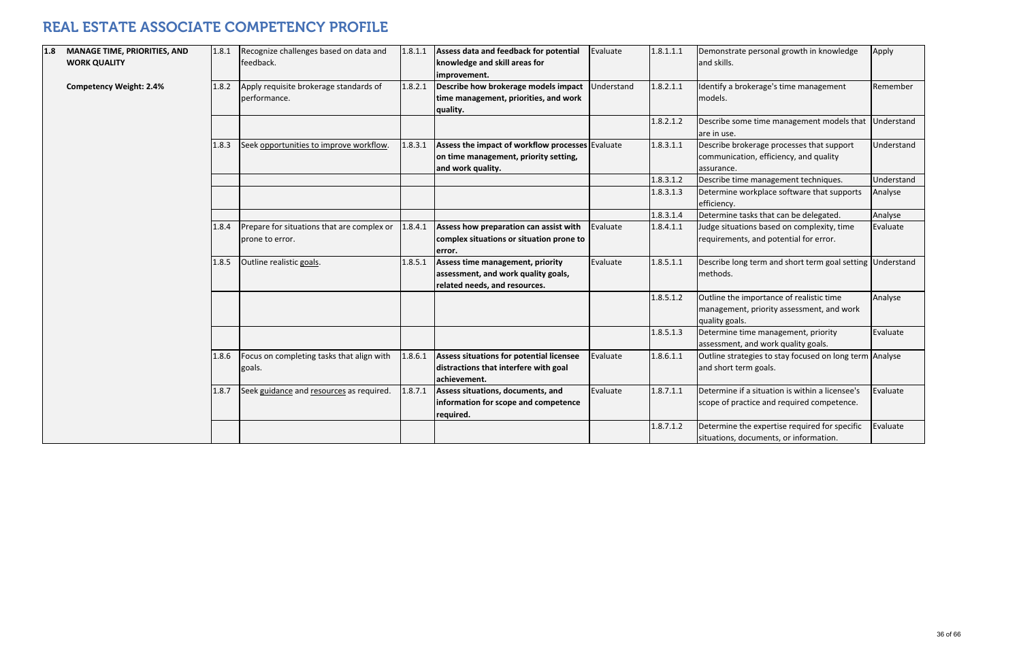| 1.8 | <b>MANAGE TIME, PRIORITIES, AND</b><br><b>WORK QUALITY</b> | 1.8.1 | Recognize challenges based on data and<br>feedback.           | 1.8.1.1 | Assess data and feedback for potential<br>knowledge and skill areas for<br>improvement.                        | Evaluate   | 1.8.1.1.1 | Demonstrate personal growth in knowledge<br>and skills.                                                 | Apply      |
|-----|------------------------------------------------------------|-------|---------------------------------------------------------------|---------|----------------------------------------------------------------------------------------------------------------|------------|-----------|---------------------------------------------------------------------------------------------------------|------------|
|     | <b>Competency Weight: 2.4%</b>                             | 1.8.2 | Apply requisite brokerage standards of<br>performance.        | 1.8.2.1 | Describe how brokerage models impact<br>time management, priorities, and work<br>quality.                      | Understand | 1.8.2.1.1 | Identify a brokerage's time management<br>models.                                                       | Remember   |
|     |                                                            |       |                                                               |         |                                                                                                                |            | 1.8.2.1.2 | Describe some time management models that<br>are in use.                                                | Understand |
|     |                                                            | 1.8.3 | Seek opportunities to improve workflow.                       | 1.8.3.1 | Assess the impact of workflow processes Evaluate<br>on time management, priority setting,<br>and work quality. |            | 1.8.3.1.1 | Describe brokerage processes that support<br>communication, efficiency, and quality<br>assurance.       | Understand |
|     |                                                            |       |                                                               |         |                                                                                                                |            | 1.8.3.1.2 | Describe time management techniques.                                                                    | Understand |
|     |                                                            |       |                                                               |         |                                                                                                                |            | 1.8.3.1.3 | Determine workplace software that supports<br>efficiency.                                               | Analyse    |
|     |                                                            |       |                                                               |         |                                                                                                                |            | 1.8.3.1.4 | Determine tasks that can be delegated.                                                                  | Analyse    |
|     |                                                            | 1.8.4 | Prepare for situations that are complex or<br>prone to error. | 1.8.4.1 | Assess how preparation can assist with<br>complex situations or situation prone to<br>error.                   | Evaluate   | 1.8.4.1.1 | Judge situations based on complexity, time<br>requirements, and potential for error.                    | Evaluate   |
|     |                                                            | 1.8.5 | Outline realistic goals.                                      | 1.8.5.1 | Assess time management, priority<br>assessment, and work quality goals,<br>related needs, and resources.       | Evaluate   | 1.8.5.1.1 | Describe long term and short term goal setting Understand<br>methods.                                   |            |
|     |                                                            |       |                                                               |         |                                                                                                                |            | 1.8.5.1.2 | Outline the importance of realistic time<br>management, priority assessment, and work<br>quality goals. | Analyse    |
|     |                                                            |       |                                                               |         |                                                                                                                |            | 1.8.5.1.3 | Determine time management, priority<br>assessment, and work quality goals.                              | Evaluate   |
|     |                                                            | 1.8.6 | Focus on completing tasks that align with<br>goals.           | 1.8.6.1 | Assess situations for potential licensee<br>distractions that interfere with goal<br>achievement.              | Evaluate   | 1.8.6.1.1 | Outline strategies to stay focused on long term Analyse<br>and short term goals.                        |            |
|     |                                                            | 1.8.7 | Seek guidance and resources as required.                      | 1.8.7.1 | Assess situations, documents, and<br>information for scope and competence<br>required.                         | Evaluate   | 1.8.7.1.1 | Determine if a situation is within a licensee's<br>scope of practice and required competence.           | Evaluate   |
|     |                                                            |       |                                                               |         |                                                                                                                |            | 1.8.7.1.2 | Determine the expertise required for specific<br>situations, documents, or information.                 | Evaluate   |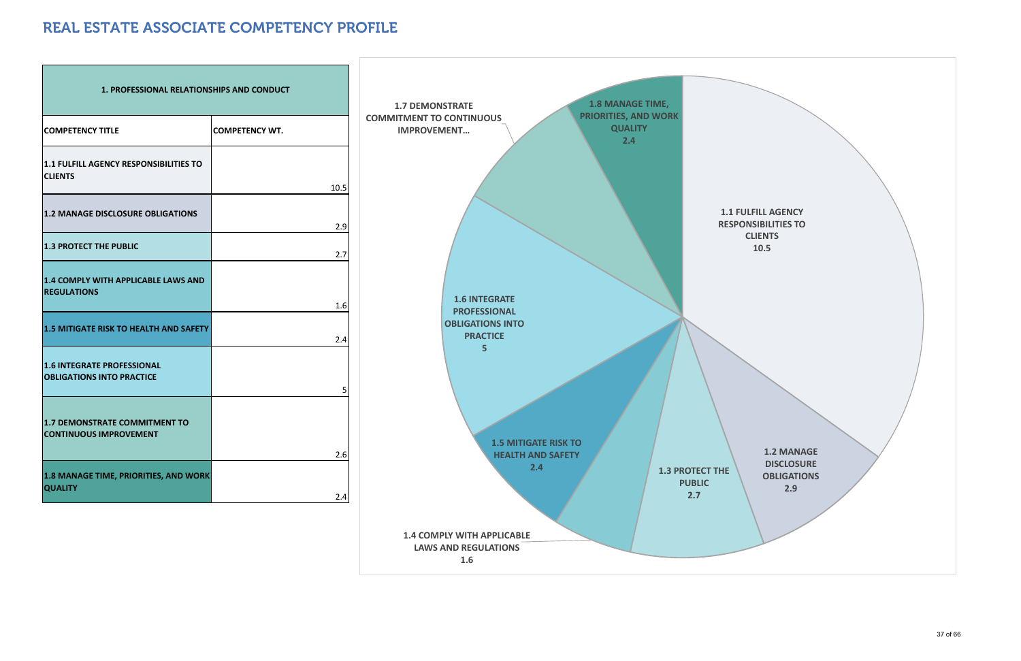| <b>1. PROFESSIONAL RELATIONSHIPS AND CONDUCT</b>                      |                       |
|-----------------------------------------------------------------------|-----------------------|
| <b>COMPETENCY TITLE</b>                                               | <b>COMPETENCY WT.</b> |
| <b>1.1 FULFILL AGENCY RESPONSIBILITIES TO</b><br><b>CLIENTS</b>       | 10.5                  |
| <b>1.2 MANAGE DISCLOSURE OBLIGATIONS</b>                              | 2.9                   |
| <b>1.3 PROTECT THE PUBLIC</b>                                         | 2.7                   |
| <b>1.4 COMPLY WITH APPLICABLE LAWS AND</b><br><b>REGULATIONS</b>      |                       |
| <b>1.5 MITIGATE RISK TO HEALTH AND SAFETY</b>                         | 1.6<br>2.4            |
| <b>1.6 INTEGRATE PROFESSIONAL</b><br><b>OBLIGATIONS INTO PRACTICE</b> | 5                     |
| <b>1.7 DEMONSTRATE COMMITMENT TO</b><br><b>CONTINUOUS IMPROVEMENT</b> | 2.6                   |
| 1.8 MANAGE TIME, PRIORITIES, AND WORK<br><b>QUALITY</b>               | 2.4                   |

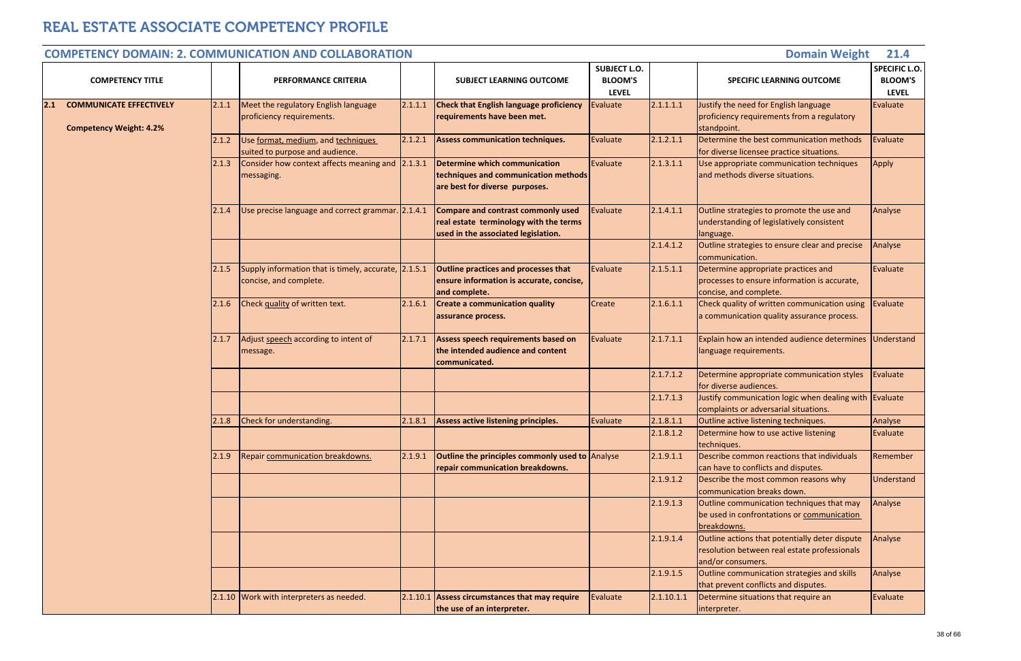|     |                                                                  |       | <b>COMPETENCY DOMAIN: 2. COMMUNICATION AND COLLABORATION</b>                   |         |                                                                                                                            |                                                       |                        | <b>Domain Weight</b>                                                                                                | 21.4                                            |
|-----|------------------------------------------------------------------|-------|--------------------------------------------------------------------------------|---------|----------------------------------------------------------------------------------------------------------------------------|-------------------------------------------------------|------------------------|---------------------------------------------------------------------------------------------------------------------|-------------------------------------------------|
|     | <b>COMPETENCY TITLE</b>                                          |       | <b>PERFORMANCE CRITERIA</b>                                                    |         | <b>SUBJECT LEARNING OUTCOME</b>                                                                                            | <b>SUBJECT L.O.</b><br><b>BLOOM'S</b><br><b>LEVEL</b> |                        | <b>SPECIFIC LEARNING OUTCOME</b>                                                                                    | SPECIFIC L.O.<br><b>BLOOM'S</b><br><b>LEVEL</b> |
| 2.1 | <b>COMMUNICATE EFFECTIVELY</b><br><b>Competency Weight: 4.2%</b> | 2.1.1 | Meet the regulatory English language<br>proficiency requirements.              | 2.1.1.1 | <b>Check that English language proficiency</b><br>requirements have been met.                                              | Evaluate                                              | 2.1.1.1.1              | Justify the need for English language<br>proficiency requirements from a regulatory<br>standpoint.                  | Evaluate                                        |
|     |                                                                  | 2.1.2 | Use format, medium, and techniques<br>suited to purpose and audience.          | 2.1.2.1 | <b>Assess communication techniques.</b>                                                                                    | Evaluate                                              | 2.1.2.1.1              | Determine the best communication methods<br>for diverse licensee practice situations.                               | Evaluate                                        |
|     |                                                                  | 2.1.3 | Consider how context affects meaning and<br>messaging.                         | 2.1.3.1 | Determine which communication<br>techniques and communication methods<br>are best for diverse purposes.                    | Evaluate                                              | 2.1.3.1.1              | Use appropriate communication techniques<br>and methods diverse situations.                                         | Apply                                           |
|     |                                                                  | 2.1.4 | Use precise language and correct grammar. 2.1.4.1                              |         | <b>Compare and contrast commonly used</b><br>real estate terminology with the terms<br>used in the associated legislation. | Evaluate                                              | 2.1.4.1.1              | Outline strategies to promote the use and<br>understanding of legislatively consistent<br>language.                 | Analyse                                         |
|     |                                                                  |       |                                                                                |         |                                                                                                                            |                                                       | 2.1.4.1.2              | Outline strategies to ensure clear and precise<br>communication.                                                    | Analyse                                         |
|     |                                                                  | 2.1.5 | Supply information that is timely, accurate, 2.1.5.1<br>concise, and complete. |         | <b>Outline practices and processes that</b><br>ensure information is accurate, concise,<br>and complete.                   | Evaluate                                              | 2.1.5.1.1              | Determine appropriate practices and<br>processes to ensure information is accurate,<br>concise, and complete.       | Evaluate                                        |
|     |                                                                  | 2.1.6 | Check quality of written text.                                                 | 2.1.6.1 | <b>Create a communication quality</b><br>assurance process.                                                                | Create                                                | 2.1.6.1.1              | Check quality of written communication using<br>a communication quality assurance process.                          | Evaluate                                        |
|     |                                                                  | 2.1.7 | Adjust speech according to intent of<br>message.                               | 2.1.7.1 | Assess speech requirements based on<br>the intended audience and content<br>communicated.                                  | Evaluate                                              | 2.1.7.1.1              | Explain how an intended audience determines Understand<br>language requirements.                                    |                                                 |
|     |                                                                  |       |                                                                                |         |                                                                                                                            |                                                       | 2.1.7.1.2              | Determine appropriate communication styles<br>for diverse audiences.                                                | Evaluate                                        |
|     |                                                                  |       |                                                                                |         |                                                                                                                            |                                                       | 2.1.7.1.3              | Justify communication logic when dealing with Evaluate<br>complaints or adversarial situations.                     |                                                 |
|     |                                                                  | 2.1.8 | Check for understanding.                                                       | 2.1.8.1 | Assess active listening principles.                                                                                        | Evaluate                                              | 2.1.8.1.1<br>2.1.8.1.2 | Outline active listening techniques.<br>Determine how to use active listening                                       | Analyse<br>Evaluate                             |
|     |                                                                  |       |                                                                                |         |                                                                                                                            |                                                       |                        | techniques.                                                                                                         |                                                 |
|     |                                                                  | 2.1.9 | Repair communication breakdowns.                                               | 2.1.9.1 | <b>Outline the principles commonly used to Analyse</b><br>repair communication breakdowns.                                 |                                                       | 2.1.9.1.1              | Describe common reactions that individuals<br>can have to conflicts and disputes.                                   | Remember                                        |
|     |                                                                  |       |                                                                                |         |                                                                                                                            |                                                       | 2.1.9.1.2              | Describe the most common reasons why<br>communication breaks down.                                                  | Understand                                      |
|     |                                                                  |       |                                                                                |         |                                                                                                                            |                                                       | 2.1.9.1.3              | Outline communication techniques that may<br>be used in confrontations or communication<br>breakdowns.              | Analyse                                         |
|     |                                                                  |       |                                                                                |         |                                                                                                                            |                                                       | 2.1.9.1.4              | Outline actions that potentially deter dispute<br>resolution between real estate professionals<br>and/or consumers. | Analyse                                         |
|     |                                                                  |       |                                                                                |         |                                                                                                                            |                                                       | 2.1.9.1.5              | Outline communication strategies and skills<br>that prevent conflicts and disputes.                                 | Analyse                                         |
|     |                                                                  |       | 2.1.10 Work with interpreters as needed.                                       |         | $2.1.10.1$ Assess circumstances that may require<br>the use of an interpreter.                                             | Evaluate                                              | 2.1.10.1.1             | Determine situations that require an<br>interpreter.                                                                | Evaluate                                        |

#### **COMPETENCY DOMAIN: 2. COMMUNICATIONAND COLLABORATION**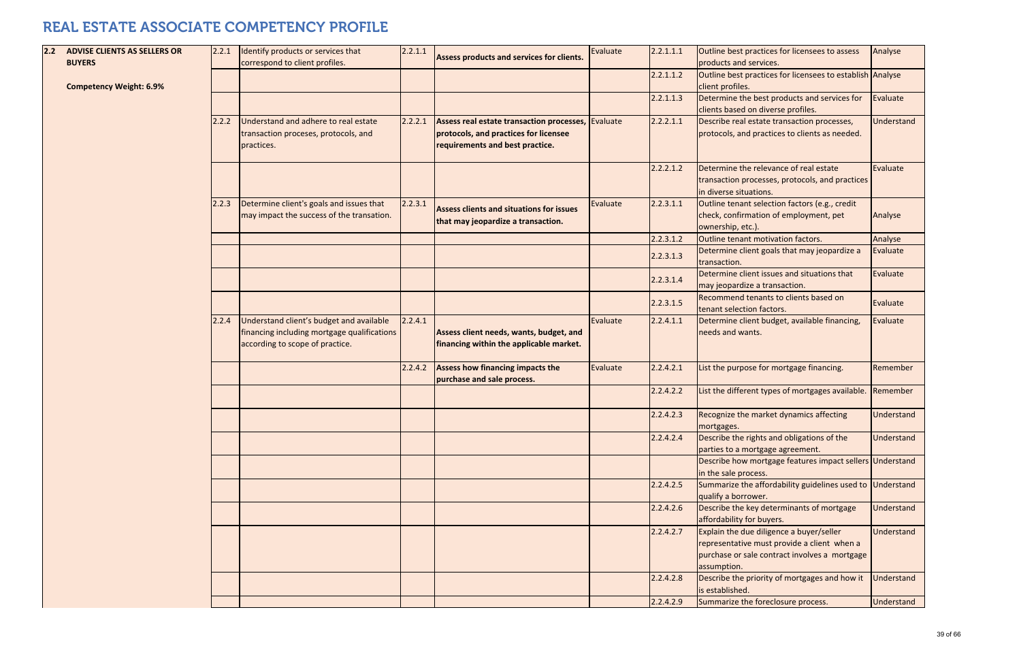| 2.2 | <b>ADVISE CLIENTS AS SELLERS OR</b><br><b>BUYERS</b> | 2.2.1 | Identify products or services that<br>correspond to client profiles.                                                       | 2.2.1.1 | Assess products and services for clients.                                                                                      | Evaluate | 2.2.1.1.1 | Outline best practices for licensees to assess<br>products and services.                                                                                | Analyse             |
|-----|------------------------------------------------------|-------|----------------------------------------------------------------------------------------------------------------------------|---------|--------------------------------------------------------------------------------------------------------------------------------|----------|-----------|---------------------------------------------------------------------------------------------------------------------------------------------------------|---------------------|
|     | <b>Competency Weight: 6.9%</b>                       |       |                                                                                                                            |         |                                                                                                                                |          | 2.2.1.1.2 | Outline best practices for licensees to establish Analyse<br>client profiles.                                                                           |                     |
|     |                                                      |       |                                                                                                                            |         |                                                                                                                                |          | 2.2.1.1.3 | Determine the best products and services for<br>clients based on diverse profiles.                                                                      | Evaluat             |
|     |                                                      | 2.2.2 | Understand and adhere to real estate<br>transaction proceses, protocols, and<br>practices.                                 | 2.2.2.1 | Assess real estate transaction processes, Evaluate<br>protocols, and practices for licensee<br>requirements and best practice. |          | 2.2.2.1.1 | Describe real estate transaction processes,<br>protocols, and practices to clients as needed.                                                           | <b>Unders</b>       |
|     |                                                      |       |                                                                                                                            |         |                                                                                                                                |          | 2.2.2.1.2 | Determine the relevance of real estate<br>transaction processes, protocols, and practices<br>in diverse situations.                                     | Evaluat             |
|     |                                                      | 2.2.3 | Determine client's goals and issues that<br>may impact the success of the transation.                                      | 2.2.3.1 | <b>Assess clients and situations for issues</b><br>that may jeopardize a transaction.                                          | Evaluate | 2.2.3.1.1 | Outline tenant selection factors (e.g., credit<br>check, confirmation of employment, pet<br>ownership, etc.).                                           | Analyse             |
|     |                                                      |       |                                                                                                                            |         |                                                                                                                                |          | 2.2.3.1.2 | Outline tenant motivation factors.                                                                                                                      | Analyse             |
|     |                                                      |       |                                                                                                                            |         |                                                                                                                                |          | 2.2.3.1.3 | Determine client goals that may jeopardize a<br>transaction.                                                                                            | Evaluat             |
|     |                                                      |       |                                                                                                                            |         |                                                                                                                                |          | 2.2.3.1.4 | Determine client issues and situations that<br>may jeopardize a transaction.                                                                            | Evaluat             |
|     |                                                      |       |                                                                                                                            |         |                                                                                                                                |          | 2.2.3.1.5 | Recommend tenants to clients based on<br>tenant selection factors.                                                                                      | Evaluat             |
|     |                                                      | 2.2.4 | Understand client's budget and available<br>financing including mortgage qualifications<br>according to scope of practice. | 2.2.4.1 | Assess client needs, wants, budget, and<br>financing within the applicable market.                                             | Evaluate | 2.2.4.1.1 | Determine client budget, available financing,<br>needs and wants.                                                                                       | Evaluat             |
|     |                                                      |       |                                                                                                                            | 2.2.4.2 | Assess how financing impacts the<br>purchase and sale process.                                                                 | Evaluate | 2.2.4.2.1 | List the purpose for mortgage financing.                                                                                                                | Remem               |
|     |                                                      |       |                                                                                                                            |         |                                                                                                                                |          | 2.2.4.2.2 | List the different types of mortgages available.                                                                                                        | Remem               |
|     |                                                      |       |                                                                                                                            |         |                                                                                                                                |          | 2.2.4.2.3 | Recognize the market dynamics affecting<br>mortgages.                                                                                                   | <b>Unders</b>       |
|     |                                                      |       |                                                                                                                            |         |                                                                                                                                |          | 2.2.4.2.4 | Describe the rights and obligations of the<br>parties to a mortgage agreement.                                                                          | Underst             |
|     |                                                      |       |                                                                                                                            |         |                                                                                                                                |          |           | Describe how mortgage features impact sellers Unders<br>in the sale process.                                                                            |                     |
|     |                                                      |       |                                                                                                                            |         |                                                                                                                                |          | 2.2.4.2.5 | Summarize the affordability guidelines used to<br>qualify a borrower.                                                                                   | Unders <sup>®</sup> |
|     |                                                      |       |                                                                                                                            |         |                                                                                                                                |          | 2.2.4.2.6 | Describe the key determinants of mortgage<br>affordability for buyers.                                                                                  | <b>Underst</b>      |
|     |                                                      |       |                                                                                                                            |         |                                                                                                                                |          | 2.2.4.2.7 | Explain the due diligence a buyer/seller<br>representative must provide a client when a<br>purchase or sale contract involves a mortgage<br>assumption. | <b>Unders</b>       |
|     |                                                      |       |                                                                                                                            |         |                                                                                                                                |          | 2.2.4.2.8 | Describe the priority of mortgages and how it<br>is established.                                                                                        | <b>Unders</b>       |
|     |                                                      |       |                                                                                                                            |         |                                                                                                                                |          | 2.2.4.2.9 | Summarize the foreclosure process.                                                                                                                      | <b>Unders</b>       |
|     |                                                      |       |                                                                                                                            |         |                                                                                                                                |          |           |                                                                                                                                                         |                     |

| e | 2.2.1.1.1 | Outline best practices for licensees to assess                                     | Analyse    |
|---|-----------|------------------------------------------------------------------------------------|------------|
|   |           | products and services.                                                             |            |
|   | 2.2.1.1.2 | Outline best practices for licensees to establish                                  | Analyse    |
|   |           | client profiles.                                                                   |            |
|   | 2.2.1.1.3 | Determine the best products and services for<br>clients based on diverse profiles. | Evaluate   |
|   | 2.2.2.1.1 |                                                                                    | Understand |
| e |           | Describe real estate transaction processes,                                        |            |
|   |           | protocols, and practices to clients as needed.                                     |            |
|   |           |                                                                                    |            |
|   | 2.2.2.1.2 | Determine the relevance of real estate                                             | Evaluate   |
|   |           | transaction processes, protocols, and practices                                    |            |
|   |           | in diverse situations.                                                             |            |
| e | 2.2.3.1.1 | Outline tenant selection factors (e.g., credit                                     |            |
|   |           | check, confirmation of employment, pet                                             | Analyse    |
|   |           | ownership, etc.).                                                                  |            |
|   | 2.2.3.1.2 | Outline tenant motivation factors.                                                 | Analyse    |
|   | 2.2.3.1.3 | Determine client goals that may jeopardize a                                       | Evaluate   |
|   |           | transaction.                                                                       |            |
|   | 2.2.3.1.4 | Determine client issues and situations that                                        | Evaluate   |
|   |           | may jeopardize a transaction.                                                      |            |
|   | 2.2.3.1.5 | Recommend tenants to clients based on                                              | Evaluate   |
|   |           | tenant selection factors.                                                          |            |
| e | 2.2.4.1.1 | Determine client budget, available financing,                                      | Evaluate   |
|   |           | needs and wants.                                                                   |            |
|   |           |                                                                                    |            |
| e | 2.2.4.2.1 |                                                                                    | Remember   |
|   |           | List the purpose for mortgage financing.                                           |            |
|   | 2.2.4.2.2 | List the different types of mortgages available.                                   | Remember   |
|   |           |                                                                                    |            |
|   | 2.2.4.2.3 | Recognize the market dynamics affecting                                            | Understand |
|   |           | mortgages.                                                                         |            |
|   | 2.2.4.2.4 | Describe the rights and obligations of the                                         | Understand |
|   |           | parties to a mortgage agreement.                                                   |            |
|   |           | Describe how mortgage features impact sellers                                      | Understand |
|   |           | in the sale process.                                                               |            |
|   | 2.2.4.2.5 | Summarize the affordability guidelines used to                                     | Understand |
|   |           | qualify a borrower.                                                                |            |
|   | 2.2.4.2.6 | Describe the key determinants of mortgage                                          | Understand |
|   |           | affordability for buyers.                                                          |            |
|   | 2.2.4.2.7 | Explain the due diligence a buyer/seller                                           | Understand |
|   |           | representative must provide a client when a                                        |            |
|   |           | purchase or sale contract involves a mortgage                                      |            |
|   |           | assumption.                                                                        |            |
|   | 2.2.4.2.8 | Describe the priority of mortgages and how it                                      | Understand |
|   |           | is established.                                                                    |            |
|   | 2.2.4.2.9 | Summarize the foreclosure process.                                                 | Understand |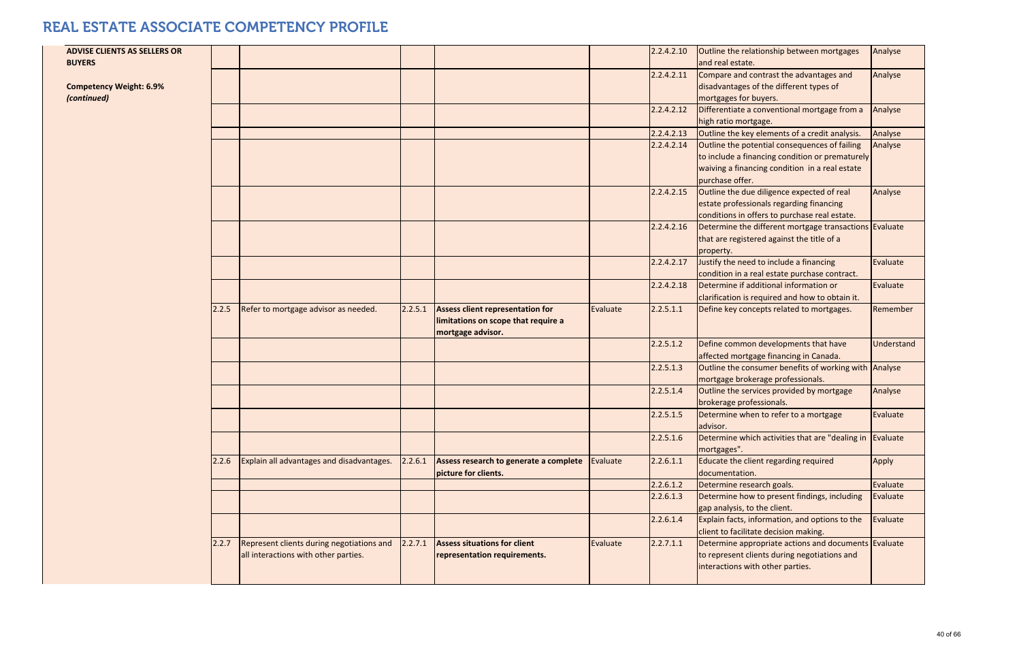| <b>ADVISE CLIENTS AS SELLERS OR</b><br><b>BUYERS</b> |       |                                                                                   |         |                                                                                              |          | 2.2.4.2.10 | Outline the relationship between mortgages<br>and real estate.                                                                                                        | Analyse    |
|------------------------------------------------------|-------|-----------------------------------------------------------------------------------|---------|----------------------------------------------------------------------------------------------|----------|------------|-----------------------------------------------------------------------------------------------------------------------------------------------------------------------|------------|
| <b>Competency Weight: 6.9%</b><br>(continued)        |       |                                                                                   |         |                                                                                              |          | 2.2.4.2.11 | Compare and contrast the advantages and<br>disadvantages of the different types of<br>mortgages for buyers.                                                           | Analyse    |
|                                                      |       |                                                                                   |         |                                                                                              |          | 2.2.4.2.12 | Differentiate a conventional mortgage from a<br>high ratio mortgage.                                                                                                  | Analyse    |
|                                                      |       |                                                                                   |         |                                                                                              |          | 2.2.4.2.13 | Outline the key elements of a credit analysis.                                                                                                                        | Analyse    |
|                                                      |       |                                                                                   |         |                                                                                              |          | 2.2.4.2.14 | Outline the potential consequences of failing<br>to include a financing condition or prematurely<br>waiving a financing condition in a real estate<br>purchase offer. | Analyse    |
|                                                      |       |                                                                                   |         |                                                                                              |          | 2.2.4.2.15 | Outline the due diligence expected of real<br>estate professionals regarding financing<br>conditions in offers to purchase real estate.                               | Analyse    |
|                                                      |       |                                                                                   |         |                                                                                              |          | 2.2.4.2.16 | Determine the different mortgage transactions Evaluate<br>that are registered against the title of a<br>property.                                                     |            |
|                                                      |       |                                                                                   |         |                                                                                              |          | 2.2.4.2.17 | Justify the need to include a financing<br>condition in a real estate purchase contract.                                                                              | Evaluate   |
|                                                      |       |                                                                                   |         |                                                                                              |          | 2.2.4.2.18 | Determine if additional information or<br>clarification is required and how to obtain it.                                                                             | Evaluate   |
|                                                      | 2.2.5 | Refer to mortgage advisor as needed.                                              | 2.2.5.1 | Assess client representation for<br>limitations on scope that require a<br>mortgage advisor. | Evaluate | 2.2.5.1.1  | Define key concepts related to mortgages.                                                                                                                             | Remember   |
|                                                      |       |                                                                                   |         |                                                                                              |          | 2.2.5.1.2  | Define common developments that have<br>affected mortgage financing in Canada.                                                                                        | Understand |
|                                                      |       |                                                                                   |         |                                                                                              |          | 2.2.5.1.3  | Outline the consumer benefits of working with Analyse<br>mortgage brokerage professionals.                                                                            |            |
|                                                      |       |                                                                                   |         |                                                                                              |          | 2.2.5.1.4  | Outline the services provided by mortgage<br>brokerage professionals.                                                                                                 | Analyse    |
|                                                      |       |                                                                                   |         |                                                                                              |          | 2.2.5.1.5  | Determine when to refer to a mortgage<br>advisor.                                                                                                                     | Evaluate   |
|                                                      |       |                                                                                   |         |                                                                                              |          | 2.2.5.1.6  | Determine which activities that are "dealing in<br>mortgages".                                                                                                        | Evaluate   |
|                                                      | 2.2.6 | Explain all advantages and disadvantages.                                         | 2.2.6.1 | Assess research to generate a complete<br>picture for clients.                               | Evaluate | 2.2.6.1.1  | Educate the client regarding required<br>documentation.                                                                                                               | Apply      |
|                                                      |       |                                                                                   |         |                                                                                              |          | 2.2.6.1.2  | Determine research goals.                                                                                                                                             | Evaluate   |
|                                                      |       |                                                                                   |         |                                                                                              |          | 2.2.6.1.3  | Determine how to present findings, including<br>gap analysis, to the client.                                                                                          | Evaluate   |
|                                                      |       |                                                                                   |         |                                                                                              |          | 2.2.6.1.4  | Explain facts, information, and options to the<br>client to facilitate decision making.                                                                               | Evaluate   |
|                                                      | 2.2.7 | Represent clients during negotiations and<br>all interactions with other parties. | 2.2.7.1 | <b>Assess situations for client</b><br>representation requirements.                          | Evaluate | 2.2.7.1.1  | Determine appropriate actions and documents Evaluate<br>to represent clients during negotiations and<br>interactions with other parties.                              |            |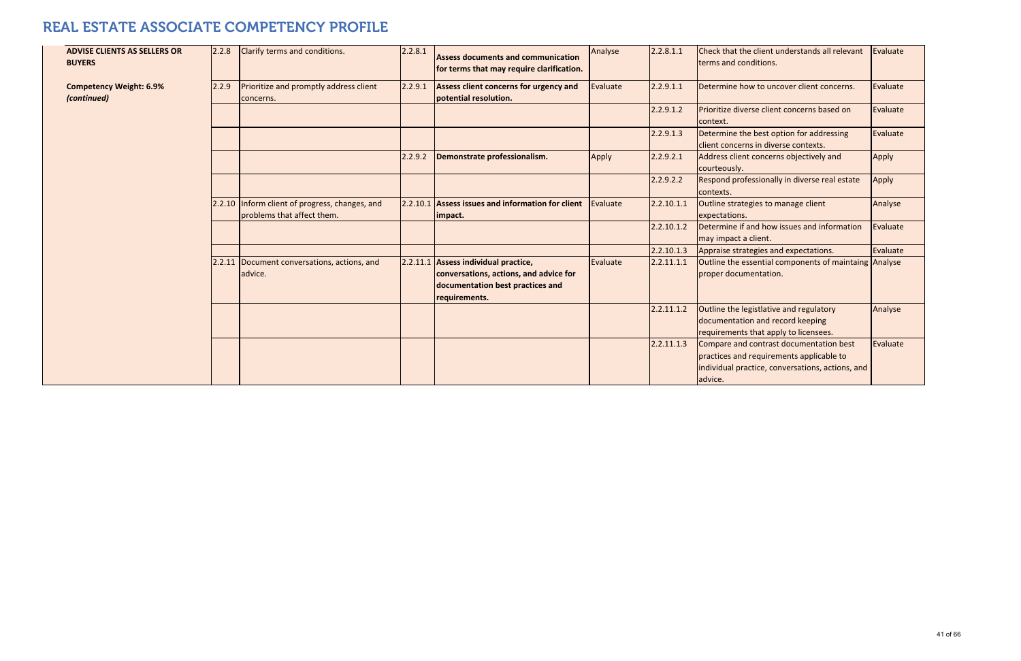| <b>ADVISE CLIENTS AS SELLERS OR</b><br><b>BUYERS</b> | 2.2.8  | Clarify terms and conditions.                                         | 2.2.8.1 | Assess documents and communication<br>for terms that may require clarification.                                                     | Analyse  | 2.2.8.1.1  | Check that the client understands all relevant<br>terms and conditions.                                                                            | Evaluate |
|------------------------------------------------------|--------|-----------------------------------------------------------------------|---------|-------------------------------------------------------------------------------------------------------------------------------------|----------|------------|----------------------------------------------------------------------------------------------------------------------------------------------------|----------|
| <b>Competency Weight: 6.9%</b><br>(continued)        | 2.2.9  | Prioritize and promptly address client<br>concerns.                   | 2.2.9.1 | Assess client concerns for urgency and<br>potential resolution.                                                                     | Evaluate | 2.2.9.1.1  | Determine how to uncover client concerns.                                                                                                          | Evaluate |
|                                                      |        |                                                                       |         |                                                                                                                                     |          | 2.2.9.1.2  | Prioritize diverse client concerns based on<br>context.                                                                                            | Evaluate |
|                                                      |        |                                                                       |         |                                                                                                                                     |          | 2.2.9.1.3  | Determine the best option for addressing<br>client concerns in diverse contexts.                                                                   | Evaluate |
|                                                      |        |                                                                       | 2.2.9.2 | Demonstrate professionalism.                                                                                                        | Apply    | 2.2.9.2.1  | Address client concerns objectively and<br>courteously.                                                                                            | Apply    |
|                                                      |        |                                                                       |         |                                                                                                                                     |          | 2.2.9.2.2  | Respond professionally in diverse real estate<br>contexts.                                                                                         | Apply    |
|                                                      | 2.2.10 | Inform client of progress, changes, and<br>problems that affect them. |         | 2.2.10.1 Assess issues and information for client<br>impact.                                                                        | Evaluate | 2.2.10.1.1 | Outline strategies to manage client<br>expectations.                                                                                               | Analyse  |
|                                                      |        |                                                                       |         |                                                                                                                                     |          | 2.2.10.1.2 | Determine if and how issues and information<br>may impact a client.                                                                                | Evaluate |
|                                                      |        |                                                                       |         |                                                                                                                                     |          | 2.2.10.1.3 | Appraise strategies and expectations.                                                                                                              | Evaluate |
|                                                      | 2.2.11 | Document conversations, actions, and<br>advice.                       |         | 2.2.11.1 Assess individual practice,<br>conversations, actions, and advice for<br>documentation best practices and<br>requirements. | Evaluate | 2.2.11.1.1 | Outline the essential components of maintaing Analyse<br>proper documentation.                                                                     |          |
|                                                      |        |                                                                       |         |                                                                                                                                     |          | 2.2.11.1.2 | Outline the legistlative and regulatory<br>documentation and record keeping<br>requirements that apply to licensees.                               | Analyse  |
|                                                      |        |                                                                       |         |                                                                                                                                     |          | 2.2.11.1.3 | Compare and contrast documentation best<br>practices and requirements applicable to<br>individual practice, conversations, actions, and<br>advice. | Evaluate |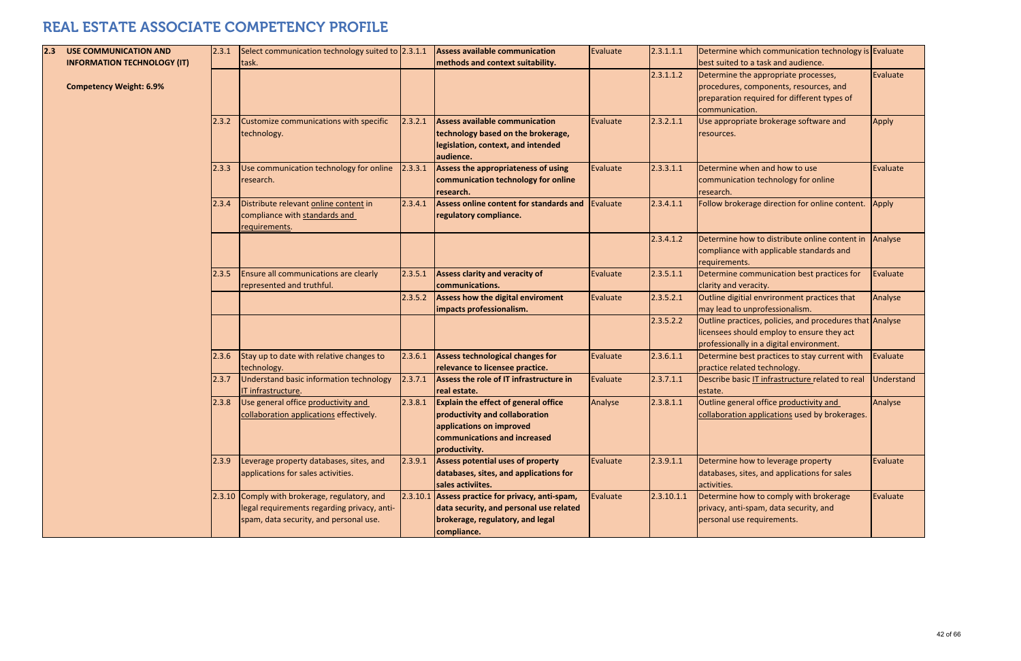| 2.3 | <b>USE COMMUNICATION AND</b>                                         | 2.3.1 | Select communication technology suited to 2.3.1.1                                                                                      |         | <b>Assess available communication</b>                                                                                                                      | Evaluate | 2.3.1.1.1  | Determine which communication technology is Evaluate<br>best suited to a task and audience.                                                        |              |
|-----|----------------------------------------------------------------------|-------|----------------------------------------------------------------------------------------------------------------------------------------|---------|------------------------------------------------------------------------------------------------------------------------------------------------------------|----------|------------|----------------------------------------------------------------------------------------------------------------------------------------------------|--------------|
|     | <b>INFORMATION TECHNOLOGY (IT)</b><br><b>Competency Weight: 6.9%</b> |       | task.                                                                                                                                  |         | methods and context suitability.                                                                                                                           |          | 2.3.1.1.2  | Determine the appropriate processes,<br>procedures, components, resources, and<br>preparation required for different types of<br>communication.    | Evaluate     |
|     |                                                                      | 2.3.2 | Customize communications with specific<br>technology.                                                                                  | 2.3.2.1 | <b>Assess available communication</b><br>technology based on the brokerage,<br>legislation, context, and intended<br>audience.                             | Evaluate | 2.3.2.1.1  | Use appropriate brokerage software and<br>resources.                                                                                               | <b>Apply</b> |
|     |                                                                      | 2.3.3 | Use communication technology for online<br>research.                                                                                   | 2.3.3.1 | Assess the appropriateness of using<br>communication technology for online<br>research.                                                                    | Evaluate | 2.3.3.1.1  | Determine when and how to use<br>communication technology for online<br>research.                                                                  | Evaluate     |
|     |                                                                      | 2.3.4 | Distribute relevant online content in<br>compliance with standards and<br>requirements.                                                | 2.3.4.1 | <b>Assess online content for standards and</b><br>regulatory compliance.                                                                                   | Evaluate | 2.3.4.1.1  | Follow brokerage direction for online content. Apply                                                                                               |              |
|     |                                                                      |       |                                                                                                                                        |         |                                                                                                                                                            |          | 2.3.4.1.2  | Determine how to distribute online content in<br>compliance with applicable standards and<br>requirements.                                         | Analyse      |
|     |                                                                      | 2.3.5 | Ensure all communications are clearly<br>represented and truthful.                                                                     | 2.3.5.1 | <b>Assess clarity and veracity of</b><br>communications.                                                                                                   | Evaluate | 2.3.5.1.1  | Determine communication best practices for<br>clarity and veracity.                                                                                | Evaluate     |
|     |                                                                      |       |                                                                                                                                        | 2.3.5.2 | <b>Assess how the digital enviroment</b><br>impacts professionalism.                                                                                       | Evaluate | 2.3.5.2.1  | Outline digitial envrironment practices that<br>may lead to unprofessionalism.                                                                     | Analyse      |
|     |                                                                      |       |                                                                                                                                        |         |                                                                                                                                                            |          | 2.3.5.2.2  | Outline practices, policies, and procedures that Analyse<br>licensees should employ to ensure they act<br>professionally in a digital environment. |              |
|     |                                                                      | 2.3.6 | Stay up to date with relative changes to<br>technology.                                                                                | 2.3.6.1 | <b>Assess technological changes for</b><br>relevance to licensee practice.                                                                                 | Evaluate | 2.3.6.1.1  | Determine best practices to stay current with<br>practice related technology.                                                                      | Evaluate     |
|     |                                                                      | 2.3.7 | Understand basic information technology<br>IT infrastructure.                                                                          | 2.3.7.1 | Assess the role of IT infrastructure in<br>real estate.                                                                                                    | Evaluate | 2.3.7.1.1  | Describe basic IT infrastructure related to real<br>estate.                                                                                        | Understand   |
|     |                                                                      | 2.3.8 | Use general office productivity and<br>collaboration applications effectively.                                                         | 2.3.8.1 | <b>Explain the effect of general office</b><br>productivity and collaboration<br>applications on improved<br>communications and increased<br>productivity. | Analyse  | 2.3.8.1.1  | Outline general office productivity and<br>collaboration applications used by brokerages.                                                          | Analyse      |
|     |                                                                      | 2.3.9 | Leverage property databases, sites, and<br>applications for sales activities.                                                          | 2.3.9.1 | Assess potential uses of property<br>databases, sites, and applications for<br>sales activiites.                                                           | Evaluate | 2.3.9.1.1  | Determine how to leverage property<br>databases, sites, and applications for sales<br>activities.                                                  | Evaluate     |
|     |                                                                      |       | 2.3.10 Comply with brokerage, regulatory, and<br>legal requirements regarding privacy, anti-<br>spam, data security, and personal use. |         | $2.3.10.1$ Assess practice for privacy, anti-spam,<br>data security, and personal use related<br>brokerage, regulatory, and legal<br>compliance.           | Evaluate | 2.3.10.1.1 | Determine how to comply with brokerage<br>privacy, anti-spam, data security, and<br>personal use requirements.                                     | Evaluate     |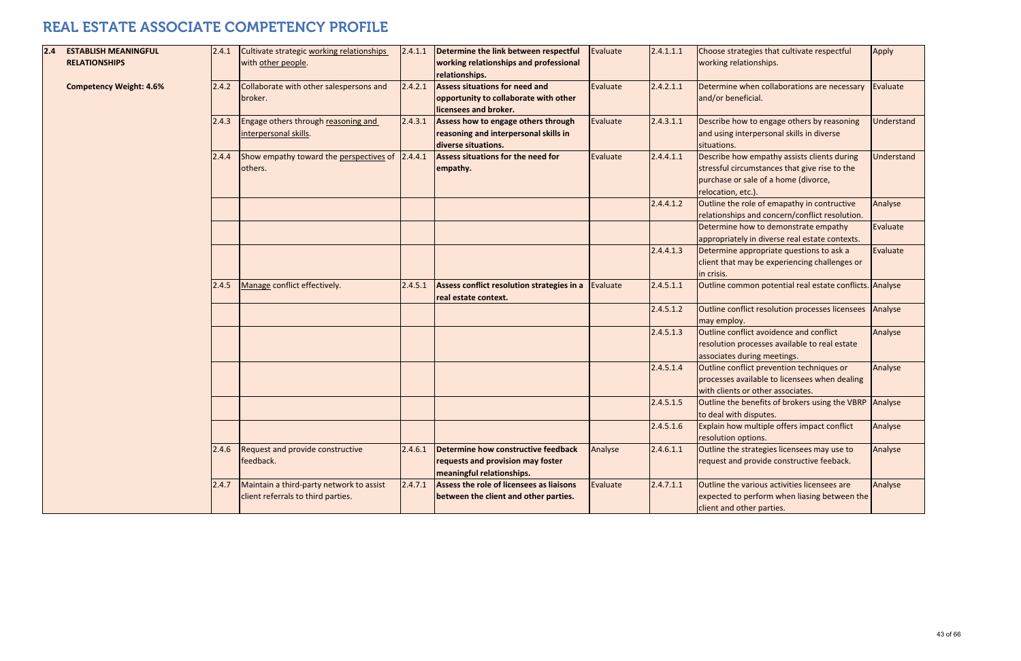| 2.4 | <b>ESTABLISH MEANINGFUL</b>    | 2.4.1 | Cultivate strategic working relationships                                      | 2.4.1.1 | Determine the link between respectful                                                                   | Evaluate | 2.4.1.1.1 | Choose strategies that cultivate respectful                                                                                                                | Apply      |
|-----|--------------------------------|-------|--------------------------------------------------------------------------------|---------|---------------------------------------------------------------------------------------------------------|----------|-----------|------------------------------------------------------------------------------------------------------------------------------------------------------------|------------|
|     | <b>RELATIONSHIPS</b>           |       | with other people.                                                             |         | working relationships and professional<br>relationships.                                                |          |           | working relationships.                                                                                                                                     |            |
|     | <b>Competency Weight: 4.6%</b> | 2.4.2 | Collaborate with other salespersons and<br>broker.                             | 2.4.2.1 | <b>Assess situations for need and</b><br>opportunity to collaborate with other<br>licensees and broker. | Evaluate | 2.4.2.1.1 | Determine when collaborations are necessary<br>and/or beneficial.                                                                                          | Evaluate   |
|     |                                | 2.4.3 | Engage others through reasoning and<br>interpersonal skills.                   | 2.4.3.1 | Assess how to engage others through<br>reasoning and interpersonal skills in<br>diverse situations.     | Evaluate | 2.4.3.1.1 | Describe how to engage others by reasoning<br>and using interpersonal skills in diverse<br>situations.                                                     | Understand |
|     |                                | 2.4.4 | Show empathy toward the perspectives of<br>others.                             | 2.4.4.1 | <b>Assess situations for the need for</b><br>empathy.                                                   | Evaluate | 2.4.4.1.1 | Describe how empathy assists clients during<br>stressful circumstances that give rise to the<br>purchase or sale of a home (divorce,<br>relocation, etc.). | Understand |
|     |                                |       |                                                                                |         |                                                                                                         |          | 2.4.4.1.2 | Outline the role of emapathy in contructive<br>relationships and concern/conflict resolution.                                                              | Analyse    |
|     |                                |       |                                                                                |         |                                                                                                         |          |           | Determine how to demonstrate empathy<br>appropriately in diverse real estate contexts.                                                                     | Evaluate   |
|     |                                |       |                                                                                |         |                                                                                                         |          | 2.4.4.1.3 | Determine appropriate questions to ask a<br>client that may be experiencing challenges or<br>in crisis.                                                    | Evaluate   |
|     |                                | 2.4.5 | Manage conflict effectively.                                                   | 2.4.5.1 | Assess conflict resolution strategies in a<br>real estate context.                                      | Evaluate | 2.4.5.1.1 | Outline common potential real estate conflicts. Analyse                                                                                                    |            |
|     |                                |       |                                                                                |         |                                                                                                         |          | 2.4.5.1.2 | Outline conflict resolution processes licensees<br>may employ.                                                                                             | Analyse    |
|     |                                |       |                                                                                |         |                                                                                                         |          | 2.4.5.1.3 | Outline conflict avoidence and conflict<br>resolution processes available to real estate<br>associates during meetings.                                    | Analyse    |
|     |                                |       |                                                                                |         |                                                                                                         |          | 2.4.5.1.4 | Outline conflict prevention techniques or<br>processes available to licensees when dealing<br>with clients or other associates.                            | Analyse    |
|     |                                |       |                                                                                |         |                                                                                                         |          | 2.4.5.1.5 | Outline the benefits of brokers using the VBRP<br>to deal with disputes.                                                                                   | Analyse    |
|     |                                |       |                                                                                |         |                                                                                                         |          | 2.4.5.1.6 | Explain how multiple offers impact conflict<br>resolution options.                                                                                         | Analyse    |
|     |                                | 2.4.6 | Request and provide constructive<br>feedback.                                  | 2.4.6.1 | Determine how constructive feedback<br>requests and provision may foster<br>meaningful relationships.   | Analyse  | 2.4.6.1.1 | Outline the strategies licensees may use to<br>request and provide constructive feeback.                                                                   | Analyse    |
|     |                                | 2.4.7 | Maintain a third-party network to assist<br>client referrals to third parties. | 2.4.7.1 | Assess the role of licensees as liaisons<br>between the client and other parties.                       | Evaluate | 2.4.7.1.1 | Outline the various activities licensees are<br>expected to perform when liasing between the<br>client and other parties.                                  | Analyse    |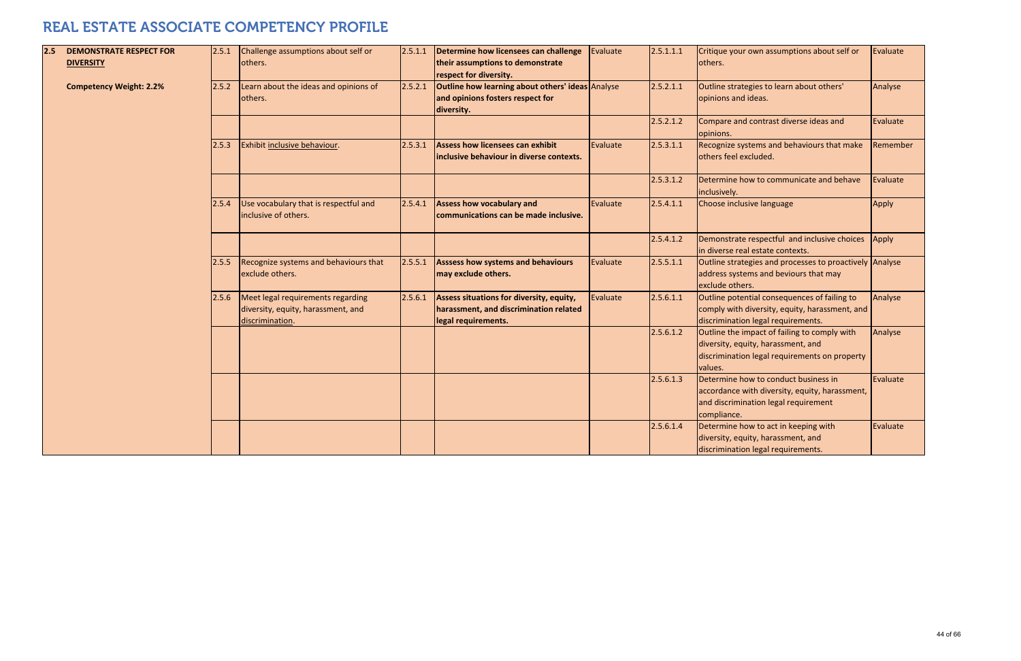| 2.5 | <b>DEMONSTRATE RESPECT FOR</b> | 2.5.1 | Challenge assumptions about self or                                                        | 2.5.1.1 | Determine how licensees can challenge                                                                     | Evaluate | 2.5.1.1.1 | Critique your own assumptions about self or                                                                                                    | Evaluate |
|-----|--------------------------------|-------|--------------------------------------------------------------------------------------------|---------|-----------------------------------------------------------------------------------------------------------|----------|-----------|------------------------------------------------------------------------------------------------------------------------------------------------|----------|
|     | <b>DIVERSITY</b>               |       | others.                                                                                    |         | their assumptions to demonstrate<br>respect for diversity.                                                |          |           | others.                                                                                                                                        |          |
|     | <b>Competency Weight: 2.2%</b> | 2.5.2 | Learn about the ideas and opinions of<br>others.                                           | 2.5.2.1 | Outline how learning about others' ideas Analyse<br>and opinions fosters respect for<br>diversity.        |          | 2.5.2.1.1 | Outline strategies to learn about others'<br>opinions and ideas.                                                                               | Analyse  |
|     |                                |       |                                                                                            |         |                                                                                                           |          | 2.5.2.1.2 | Compare and contrast diverse ideas and<br>opinions.                                                                                            | Evaluate |
|     |                                | 2.5.3 | Exhibit inclusive behaviour.                                                               | 2.5.3.1 | Assess how licensees can exhibit<br>inclusive behaviour in diverse contexts.                              | Evaluate | 2.5.3.1.1 | Recognize systems and behaviours that make<br>others feel excluded.                                                                            | Remember |
|     |                                |       |                                                                                            |         |                                                                                                           |          | 2.5.3.1.2 | Determine how to communicate and behave<br>inclusively.                                                                                        | Evaluate |
|     |                                | 2.5.4 | Use vocabulary that is respectful and<br>inclusive of others.                              | 2.5.4.1 | <b>Assess how vocabulary and</b><br>communications can be made inclusive.                                 | Evaluate | 2.5.4.1.1 | Choose inclusive language                                                                                                                      | Apply    |
|     |                                |       |                                                                                            |         |                                                                                                           |          | 2.5.4.1.2 | Demonstrate respectful and inclusive choices<br>in diverse real estate contexts.                                                               | Apply    |
|     |                                | 2.5.5 | Recognize systems and behaviours that<br>exclude others.                                   | 2.5.5.1 | Asssess how systems and behaviours<br>may exclude others.                                                 | Evaluate | 2.5.5.1.1 | Outline strategies and processes to proactively Analyse<br>address systems and beviours that may<br>exclude others.                            |          |
|     |                                | 2.5.6 | Meet legal requirements regarding<br>diversity, equity, harassment, and<br>discrimination. | 2.5.6.1 | Assess situations for diversity, equity,<br>harassment, and discrimination related<br>legal requirements. | Evaluate | 2.5.6.1.1 | Outline potential consequences of failing to<br>comply with diversity, equity, harassment, and<br>discrimination legal requirements.           | Analyse  |
|     |                                |       |                                                                                            |         |                                                                                                           |          | 2.5.6.1.2 | Outline the impact of failing to comply with<br>diversity, equity, harassment, and<br>discrimination legal requirements on property<br>values. | Analyse  |
|     |                                |       |                                                                                            |         |                                                                                                           |          | 2.5.6.1.3 | Determine how to conduct business in<br>accordance with diversity, equity, harassment,<br>and discrimination legal requirement<br>compliance.  | Evaluate |
|     |                                |       |                                                                                            |         |                                                                                                           |          | 2.5.6.1.4 | Determine how to act in keeping with<br>diversity, equity, harassment, and<br>discrimination legal requirements.                               | Evaluate |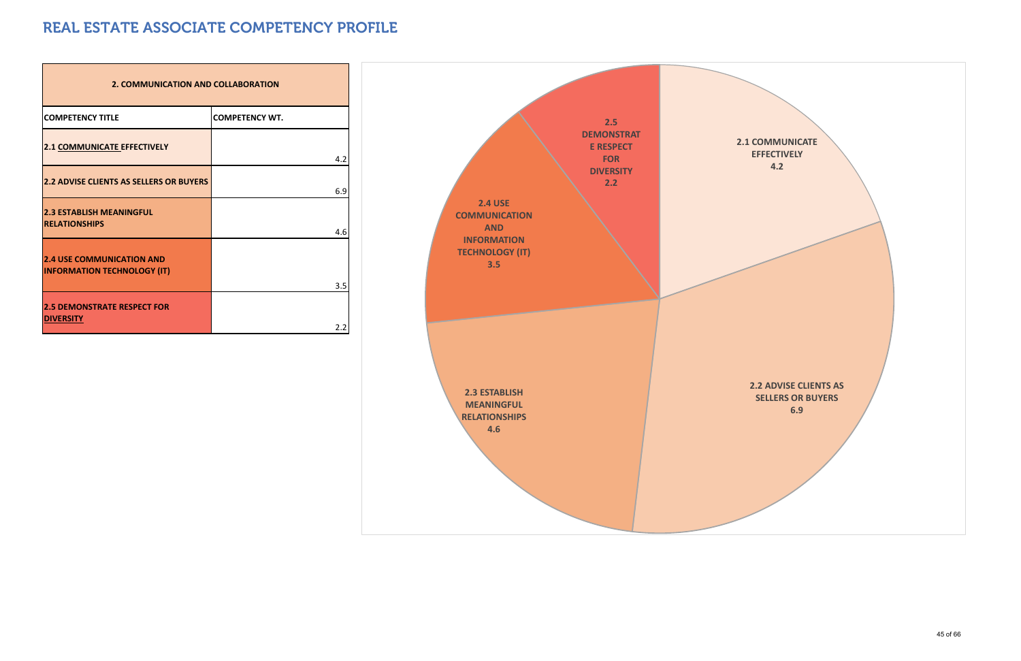| <b>2. COMMUNICATION AND COLLABORATION</b>                              |                       |
|------------------------------------------------------------------------|-----------------------|
| <b>COMPETENCY TITLE</b>                                                | <b>COMPETENCY WT.</b> |
| 2.1 COMMUNICATE EFFECTIVELY                                            | 4.2                   |
| <b>2.2 ADVISE CLIENTS AS SELLERS OR BUYERS</b>                         | 6.9                   |
| <b>2.3 ESTABLISH MEANINGFUL</b><br><b>RELATIONSHIPS</b>                | 4.6                   |
| <b>2.4 USE COMMUNICATION AND</b><br><b>INFORMATION TECHNOLOGY (IT)</b> | 3.5                   |
| <b>2.5 DEMONSTRATE RESPECT FOR</b><br><b>DIVERSITY</b>                 | 2.2                   |

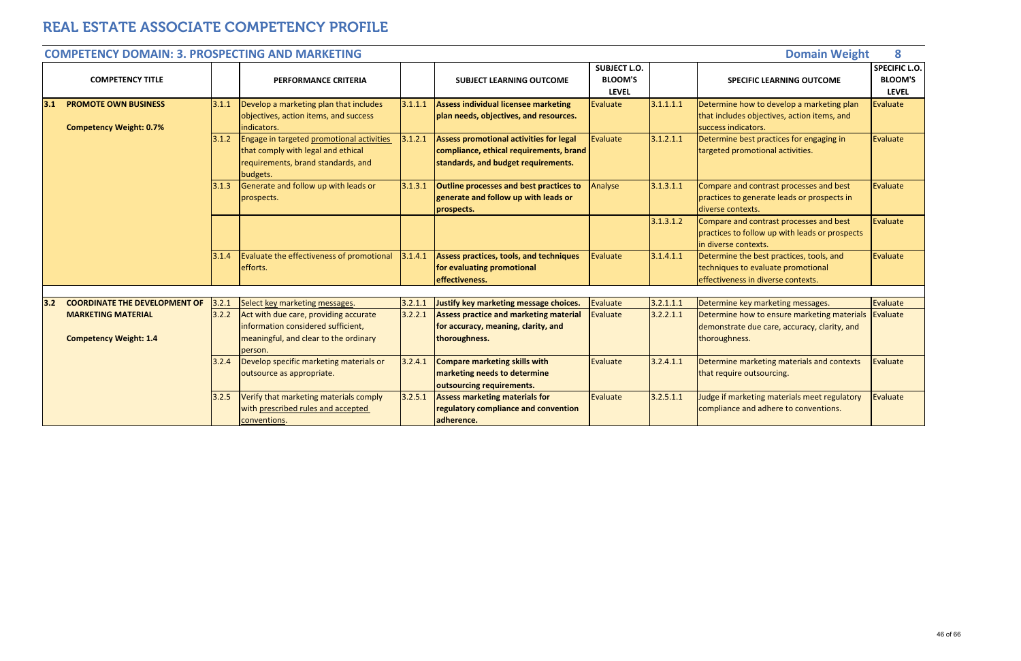|                                                            |                                                               |       | <b>COMPETENCY DOMAIN: 3. PROSPECTING AND MARKETING</b>                                                                            |         |                                                                                                                                  |                                                       |           | <b>Domain Weight</b>                                                                                                 | 8                                                      |
|------------------------------------------------------------|---------------------------------------------------------------|-------|-----------------------------------------------------------------------------------------------------------------------------------|---------|----------------------------------------------------------------------------------------------------------------------------------|-------------------------------------------------------|-----------|----------------------------------------------------------------------------------------------------------------------|--------------------------------------------------------|
|                                                            | <b>COMPETENCY TITLE</b>                                       |       | <b>PERFORMANCE CRITERIA</b>                                                                                                       |         | <b>SUBJECT LEARNING OUTCOME</b>                                                                                                  | <b>SUBJECT L.O.</b><br><b>BLOOM'S</b><br><b>LEVEL</b> |           | <b>SPECIFIC LEARNING OUTCOME</b>                                                                                     | <b>SPECIFIC L.O.</b><br><b>BLOOM'S</b><br><b>LEVEL</b> |
| 3.1                                                        | <b>PROMOTE OWN BUSINESS</b><br><b>Competency Weight: 0.7%</b> | 3.1.1 | Develop a marketing plan that includes<br>objectives, action items, and success<br>indicators.                                    | 3.1.1.1 | Assess individual licensee marketing<br>plan needs, objectives, and resources.                                                   | Evaluate                                              | 3.1.1.1.1 | Determine how to develop a marketing plan<br>that includes objectives, action items, and<br>success indicators.      | Evaluate                                               |
|                                                            |                                                               | 3.1.2 | Engage in targeted promotional activities<br>that comply with legal and ethical<br>requirements, brand standards, and<br>budgets. | 3.1.2.1 | <b>Assess promotional activities for legal</b><br>compliance, ethical requirements, brand<br>standards, and budget requirements. | Evaluate                                              | 3.1.2.1.1 | Determine best practices for engaging in<br>targeted promotional activities.                                         | Evaluate                                               |
|                                                            |                                                               | 3.1.3 | Generate and follow up with leads or<br>prospects.                                                                                | 3.1.3.1 | Outline processes and best practices to<br>generate and follow up with leads or<br>prospects.                                    | Analyse                                               | 3.1.3.1.1 | Compare and contrast processes and best<br>practices to generate leads or prospects in<br>diverse contexts.          | Evaluate                                               |
|                                                            |                                                               |       |                                                                                                                                   |         |                                                                                                                                  |                                                       | 3.1.3.1.2 | Compare and contrast processes and best<br>practices to follow up with leads or prospects<br>in diverse contexts.    | Evaluate                                               |
|                                                            |                                                               | 3.1.4 | Evaluate the effectiveness of promotional<br>efforts.                                                                             | 3.1.4.1 | Assess practices, tools, and techniques<br>for evaluating promotional<br>effectiveness.                                          | Evaluate                                              | 3.1.4.1.1 | Determine the best practices, tools, and<br>techniques to evaluate promotional<br>effectiveness in diverse contexts. | Evaluate                                               |
|                                                            |                                                               |       |                                                                                                                                   |         |                                                                                                                                  |                                                       |           |                                                                                                                      |                                                        |
| 3.2                                                        | <b>COORDINATE THE DEVELOPMENT OF</b>                          | 3.2.1 | Select key marketing messages.                                                                                                    | 3.2.1.1 | Justify key marketing message choices.                                                                                           | Evaluate                                              | 3.2.1.1.1 | Determine key marketing messages.                                                                                    | Evaluate                                               |
| <b>MARKETING MATERIAL</b><br><b>Competency Weight: 1.4</b> |                                                               | 3.2.2 | Act with due care, providing accurate<br>information considered sufficient,<br>meaningful, and clear to the ordinary<br>person.   | 3.2.2.1 | <b>Assess practice and marketing material</b><br>for accuracy, meaning, clarity, and<br>thoroughness.                            | <b>Evaluate</b>                                       | 3.2.2.1.1 | Determine how to ensure marketing materials<br>demonstrate due care, accuracy, clarity, and<br>thoroughness.         | Evaluate                                               |
|                                                            |                                                               | 3.2.4 | Develop specific marketing materials or<br>outsource as appropriate.                                                              | 3.2.4.1 | <b>Compare marketing skills with</b><br>marketing needs to determine<br>outsourcing requirements.                                | Evaluate                                              | 3.2.4.1.1 | Determine marketing materials and contexts<br>that require outsourcing.                                              | Evaluate                                               |
|                                                            |                                                               | 3.2.5 | Verify that marketing materials comply<br>with prescribed rules and accepted<br>conventions.                                      | 3.2.5.1 | <b>Assess marketing materials for</b><br>regulatory compliance and convention<br>adherence.                                      | Evaluate                                              | 3.2.5.1.1 | Judge if marketing materials meet regulatory<br>compliance and adhere to conventions.                                | Evaluate                                               |

#### **COMPETENCY DOMAIN: 3. PROSPECTINGAND MARKETING**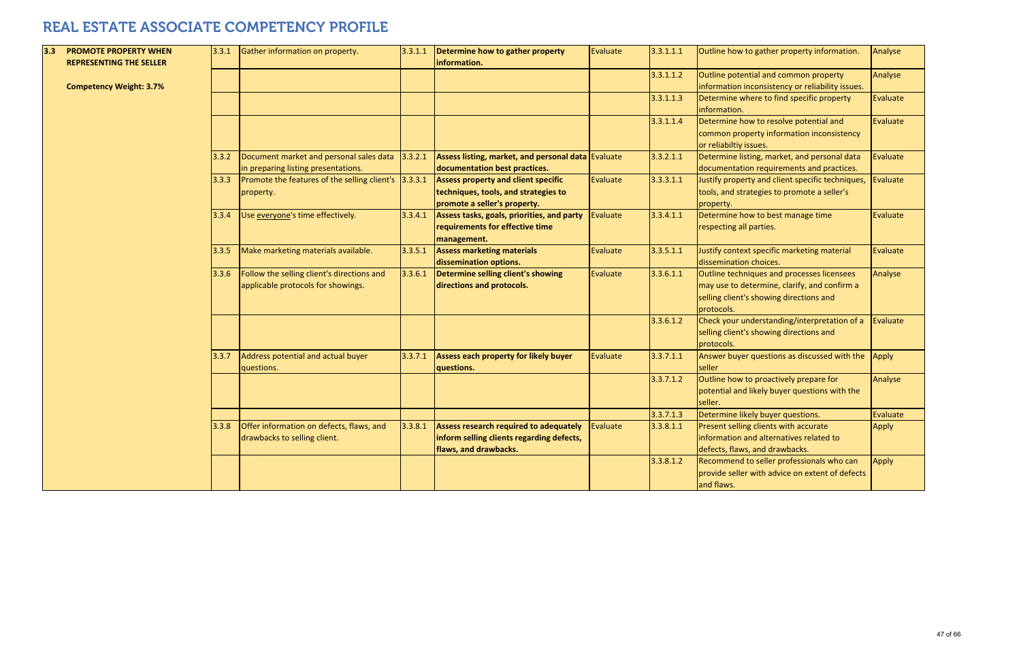| 3.3 | <b>PROMOTE PROPERTY WHEN</b><br><b>REPRESENTING THE SELLER</b> | 3.3.1 | Gather information on property.                                                  | 3.3.1.1 | Determine how to gather property<br>information.                                                                   | Evaluate        | 3.3.1.1.1 | Outline how to gather property information.                                                                                                         | Analyse  |
|-----|----------------------------------------------------------------|-------|----------------------------------------------------------------------------------|---------|--------------------------------------------------------------------------------------------------------------------|-----------------|-----------|-----------------------------------------------------------------------------------------------------------------------------------------------------|----------|
|     | <b>Competency Weight: 3.7%</b>                                 |       |                                                                                  |         |                                                                                                                    |                 | 3.3.1.1.2 | Outline potential and common property<br>information inconsistency or reliability issues.                                                           | Analyse  |
|     |                                                                |       |                                                                                  |         |                                                                                                                    |                 | 3.3.1.1.3 | Determine where to find specific property<br>information.                                                                                           | Evaluate |
|     |                                                                |       |                                                                                  |         |                                                                                                                    |                 | 3.3.1.1.4 | Determine how to resolve potential and<br>common property information inconsistency<br>or reliabiltiy issues.                                       | Evaluate |
|     |                                                                | 3.3.2 | Document market and personal sales data<br>in preparing listing presentations.   | 3.3.2.1 | Assess listing, market, and personal data Evaluate<br>documentation best practices.                                |                 | 3.3.2.1.1 | Determine listing, market, and personal data<br>documentation requirements and practices.                                                           | Evaluate |
|     |                                                                | 3.3.3 | Promote the features of the selling client's 3.3.3.1<br>property.                |         | <b>Assess property and client specific</b><br>techniques, tools, and strategies to<br>promote a seller's property. | Evaluate        | 3.3.3.1.1 | Justify property and client specific techniques,<br>tools, and strategies to promote a seller's<br>property.                                        | Evaluate |
|     |                                                                | 3.3.4 | Use everyone's time effectively.                                                 | 3.3.4.1 | Assess tasks, goals, priorities, and party<br>requirements for effective time<br>management.                       | <b>Evaluate</b> | 3.3.4.1.1 | Determine how to best manage time<br>respecting all parties.                                                                                        | Evaluate |
|     |                                                                | 3.3.5 | Make marketing materials available.                                              | 3.3.5.1 | <b>Assess marketing materials</b><br>dissemination options.                                                        | Evaluate        | 3.3.5.1.1 | Justify context specific marketing material<br>dissemination choices.                                                                               | Evaluate |
|     |                                                                | 3.3.6 | Follow the selling client's directions and<br>applicable protocols for showings. | 3.3.6.1 | Determine selling client's showing<br>directions and protocols.                                                    | Evaluate        | 3.3.6.1.1 | Outline techniques and processes licensees<br>may use to determine, clarify, and confirm a<br>selling client's showing directions and<br>protocols. | Analyse  |
|     |                                                                |       |                                                                                  |         |                                                                                                                    |                 | 3.3.6.1.2 | Check your understanding/interpretation of a<br>selling client's showing directions and<br>protocols.                                               | Evaluate |
|     |                                                                | 3.3.7 | Address potential and actual buyer<br>questions.                                 | 3.3.7.1 | <b>Assess each property for likely buyer</b><br>questions.                                                         | Evaluate        | 3.3.7.1.1 | Answer buyer questions as discussed with the<br>seller                                                                                              | Apply    |
|     |                                                                |       |                                                                                  |         |                                                                                                                    |                 | 3.3.7.1.2 | Outline how to proactively prepare for<br>potential and likely buyer questions with the<br>seller.                                                  | Analyse  |
|     |                                                                |       |                                                                                  |         |                                                                                                                    |                 | 3.3.7.1.3 | Determine likely buyer questions.                                                                                                                   | Evaluate |
|     |                                                                | 3.3.8 | Offer information on defects, flaws, and<br>drawbacks to selling client.         | 3.3.8.1 | Assess research required to adequately<br>inform selling clients regarding defects,<br>flaws, and drawbacks.       | Evaluate        | 3.3.8.1.1 | Present selling clients with accurate<br>information and alternatives related to<br>defects, flaws, and drawbacks.                                  | Apply    |
|     |                                                                |       |                                                                                  |         |                                                                                                                    |                 | 3.3.8.1.2 | Recommend to seller professionals who can<br>provide seller with advice on extent of defects<br>and flaws.                                          | Apply    |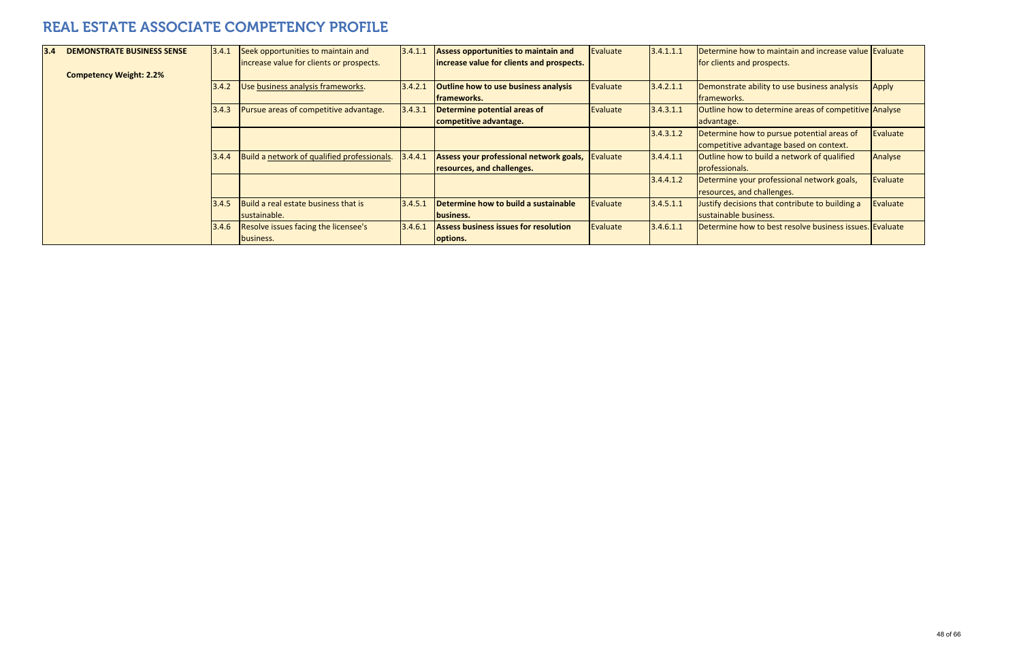| 3.4 | <b>DEMONSTRATE BUSINESS SENSE</b> | 3.4.1 | Seek opportunities to maintain and<br>increase value for clients or prospects. | 3.4.1.1 | Assess opportunities to maintain and<br>increase value for clients and prospects. | Evaluate | 3.4.1.1.1 | Determine how to maintain and increase value Evaluate<br>for clients and prospects.   |              |
|-----|-----------------------------------|-------|--------------------------------------------------------------------------------|---------|-----------------------------------------------------------------------------------|----------|-----------|---------------------------------------------------------------------------------------|--------------|
|     | <b>Competency Weight: 2.2%</b>    |       |                                                                                |         |                                                                                   |          |           |                                                                                       |              |
|     |                                   | 3.4.2 | Use business analysis frameworks.                                              | 3.4.2.1 | <b>Outline how to use business analysis</b>                                       | Evaluate | 3.4.2.1.1 | Demonstrate ability to use business analysis                                          | <b>Apply</b> |
|     |                                   |       |                                                                                |         | frameworks.                                                                       |          |           | <b>frameworks.</b>                                                                    |              |
|     |                                   | 3.4.3 | Pursue areas of competitive advantage.                                         | 3.4.3.1 | Determine potential areas of                                                      | Evaluate | 3.4.3.1.1 | Outline how to determine areas of competitive Analyse                                 |              |
|     |                                   |       |                                                                                |         | competitive advantage.                                                            |          |           | advantage.                                                                            |              |
|     |                                   |       |                                                                                |         |                                                                                   |          | 3.4.3.1.2 | Determine how to pursue potential areas of<br>competitive advantage based on context. | Evaluate     |
|     |                                   | 3.4.4 | Build a network of qualified professionals.                                    | 3.4.4.1 | Assess your professional network goals,                                           | Evaluate | 3.4.4.1.1 | Outline how to build a network of qualified                                           | Analyse      |
|     |                                   |       |                                                                                |         | resources, and challenges.                                                        |          |           | professionals.                                                                        |              |
|     |                                   |       |                                                                                |         |                                                                                   |          | 3.4.4.1.2 | Determine your professional network goals,                                            | Evaluate     |
|     |                                   |       |                                                                                |         |                                                                                   |          |           | resources, and challenges.                                                            |              |
|     |                                   | 3.4.5 | Build a real estate business that is                                           | 3.4.5.1 | Determine how to build a sustainable                                              | Evaluate | 3.4.5.1.1 | Justify decisions that contribute to building a                                       | Evaluate     |
|     |                                   |       | sustainable.                                                                   |         | business.                                                                         |          |           | sustainable business.                                                                 |              |
|     |                                   | 3.4.6 | Resolve issues facing the licensee's                                           | 3.4.6.1 | <b>Assess business issues for resolution</b>                                      | Evaluate | 3.4.6.1.1 | Determine how to best resolve business issues. Evaluate                               |              |
|     |                                   |       | business.                                                                      |         | options.                                                                          |          |           |                                                                                       |              |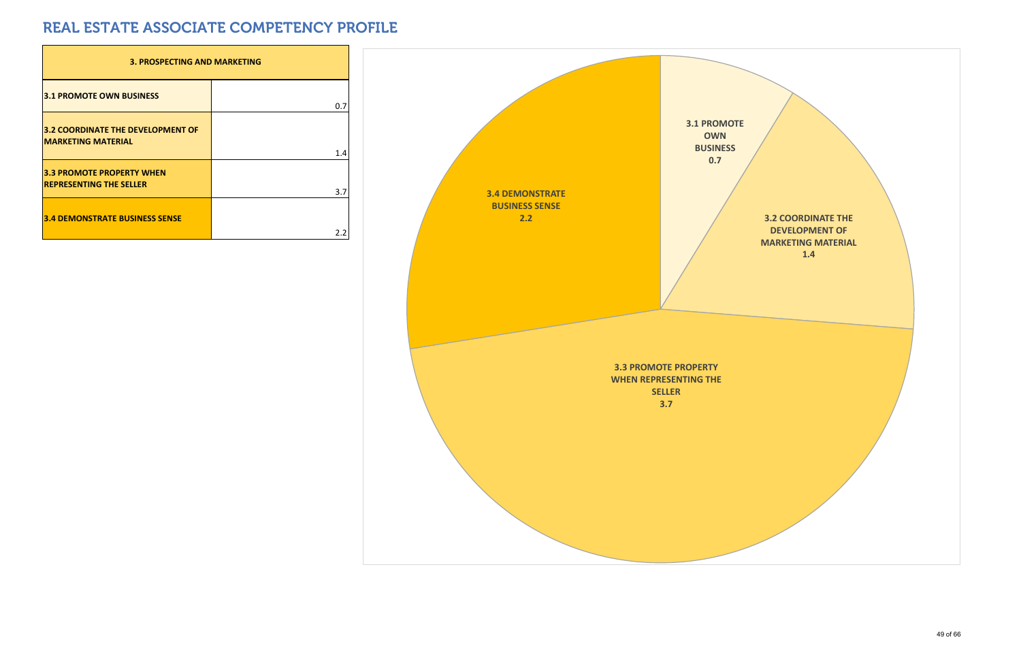| <b>3. PROSPECTING AND MARKETING</b>                                   |     |
|-----------------------------------------------------------------------|-----|
| <b>3.1 PROMOTE OWN BUSINESS</b>                                       | 0.7 |
| <b>3.2 COORDINATE THE DEVELOPMENT OF</b><br><b>MARKETING MATERIAL</b> | 1.4 |
| <b>3.3 PROMOTE PROPERTY WHEN</b><br><b>REPRESENTING THE SELLER</b>    | 3.7 |
| <b>3.4 DEMONSTRATE BUSINESS SENSE</b>                                 |     |

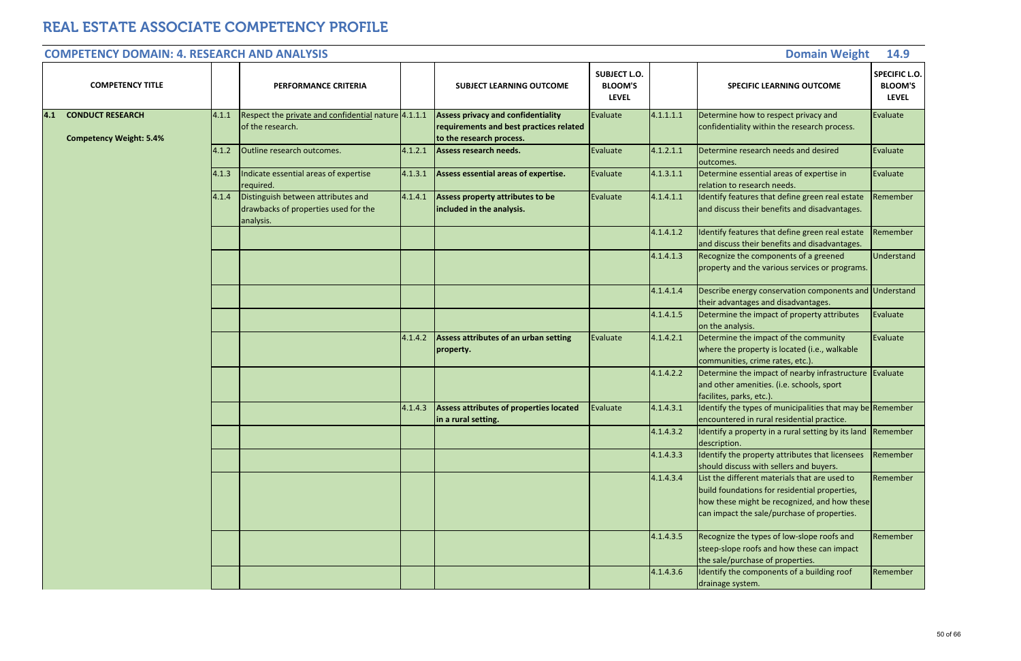| <b>COMPETENCY DOMAIN: 4. RESEARCH AND ANALYSIS</b>                 |       |                                                                                         |         |                                                                                                                  |                                                       |           | <b>Domain Weight</b>                                                                                                                                                                          | 14.9                                                   |
|--------------------------------------------------------------------|-------|-----------------------------------------------------------------------------------------|---------|------------------------------------------------------------------------------------------------------------------|-------------------------------------------------------|-----------|-----------------------------------------------------------------------------------------------------------------------------------------------------------------------------------------------|--------------------------------------------------------|
| <b>COMPETENCY TITLE</b>                                            |       | <b>PERFORMANCE CRITERIA</b>                                                             |         | <b>SUBJECT LEARNING OUTCOME</b>                                                                                  | <b>SUBJECT L.O.</b><br><b>BLOOM'S</b><br><b>LEVEL</b> |           | <b>SPECIFIC LEARNING OUTCOME</b>                                                                                                                                                              | <b>SPECIFIC L.O.</b><br><b>BLOOM'S</b><br><b>LEVEL</b> |
| <b>CONDUCT RESEARCH</b><br> 4.1 <br><b>Competency Weight: 5.4%</b> | 4.1.1 | Respect the private and confidential nature 4.1.1.1<br>of the research.                 |         | <b>Assess privacy and confidentiality</b><br>requirements and best practices related<br>to the research process. | Evaluate                                              | 4.1.1.1.1 | Determine how to respect privacy and<br>confidentiality within the research process.                                                                                                          | Evaluate                                               |
|                                                                    | 4.1.2 | Outline research outcomes.                                                              | 4.1.2.1 | Assess research needs.                                                                                           | Evaluate                                              | 4.1.2.1.1 | Determine research needs and desired<br>outcomes.                                                                                                                                             | Evaluate                                               |
|                                                                    | 4.1.3 | Indicate essential areas of expertise<br>required.                                      | 4.1.3.1 | Assess essential areas of expertise.                                                                             | Evaluate                                              | 4.1.3.1.1 | Determine essential areas of expertise in<br>relation to research needs.                                                                                                                      | Evaluate                                               |
|                                                                    | 4.1.4 | Distinguish between attributes and<br>drawbacks of properties used for the<br>analysis. | 4.1.4.1 | Assess property attributes to be<br>included in the analysis.                                                    | Evaluate                                              | 4.1.4.1.1 | Identify features that define green real estate<br>and discuss their benefits and disadvantages.                                                                                              | Remember                                               |
|                                                                    |       |                                                                                         |         |                                                                                                                  |                                                       | 4.1.4.1.2 | Identify features that define green real estate<br>and discuss their benefits and disadvantages.                                                                                              | Remember                                               |
|                                                                    |       |                                                                                         |         |                                                                                                                  |                                                       | 4.1.4.1.3 | Recognize the components of a greened<br>property and the various services or programs.                                                                                                       | Understand                                             |
|                                                                    |       |                                                                                         |         |                                                                                                                  |                                                       | 4.1.4.1.4 | Describe energy conservation components and Understand<br>their advantages and disadvantages.                                                                                                 |                                                        |
|                                                                    |       |                                                                                         |         |                                                                                                                  |                                                       | 4.1.4.1.5 | Determine the impact of property attributes<br>on the analysis.                                                                                                                               | Evaluate                                               |
|                                                                    |       |                                                                                         | 4.1.4.2 | Assess attributes of an urban setting<br>property.                                                               | Evaluate                                              | 4.1.4.2.1 | Determine the impact of the community<br>where the property is located (i.e., walkable<br>communities, crime rates, etc.).                                                                    | Evaluate                                               |
|                                                                    |       |                                                                                         |         |                                                                                                                  |                                                       | 4.1.4.2.2 | Determine the impact of nearby infrastructure Evaluate<br>and other amenities. (i.e. schools, sport<br>facilites, parks, etc.).                                                               |                                                        |
|                                                                    |       |                                                                                         | 4.1.4.3 | Assess attributes of properties located<br>in a rural setting.                                                   | Evaluate                                              | 4.1.4.3.1 | Identify the types of municipalities that may be Remember<br>encountered in rural residential practice.                                                                                       |                                                        |
|                                                                    |       |                                                                                         |         |                                                                                                                  |                                                       | 4.1.4.3.2 | Identify a property in a rural setting by its land<br>description.                                                                                                                            | Remember                                               |
|                                                                    |       |                                                                                         |         |                                                                                                                  |                                                       | 4.1.4.3.3 | Identify the property attributes that licensees<br>should discuss with sellers and buyers.                                                                                                    | Remember                                               |
|                                                                    |       |                                                                                         |         |                                                                                                                  |                                                       | 4.1.4.3.4 | List the different materials that are used to<br>build foundations for residential properties,<br>how these might be recognized, and how these<br>can impact the sale/purchase of properties. | Remember                                               |
|                                                                    |       |                                                                                         |         |                                                                                                                  |                                                       | 4.1.4.3.5 | Recognize the types of low-slope roofs and<br>steep-slope roofs and how these can impact<br>the sale/purchase of properties.                                                                  | Remember                                               |
|                                                                    |       |                                                                                         |         |                                                                                                                  |                                                       | 4.1.4.3.6 | Identify the components of a building roof<br>drainage system.                                                                                                                                | Remember                                               |

#### **COMPETENCY DOMAIN: 4. RESEARCHAND ANALYSIS**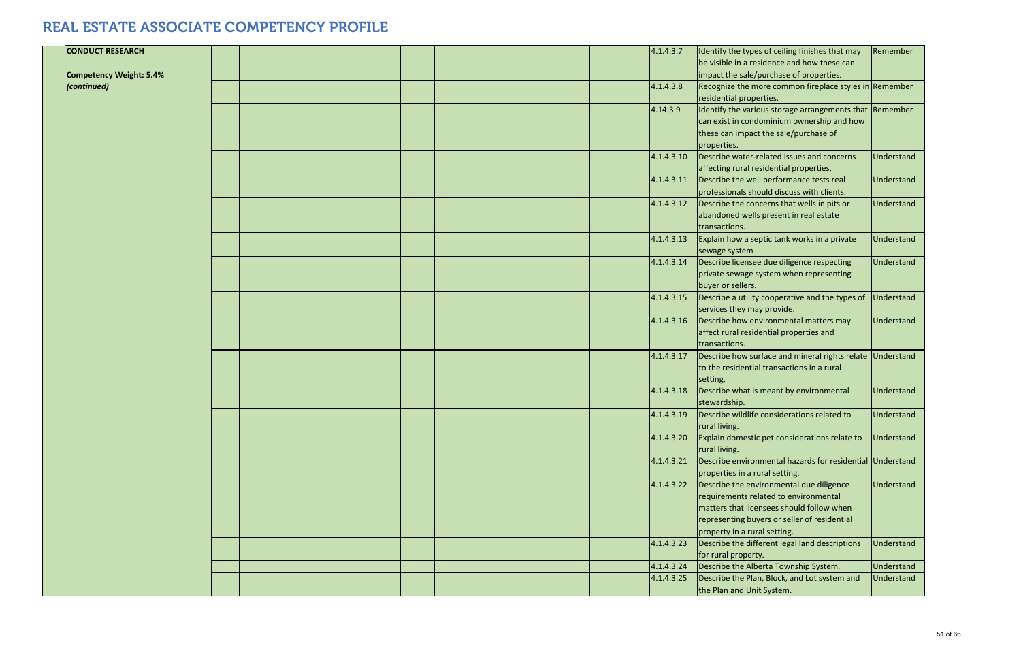| <b>CONDUCT RESEARCH</b><br><b>Competency Weight: 5.4%</b> |  |  | 4.1.4.3.7                | Identify the types of ceiling finishes that may<br>be visible in a residence and how these can<br>impact the sale/purchase of properties.                                                                      | Remember                 |
|-----------------------------------------------------------|--|--|--------------------------|----------------------------------------------------------------------------------------------------------------------------------------------------------------------------------------------------------------|--------------------------|
| (continued)                                               |  |  | 4.1.4.3.8                | Recognize the more common fireplace styles in Remember<br>residential properties.                                                                                                                              |                          |
|                                                           |  |  | 4.14.3.9                 | Identify the various storage arrangements that Remember<br>can exist in condominium ownership and how<br>these can impact the sale/purchase of<br>properties.                                                  |                          |
|                                                           |  |  | 4.1.4.3.10               | Describe water-related issues and concerns<br>affecting rural residential properties.                                                                                                                          | Understand               |
|                                                           |  |  | 4.1.4.3.11               | Describe the well performance tests real<br>professionals should discuss with clients.                                                                                                                         | Understand               |
|                                                           |  |  | 4.1.4.3.12               | Describe the concerns that wells in pits or<br>abandoned wells present in real estate<br>transactions.                                                                                                         | Understand               |
|                                                           |  |  | 4.1.4.3.13               | Explain how a septic tank works in a private<br>sewage system                                                                                                                                                  | Understand               |
|                                                           |  |  | 4.1.4.3.14               | Describe licensee due diligence respecting<br>private sewage system when representing<br>buyer or sellers.                                                                                                     | Understand               |
|                                                           |  |  | 4.1.4.3.15               | Describe a utility cooperative and the types of<br>services they may provide.                                                                                                                                  | <b>Understand</b>        |
|                                                           |  |  | 4.1.4.3.16               | Describe how environmental matters may<br>affect rural residential properties and<br>transactions.                                                                                                             | Understand               |
|                                                           |  |  | 4.1.4.3.17               | Describe how surface and mineral rights relate Understand<br>to the residential transactions in a rural<br>setting.                                                                                            |                          |
|                                                           |  |  | 4.1.4.3.18               | Describe what is meant by environmental<br>stewardship.                                                                                                                                                        | Understand               |
|                                                           |  |  | 4.1.4.3.19               | Describe wildlife considerations related to<br>rural living.                                                                                                                                                   | Understand               |
|                                                           |  |  | 4.1.4.3.20               | Explain domestic pet considerations relate to<br>rural living.                                                                                                                                                 | Understand               |
|                                                           |  |  | 4.1.4.3.21               | Describe environmental hazards for residential Understand<br>properties in a rural setting.                                                                                                                    |                          |
|                                                           |  |  | 4.1.4.3.22               | Describe the environmental due diligence<br>requirements related to environmental<br>matters that licensees should follow when<br>representing buyers or seller of residential<br>property in a rural setting. | Understand               |
|                                                           |  |  | 4.1.4.3.23               | Describe the different legal land descriptions<br>for rural property.                                                                                                                                          | <b>Understand</b>        |
|                                                           |  |  | 4.1.4.3.24<br>4.1.4.3.25 | Describe the Alberta Township System.<br>Describe the Plan, Block, and Lot system and<br>the Plan and Unit System.                                                                                             | Understand<br>Understand |
|                                                           |  |  |                          |                                                                                                                                                                                                                |                          |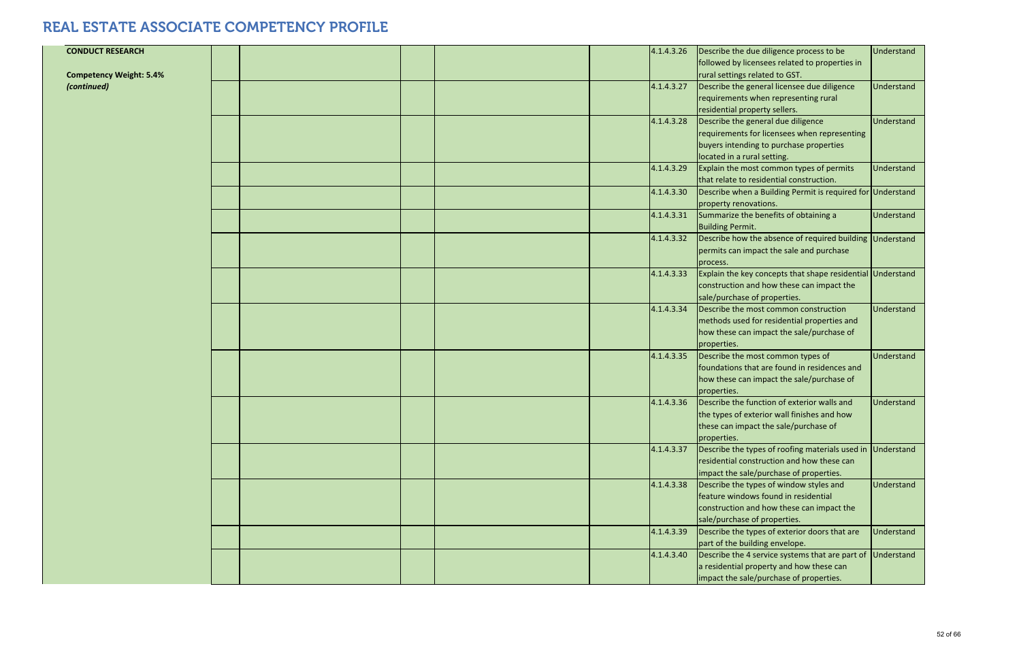| <b>CONDUCT RESEARCH</b><br><b>Competency Weight: 5.4%</b> |  | 4.1.4.3.26 | Describe the due diligence process to be<br>followed by licensees related to properties in<br>rural settings related to GST.                                 | Understand        |
|-----------------------------------------------------------|--|------------|--------------------------------------------------------------------------------------------------------------------------------------------------------------|-------------------|
| (continued)                                               |  | 4.1.4.3.27 | Describe the general licensee due diligence<br>requirements when representing rural<br>residential property sellers.                                         | Understand        |
|                                                           |  | 4.1.4.3.28 | Describe the general due diligence<br>requirements for licensees when representing<br>buyers intending to purchase properties<br>located in a rural setting. | Understand        |
|                                                           |  | 4.1.4.3.29 | Explain the most common types of permits<br>that relate to residential construction.                                                                         | Understand        |
|                                                           |  | 4.1.4.3.30 | Describe when a Building Permit is required for Understand<br>property renovations.                                                                          |                   |
|                                                           |  | 4.1.4.3.31 | Summarize the benefits of obtaining a<br><b>Building Permit.</b>                                                                                             | Understand        |
|                                                           |  | 4.1.4.3.32 | Describe how the absence of required building Understand<br>permits can impact the sale and purchase<br>process.                                             |                   |
|                                                           |  | 4.1.4.3.33 | Explain the key concepts that shape residential Understand<br>construction and how these can impact the<br>sale/purchase of properties.                      |                   |
|                                                           |  | 4.1.4.3.34 | Describe the most common construction<br>methods used for residential properties and<br>how these can impact the sale/purchase of<br>properties.             | Understand        |
|                                                           |  | 4.1.4.3.35 | Describe the most common types of<br>foundations that are found in residences and<br>how these can impact the sale/purchase of<br>properties.                | <b>Understand</b> |
|                                                           |  | 4.1.4.3.36 | Describe the function of exterior walls and<br>the types of exterior wall finishes and how<br>these can impact the sale/purchase of<br>properties.           | Understand        |
|                                                           |  | 4.1.4.3.37 | Describe the types of roofing materials used in Understand<br>residential construction and how these can<br>impact the sale/purchase of properties.          |                   |
|                                                           |  | 4.1.4.3.38 | Describe the types of window styles and<br>feature windows found in residential<br>construction and how these can impact the<br>sale/purchase of properties. | Understand        |
|                                                           |  | 4.1.4.3.39 | Describe the types of exterior doors that are<br>part of the building envelope.                                                                              | Understand        |
|                                                           |  | 4.1.4.3.40 | Describe the 4 service systems that are part of<br>a residential property and how these can<br>impact the sale/purchase of properties.                       | Understand        |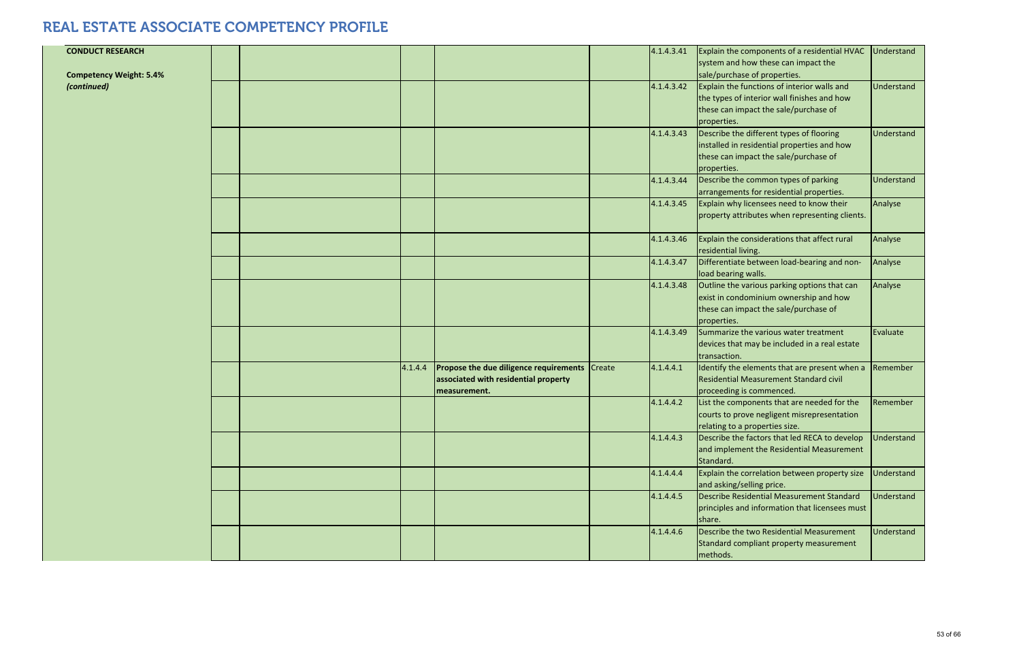| <b>CONDUCT RESEARCH</b>        |  |         |                                                                                                              | 4.1.4.3.41 | Explain the components of a residential HVAC<br>system and how these can impact the                                                            | Understand |
|--------------------------------|--|---------|--------------------------------------------------------------------------------------------------------------|------------|------------------------------------------------------------------------------------------------------------------------------------------------|------------|
| <b>Competency Weight: 5.4%</b> |  |         |                                                                                                              |            | sale/purchase of properties.                                                                                                                   |            |
| (continued)                    |  |         |                                                                                                              | 4.1.4.3.42 | Explain the functions of interior walls and                                                                                                    | Understand |
|                                |  |         |                                                                                                              |            | the types of interior wall finishes and how                                                                                                    |            |
|                                |  |         |                                                                                                              |            | these can impact the sale/purchase of<br>properties.                                                                                           |            |
|                                |  |         |                                                                                                              | 4.1.4.3.43 | Describe the different types of flooring                                                                                                       | Understand |
|                                |  |         |                                                                                                              |            | installed in residential properties and how<br>these can impact the sale/purchase of                                                           |            |
|                                |  |         |                                                                                                              |            | properties.                                                                                                                                    |            |
|                                |  |         |                                                                                                              | 4.1.4.3.44 | Describe the common types of parking                                                                                                           | Understand |
|                                |  |         |                                                                                                              | 4.1.4.3.45 | arrangements for residential properties.<br>Explain why licensees need to know their                                                           | Analyse    |
|                                |  |         |                                                                                                              |            | property attributes when representing clients.                                                                                                 |            |
|                                |  |         |                                                                                                              | 4.1.4.3.46 | Explain the considerations that affect rural<br>residential living.                                                                            | Analyse    |
|                                |  |         |                                                                                                              | 4.1.4.3.47 | Differentiate between load-bearing and non-<br>load bearing walls.                                                                             | Analyse    |
|                                |  |         |                                                                                                              | 4.1.4.3.48 | Outline the various parking options that can<br>exist in condominium ownership and how<br>these can impact the sale/purchase of<br>properties. | Analyse    |
|                                |  |         |                                                                                                              | 4.1.4.3.49 | Summarize the various water treatment<br>devices that may be included in a real estate<br>transaction.                                         | Evaluate   |
|                                |  | 4.1.4.4 | <b>Propose the due diligence requirements</b> Create<br>associated with residential property<br>measurement. | 4.1.4.4.1  | Identify the elements that are present when a<br><b>Residential Measurement Standard civil</b><br>proceeding is commenced.                     | Remember   |
|                                |  |         |                                                                                                              | 4.1.4.4.2  | List the components that are needed for the<br>courts to prove negligent misrepresentation<br>relating to a properties size.                   | Remember   |
|                                |  |         |                                                                                                              | 4.1.4.4.3  | Describe the factors that led RECA to develop<br>and implement the Residential Measurement<br>Standard.                                        | Understand |
|                                |  |         |                                                                                                              | 4.1.4.4.4  | Explain the correlation between property size<br>and asking/selling price.                                                                     | Understand |
|                                |  |         |                                                                                                              | 4.1.4.4.5  | Describe Residential Measurement Standard<br>principles and information that licensees must<br>share.                                          | Understand |
|                                |  |         |                                                                                                              | 4.1.4.4.6  | Describe the two Residential Measurement<br>Standard compliant property measurement<br>methods.                                                | Understand |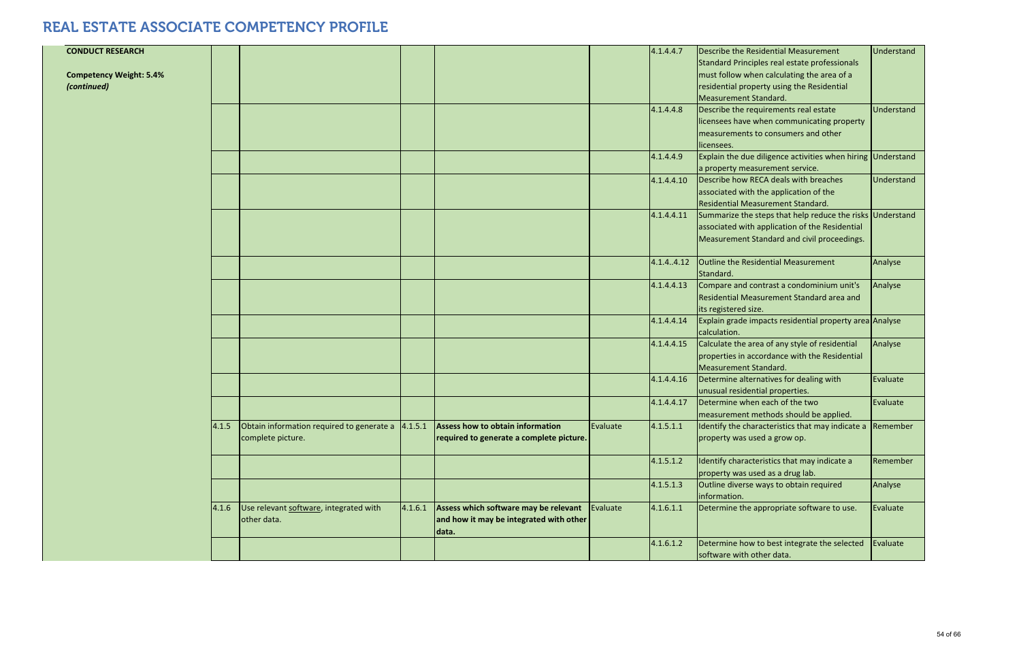| <b>CONDUCT RESEARCH</b>        |       |                                                |         |                                          |          | 4.1.4.4.7  | Describe the Residential Measurement<br>Standard Principles real estate professionals | Understand |
|--------------------------------|-------|------------------------------------------------|---------|------------------------------------------|----------|------------|---------------------------------------------------------------------------------------|------------|
| <b>Competency Weight: 5.4%</b> |       |                                                |         |                                          |          |            | must follow when calculating the area of a                                            |            |
| (continued)                    |       |                                                |         |                                          |          |            | residential property using the Residential                                            |            |
|                                |       |                                                |         |                                          |          |            | Measurement Standard.                                                                 |            |
|                                |       |                                                |         |                                          |          | 4.1.4.4.8  | Describe the requirements real estate                                                 | Understand |
|                                |       |                                                |         |                                          |          |            | licensees have when communicating property                                            |            |
|                                |       |                                                |         |                                          |          |            | measurements to consumers and other<br>licensees.                                     |            |
|                                |       |                                                |         |                                          |          | 4.1.4.4.9  | Explain the due diligence activities when hiring Understand                           |            |
|                                |       |                                                |         |                                          |          |            | a property measurement service.                                                       |            |
|                                |       |                                                |         |                                          |          | 4.1.4.4.10 | Describe how RECA deals with breaches                                                 | Understand |
|                                |       |                                                |         |                                          |          |            | associated with the application of the<br><b>Residential Measurement Standard.</b>    |            |
|                                |       |                                                |         |                                          |          | 4.1.4.4.11 | Summarize the steps that help reduce the risks Understand                             |            |
|                                |       |                                                |         |                                          |          |            | associated with application of the Residential                                        |            |
|                                |       |                                                |         |                                          |          |            | Measurement Standard and civil proceedings.                                           |            |
|                                |       |                                                |         |                                          |          |            |                                                                                       |            |
|                                |       |                                                |         |                                          |          | 4.1.4.4.12 | <b>Outline the Residential Measurement</b><br>Standard.                               | Analyse    |
|                                |       |                                                |         |                                          |          | 4.1.4.4.13 | Compare and contrast a condominium unit's                                             | Analyse    |
|                                |       |                                                |         |                                          |          |            | Residential Measurement Standard area and                                             |            |
|                                |       |                                                |         |                                          |          |            | its registered size.                                                                  |            |
|                                |       |                                                |         |                                          |          | 4.1.4.4.14 | Explain grade impacts residential property area Analyse<br>calculation.               |            |
|                                |       |                                                |         |                                          |          | 4.1.4.4.15 | Calculate the area of any style of residential                                        | Analyse    |
|                                |       |                                                |         |                                          |          |            | properties in accordance with the Residential                                         |            |
|                                |       |                                                |         |                                          |          | 4.1.4.4.16 | Measurement Standard.<br>Determine alternatives for dealing with                      | Evaluate   |
|                                |       |                                                |         |                                          |          |            | unusual residential properties.                                                       |            |
|                                |       |                                                |         |                                          |          | 4.1.4.4.17 | Determine when each of the two<br>measurement methods should be applied.              | Evaluate   |
|                                | 4.1.5 | Obtain information required to generate a      | 4.1.5.1 | Assess how to obtain information         | Evaluate | 4.1.5.1.1  | Identify the characteristics that may indicate a                                      | Remember   |
|                                |       | complete picture.                              |         | required to generate a complete picture. |          |            | property was used a grow op.                                                          |            |
|                                |       |                                                |         |                                          |          | 4.1.5.1.2  | Identify characteristics that may indicate a<br>property was used as a drug lab.      | Remember   |
|                                |       |                                                |         |                                          |          | 4.1.5.1.3  | Outline diverse ways to obtain required<br>information.                               | Analyse    |
|                                |       | $4.1.6$ Use relevant software, integrated with | 4.1.6.1 | Assess which software may be relevant    | Evaluate | 4.1.6.1.1  | Determine the appropriate software to use.                                            | Evaluate   |
|                                |       | other data.                                    |         | and how it may be integrated with other  |          |            |                                                                                       |            |
|                                |       |                                                |         | data.                                    |          | 4.1.6.1.2  | Determine how to best integrate the selected                                          | Evaluate   |
|                                |       |                                                |         |                                          |          |            | software with other data.                                                             |            |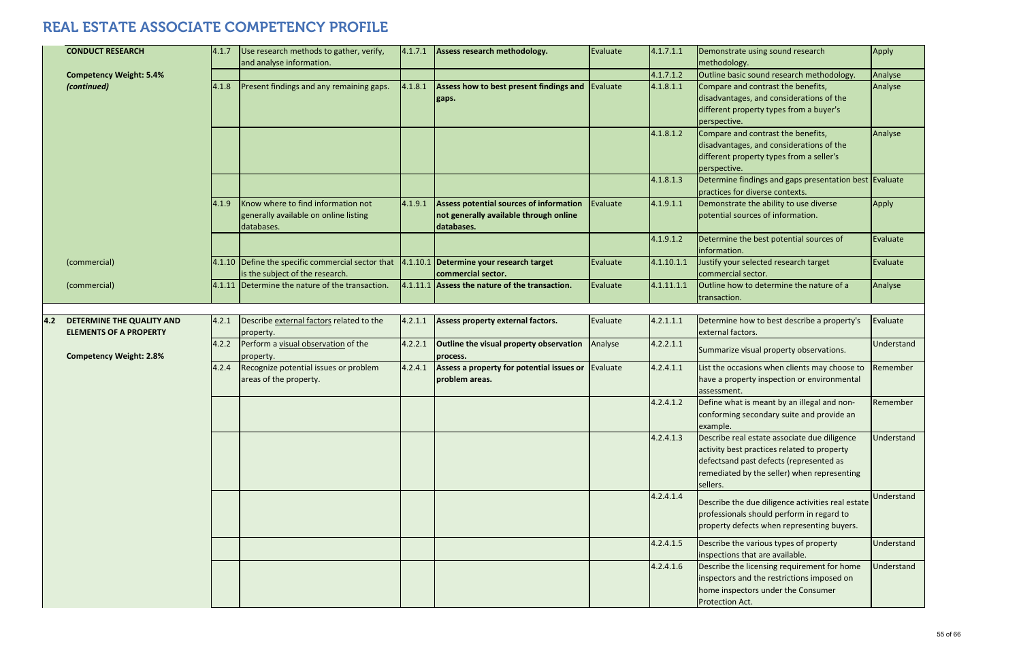|     | <b>CONDUCT RESEARCH</b>                                    | 4.1.7 | Use research methods to gather, verify,<br>and analyse information.                       | 4.1.7.1 | Assess research methodology.                                                                           | Evaluate | 4.1.7.1.1  | Demonstrate using sound research<br>methodology.                                                                                                                                                  | Apply      |
|-----|------------------------------------------------------------|-------|-------------------------------------------------------------------------------------------|---------|--------------------------------------------------------------------------------------------------------|----------|------------|---------------------------------------------------------------------------------------------------------------------------------------------------------------------------------------------------|------------|
|     | <b>Competency Weight: 5.4%</b>                             |       |                                                                                           |         |                                                                                                        |          | 4.1.7.1.2  | Outline basic sound research methodology.                                                                                                                                                         | Analyse    |
|     | (continued)                                                | 4.1.8 | Present findings and any remaining gaps.                                                  | 4.1.8.1 | Assess how to best present findings and Evaluate<br>gaps.                                              |          | 4.1.8.1.1  | Compare and contrast the benefits,<br>disadvantages, and considerations of the<br>different property types from a buyer's<br>perspective.                                                         | Analyse    |
|     |                                                            |       |                                                                                           |         |                                                                                                        |          | 4.1.8.1.2  | Compare and contrast the benefits,<br>disadvantages, and considerations of the<br>different property types from a seller's<br>perspective.                                                        | Analyse    |
|     |                                                            |       |                                                                                           |         |                                                                                                        |          | 4.1.8.1.3  | Determine findings and gaps presentation best Evaluate<br>practices for diverse contexts.                                                                                                         |            |
|     |                                                            | 4.1.9 | Know where to find information not<br>generally available on online listing<br>databases. | 4.1.9.1 | <b>Assess potential sources of information</b><br>not generally available through online<br>databases. | Evaluate | 4.1.9.1.1  | Demonstrate the ability to use diverse<br>potential sources of information.                                                                                                                       | Apply      |
|     |                                                            |       |                                                                                           |         |                                                                                                        |          | 4.1.9.1.2  | Determine the best potential sources of<br>information.                                                                                                                                           | Evaluate   |
|     | (commercial)                                               |       | 4.1.10 Define the specific commercial sector that<br>is the subject of the research.      |         | 4.1.10.1 Determine your research target<br>commercial sector.                                          | Evaluate | 4.1.10.1.1 | Justify your selected research target<br>commercial sector.                                                                                                                                       | Evaluate   |
|     | (commercial)                                               |       | 4.1.11 Determine the nature of the transaction.                                           |         | 4.1.11.1 Assess the nature of the transaction.                                                         | Evaluate | 4.1.11.1.1 | Outline how to determine the nature of a<br>transaction.                                                                                                                                          | Analyse    |
|     |                                                            |       |                                                                                           |         |                                                                                                        |          |            |                                                                                                                                                                                                   |            |
| 4.2 | DETERMINE THE QUALITY AND<br><b>ELEMENTS OF A PROPERTY</b> | 4.2.1 | Describe external factors related to the<br>property.                                     | 4.2.1.1 | Assess property external factors.                                                                      | Evaluate | 4.2.1.1.1  | Determine how to best describe a property's<br>external factors.                                                                                                                                  | Evaluate   |
|     | <b>Competency Weight: 2.8%</b>                             | 4.2.2 | Perform a visual observation of the<br>property.                                          | 4.2.2.1 | Outline the visual property observation<br>process.                                                    | Analyse  | 4.2.2.1.1  | Summarize visual property observations.                                                                                                                                                           | Understand |
|     |                                                            | 4.2.4 | Recognize potential issues or problem<br>areas of the property.                           | 4.2.4.1 | Assess a property for potential issues or<br>problem areas.                                            | Evaluate | 4.2.4.1.1  | List the occasions when clients may choose to<br>have a property inspection or environmental<br>assessment.                                                                                       | Remember   |
|     |                                                            |       |                                                                                           |         |                                                                                                        |          | 4.2.4.1.2  | Define what is meant by an illegal and non-<br>conforming secondary suite and provide an<br>example.                                                                                              | Remember   |
|     |                                                            |       |                                                                                           |         |                                                                                                        |          | 4.2.4.1.3  | Describe real estate associate due diligence<br>activity best practices related to property<br>defectsand past defects (represented as<br>remediated by the seller) when representing<br>sellers. | Understand |
|     |                                                            |       |                                                                                           |         |                                                                                                        |          | 4.2.4.1.4  | Describe the due diligence activities real estate<br>professionals should perform in regard to<br>property defects when representing buyers.                                                      | Understand |
|     |                                                            |       |                                                                                           |         |                                                                                                        |          | 4.2.4.1.5  | Describe the various types of property<br>inspections that are available.                                                                                                                         | Understand |
|     |                                                            |       |                                                                                           |         |                                                                                                        |          | 4.2.4.1.6  | Describe the licensing requirement for home<br>inspectors and the restrictions imposed on<br>home inspectors under the Consumer<br>Protection Act.                                                | Understand |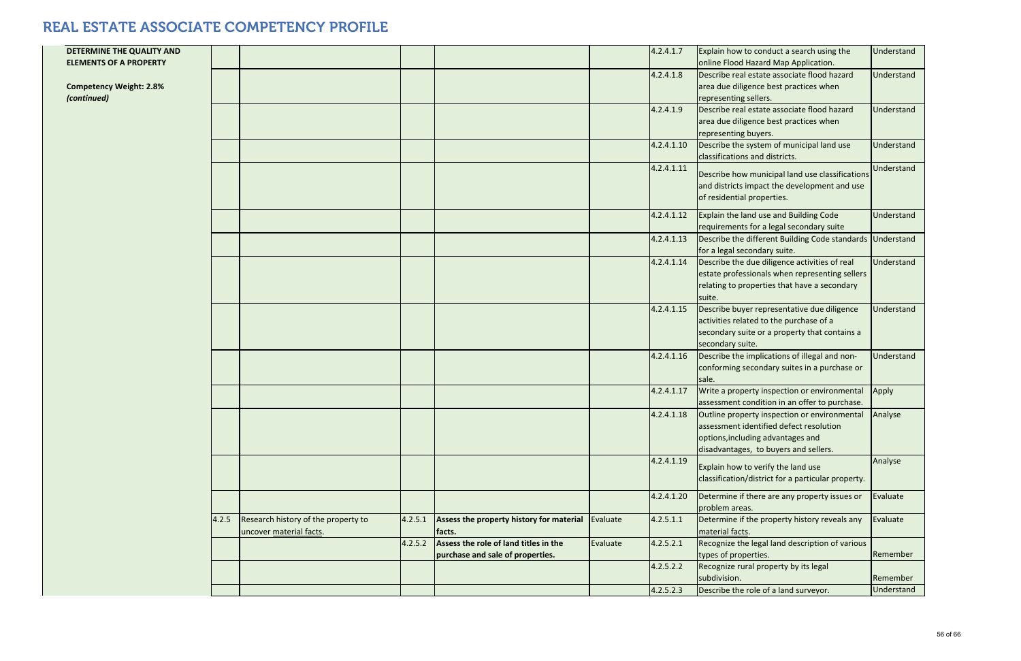| DETERMINE THE QUALITY AND<br><b>ELEMENTS OF A PROPERTY</b> |       |                                                                |         |                                                                           |          | 4.2.4.1.7  | Explain how to conduct a search using the<br>online Flood Hazard Map Application.                                                                                     | Understand |
|------------------------------------------------------------|-------|----------------------------------------------------------------|---------|---------------------------------------------------------------------------|----------|------------|-----------------------------------------------------------------------------------------------------------------------------------------------------------------------|------------|
| <b>Competency Weight: 2.8%</b><br>(continued)              |       |                                                                |         |                                                                           |          | 4.2.4.1.8  | Describe real estate associate flood hazard<br>area due diligence best practices when<br>representing sellers.                                                        | Understand |
|                                                            |       |                                                                |         |                                                                           |          | 4.2.4.1.9  | Describe real estate associate flood hazard<br>area due diligence best practices when<br>representing buyers.                                                         | Understand |
|                                                            |       |                                                                |         |                                                                           |          | 4.2.4.1.10 | Describe the system of municipal land use<br>classifications and districts.                                                                                           | Understand |
|                                                            |       |                                                                |         |                                                                           |          | 4.2.4.1.11 | Describe how municipal land use classifications<br>and districts impact the development and use<br>of residential properties.                                         | Understand |
|                                                            |       |                                                                |         |                                                                           |          | 4.2.4.1.12 | Explain the land use and Building Code<br>requirements for a legal secondary suite                                                                                    | Understand |
|                                                            |       |                                                                |         |                                                                           |          | 4.2.4.1.13 | Describe the different Building Code standards Understand<br>for a legal secondary suite.                                                                             |            |
|                                                            |       |                                                                |         |                                                                           |          | 4.2.4.1.14 | Describe the due diligence activities of real<br>estate professionals when representing sellers<br>relating to properties that have a secondary<br>suite.             | Understand |
|                                                            |       |                                                                |         |                                                                           |          | 4.2.4.1.15 | Describe buyer representative due diligence<br>activities related to the purchase of a<br>secondary suite or a property that contains a<br>secondary suite.           | Understand |
|                                                            |       |                                                                |         |                                                                           |          | 4.2.4.1.16 | Describe the implications of illegal and non-<br>conforming secondary suites in a purchase or<br>sale.                                                                | Understand |
|                                                            |       |                                                                |         |                                                                           |          | 4.2.4.1.17 | Write a property inspection or environmental<br>assessment condition in an offer to purchase.                                                                         | Apply      |
|                                                            |       |                                                                |         |                                                                           |          | 4.2.4.1.18 | Outline property inspection or environmental<br>assessment identified defect resolution<br>options, including advantages and<br>disadvantages, to buyers and sellers. | Analyse    |
|                                                            |       |                                                                |         |                                                                           |          | 4.2.4.1.19 | Explain how to verify the land use<br>classification/district for a particular property.                                                                              | Analyse    |
|                                                            |       |                                                                |         |                                                                           |          | 4.2.4.1.20 | Determine if there are any property issues or<br>problem areas.                                                                                                       | Evaluate   |
|                                                            | 4.2.5 | Research history of the property to<br>uncover material facts. | 4.2.5.1 | Assess the property history for material<br>facts.                        | Evaluate | 4.2.5.1.1  | Determine if the property history reveals any<br>material facts.                                                                                                      | Evaluate   |
|                                                            |       |                                                                | 4.2.5.2 | Assess the role of land titles in the<br>purchase and sale of properties. | Evaluate | 4.2.5.2.1  | Recognize the legal land description of various<br>types of properties.                                                                                               | Remember   |
|                                                            |       |                                                                |         |                                                                           |          | 4.2.5.2.2  | Recognize rural property by its legal<br>subdivision.                                                                                                                 | Remember   |
|                                                            |       |                                                                |         |                                                                           |          | 4.2.5.2.3  | Describe the role of a land surveyor.                                                                                                                                 | Understand |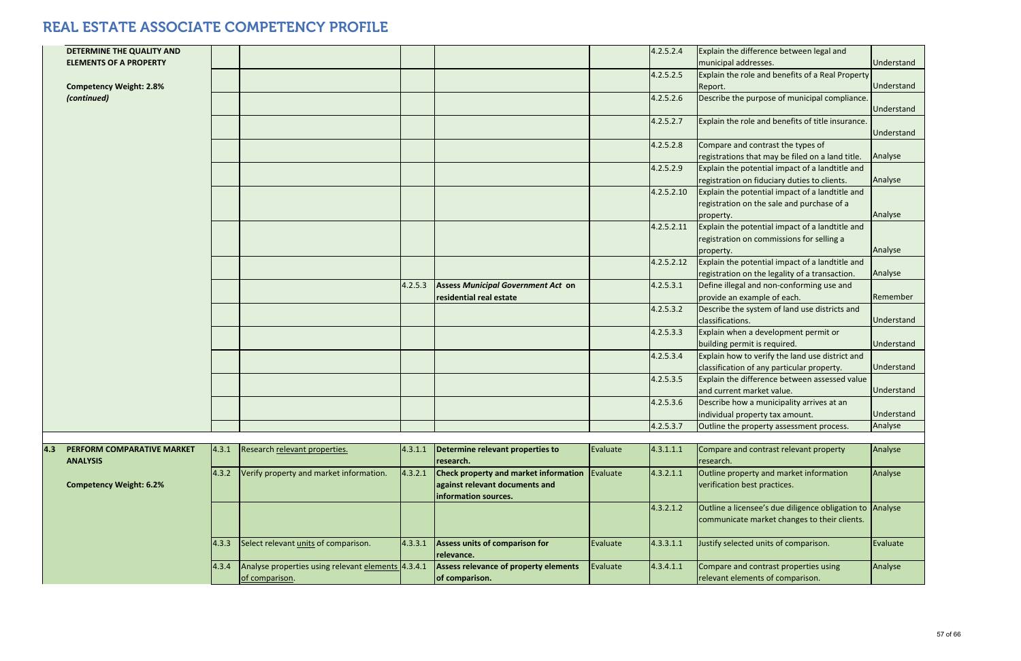|     | DETERMINE THE QUALITY AND<br><b>ELEMENTS OF A PROPERTY</b> |       |                                                                      |         |                                                                                                        |          | 4.2.5.2.4  | Explain the difference between legal and<br>municipal addresses.                                           | Understand |
|-----|------------------------------------------------------------|-------|----------------------------------------------------------------------|---------|--------------------------------------------------------------------------------------------------------|----------|------------|------------------------------------------------------------------------------------------------------------|------------|
|     | <b>Competency Weight: 2.8%</b>                             |       |                                                                      |         |                                                                                                        |          | 4.2.5.2.5  | Explain the role and benefits of a Real Property<br>Report.                                                | Understand |
|     | (continued)                                                |       |                                                                      |         |                                                                                                        |          | 4.2.5.2.6  | Describe the purpose of municipal compliance.                                                              | Understand |
|     |                                                            |       |                                                                      |         |                                                                                                        |          | 4.2.5.2.7  | Explain the role and benefits of title insurance.                                                          | Understand |
|     |                                                            |       |                                                                      |         |                                                                                                        |          | 4.2.5.2.8  | Compare and contrast the types of<br>registrations that may be filed on a land title.                      | Analyse    |
|     |                                                            |       |                                                                      |         |                                                                                                        |          | 4.2.5.2.9  | Explain the potential impact of a landtitle and<br>registration on fiduciary duties to clients.            | Analyse    |
|     |                                                            |       |                                                                      |         |                                                                                                        |          | 4.2.5.2.10 | Explain the potential impact of a landtitle and<br>registration on the sale and purchase of a<br>property. | Analyse    |
|     |                                                            |       |                                                                      |         |                                                                                                        |          | 4.2.5.2.11 | Explain the potential impact of a landtitle and<br>registration on commissions for selling a<br>property.  | Analyse    |
|     |                                                            |       |                                                                      |         |                                                                                                        |          | 4.2.5.2.12 | Explain the potential impact of a landtitle and<br>registration on the legality of a transaction.          | Analyse    |
|     |                                                            |       |                                                                      | 4.2.5.3 | <b>Assess Municipal Government Act on</b><br>residential real estate                                   |          | 4.2.5.3.1  | Define illegal and non-conforming use and<br>provide an example of each.                                   | Remember   |
|     |                                                            |       |                                                                      |         |                                                                                                        |          | 4.2.5.3.2  | Describe the system of land use districts and<br>classifications.                                          | Understand |
|     |                                                            |       |                                                                      |         |                                                                                                        |          | 4.2.5.3.3  | Explain when a development permit or<br>building permit is required.                                       | Understand |
|     |                                                            |       |                                                                      |         |                                                                                                        |          | 4.2.5.3.4  | Explain how to verify the land use district and<br>classification of any particular property.              | Understand |
|     |                                                            |       |                                                                      |         |                                                                                                        |          | 4.2.5.3.5  | Explain the difference between assessed value<br>and current market value.                                 | Understand |
|     |                                                            |       |                                                                      |         |                                                                                                        |          | 4.2.5.3.6  | Describe how a municipality arrives at an<br>individual property tax amount.                               | Understand |
|     |                                                            |       |                                                                      |         |                                                                                                        |          | 4.2.5.3.7  | Outline the property assessment process.                                                                   | Analyse    |
|     |                                                            |       |                                                                      |         |                                                                                                        |          |            |                                                                                                            |            |
| 4.3 | PERFORM COMPARATIVE MARKET<br><b>ANALYSIS</b>              | 4.3.1 | Research relevant properties.                                        | 4.3.1.1 | Determine relevant properties to<br>research.                                                          | Evaluate | 4.3.1.1.1  | Compare and contrast relevant property<br>research.                                                        | Analyse    |
|     | <b>Competency Weight: 6.2%</b>                             | 4.3.2 | Verify property and market information.                              | 4.3.2.1 | <b>Check property and market information</b><br>against relevant documents and<br>information sources. | Evaluate | 4.3.2.1.1  | Outline property and market information<br>verification best practices.                                    | Analyse    |
|     |                                                            |       |                                                                      |         |                                                                                                        |          | 4.3.2.1.2  | Outline a licensee's due diligence obligation to Analyse<br>communicate market changes to their clients.   |            |
|     |                                                            | 4.3.3 | Select relevant <i>units</i> of comparison.                          | 4.3.3.1 | Assess units of comparison for<br>relevance.                                                           | Evaluate | 4.3.3.1.1  | Justify selected units of comparison.                                                                      | Evaluate   |
|     |                                                            | 4.3.4 | Analyse properties using relevant elements 4.3.4.1<br>of comparison. |         | Assess relevance of property elements<br>of comparison.                                                | Evaluate | 4.3.4.1.1  | Compare and contrast properties using<br>relevant elements of comparison.                                  | Analyse    |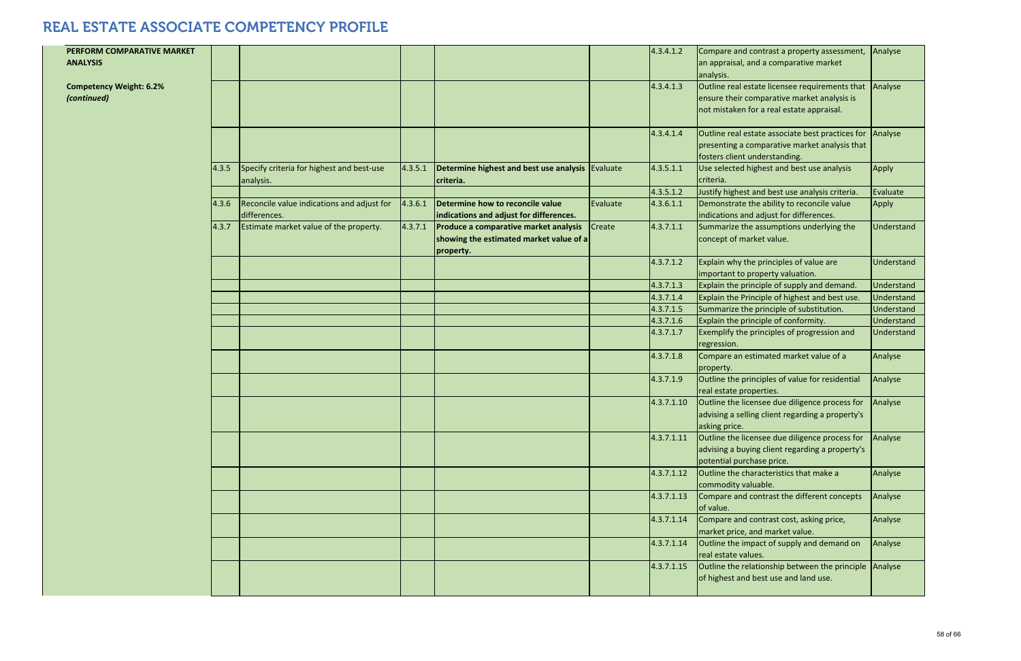|       |                                            |         |                                                      |          | 4.3.4.1.2  | Compare and contrast a property assessment,<br>an appraisal, and a comparative market | Analyse    |
|-------|--------------------------------------------|---------|------------------------------------------------------|----------|------------|---------------------------------------------------------------------------------------|------------|
|       |                                            |         |                                                      |          |            | analysis.                                                                             |            |
|       |                                            |         |                                                      |          | 4.3.4.1.3  | Outline real estate licensee requirements that                                        | Analyse    |
|       |                                            |         |                                                      |          |            | ensure their comparative market analysis is                                           |            |
|       |                                            |         |                                                      |          |            | not mistaken for a real estate appraisal.                                             |            |
|       |                                            |         |                                                      |          | 4.3.4.1.4  | Outline real estate associate best practices for                                      | Analyse    |
|       |                                            |         |                                                      |          |            | presenting a comparative market analysis that                                         |            |
|       |                                            |         |                                                      |          |            | fosters client understanding.                                                         |            |
| 4.3.5 | Specify criteria for highest and best-use  | 4.3.5.1 | Determine highest and best use analysis   Evaluate   |          | 4.3.5.1.1  | Use selected highest and best use analysis                                            | Apply      |
|       | analysis.                                  |         | criteria.                                            |          |            | criteria.                                                                             |            |
|       |                                            |         |                                                      |          | 4.3.5.1.2  | Justify highest and best use analysis criteria.                                       | Evaluate   |
| 4.3.6 | Reconcile value indications and adjust for | 4.3.6.1 | Determine how to reconcile value                     | Evaluate | 4.3.6.1.1  | Demonstrate the ability to reconcile value                                            | Apply      |
|       | differences.                               |         | indications and adjust for differences.              |          |            | indications and adjust for differences.                                               |            |
| 4.3.7 | Estimate market value of the property.     | 4.3.7.1 | Produce a comparative market analysis                | Create   | 4.3.7.1.1  | Summarize the assumptions underlying the                                              | Understand |
|       |                                            |         | showing the estimated market value of a<br>property. |          |            | concept of market value.                                                              |            |
|       |                                            |         |                                                      |          | 4.3.7.1.2  | Explain why the principles of value are                                               | Understand |
|       |                                            |         |                                                      |          |            | important to property valuation.                                                      |            |
|       |                                            |         |                                                      |          | 4.3.7.1.3  | Explain the principle of supply and demand.                                           | Understand |
|       |                                            |         |                                                      |          | 4.3.7.1.4  | Explain the Principle of highest and best use.                                        | Understand |
|       |                                            |         |                                                      |          | 4.3.7.1.5  | Summarize the principle of substitution.                                              | Understand |
|       |                                            |         |                                                      |          | 4.3.7.1.6  | Explain the principle of conformity.                                                  | Understand |
|       |                                            |         |                                                      |          | 4.3.7.1.7  | Exemplify the principles of progression and<br>regression.                            | Understand |
|       |                                            |         |                                                      |          | 4.3.7.1.8  | Compare an estimated market value of a<br>property.                                   | Analyse    |
|       |                                            |         |                                                      |          | 4.3.7.1.9  | Outline the principles of value for residential                                       | Analyse    |
|       |                                            |         |                                                      |          |            | real estate properties.                                                               |            |
|       |                                            |         |                                                      |          | 4.3.7.1.10 | Outline the licensee due diligence process for                                        | Analyse    |
|       |                                            |         |                                                      |          |            | advising a selling client regarding a property's                                      |            |
|       |                                            |         |                                                      |          |            | asking price.                                                                         |            |
|       |                                            |         |                                                      |          | 4.3.7.1.11 | Outline the licensee due diligence process for                                        | Analyse    |
|       |                                            |         |                                                      |          |            | advising a buying client regarding a property's                                       |            |
|       |                                            |         |                                                      |          |            | potential purchase price.                                                             |            |
|       |                                            |         |                                                      |          | 4.3.7.1.12 | Outline the characteristics that make a<br>commodity valuable.                        | Analyse    |
|       |                                            |         |                                                      |          | 4.3.7.1.13 | Compare and contrast the different concepts                                           | Analyse    |
|       |                                            |         |                                                      |          |            | of value.                                                                             |            |
|       |                                            |         |                                                      |          | 4.3.7.1.14 | Compare and contrast cost, asking price,                                              | Analyse    |
|       |                                            |         |                                                      |          |            | market price, and market value.                                                       |            |
|       |                                            |         |                                                      |          | 4.3.7.1.14 | Outline the impact of supply and demand on                                            | Analyse    |
|       |                                            |         |                                                      |          |            | real estate values.                                                                   |            |
|       |                                            |         |                                                      |          | 4.3.7.1.15 | Outline the relationship between the principle                                        | Analyse    |
|       |                                            |         |                                                      |          |            | of highest and best use and land use.                                                 |            |

**PERFORM COMPARATIVE MARKET**

**ANALYSIS Competency Weight: 6.2%** *(continued)*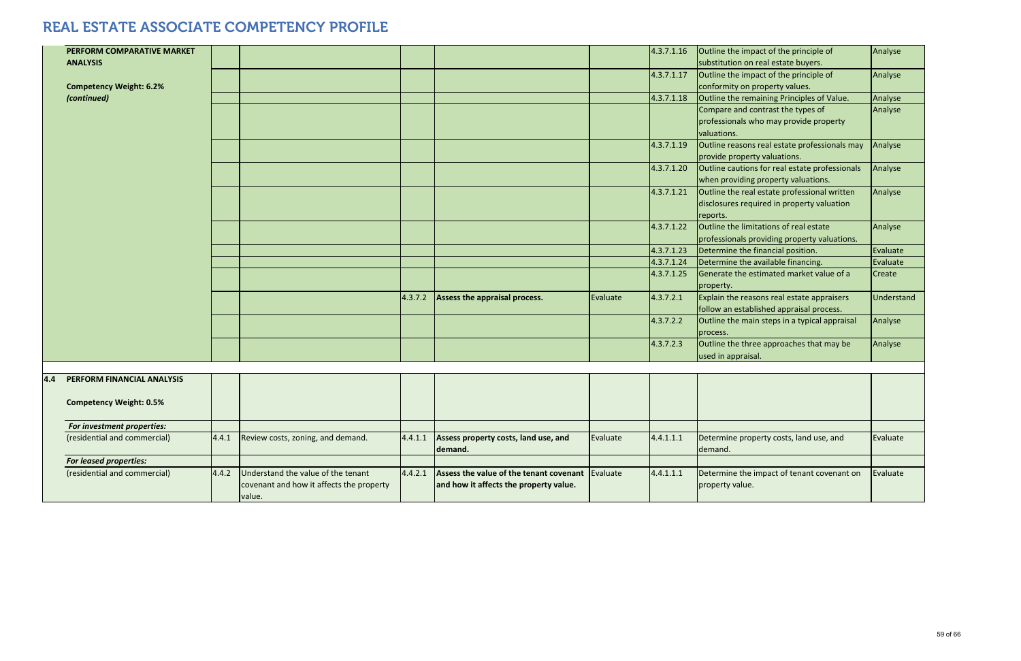|     | PERFORM COMPARATIVE MARKET     |       |                                          |         |                                                  |          | 4.3.7.1.16 | Outline the impact of the principle of         | Analyse    |
|-----|--------------------------------|-------|------------------------------------------|---------|--------------------------------------------------|----------|------------|------------------------------------------------|------------|
|     | <b>ANALYSIS</b>                |       |                                          |         |                                                  |          |            | substitution on real estate buyers.            |            |
|     |                                |       |                                          |         |                                                  |          | 4.3.7.1.17 | Outline the impact of the principle of         | Analyse    |
|     | <b>Competency Weight: 6.2%</b> |       |                                          |         |                                                  |          |            | conformity on property values.                 |            |
|     | (continued)                    |       |                                          |         |                                                  |          | 4.3.7.1.18 | Outline the remaining Principles of Value.     | Analyse    |
|     |                                |       |                                          |         |                                                  |          |            | Compare and contrast the types of              | Analyse    |
|     |                                |       |                                          |         |                                                  |          |            | professionals who may provide property         |            |
|     |                                |       |                                          |         |                                                  |          |            | valuations.                                    |            |
|     |                                |       |                                          |         |                                                  |          | 4.3.7.1.19 | Outline reasons real estate professionals may  | Analyse    |
|     |                                |       |                                          |         |                                                  |          |            | provide property valuations.                   |            |
|     |                                |       |                                          |         |                                                  |          | 4.3.7.1.20 | Outline cautions for real estate professionals | Analyse    |
|     |                                |       |                                          |         |                                                  |          |            | when providing property valuations.            |            |
|     |                                |       |                                          |         |                                                  |          | 4.3.7.1.21 | Outline the real estate professional written   | Analyse    |
|     |                                |       |                                          |         |                                                  |          |            | disclosures required in property valuation     |            |
|     |                                |       |                                          |         |                                                  |          |            | reports.                                       |            |
|     |                                |       |                                          |         |                                                  |          | 4.3.7.1.22 | Outline the limitations of real estate         | Analyse    |
|     |                                |       |                                          |         |                                                  |          |            | professionals providing property valuations.   |            |
|     |                                |       |                                          |         |                                                  |          | 4.3.7.1.23 | Determine the financial position.              | Evaluate   |
|     |                                |       |                                          |         |                                                  |          | 4.3.7.1.24 | Determine the available financing.             | Evaluate   |
|     |                                |       |                                          |         |                                                  |          | 4.3.7.1.25 | Generate the estimated market value of a       | Create     |
|     |                                |       |                                          |         |                                                  |          |            | property.                                      |            |
|     |                                |       |                                          | 4.3.7.2 | Assess the appraisal process.                    | Evaluate | 4.3.7.2.1  | Explain the reasons real estate appraisers     | Understand |
|     |                                |       |                                          |         |                                                  |          |            | follow an established appraisal process.       |            |
|     |                                |       |                                          |         |                                                  |          | 4.3.7.2.2  | Outline the main steps in a typical appraisal  | Analyse    |
|     |                                |       |                                          |         |                                                  |          |            | process.                                       |            |
|     |                                |       |                                          |         |                                                  |          | 4.3.7.2.3  | Outline the three approaches that may be       | Analyse    |
|     |                                |       |                                          |         |                                                  |          |            | used in appraisal.                             |            |
|     |                                |       |                                          |         |                                                  |          |            |                                                |            |
| 4.4 | PERFORM FINANCIAL ANALYSIS     |       |                                          |         |                                                  |          |            |                                                |            |
|     |                                |       |                                          |         |                                                  |          |            |                                                |            |
|     | <b>Competency Weight: 0.5%</b> |       |                                          |         |                                                  |          |            |                                                |            |
|     |                                |       |                                          |         |                                                  |          |            |                                                |            |
|     | For investment properties:     |       |                                          |         |                                                  |          |            |                                                |            |
|     | (residential and commercial)   | 4.4.1 | Review costs, zoning, and demand.        | 4.4.1.1 | Assess property costs, land use, and             | Evaluate | 4.4.1.1.1  | Determine property costs, land use, and        | Evaluate   |
|     |                                |       |                                          |         | demand.                                          |          |            | demand.                                        |            |
|     | <b>For leased properties:</b>  |       | Understand the value of the tenant       |         |                                                  |          |            |                                                |            |
|     | (residential and commercial)   | 4.4.2 |                                          | 4.4.2.1 | Assess the value of the tenant covenant Evaluate |          | 4.4.1.1.1  | Determine the impact of tenant covenant on     | Evaluate   |
|     |                                |       | covenant and how it affects the property |         | and how it affects the property value.           |          |            | property value.                                |            |
|     |                                |       | value.                                   |         |                                                  |          |            |                                                |            |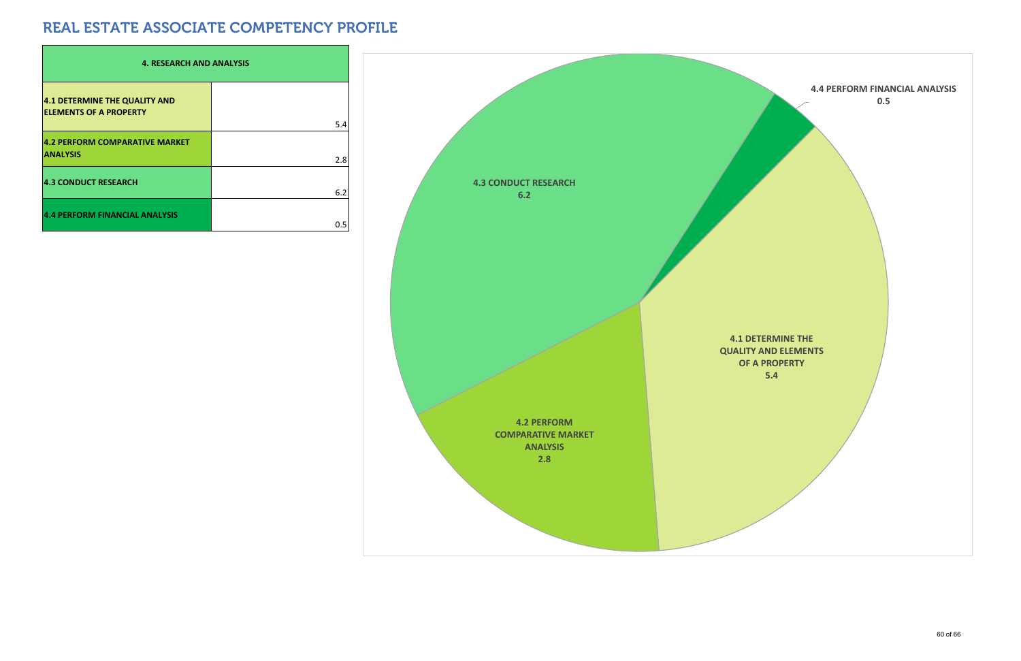| <b>4. RESEARCH AND ANALYSIS</b>                                |     |  |  |  |  |  |  |  |  |
|----------------------------------------------------------------|-----|--|--|--|--|--|--|--|--|
| 4.1 DETERMINE THE QUALITY AND<br><b>ELEMENTS OF A PROPERTY</b> | 5.4 |  |  |  |  |  |  |  |  |
| 4.2 PERFORM COMPARATIVE MARKET<br><b>ANALYSIS</b>              | 2.8 |  |  |  |  |  |  |  |  |
| <b>4.3 CONDUCT RESEARCH</b>                                    | 6.2 |  |  |  |  |  |  |  |  |
| <b>4.4 PERFORM FINANCIAL ANALYSIS</b>                          | 0.5 |  |  |  |  |  |  |  |  |

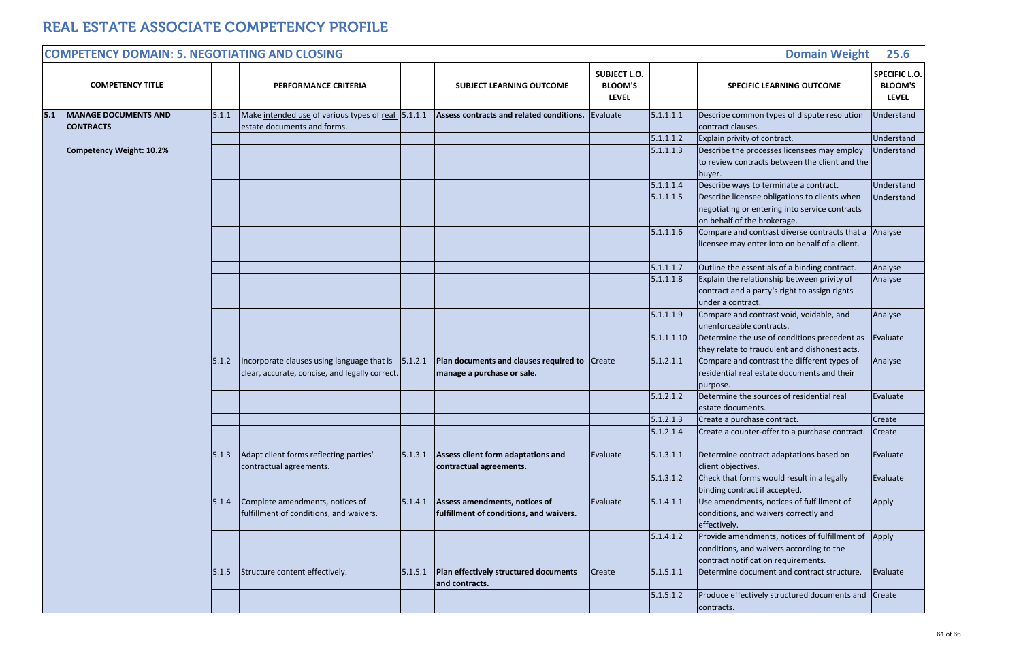|                                   |            | <b>Domain Weight</b>                                                                                                             | 25.6                                                   |
|-----------------------------------|------------|----------------------------------------------------------------------------------------------------------------------------------|--------------------------------------------------------|
| JECT L.O.<br>OOM'S<br><b>EVEL</b> |            | <b>SPECIFIC LEARNING OUTCOME</b>                                                                                                 | <b>SPECIFIC L.O.</b><br><b>BLOOM'S</b><br><b>LEVEL</b> |
| ate                               | 5.1.1.1.1  | Describe common types of dispute resolution<br>contract clauses.                                                                 | Understand                                             |
|                                   | 5.1.1.1.2  | Explain privity of contract.                                                                                                     | Understand                                             |
|                                   | 5.1.1.1.3  | Describe the processes licensees may employ<br>to review contracts between the client and the<br>buyer.                          | Understand                                             |
|                                   | 5.1.1.1.4  | Describe ways to terminate a contract.                                                                                           | Understand                                             |
|                                   | 5.1.1.1.5  | Describe licensee obligations to clients when<br>negotiating or entering into service contracts<br>on behalf of the brokerage.   | Understand                                             |
|                                   | 5.1.1.1.6  | Compare and contrast diverse contracts that a<br>licensee may enter into on behalf of a client.                                  | Analyse                                                |
|                                   | 5.1.1.1.7  | Outline the essentials of a binding contract.                                                                                    | Analyse                                                |
|                                   | 5.1.1.1.8  | Explain the relationship between privity of<br>contract and a party's right to assign rights<br>under a contract.                | Analyse                                                |
|                                   | 5.1.1.1.9  | Compare and contrast void, voidable, and<br>unenforceable contracts.                                                             | Analyse                                                |
|                                   | 5.1.1.1.10 | Determine the use of conditions precedent as<br>they relate to fraudulent and dishonest acts.                                    | Evaluate                                               |
| è                                 | 5.1.2.1.1  | Compare and contrast the different types of<br>residential real estate documents and their<br>purpose.                           | Analyse                                                |
|                                   | 5.1.2.1.2  | Determine the sources of residential real<br>estate documents.                                                                   | Evaluate                                               |
|                                   | 5.1.2.1.3  | Create a purchase contract.                                                                                                      | Create                                                 |
|                                   | 5.1.2.1.4  | Create a counter-offer to a purchase contract.                                                                                   | Create                                                 |
| ate                               | 5.1.3.1.1  | Determine contract adaptations based on<br>client objectives.                                                                    | Evaluate                                               |
|                                   | 5.1.3.1.2  | Check that forms would result in a legally<br>binding contract if accepted.                                                      | Evaluate                                               |
| ate                               | 5.1.4.1.1  | Use amendments, notices of fulfillment of<br>conditions, and waivers correctly and<br>effectively.                               | Apply                                                  |
|                                   | 5.1.4.1.2  | Provide amendments, notices of fulfillment of<br>conditions, and waivers according to the<br>contract notification requirements. | Apply                                                  |
| e                                 | 5.1.5.1.1  | Determine document and contract structure.                                                                                       | Evaluate                                               |
|                                   | 5.1.5.1.2  | Produce effectively structured documents and<br>contracts.                                                                       | Create                                                 |

| <b>COMPETENCY TITLE</b>                                  |       | PERFORMANCE CRITERIA                                                                         |         | <b>SUBJECT LEARNING OUTCOME</b>                                             | <b>SUBJECT L.O.</b><br><b>BLOOM'S</b><br><b>LEVEL</b> |            | <b>SPECIFIC LEARNING OUTCOME</b>                                                                                                |
|----------------------------------------------------------|-------|----------------------------------------------------------------------------------------------|---------|-----------------------------------------------------------------------------|-------------------------------------------------------|------------|---------------------------------------------------------------------------------------------------------------------------------|
| <b>MANAGE DOCUMENTS AND</b><br> 5.1 <br><b>CONTRACTS</b> | 5.1.1 | Make intended use of various types of real 5.1.1.1<br>estate documents and forms.            |         | Assess contracts and related conditions.                                    | Evaluate                                              | 5.1.1.1.1  | Describe common types of dispute resolutior<br>contract clauses.                                                                |
|                                                          |       |                                                                                              |         |                                                                             |                                                       | 5.1.1.1.2  | Explain privity of contract.                                                                                                    |
| <b>Competency Weight: 10.2%</b>                          |       |                                                                                              |         |                                                                             |                                                       | 5.1.1.1.3  | Describe the processes licensees may employ<br>to review contracts between the client and th<br>buyer.                          |
|                                                          |       |                                                                                              |         |                                                                             |                                                       | 5.1.1.1.4  | Describe ways to terminate a contract.                                                                                          |
|                                                          |       |                                                                                              |         |                                                                             |                                                       | 5.1.1.1.5  | Describe licensee obligations to clients when<br>negotiating or entering into service contracts<br>on behalf of the brokerage.  |
|                                                          |       |                                                                                              |         |                                                                             |                                                       | 5.1.1.1.6  | Compare and contrast diverse contracts that<br>licensee may enter into on behalf of a client.                                   |
|                                                          |       |                                                                                              |         |                                                                             |                                                       | 5.1.1.1.7  | Outline the essentials of a binding contract.                                                                                   |
|                                                          |       |                                                                                              |         |                                                                             |                                                       | 5.1.1.1.8  | Explain the relationship between privity of<br>contract and a party's right to assign rights<br>under a contract.               |
|                                                          |       |                                                                                              |         |                                                                             |                                                       | 5.1.1.1.9  | Compare and contrast void, voidable, and<br>unenforceable contracts.                                                            |
|                                                          |       |                                                                                              |         |                                                                             |                                                       | 5.1.1.1.10 | Determine the use of conditions precedent as<br>they relate to fraudulent and dishonest acts.                                   |
|                                                          | 5.1.2 | Incorporate clauses using language that is<br>clear, accurate, concise, and legally correct. | 5.1.2.1 | Plan documents and clauses required to Create<br>manage a purchase or sale. |                                                       | 5.1.2.1.1  | Compare and contrast the different types of<br>residential real estate documents and their<br>purpose.                          |
|                                                          |       |                                                                                              |         |                                                                             |                                                       | 5.1.2.1.2  | Determine the sources of residential real<br>estate documents.                                                                  |
|                                                          |       |                                                                                              |         |                                                                             |                                                       | 5.1.2.1.3  | Create a purchase contract.                                                                                                     |
|                                                          |       |                                                                                              |         |                                                                             |                                                       | 5.1.2.1.4  | Create a counter-offer to a purchase contract                                                                                   |
|                                                          | 5.1.3 | Adapt client forms reflecting parties'<br>contractual agreements.                            | 5.1.3.1 | Assess client form adaptations and<br>contractual agreements.               | Evaluate                                              | 5.1.3.1.1  | Determine contract adaptations based on<br>client objectives.                                                                   |
|                                                          |       |                                                                                              |         |                                                                             |                                                       | 5.1.3.1.2  | Check that forms would result in a legally<br>binding contract if accepted.                                                     |
|                                                          | 5.1.4 | Complete amendments, notices of<br>fulfillment of conditions, and waivers.                   | 5.1.4.1 | Assess amendments, notices of<br>fulfillment of conditions, and waivers.    | Evaluate                                              | 5.1.4.1.1  | Use amendments, notices of fulfillment of<br>conditions, and waivers correctly and<br>effectively.                              |
|                                                          |       |                                                                                              |         |                                                                             |                                                       | 5.1.4.1.2  | Provide amendments, notices of fulfillment o<br>conditions, and waivers according to the<br>contract notification requirements. |
|                                                          | 5.1.5 | Structure content effectively.                                                               | 5.1.5.1 | Plan effectively structured documents<br>and contracts.                     | Create                                                | 5.1.5.1.1  | Determine document and contract structure.                                                                                      |
|                                                          |       |                                                                                              |         |                                                                             |                                                       | 5.1.5.1.2  | Produce effectively structured documents an<br>contracts.                                                                       |

#### **COMPETENCY DOMAIN: 5. NEGOTIATING AND CLOSING**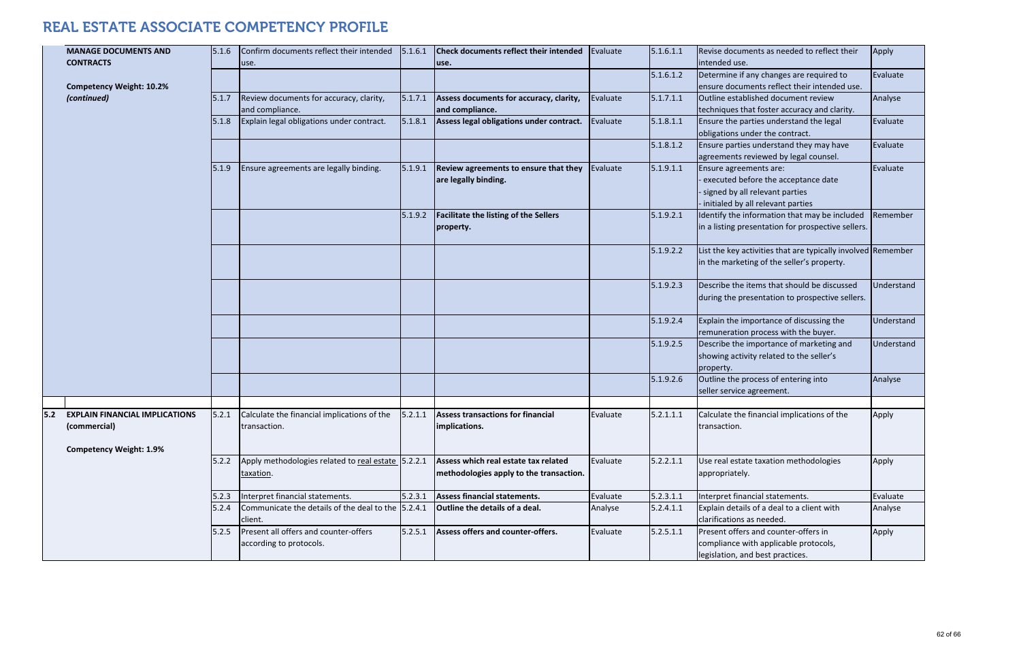|       | <b>MANAGE DOCUMENTS AND</b><br><b>CONTRACTS</b>                                         | 5.1.6 | Confirm documents reflect their intended<br>use.                 | 5.1.6.1 | Check documents reflect their intended<br>use.                                  | Evaluate | 5.1.6.1.1 | Revise documents as needed to reflect their<br>intended use.                                                                         | Apply    |
|-------|-----------------------------------------------------------------------------------------|-------|------------------------------------------------------------------|---------|---------------------------------------------------------------------------------|----------|-----------|--------------------------------------------------------------------------------------------------------------------------------------|----------|
|       | <b>Competency Weight: 10.2%</b>                                                         |       |                                                                  |         |                                                                                 |          | 5.1.6.1.2 | Determine if any changes are required to<br>ensure documents reflect their intended use.                                             | Evaluate |
|       | (continued)                                                                             | 5.1.7 | Review documents for accuracy, clarity,<br>and compliance.       | 5.1.7.1 | Assess documents for accuracy, clarity,<br>and compliance.                      | Evaluate | 5.1.7.1.1 | Outline established document review<br>techniques that foster accuracy and clarity.                                                  | Analyse  |
|       |                                                                                         | 5.1.8 | Explain legal obligations under contract.                        | 5.1.8.1 | Assess legal obligations under contract.                                        | Evaluate | 5.1.8.1.1 | Ensure the parties understand the legal<br>obligations under the contract.                                                           | Evaluate |
|       |                                                                                         |       |                                                                  |         |                                                                                 |          | 5.1.8.1.2 | Ensure parties understand they may have<br>agreements reviewed by legal counsel.                                                     | Evaluate |
|       |                                                                                         | 5.1.9 | Ensure agreements are legally binding.                           | 5.1.9.1 | Review agreements to ensure that they<br>are legally binding.                   | Evaluate | 5.1.9.1.1 | Ensure agreements are:<br>executed before the acceptance date<br>signed by all relevant parties<br>initialed by all relevant parties | Evaluate |
|       |                                                                                         |       |                                                                  | 5.1.9.2 | <b>Facilitate the listing of the Sellers</b><br>property.                       |          | 5.1.9.2.1 | Identify the information that may be included<br>in a listing presentation for prospective sellers.                                  | Rememl   |
|       |                                                                                         |       |                                                                  |         |                                                                                 |          | 5.1.9.2.2 | List the key activities that are typically involved Rememl<br>in the marketing of the seller's property.                             |          |
|       |                                                                                         |       |                                                                  |         |                                                                                 |          | 5.1.9.2.3 | Describe the items that should be discussed<br>during the presentation to prospective sellers.                                       | Underst  |
|       |                                                                                         |       |                                                                  |         |                                                                                 |          | 5.1.9.2.4 | Explain the importance of discussing the<br>remuneration process with the buyer.                                                     | Underst  |
|       |                                                                                         |       |                                                                  |         |                                                                                 |          | 5.1.9.2.5 | Describe the importance of marketing and<br>showing activity related to the seller's<br>property.                                    | Underst  |
|       |                                                                                         |       |                                                                  |         |                                                                                 |          | 5.1.9.2.6 | Outline the process of entering into<br>seller service agreement.                                                                    | Analyse  |
| $5.2$ | <b>EXPLAIN FINANCIAL IMPLICATIONS</b><br>(commercial)<br><b>Competency Weight: 1.9%</b> | 5.2.1 | Calculate the financial implications of the<br>transaction.      |         | $\vert$ 5.2.1.1 Assess transactions for financial<br>implications.              | Evaluate | 5.2.1.1.1 | Calculate the financial implications of the<br>transaction.                                                                          | Apply    |
|       |                                                                                         | 5.2.2 | Apply methodologies related to real estate 5.2.2.1<br>taxation.  |         | Assess which real estate tax related<br>methodologies apply to the transaction. | Evaluate | 5.2.2.1.1 | Use real estate taxation methodologies<br>appropriately.                                                                             | Apply    |
|       |                                                                                         | 5.2.3 | Interpret financial statements.                                  | 5.2.3.1 | <b>Assess financial statements.</b>                                             | Evaluate | 5.2.3.1.1 | Interpret financial statements.                                                                                                      | Evaluate |
|       |                                                                                         | 5.2.4 | Communicate the details of the deal to the 5.2.4.1<br>client.    |         | Outline the details of a deal.                                                  | Analyse  | 5.2.4.1.1 | Explain details of a deal to a client with<br>clarifications as needed.                                                              | Analyse  |
|       |                                                                                         | 5.2.5 | Present all offers and counter-offers<br>according to protocols. | 5.2.5.1 | Assess offers and counter-offers.                                               | Evaluate | 5.2.5.1.1 | Present offers and counter-offers in<br>compliance with applicable protocols,<br>legislation, and best practices.                    | Apply    |

| $\overline{1}$ | Revise documents as needed to reflect their<br>intended use.                                                                               | Apply      |
|----------------|--------------------------------------------------------------------------------------------------------------------------------------------|------------|
| $\overline{2}$ | Determine if any changes are required to<br>ensure documents reflect their intended use.                                                   | Evaluate   |
| $\overline{1}$ | Outline established document review<br>techniques that foster accuracy and clarity.                                                        | Analyse    |
| $\overline{1}$ | Ensure the parties understand the legal<br>obligations under the contract.                                                                 | Evaluate   |
| $\overline{2}$ | Ensure parties understand they may have<br>agreements reviewed by legal counsel.                                                           | Evaluate   |
| $\overline{1}$ | Ensure agreements are:<br>- executed before the acceptance date<br>- signed by all relevant parties<br>- initialed by all relevant parties | Evaluate   |
| $\overline{1}$ | Identify the information that may be included<br>in a listing presentation for prospective sellers.                                        | Remember   |
| $\overline{2}$ | List the key activities that are typically involved<br>in the marketing of the seller's property.                                          | Remember   |
| 3              | Describe the items that should be discussed<br>during the presentation to prospective sellers.                                             | Understand |
| 4              | Explain the importance of discussing the<br>remuneration process with the buyer.                                                           | Understand |
| 5              | Describe the importance of marketing and<br>showing activity related to the seller's<br>property.                                          | Understand |
| 6              | Outline the process of entering into<br>seller service agreement.                                                                          | Analyse    |
| $\mathbf{1}$   | Calculate the financial implications of the<br>transaction.                                                                                | Apply      |
| $\overline{1}$ | Use real estate taxation methodologies<br>appropriately.                                                                                   | Apply      |
| $\mathbf 1$    | Interpret financial statements.                                                                                                            | Evaluate   |
| $\overline{1}$ | Explain details of a deal to a client with<br>clarifications as needed.                                                                    | Analyse    |
| $\overline{1}$ | Present offers and counter-offers in<br>compliance with applicable protocols,<br>legislation, and best practices.                          | Apply      |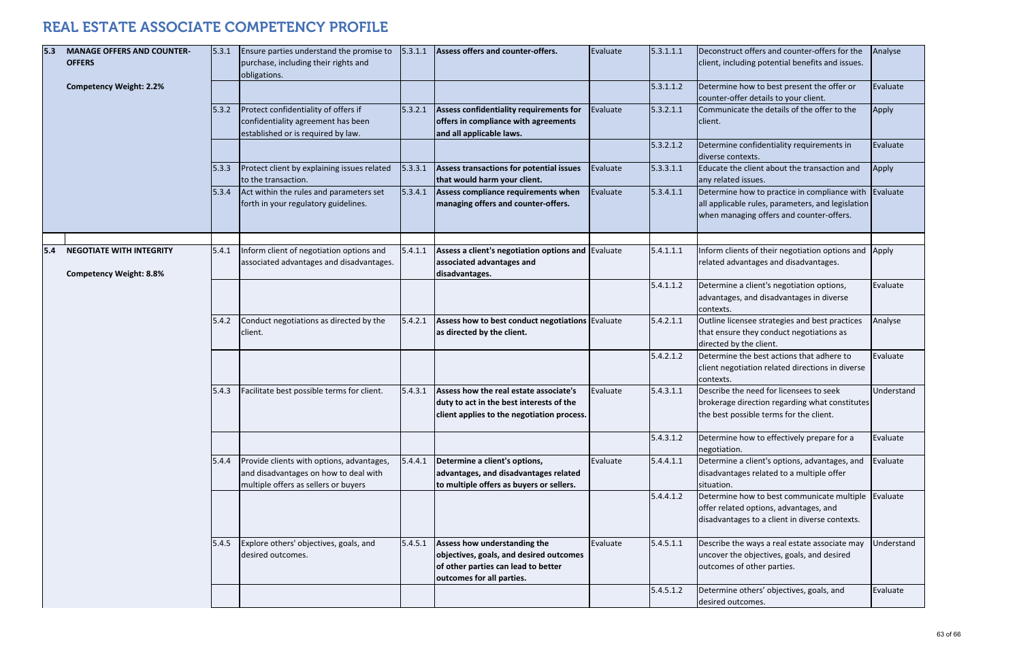| 5.3  | <b>MANAGE OFFERS AND COUNTER-</b><br><b>OFFERS</b> | 5.3.1 | Ensure parties understand the promise to<br>purchase, including their rights and<br>obligations.                           | 5.3.1.1 | Assess offers and counter-offers.                                                                                                           | Evaluate | 5.3.1.1.1 | Deconstruct offers and counter-offers for the<br>client, including potential benefits and issues.                                             | Analyse    |
|------|----------------------------------------------------|-------|----------------------------------------------------------------------------------------------------------------------------|---------|---------------------------------------------------------------------------------------------------------------------------------------------|----------|-----------|-----------------------------------------------------------------------------------------------------------------------------------------------|------------|
|      | <b>Competency Weight: 2.2%</b>                     |       |                                                                                                                            |         |                                                                                                                                             |          | 5.3.1.1.2 | Determine how to best present the offer or<br>counter-offer details to your client.                                                           | Evaluate   |
|      |                                                    | 5.3.2 | Protect confidentiality of offers if<br>confidentiality agreement has been<br>established or is required by law.           | 5.3.2.1 | Assess confidentiality requirements for<br>offers in compliance with agreements<br>and all applicable laws.                                 | Evaluate | 5.3.2.1.1 | Communicate the details of the offer to the<br>client.                                                                                        | Apply      |
|      |                                                    |       |                                                                                                                            |         |                                                                                                                                             |          | 5.3.2.1.2 | Determine confidentiality requirements in<br>diverse contexts.                                                                                | Evaluate   |
|      |                                                    | 5.3.3 | Protect client by explaining issues related<br>to the transaction.                                                         | 5.3.3.1 | Assess transactions for potential issues<br>that would harm your client.                                                                    | Evaluate | 5.3.3.1.1 | Educate the client about the transaction and<br>any related issues.                                                                           | Apply      |
|      |                                                    | 5.3.4 | Act within the rules and parameters set<br>forth in your regulatory guidelines.                                            | 5.3.4.1 | Assess compliance requirements when<br>managing offers and counter-offers.                                                                  | Evaluate | 5.3.4.1.1 | Determine how to practice in compliance with<br>all applicable rules, parameters, and legislation<br>when managing offers and counter-offers. | Evaluate   |
| 15.4 | <b>NEGOTIATE WITH INTEGRITY</b>                    | 5.4.1 | Inform client of negotiation options and                                                                                   | 5.4.1.1 | Assess a client's negotiation options and Evaluate                                                                                          |          | 5.4.1.1.1 | Inform clients of their negotiation options and                                                                                               | Apply      |
|      | <b>Competency Weight: 8.8%</b>                     |       | associated advantages and disadvantages.                                                                                   |         | associated advantages and<br>disadvantages.                                                                                                 |          |           | related advantages and disadvantages.                                                                                                         |            |
|      |                                                    |       |                                                                                                                            |         |                                                                                                                                             |          | 5.4.1.1.2 | Determine a client's negotiation options,<br>advantages, and disadvantages in diverse<br>contexts.                                            | Evaluate   |
|      |                                                    | 5.4.2 | Conduct negotiations as directed by the<br>client.                                                                         | 5.4.2.1 | Assess how to best conduct negotiations Evaluate<br>as directed by the client.                                                              |          | 5.4.2.1.1 | Outline licensee strategies and best practices<br>that ensure they conduct negotiations as<br>directed by the client.                         | Analyse    |
|      |                                                    |       |                                                                                                                            |         |                                                                                                                                             |          | 5.4.2.1.2 | Determine the best actions that adhere to<br>client negotiation related directions in diverse<br>contexts.                                    | Evaluate   |
|      |                                                    | 5.4.3 | Facilitate best possible terms for client.                                                                                 | 5.4.3.1 | Assess how the real estate associate's<br>duty to act in the best interests of the<br>client applies to the negotiation process.            | Evaluate | 5.4.3.1.1 | Describe the need for licensees to seek<br>brokerage direction regarding what constitutes<br>the best possible terms for the client.          | Understand |
|      |                                                    |       |                                                                                                                            |         |                                                                                                                                             |          | 5.4.3.1.2 | Determine how to effectively prepare for a<br>negotiation.                                                                                    | Evaluate   |
|      |                                                    | 5.4.4 | Provide clients with options, advantages,<br>and disadvantages on how to deal with<br>multiple offers as sellers or buyers | 5.4.4.1 | Determine a client's options,<br>advantages, and disadvantages related<br>to multiple offers as buyers or sellers.                          | Evaluate | 5.4.4.1.1 | Determine a client's options, advantages, and<br>disadvantages related to a multiple offer<br>situation.                                      | Evaluate   |
|      |                                                    |       |                                                                                                                            |         |                                                                                                                                             |          | 5.4.4.1.2 | Determine how to best communicate multiple<br>offer related options, advantages, and<br>disadvantages to a client in diverse contexts.        | Evaluate   |
|      |                                                    | 5.4.5 | Explore others' objectives, goals, and<br>desired outcomes.                                                                | 5.4.5.1 | Assess how understanding the<br>objectives, goals, and desired outcomes<br>of other parties can lead to better<br>outcomes for all parties. | Evaluate | 5.4.5.1.1 | Describe the ways a real estate associate may<br>uncover the objectives, goals, and desired<br>outcomes of other parties.                     | Understand |
|      |                                                    |       |                                                                                                                            |         |                                                                                                                                             |          | 5.4.5.1.2 | Determine others' objectives, goals, and<br>desired outcomes.                                                                                 | Evaluate   |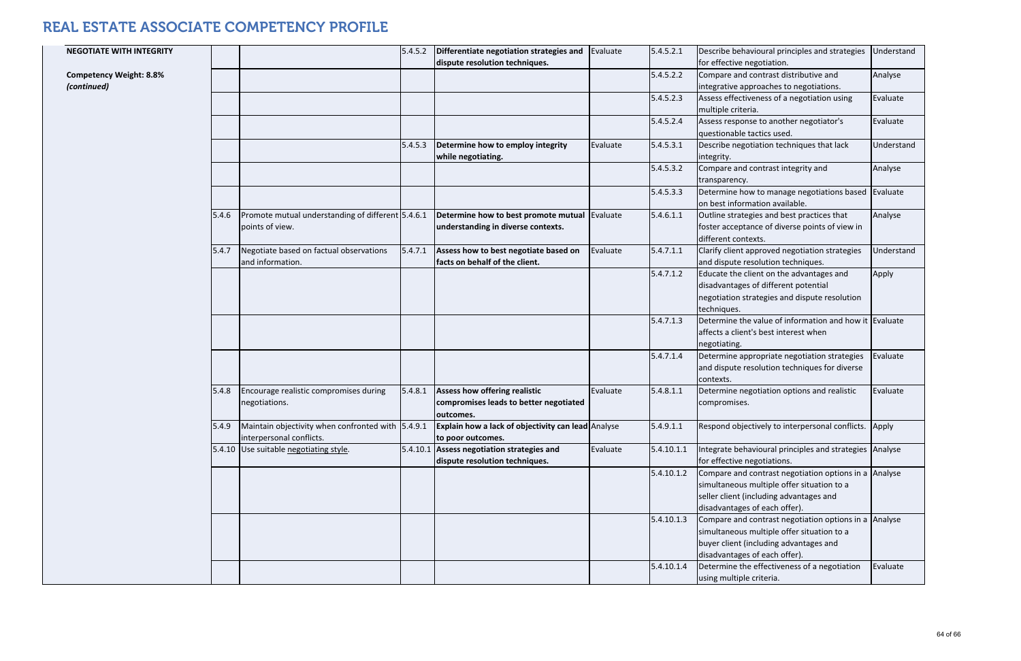| <b>NEGOTIATE WITH INTEGRITY</b>               |       |                                                                               | 5.4.5.2  | Differentiate negotiation strategies and<br>dispute resolution techniques.           | Evaluate | 5.4.5.2.1  | Describe behavioural principles and strategies<br>for effective negotiation.                                                                                                    | Understand |
|-----------------------------------------------|-------|-------------------------------------------------------------------------------|----------|--------------------------------------------------------------------------------------|----------|------------|---------------------------------------------------------------------------------------------------------------------------------------------------------------------------------|------------|
| <b>Competency Weight: 8.8%</b><br>(continued) |       |                                                                               |          |                                                                                      |          | 5.4.5.2.2  | Compare and contrast distributive and<br>integrative approaches to negotiations.                                                                                                | Analyse    |
|                                               |       |                                                                               |          |                                                                                      |          | 5.4.5.2.3  | Assess effectiveness of a negotiation using<br>multiple criteria.                                                                                                               | Evaluate   |
|                                               |       |                                                                               |          |                                                                                      |          | 5.4.5.2.4  | Assess response to another negotiator's<br>questionable tactics used.                                                                                                           | Evaluate   |
|                                               |       |                                                                               | 5.4.5.3  | Determine how to employ integrity<br>while negotiating.                              | Evaluate | 5.4.5.3.1  | Describe negotiation techniques that lack<br>integrity.                                                                                                                         | Understand |
|                                               |       |                                                                               |          |                                                                                      |          | 5.4.5.3.2  | Compare and contrast integrity and<br>transparency.                                                                                                                             | Analyse    |
|                                               |       |                                                                               |          |                                                                                      |          | 5.4.5.3.3  | Determine how to manage negotiations based<br>on best information available.                                                                                                    | Evaluate   |
|                                               | 5.4.6 | Promote mutual understanding of different 5.4.6.1<br>points of view.          |          | Determine how to best promote mutual<br>understanding in diverse contexts.           | Evaluate | 5.4.6.1.1  | Outline strategies and best practices that<br>foster acceptance of diverse points of view in<br>different contexts.                                                             | Analyse    |
|                                               | 5.4.7 | Negotiate based on factual observations<br>and information.                   | 5.4.7.1  | Assess how to best negotiate based on<br>facts on behalf of the client.              | Evaluate | 5.4.7.1.1  | Clarify client approved negotiation strategies<br>and dispute resolution techniques.                                                                                            | Understand |
|                                               |       |                                                                               |          |                                                                                      |          | 5.4.7.1.2  | Educate the client on the advantages and<br>disadvantages of different potential<br>negotiation strategies and dispute resolution<br>techniques.                                | Apply      |
|                                               |       |                                                                               |          |                                                                                      |          | 5.4.7.1.3  | Determine the value of information and how it Evaluate<br>affects a client's best interest when<br>negotiating.                                                                 |            |
|                                               |       |                                                                               |          |                                                                                      |          | 5.4.7.1.4  | Determine appropriate negotiation strategies<br>and dispute resolution techniques for diverse<br>contexts.                                                                      | Evaluate   |
|                                               | 5.4.8 | Encourage realistic compromises during<br>negotiations.                       | 5.4.8.1  | Assess how offering realistic<br>compromises leads to better negotiated<br>outcomes. | Evaluate | 5.4.8.1.1  | Determine negotiation options and realistic<br>compromises.                                                                                                                     | Evaluate   |
|                                               | 5.4.9 | Maintain objectivity when confronted with 5.4.9.1<br>interpersonal conflicts. |          | Explain how a lack of objectivity can lead Analyse<br>to poor outcomes.              |          | 5.4.9.1.1  | Respond objectively to interpersonal conflicts.                                                                                                                                 | Apply      |
|                                               |       | 5.4.10 Use suitable negotiating style.                                        | 5.4.10.1 | Assess negotiation strategies and<br>dispute resolution techniques.                  | Evaluate | 5.4.10.1.1 | ntegrate behavioural principles and strategies Analyse<br>for effective negotiations.                                                                                           |            |
|                                               |       |                                                                               |          |                                                                                      |          | 5.4.10.1.2 | Compare and contrast negotiation options in a Analyse<br>simultaneous multiple offer situation to a<br>seller client (including advantages and<br>disadvantages of each offer). |            |
|                                               |       |                                                                               |          |                                                                                      |          | 5.4.10.1.3 | Compare and contrast negotiation options in a Analyse<br>simultaneous multiple offer situation to a<br>buyer client (including advantages and<br>disadvantages of each offer).  |            |
|                                               |       |                                                                               |          |                                                                                      |          | 5.4.10.1.4 | Determine the effectiveness of a negotiation<br>using multiple criteria.                                                                                                        | Evaluate   |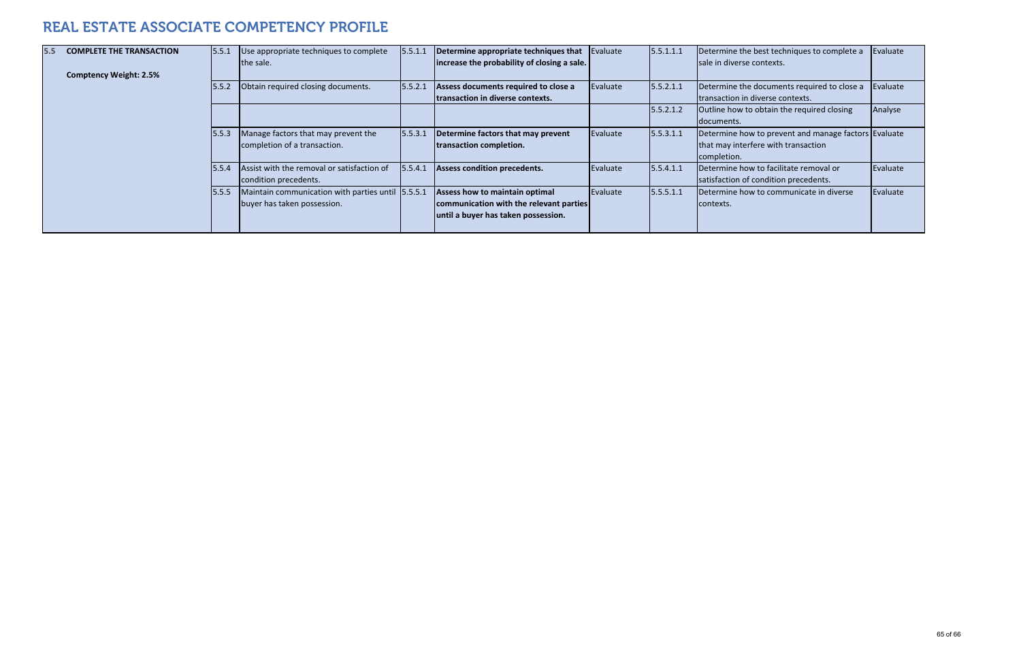| <b>COMPLETE THE TRANSACTION</b> | 5.5.1 | Use appropriate techniques to complete<br>the sale. | 5.5.1.1 | Determine appropriate techniques that<br>increase the probability of closing a sale. | Evaluate         | 5.5.1.1.1 | Determine the best techniques to complete a<br>Isale in diverse contexts. | Evaluate |
|---------------------------------|-------|-----------------------------------------------------|---------|--------------------------------------------------------------------------------------|------------------|-----------|---------------------------------------------------------------------------|----------|
| <b>Comptency Weight: 2.5%</b>   |       |                                                     |         |                                                                                      |                  |           |                                                                           |          |
|                                 | 5.5.2 | Obtain required closing documents.                  | 5.5.2.1 | Assess documents required to close a                                                 | Evaluate         | 5.5.2.1.1 | Determine the documents required to close a                               | Evaluate |
|                                 |       |                                                     |         | Itransaction in diverse contexts.                                                    |                  |           | transaction in diverse contexts.                                          |          |
|                                 |       |                                                     |         |                                                                                      |                  | 5.5.2.1.2 | Outline how to obtain the required closing                                | Analyse  |
|                                 |       |                                                     |         |                                                                                      |                  |           | Idocuments.                                                               |          |
|                                 | 5.5.3 | Manage factors that may prevent the                 | 5.5.3.1 | Determine factors that may prevent                                                   | Evaluate         | 5.5.3.1.1 | Determine how to prevent and manage factors Evaluate                      |          |
|                                 |       | completion of a transaction.                        |         | transaction completion.                                                              |                  |           | that may interfere with transaction                                       |          |
|                                 |       |                                                     |         |                                                                                      |                  |           | completion.                                                               |          |
|                                 | 5.5.4 | Assist with the removal or satisfaction of          | 5.5.4.1 | Assess condition precedents.                                                         | <b>IEvaluate</b> | 5.5.4.1.1 | Determine how to facilitate removal or                                    | Evaluate |
|                                 |       | condition precedents.                               |         |                                                                                      |                  |           | satisfaction of condition precedents.                                     |          |
|                                 | 5.5.5 | Maintain communication with parties until 5.5.5.1   |         | Assess how to maintain optimal                                                       | Evaluate         | 5.5.5.1.1 | Determine how to communicate in diverse                                   | Evaluate |
|                                 |       | buyer has taken possession.                         |         | communication with the relevant parties                                              |                  |           | contexts.                                                                 |          |
|                                 |       |                                                     |         | until a buyer has taken possession.                                                  |                  |           |                                                                           |          |
|                                 |       |                                                     |         |                                                                                      |                  |           |                                                                           |          |